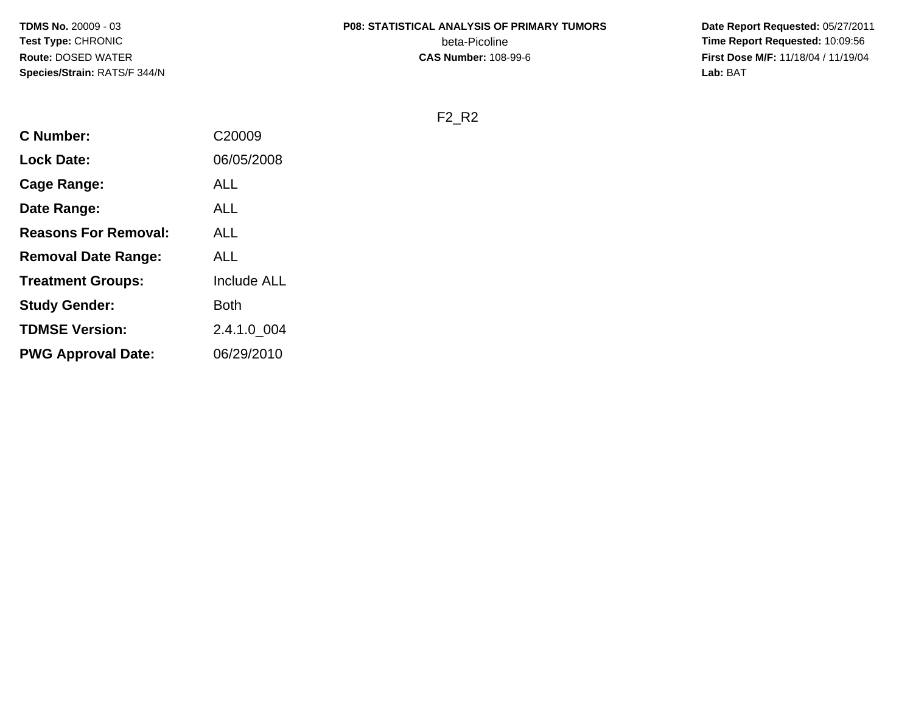# **P08: STATISTICAL ANALYSIS OF PRIMARY TUMORS**

beta-Picoline<br>CAS Number: 108-99-6

 **Date Report Requested:** 05/27/2011 **Time Report Requested:** 10:09:56 **First Dose M/F:** 11/18/04 / 11/19/04<br>Lab: BAT **Lab:** BAT

F2\_R2

| <b>C</b> Number:            | C20009             |
|-----------------------------|--------------------|
| <b>Lock Date:</b>           | 06/05/2008         |
| Cage Range:                 | ALL                |
| Date Range:                 | <b>ALL</b>         |
| <b>Reasons For Removal:</b> | ALL                |
| <b>Removal Date Range:</b>  | <b>ALL</b>         |
| <b>Treatment Groups:</b>    | <b>Include ALL</b> |
| <b>Study Gender:</b>        | <b>Both</b>        |
| <b>TDMSE Version:</b>       | 2.4.1.0_004        |
| <b>PWG Approval Date:</b>   | 06/29/2010         |
|                             |                    |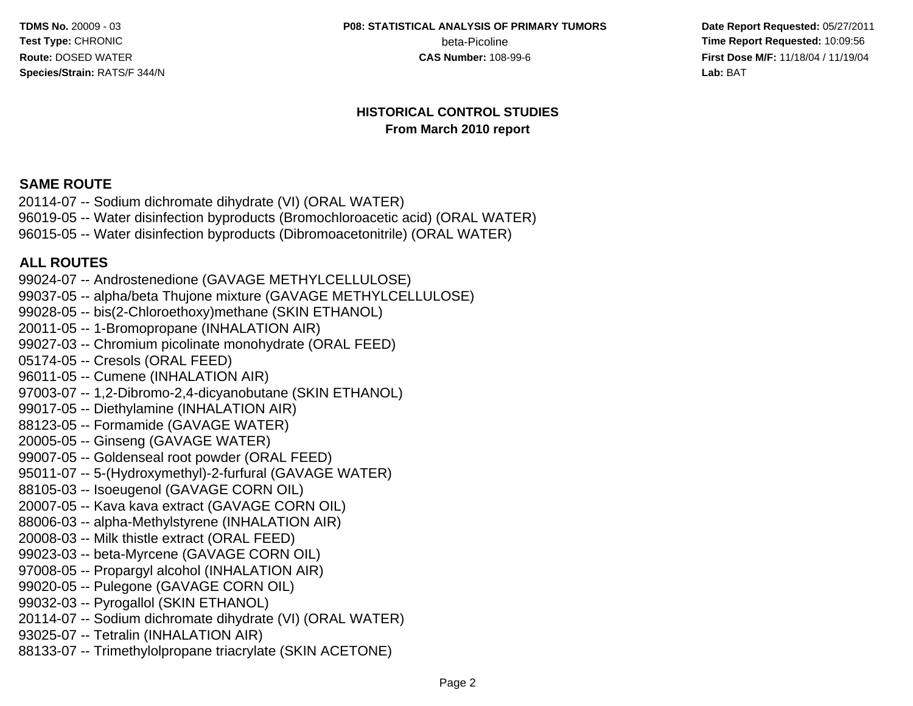beta-Picoline

 **Date Report Requested:** 05/27/2011 **beta-Picoline**<br>**CAS Number:** 108-99-6<br>**CAS Number:** 108-99-6<br>**Time Report Requested:** 10:09:56 **First Dose M/F:** 11/18/04 / 11/19/04 Lab: BAT **Lab:** BAT

#### **HISTORICAL CONTROL STUDIESFrom March 2010 report**

#### **SAME ROUTE**

 20114-07 -- Sodium dichromate dihydrate (VI) (ORAL WATER) 96019-05 -- Water disinfection byproducts (Bromochloroacetic acid) (ORAL WATER)96015-05 -- Water disinfection byproducts (Dibromoacetonitrile) (ORAL WATER)

#### **ALL ROUTES**

 99024-07 -- Androstenedione (GAVAGE METHYLCELLULOSE) 99037-05 -- alpha/beta Thujone mixture (GAVAGE METHYLCELLULOSE)99028-05 -- bis(2-Chloroethoxy)methane (SKIN ETHANOL)20011-05 -- 1-Bromopropane (INHALATION AIR) 99027-03 -- Chromium picolinate monohydrate (ORAL FEED)05174-05 -- Cresols (ORAL FEED) 96011-05 -- Cumene (INHALATION AIR) 97003-07 -- 1,2-Dibromo-2,4-dicyanobutane (SKIN ETHANOL)99017-05 -- Diethylamine (INHALATION AIR)88123-05 -- Formamide (GAVAGE WATER)20005-05 -- Ginseng (GAVAGE WATER) 99007-05 -- Goldenseal root powder (ORAL FEED) 95011-07 -- 5-(Hydroxymethyl)-2-furfural (GAVAGE WATER)88105-03 -- Isoeugenol (GAVAGE CORN OIL) 20007-05 -- Kava kava extract (GAVAGE CORN OIL) 88006-03 -- alpha-Methylstyrene (INHALATION AIR)20008-03 -- Milk thistle extract (ORAL FEED) 99023-03 -- beta-Myrcene (GAVAGE CORN OIL) 97008-05 -- Propargyl alcohol (INHALATION AIR)99020-05 -- Pulegone (GAVAGE CORN OIL)99032-03 -- Pyrogallol (SKIN ETHANOL) 20114-07 -- Sodium dichromate dihydrate (VI) (ORAL WATER)93025-07 -- Tetralin (INHALATION AIR)88133-07 -- Trimethylolpropane triacrylate (SKIN ACETONE)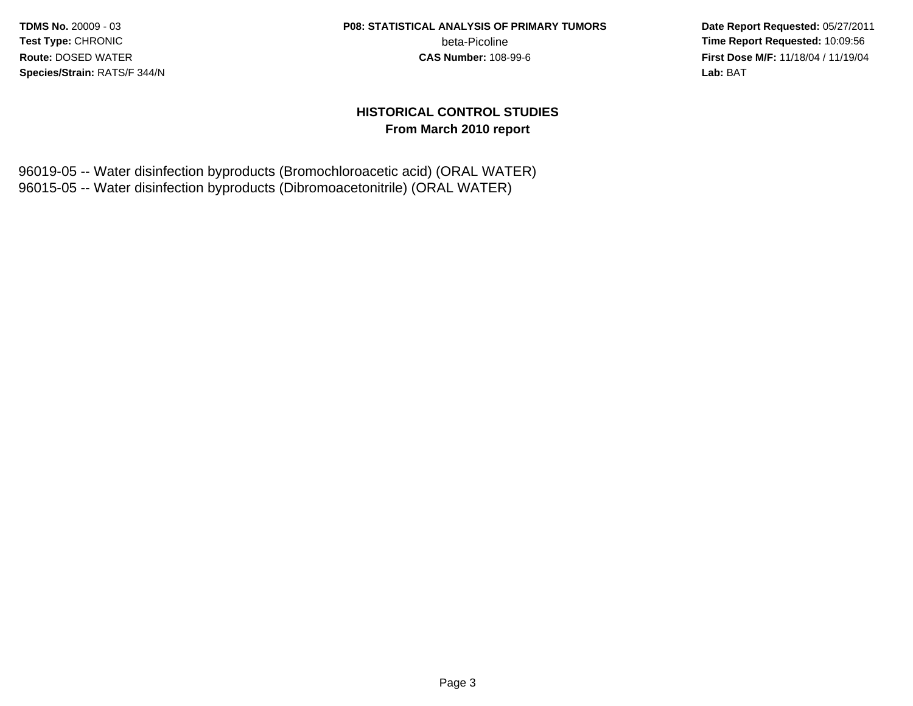beta-Picoline<br>CAS Number: 108-99-6

 **Date Report Requested:** 05/27/2011 **Time Report Requested:** 10:09:56 **First Dose M/F:** 11/18/04 / 11/19/04 Lab: BAT **Lab:** BAT

#### **HISTORICAL CONTROL STUDIESFrom March 2010 report**

96019-05 -- Water disinfection byproducts (Bromochloroacetic acid) (ORAL WATER)96015-05 -- Water disinfection byproducts (Dibromoacetonitrile) (ORAL WATER)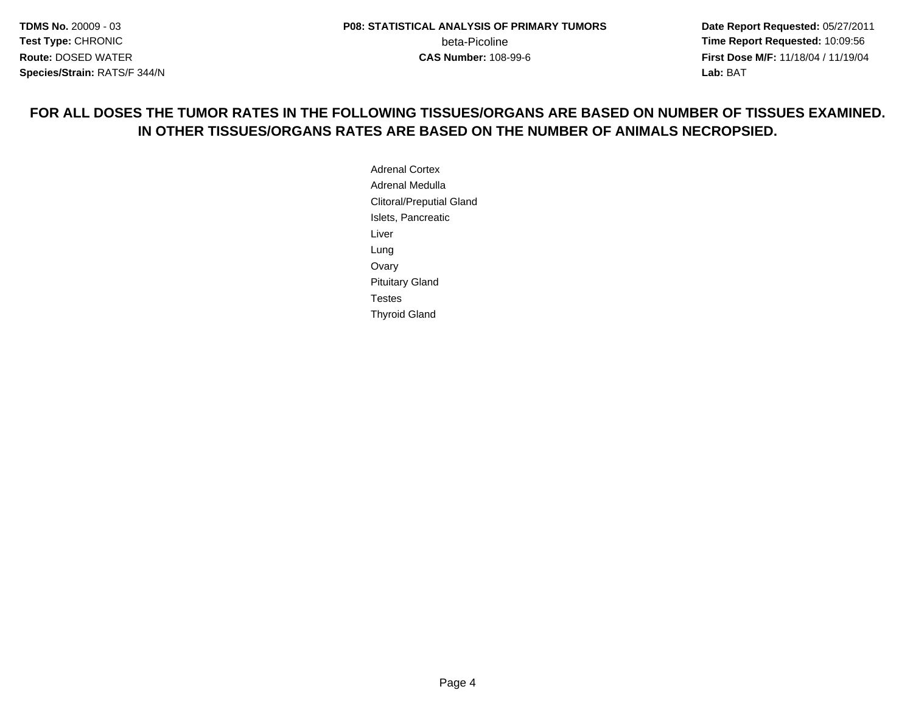**Date Report Requested:** 05/27/2011 **First Dose M/F:** 11/18/04 / 11/19/04 Lab: BAT **Lab:** BAT

#### **FOR ALL DOSES THE TUMOR RATES IN THE FOLLOWING TISSUES/ORGANS ARE BASED ON NUMBER OF TISSUES EXAMINED.IN OTHER TISSUES/ORGANS RATES ARE BASED ON THE NUMBER OF ANIMALS NECROPSIED.**

Adrenal Cortex Adrenal Medulla Clitoral/Preputial GlandIslets, PancreaticLiverLung Ovary Pituitary GlandTestesThyroid Gland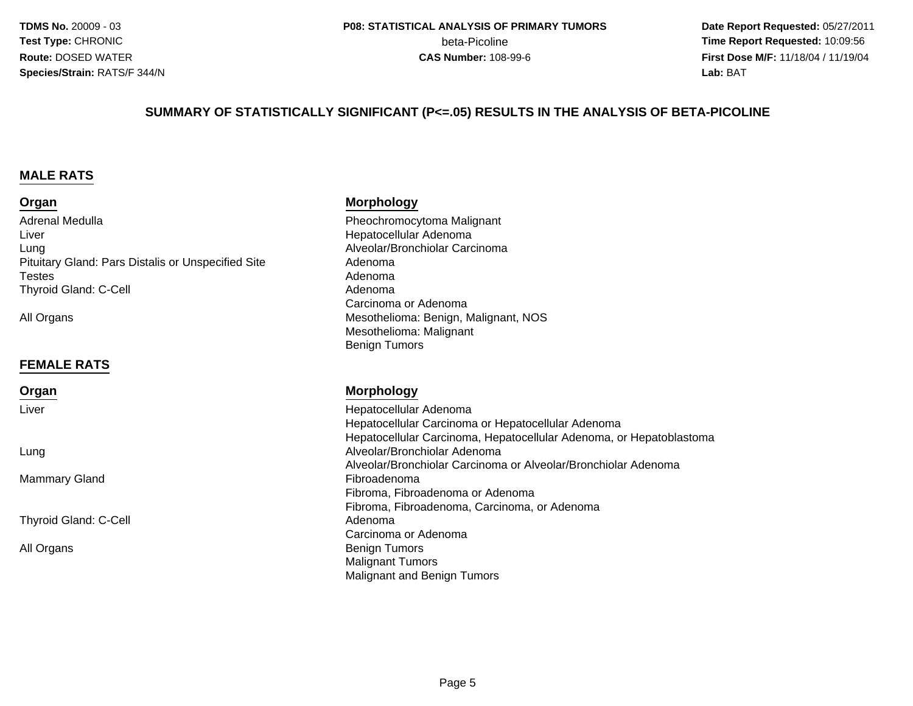**Date Report Requested:** 05/27/2011 **beta-Picoline**<br> **CAS Number:** 108-99-6<br> **CAS Number:** 108-99-6<br> **CAS Number:** 108-99-6 **First Dose M/F:** 11/18/04 / 11/19/04 Lab: BAT **Lab:** BAT

#### **SUMMARY OF STATISTICALLY SIGNIFICANT (P<=.05) RESULTS IN THE ANALYSIS OF BETA-PICOLINE**

#### **MALE RATS**

#### **Organ**

Adrenal MedullaLiverg Alveolar/Bronchiolar Carcinoma LungPituitary Gland: Pars Distalis or Unspecified SiteTestess Adenoma l and a strong of the control of the Adenoma Thyroid Gland: C-Cell

All Organs

#### **FEMALE RATS**

#### **Organ**

Liver

Lung

Mammary Gland

Thyroid Gland: C-Cell

All Organs

#### **Morphology**

 Pheochromocytoma Malignant Hepatocellular AdenomaAdenoma<br>Adenoma Carcinoma or Adenoma Mesothelioma: Benign, Malignant, NOSMesothelioma: MalignantBenign Tumors

#### **Morphology**

 Hepatocellular Adenoma Hepatocellular Carcinoma or Hepatocellular Adenoma Hepatocellular Carcinoma, Hepatocellular Adenoma, or Hepatoblastoma Alveolar/Bronchiolar Adenoma Alveolar/Bronchiolar Carcinoma or Alveolar/Bronchiolar Adenoma Fibroadenoma Fibroma, Fibroadenoma or Adenoma Fibroma, Fibroadenoma, Carcinoma, or Adenoma Adenoma Carcinoma or Adenoma Benign Tumors Malignant TumorsMalignant and Benign Tumors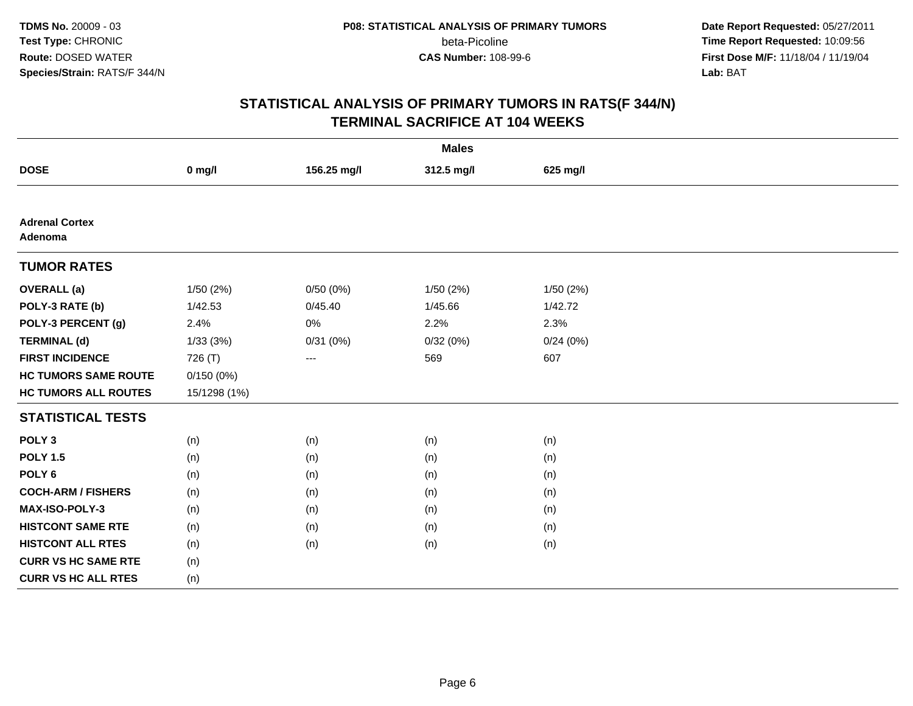**Date Report Requested:** 05/27/2011 **Time Report Requested:** 10:09:56 **First Dose M/F:** 11/18/04 / 11/19/04 Lab: BAT **Lab:** BAT

| <b>Males</b>                     |              |             |            |          |  |  |
|----------------------------------|--------------|-------------|------------|----------|--|--|
| <b>DOSE</b>                      | $0$ mg/l     | 156.25 mg/l | 312.5 mg/l | 625 mg/l |  |  |
|                                  |              |             |            |          |  |  |
| <b>Adrenal Cortex</b><br>Adenoma |              |             |            |          |  |  |
| <b>TUMOR RATES</b>               |              |             |            |          |  |  |
| <b>OVERALL</b> (a)               | 1/50(2%)     | 0/50(0%)    | 1/50(2%)   | 1/50(2%) |  |  |
| POLY-3 RATE (b)                  | 1/42.53      | 0/45.40     | 1/45.66    | 1/42.72  |  |  |
| POLY-3 PERCENT (g)               | 2.4%         | 0%          | 2.2%       | 2.3%     |  |  |
| <b>TERMINAL (d)</b>              | 1/33(3%)     | 0/31(0%)    | 0/32(0%)   | 0/24(0%) |  |  |
| <b>FIRST INCIDENCE</b>           | 726 (T)      | ---         | 569        | 607      |  |  |
| <b>HC TUMORS SAME ROUTE</b>      | 0/150(0%)    |             |            |          |  |  |
| <b>HC TUMORS ALL ROUTES</b>      | 15/1298 (1%) |             |            |          |  |  |
| <b>STATISTICAL TESTS</b>         |              |             |            |          |  |  |
| POLY <sub>3</sub>                | (n)          | (n)         | (n)        | (n)      |  |  |
| <b>POLY 1.5</b>                  | (n)          | (n)         | (n)        | (n)      |  |  |
| POLY <sub>6</sub>                | (n)          | (n)         | (n)        | (n)      |  |  |
| <b>COCH-ARM / FISHERS</b>        | (n)          | (n)         | (n)        | (n)      |  |  |
| MAX-ISO-POLY-3                   | (n)          | (n)         | (n)        | (n)      |  |  |
| <b>HISTCONT SAME RTE</b>         | (n)          | (n)         | (n)        | (n)      |  |  |
| <b>HISTCONT ALL RTES</b>         | (n)          | (n)         | (n)        | (n)      |  |  |
| <b>CURR VS HC SAME RTE</b>       | (n)          |             |            |          |  |  |
| <b>CURR VS HC ALL RTES</b>       | (n)          |             |            |          |  |  |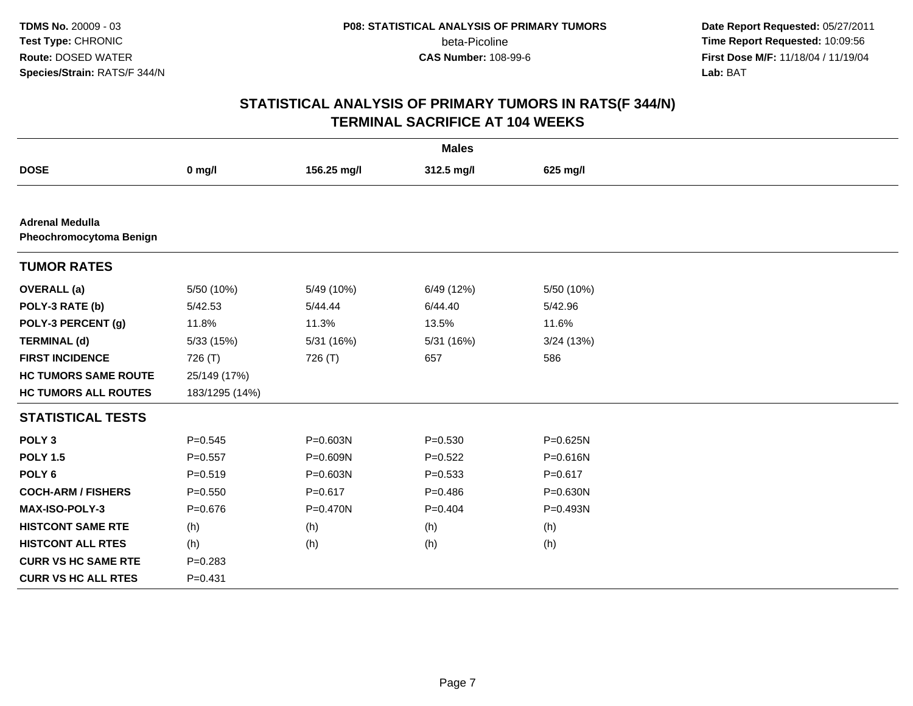**Date Report Requested:** 05/27/2011 **Time Report Requested:** 10:09:56 **First Dose M/F:** 11/18/04 / 11/19/04 Lab: BAT **Lab:** BAT

| <b>Males</b>                                      |                |              |             |              |  |  |
|---------------------------------------------------|----------------|--------------|-------------|--------------|--|--|
| <b>DOSE</b>                                       | $0$ mg/l       | 156.25 mg/l  | 312.5 mg/l  | 625 mg/l     |  |  |
|                                                   |                |              |             |              |  |  |
| <b>Adrenal Medulla</b><br>Pheochromocytoma Benign |                |              |             |              |  |  |
| <b>TUMOR RATES</b>                                |                |              |             |              |  |  |
| <b>OVERALL</b> (a)                                | 5/50 (10%)     | 5/49 (10%)   | 6/49 (12%)  | 5/50 (10%)   |  |  |
| POLY-3 RATE (b)                                   | 5/42.53        | 5/44.44      | 6/44.40     | 5/42.96      |  |  |
| POLY-3 PERCENT (g)                                | 11.8%          | 11.3%        | 13.5%       | 11.6%        |  |  |
| <b>TERMINAL (d)</b>                               | 5/33 (15%)     | 5/31 (16%)   | 5/31 (16%)  | 3/24(13%)    |  |  |
| <b>FIRST INCIDENCE</b>                            | 726 (T)        | 726 (T)      | 657         | 586          |  |  |
| <b>HC TUMORS SAME ROUTE</b>                       | 25/149 (17%)   |              |             |              |  |  |
| <b>HC TUMORS ALL ROUTES</b>                       | 183/1295 (14%) |              |             |              |  |  |
| <b>STATISTICAL TESTS</b>                          |                |              |             |              |  |  |
| POLY <sub>3</sub>                                 | $P = 0.545$    | P=0.603N     | $P = 0.530$ | P=0.625N     |  |  |
| <b>POLY 1.5</b>                                   | $P = 0.557$    | P=0.609N     | $P=0.522$   | P=0.616N     |  |  |
| POLY <sub>6</sub>                                 | $P = 0.519$    | P=0.603N     | $P = 0.533$ | $P = 0.617$  |  |  |
| <b>COCH-ARM / FISHERS</b>                         | $P = 0.550$    | $P = 0.617$  | $P = 0.486$ | $P = 0.630N$ |  |  |
| <b>MAX-ISO-POLY-3</b>                             | $P = 0.676$    | $P = 0.470N$ | $P = 0.404$ | P=0.493N     |  |  |
| <b>HISTCONT SAME RTE</b>                          | (h)            | (h)          | (h)         | (h)          |  |  |
| <b>HISTCONT ALL RTES</b>                          | (h)            | (h)          | (h)         | (h)          |  |  |
| <b>CURR VS HC SAME RTE</b>                        | $P = 0.283$    |              |             |              |  |  |
| <b>CURR VS HC ALL RTES</b>                        | $P = 0.431$    |              |             |              |  |  |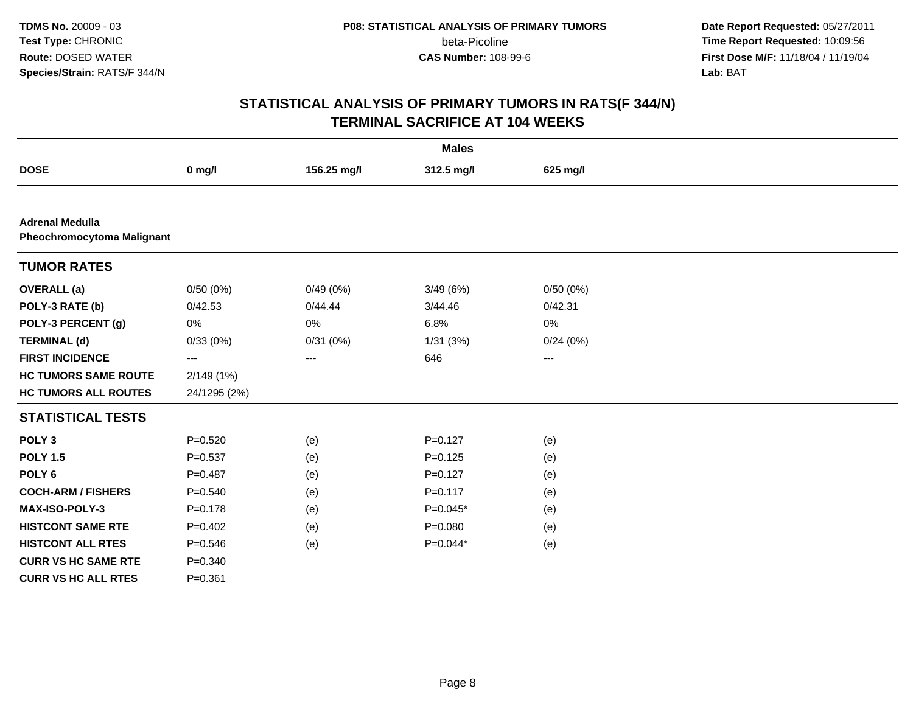**Date Report Requested:** 05/27/2011 **Time Report Requested:** 10:09:56 **First Dose M/F:** 11/18/04 / 11/19/04 Lab: BAT **Lab:** BAT

| <b>Males</b>                                                |              |             |             |          |  |  |
|-------------------------------------------------------------|--------------|-------------|-------------|----------|--|--|
| <b>DOSE</b>                                                 | $0$ mg/l     | 156.25 mg/l | 312.5 mg/l  | 625 mg/l |  |  |
|                                                             |              |             |             |          |  |  |
| <b>Adrenal Medulla</b><br><b>Pheochromocytoma Malignant</b> |              |             |             |          |  |  |
| <b>TUMOR RATES</b>                                          |              |             |             |          |  |  |
| <b>OVERALL</b> (a)                                          | 0/50(0%)     | 0/49(0%)    | 3/49(6%)    | 0/50(0%) |  |  |
| POLY-3 RATE (b)                                             | 0/42.53      | 0/44.44     | 3/44.46     | 0/42.31  |  |  |
| POLY-3 PERCENT (g)                                          | $0\%$        | 0%          | 6.8%        | 0%       |  |  |
| <b>TERMINAL (d)</b>                                         | 0/33(0%)     | 0/31(0%)    | 1/31(3%)    | 0/24(0%) |  |  |
| <b>FIRST INCIDENCE</b>                                      | ---          | $\cdots$    | 646         | $---$    |  |  |
| <b>HC TUMORS SAME ROUTE</b>                                 | 2/149(1%)    |             |             |          |  |  |
| <b>HC TUMORS ALL ROUTES</b>                                 | 24/1295 (2%) |             |             |          |  |  |
| <b>STATISTICAL TESTS</b>                                    |              |             |             |          |  |  |
| POLY <sub>3</sub>                                           | $P = 0.520$  | (e)         | $P = 0.127$ | (e)      |  |  |
| <b>POLY 1.5</b>                                             | $P = 0.537$  | (e)         | $P=0.125$   | (e)      |  |  |
| POLY <sub>6</sub>                                           | $P = 0.487$  | (e)         | $P = 0.127$ | (e)      |  |  |
| <b>COCH-ARM / FISHERS</b>                                   | $P = 0.540$  | (e)         | $P = 0.117$ | (e)      |  |  |
| MAX-ISO-POLY-3                                              | $P = 0.178$  | (e)         | $P=0.045*$  | (e)      |  |  |
| <b>HISTCONT SAME RTE</b>                                    | $P=0.402$    | (e)         | $P = 0.080$ | (e)      |  |  |
| <b>HISTCONT ALL RTES</b>                                    | $P = 0.546$  | (e)         | $P=0.044*$  | (e)      |  |  |
| <b>CURR VS HC SAME RTE</b>                                  | $P = 0.340$  |             |             |          |  |  |
| <b>CURR VS HC ALL RTES</b>                                  | $P = 0.361$  |             |             |          |  |  |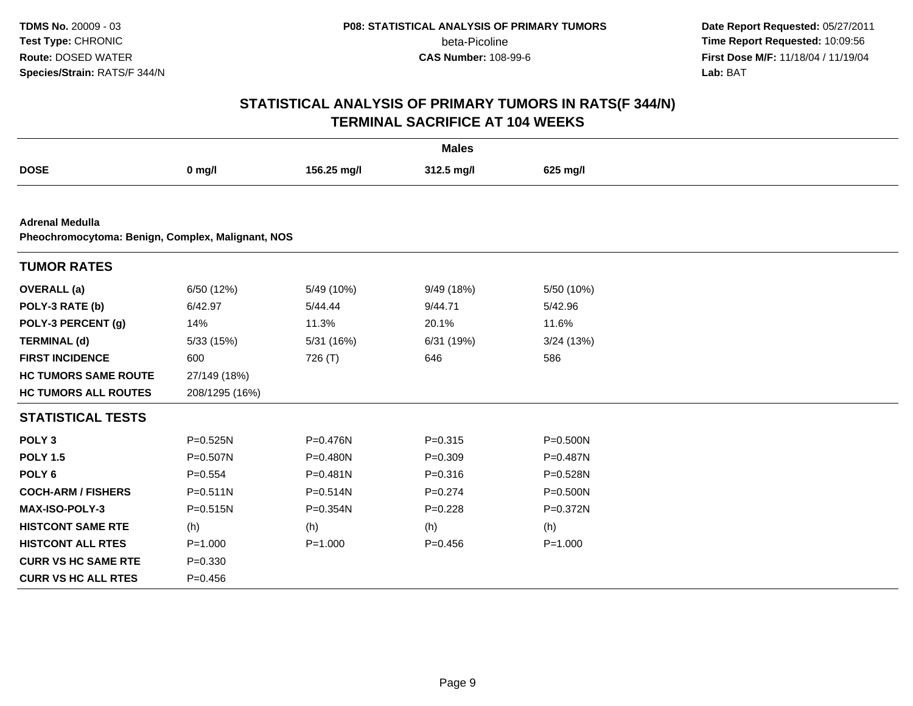**Date Report Requested:** 05/27/2011 **Time Report Requested:** 10:09:56 **First Dose M/F:** 11/18/04 / 11/19/04 Lab: BAT **Lab:** BAT

| <b>Males</b>                                                                |                |              |             |              |  |  |
|-----------------------------------------------------------------------------|----------------|--------------|-------------|--------------|--|--|
| <b>DOSE</b>                                                                 | $0$ mg/l       | 156.25 mg/l  | 312.5 mg/l  | 625 mg/l     |  |  |
|                                                                             |                |              |             |              |  |  |
| <b>Adrenal Medulla</b><br>Pheochromocytoma: Benign, Complex, Malignant, NOS |                |              |             |              |  |  |
| <b>TUMOR RATES</b>                                                          |                |              |             |              |  |  |
| <b>OVERALL</b> (a)                                                          | 6/50 (12%)     | 5/49 (10%)   | 9/49 (18%)  | 5/50 (10%)   |  |  |
| POLY-3 RATE (b)                                                             | 6/42.97        | 5/44.44      | 9/44.71     | 5/42.96      |  |  |
| POLY-3 PERCENT (g)                                                          | 14%            | 11.3%        | 20.1%       | 11.6%        |  |  |
| <b>TERMINAL (d)</b>                                                         | 5/33 (15%)     | 5/31(16%)    | 6/31 (19%)  | 3/24(13%)    |  |  |
| <b>FIRST INCIDENCE</b>                                                      | 600            | 726 (T)      | 646         | 586          |  |  |
| <b>HC TUMORS SAME ROUTE</b>                                                 | 27/149 (18%)   |              |             |              |  |  |
| <b>HC TUMORS ALL ROUTES</b>                                                 | 208/1295 (16%) |              |             |              |  |  |
| <b>STATISTICAL TESTS</b>                                                    |                |              |             |              |  |  |
| POLY <sub>3</sub>                                                           | $P = 0.525N$   | P=0.476N     | $P = 0.315$ | $P = 0.500N$ |  |  |
| <b>POLY 1.5</b>                                                             | P=0.507N       | P=0.480N     | $P = 0.309$ | P=0.487N     |  |  |
| POLY <sub>6</sub>                                                           | $P = 0.554$    | $P = 0.481N$ | $P = 0.316$ | P=0.528N     |  |  |
| <b>COCH-ARM / FISHERS</b>                                                   | $P = 0.511N$   | $P = 0.514N$ | $P = 0.274$ | P=0.500N     |  |  |
| MAX-ISO-POLY-3                                                              | P=0.515N       | P=0.354N     | $P=0.228$   | P=0.372N     |  |  |
| <b>HISTCONT SAME RTE</b>                                                    | (h)            | (h)          | (h)         | (h)          |  |  |
| <b>HISTCONT ALL RTES</b>                                                    | $P = 1.000$    | $P = 1.000$  | $P = 0.456$ | $P = 1.000$  |  |  |
| <b>CURR VS HC SAME RTE</b>                                                  | $P = 0.330$    |              |             |              |  |  |
| <b>CURR VS HC ALL RTES</b>                                                  | $P = 0.456$    |              |             |              |  |  |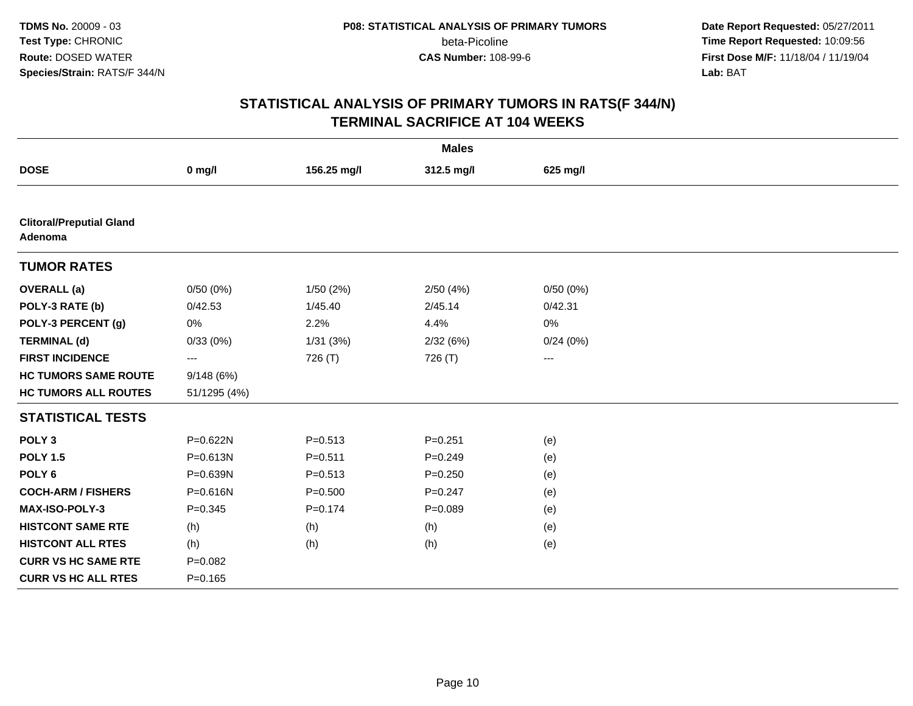**Date Report Requested:** 05/27/2011 **Time Report Requested:** 10:09:56 **First Dose M/F:** 11/18/04 / 11/19/04 Lab: BAT **Lab:** BAT

| <b>Males</b>                               |                   |             |             |          |  |  |
|--------------------------------------------|-------------------|-------------|-------------|----------|--|--|
| <b>DOSE</b>                                | $0$ mg/l          | 156.25 mg/l | 312.5 mg/l  | 625 mg/l |  |  |
|                                            |                   |             |             |          |  |  |
| <b>Clitoral/Preputial Gland</b><br>Adenoma |                   |             |             |          |  |  |
| <b>TUMOR RATES</b>                         |                   |             |             |          |  |  |
| <b>OVERALL</b> (a)                         | 0/50(0%)          | 1/50(2%)    | 2/50(4%)    | 0/50(0%) |  |  |
| POLY-3 RATE (b)                            | 0/42.53           | 1/45.40     | 2/45.14     | 0/42.31  |  |  |
| POLY-3 PERCENT (g)                         | 0%                | 2.2%        | 4.4%        | 0%       |  |  |
| <b>TERMINAL (d)</b>                        | 0/33(0%)          | 1/31(3%)    | 2/32(6%)    | 0/24(0%) |  |  |
| <b>FIRST INCIDENCE</b>                     | $\qquad \qquad -$ | 726 (T)     | 726 (T)     | ---      |  |  |
| <b>HC TUMORS SAME ROUTE</b>                | 9/148(6%)         |             |             |          |  |  |
| <b>HC TUMORS ALL ROUTES</b>                | 51/1295 (4%)      |             |             |          |  |  |
| <b>STATISTICAL TESTS</b>                   |                   |             |             |          |  |  |
| POLY <sub>3</sub>                          | P=0.622N          | $P = 0.513$ | $P = 0.251$ | (e)      |  |  |
| <b>POLY 1.5</b>                            | P=0.613N          | $P = 0.511$ | $P = 0.249$ | (e)      |  |  |
| POLY <sub>6</sub>                          | P=0.639N          | $P = 0.513$ | $P = 0.250$ | (e)      |  |  |
| <b>COCH-ARM / FISHERS</b>                  | P=0.616N          | $P = 0.500$ | $P = 0.247$ | (e)      |  |  |
| <b>MAX-ISO-POLY-3</b>                      | $P = 0.345$       | $P = 0.174$ | $P = 0.089$ | (e)      |  |  |
| <b>HISTCONT SAME RTE</b>                   | (h)               | (h)         | (h)         | (e)      |  |  |
| <b>HISTCONT ALL RTES</b>                   | (h)               | (h)         | (h)         | (e)      |  |  |
| <b>CURR VS HC SAME RTE</b>                 | $P=0.082$         |             |             |          |  |  |
| <b>CURR VS HC ALL RTES</b>                 | $P = 0.165$       |             |             |          |  |  |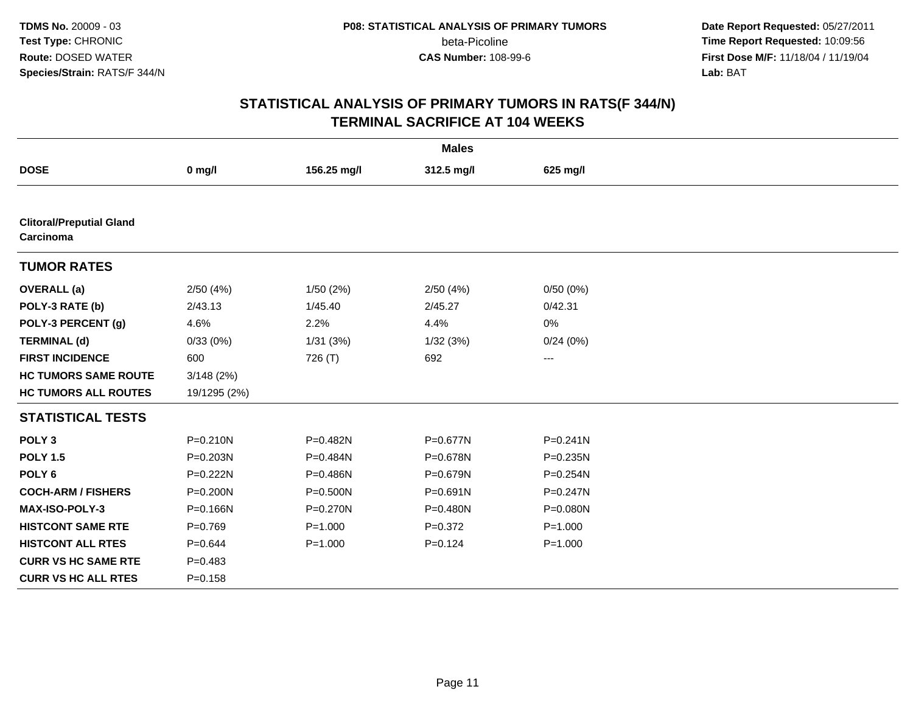**Date Report Requested:** 05/27/2011 **Time Report Requested:** 10:09:56 **First Dose M/F:** 11/18/04 / 11/19/04 Lab: BAT **Lab:** BAT

| <b>Males</b>                                 |              |              |              |              |  |  |
|----------------------------------------------|--------------|--------------|--------------|--------------|--|--|
| <b>DOSE</b>                                  | $0$ mg/l     | 156.25 mg/l  | 312.5 mg/l   | 625 mg/l     |  |  |
|                                              |              |              |              |              |  |  |
| <b>Clitoral/Preputial Gland</b><br>Carcinoma |              |              |              |              |  |  |
| <b>TUMOR RATES</b>                           |              |              |              |              |  |  |
| <b>OVERALL</b> (a)                           | 2/50(4%)     | 1/50(2%)     | 2/50(4%)     | 0/50(0%)     |  |  |
| POLY-3 RATE (b)                              | 2/43.13      | 1/45.40      | 2/45.27      | 0/42.31      |  |  |
| POLY-3 PERCENT (g)                           | 4.6%         | 2.2%         | 4.4%         | 0%           |  |  |
| <b>TERMINAL (d)</b>                          | 0/33(0%)     | 1/31(3%)     | 1/32(3%)     | 0/24(0%)     |  |  |
| <b>FIRST INCIDENCE</b>                       | 600          | 726 (T)      | 692          | ---          |  |  |
| <b>HC TUMORS SAME ROUTE</b>                  | 3/148(2%)    |              |              |              |  |  |
| <b>HC TUMORS ALL ROUTES</b>                  | 19/1295 (2%) |              |              |              |  |  |
| <b>STATISTICAL TESTS</b>                     |              |              |              |              |  |  |
| POLY <sub>3</sub>                            | $P = 0.210N$ | P=0.482N     | $P = 0.677N$ | $P = 0.241N$ |  |  |
| <b>POLY 1.5</b>                              | P=0.203N     | P=0.484N     | P=0.678N     | $P = 0.235N$ |  |  |
| POLY <sub>6</sub>                            | P=0.222N     | P=0.486N     | P=0.679N     | $P = 0.254N$ |  |  |
| <b>COCH-ARM / FISHERS</b>                    | P=0.200N     | $P = 0.500N$ | $P = 0.691N$ | $P = 0.247N$ |  |  |
| <b>MAX-ISO-POLY-3</b>                        | P=0.166N     | P=0.270N     | P=0.480N     | $P = 0.080N$ |  |  |
| <b>HISTCONT SAME RTE</b>                     | $P=0.769$    | $P = 1.000$  | $P = 0.372$  | $P = 1.000$  |  |  |
| <b>HISTCONT ALL RTES</b>                     | $P = 0.644$  | $P = 1.000$  | $P = 0.124$  | $P = 1.000$  |  |  |
| <b>CURR VS HC SAME RTE</b>                   | $P = 0.483$  |              |              |              |  |  |
| <b>CURR VS HC ALL RTES</b>                   | $P = 0.158$  |              |              |              |  |  |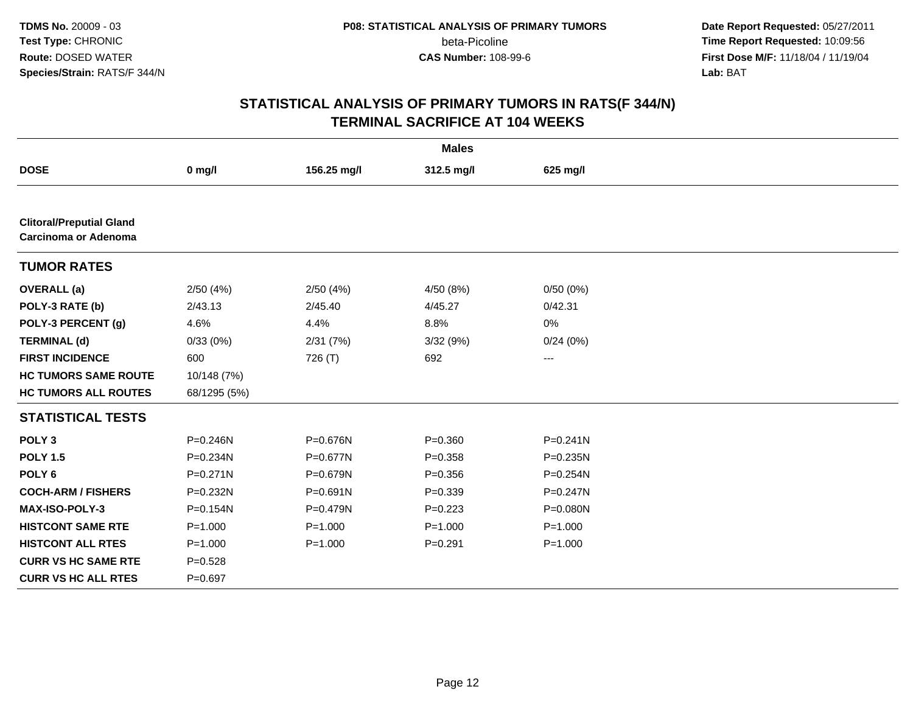**Date Report Requested:** 05/27/2011 **Time Report Requested:** 10:09:56 **First Dose M/F:** 11/18/04 / 11/19/04 Lab: BAT **Lab:** BAT

| <b>Males</b>                                                   |              |              |             |              |  |  |
|----------------------------------------------------------------|--------------|--------------|-------------|--------------|--|--|
| <b>DOSE</b>                                                    | $0$ mg/l     | 156.25 mg/l  | 312.5 mg/l  | 625 mg/l     |  |  |
|                                                                |              |              |             |              |  |  |
| <b>Clitoral/Preputial Gland</b><br><b>Carcinoma or Adenoma</b> |              |              |             |              |  |  |
| <b>TUMOR RATES</b>                                             |              |              |             |              |  |  |
| <b>OVERALL</b> (a)                                             | 2/50(4%)     | 2/50(4%)     | 4/50 (8%)   | 0/50(0%)     |  |  |
| POLY-3 RATE (b)                                                | 2/43.13      | 2/45.40      | 4/45.27     | 0/42.31      |  |  |
| POLY-3 PERCENT (g)                                             | 4.6%         | 4.4%         | 8.8%        | 0%           |  |  |
| <b>TERMINAL (d)</b>                                            | 0/33(0%)     | 2/31(7%)     | 3/32 (9%)   | 0/24(0%)     |  |  |
| <b>FIRST INCIDENCE</b>                                         | 600          | 726 (T)      | 692         | $\cdots$     |  |  |
| <b>HC TUMORS SAME ROUTE</b>                                    | 10/148 (7%)  |              |             |              |  |  |
| <b>HC TUMORS ALL ROUTES</b>                                    | 68/1295 (5%) |              |             |              |  |  |
| <b>STATISTICAL TESTS</b>                                       |              |              |             |              |  |  |
| POLY <sub>3</sub>                                              | $P = 0.246N$ | P=0.676N     | $P = 0.360$ | $P = 0.241N$ |  |  |
| <b>POLY 1.5</b>                                                | P=0.234N     | P=0.677N     | $P = 0.358$ | P=0.235N     |  |  |
| POLY <sub>6</sub>                                              | $P = 0.271N$ | P=0.679N     | $P = 0.356$ | P=0.254N     |  |  |
| <b>COCH-ARM / FISHERS</b>                                      | $P = 0.232N$ | $P = 0.691N$ | $P = 0.339$ | P=0.247N     |  |  |
| <b>MAX-ISO-POLY-3</b>                                          | $P = 0.154N$ | P=0.479N     | $P=0.223$   | P=0.080N     |  |  |
| <b>HISTCONT SAME RTE</b>                                       | $P = 1.000$  | $P = 1.000$  | $P = 1.000$ | $P = 1.000$  |  |  |
| <b>HISTCONT ALL RTES</b>                                       | $P = 1.000$  | $P = 1.000$  | $P = 0.291$ | $P = 1.000$  |  |  |
| <b>CURR VS HC SAME RTE</b>                                     | $P = 0.528$  |              |             |              |  |  |
| <b>CURR VS HC ALL RTES</b>                                     | $P=0.697$    |              |             |              |  |  |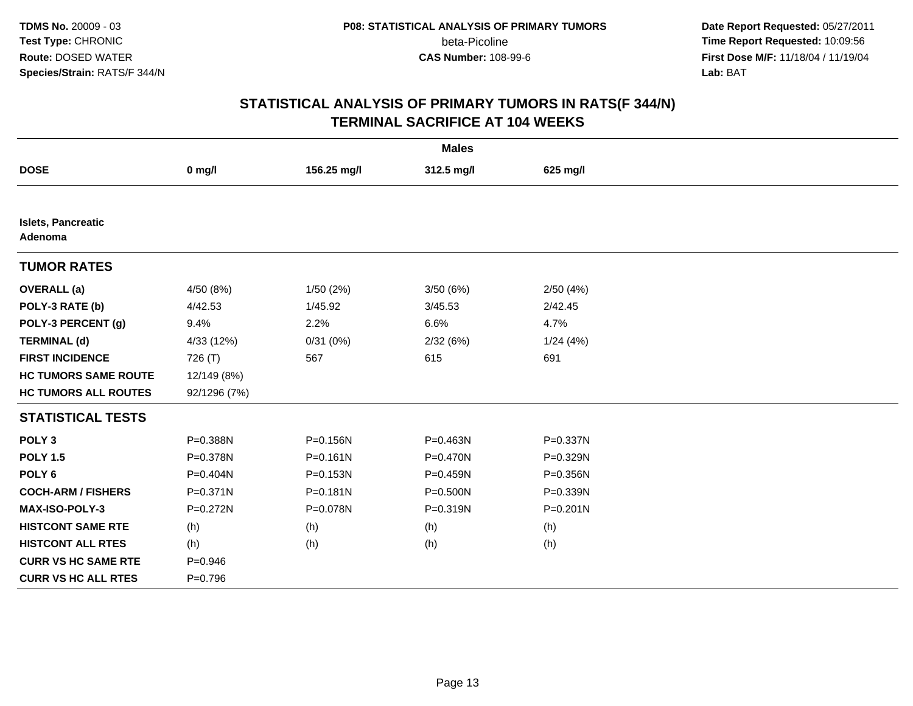**Date Report Requested:** 05/27/2011 **Time Report Requested:** 10:09:56 **First Dose M/F:** 11/18/04 / 11/19/04 Lab: BAT **Lab:** BAT

| <b>Males</b>                  |              |              |              |              |  |  |
|-------------------------------|--------------|--------------|--------------|--------------|--|--|
| <b>DOSE</b>                   | $0$ mg/l     | 156.25 mg/l  | 312.5 mg/l   | 625 mg/l     |  |  |
|                               |              |              |              |              |  |  |
| Islets, Pancreatic<br>Adenoma |              |              |              |              |  |  |
| <b>TUMOR RATES</b>            |              |              |              |              |  |  |
| <b>OVERALL</b> (a)            | 4/50 (8%)    | 1/50(2%)     | 3/50(6%)     | 2/50(4%)     |  |  |
| POLY-3 RATE (b)               | 4/42.53      | 1/45.92      | 3/45.53      | 2/42.45      |  |  |
| POLY-3 PERCENT (g)            | 9.4%         | 2.2%         | 6.6%         | 4.7%         |  |  |
| <b>TERMINAL (d)</b>           | 4/33 (12%)   | 0/31(0%)     | 2/32(6%)     | 1/24(4%)     |  |  |
| <b>FIRST INCIDENCE</b>        | 726 (T)      | 567          | 615          | 691          |  |  |
| <b>HC TUMORS SAME ROUTE</b>   | 12/149 (8%)  |              |              |              |  |  |
| <b>HC TUMORS ALL ROUTES</b>   | 92/1296 (7%) |              |              |              |  |  |
| <b>STATISTICAL TESTS</b>      |              |              |              |              |  |  |
| POLY <sub>3</sub>             | P=0.388N     | P=0.156N     | P=0.463N     | P=0.337N     |  |  |
| <b>POLY 1.5</b>               | P=0.378N     | $P = 0.161N$ | P=0.470N     | P=0.329N     |  |  |
| POLY <sub>6</sub>             | P=0.404N     | P=0.153N     | $P = 0.459N$ | P=0.356N     |  |  |
| <b>COCH-ARM / FISHERS</b>     | P=0.371N     | P=0.181N     | P=0.500N     | P=0.339N     |  |  |
| MAX-ISO-POLY-3                | P=0.272N     | P=0.078N     | P=0.319N     | $P = 0.201N$ |  |  |
| <b>HISTCONT SAME RTE</b>      | (h)          | (h)          | (h)          | (h)          |  |  |
| <b>HISTCONT ALL RTES</b>      | (h)          | (h)          | (h)          | (h)          |  |  |
| <b>CURR VS HC SAME RTE</b>    | $P = 0.946$  |              |              |              |  |  |
| <b>CURR VS HC ALL RTES</b>    | $P=0.796$    |              |              |              |  |  |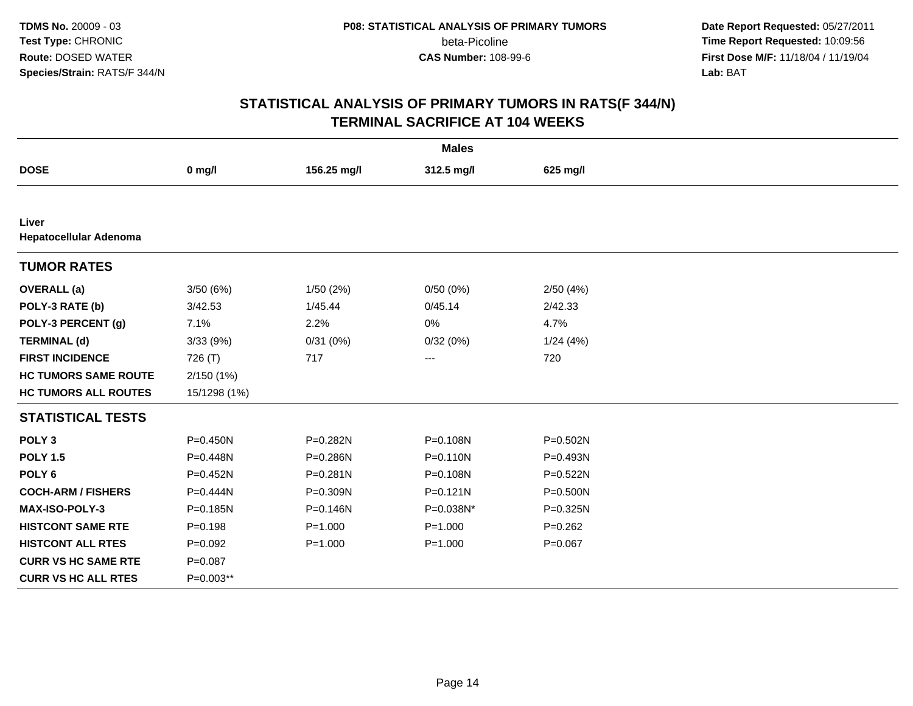**Date Report Requested:** 05/27/2011 **Time Report Requested:** 10:09:56 **First Dose M/F:** 11/18/04 / 11/19/04 Lab: BAT **Lab:** BAT

| <b>Males</b>                    |              |              |              |              |  |  |
|---------------------------------|--------------|--------------|--------------|--------------|--|--|
| <b>DOSE</b>                     | $0$ mg/l     | 156.25 mg/l  | 312.5 mg/l   | 625 mg/l     |  |  |
|                                 |              |              |              |              |  |  |
| Liver<br>Hepatocellular Adenoma |              |              |              |              |  |  |
| <b>TUMOR RATES</b>              |              |              |              |              |  |  |
| <b>OVERALL</b> (a)              | 3/50(6%)     | 1/50(2%)     | 0/50(0%)     | 2/50(4%)     |  |  |
| POLY-3 RATE (b)                 | 3/42.53      | 1/45.44      | 0/45.14      | 2/42.33      |  |  |
| POLY-3 PERCENT (g)              | 7.1%         | 2.2%         | 0%           | 4.7%         |  |  |
| <b>TERMINAL (d)</b>             | 3/33 (9%)    | 0/31(0%)     | 0/32(0%)     | 1/24(4%)     |  |  |
| <b>FIRST INCIDENCE</b>          | 726 (T)      | 717          | ---          | 720          |  |  |
| <b>HC TUMORS SAME ROUTE</b>     | 2/150(1%)    |              |              |              |  |  |
| <b>HC TUMORS ALL ROUTES</b>     | 15/1298 (1%) |              |              |              |  |  |
| <b>STATISTICAL TESTS</b>        |              |              |              |              |  |  |
| POLY <sub>3</sub>               | $P = 0.450N$ | P=0.282N     | P=0.108N     | $P = 0.502N$ |  |  |
| <b>POLY 1.5</b>                 | P=0.448N     | P=0.286N     | $P = 0.110N$ | P=0.493N     |  |  |
| POLY <sub>6</sub>               | P=0.452N     | $P = 0.281N$ | P=0.108N     | $P = 0.522N$ |  |  |
| <b>COCH-ARM / FISHERS</b>       | $P = 0.444N$ | P=0.309N     | $P = 0.121N$ | $P = 0.500N$ |  |  |
| MAX-ISO-POLY-3                  | P=0.185N     | P=0.146N     | P=0.038N*    | P=0.325N     |  |  |
| <b>HISTCONT SAME RTE</b>        | $P = 0.198$  | $P = 1.000$  | $P = 1.000$  | $P=0.262$    |  |  |
| <b>HISTCONT ALL RTES</b>        | $P=0.092$    | $P = 1.000$  | $P = 1.000$  | $P = 0.067$  |  |  |
| <b>CURR VS HC SAME RTE</b>      | $P = 0.087$  |              |              |              |  |  |
| <b>CURR VS HC ALL RTES</b>      | P=0.003**    |              |              |              |  |  |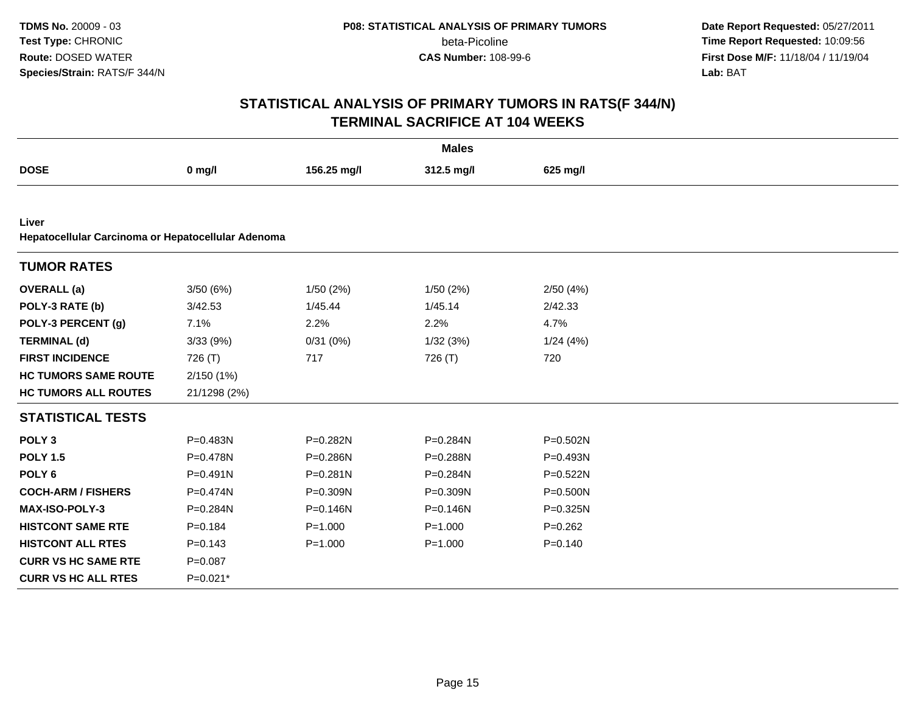**Date Report Requested:** 05/27/2011 **Time Report Requested:** 10:09:56 **First Dose M/F:** 11/18/04 / 11/19/04 Lab: BAT **Lab:** BAT

| <b>Males</b>                                                |              |              |              |              |  |  |
|-------------------------------------------------------------|--------------|--------------|--------------|--------------|--|--|
| <b>DOSE</b>                                                 | $0$ mg/l     | 156.25 mg/l  | 312.5 mg/l   | 625 mg/l     |  |  |
|                                                             |              |              |              |              |  |  |
| Liver<br>Hepatocellular Carcinoma or Hepatocellular Adenoma |              |              |              |              |  |  |
| <b>TUMOR RATES</b>                                          |              |              |              |              |  |  |
| <b>OVERALL</b> (a)                                          | 3/50(6%)     | 1/50(2%)     | 1/50(2%)     | 2/50(4%)     |  |  |
| POLY-3 RATE (b)                                             | 3/42.53      | 1/45.44      | 1/45.14      | 2/42.33      |  |  |
| POLY-3 PERCENT (g)                                          | 7.1%         | 2.2%         | 2.2%         | 4.7%         |  |  |
| <b>TERMINAL (d)</b>                                         | 3/33(9%)     | 0/31(0%)     | 1/32(3%)     | 1/24(4%)     |  |  |
| <b>FIRST INCIDENCE</b>                                      | 726 (T)      | 717          | 726 (T)      | 720          |  |  |
| <b>HC TUMORS SAME ROUTE</b>                                 | 2/150(1%)    |              |              |              |  |  |
| <b>HC TUMORS ALL ROUTES</b>                                 | 21/1298 (2%) |              |              |              |  |  |
| <b>STATISTICAL TESTS</b>                                    |              |              |              |              |  |  |
| POLY <sub>3</sub>                                           | P=0.483N     | P=0.282N     | P=0.284N     | P=0.502N     |  |  |
| <b>POLY 1.5</b>                                             | P=0.478N     | P=0.286N     | P=0.288N     | P=0.493N     |  |  |
| POLY <sub>6</sub>                                           | $P = 0.491N$ | $P = 0.281N$ | P=0.284N     | $P = 0.522N$ |  |  |
| <b>COCH-ARM / FISHERS</b>                                   | $P = 0.474N$ | P=0.309N     | P=0.309N     | P=0.500N     |  |  |
| MAX-ISO-POLY-3                                              | P=0.284N     | P=0.146N     | $P = 0.146N$ | P=0.325N     |  |  |
| <b>HISTCONT SAME RTE</b>                                    | $P = 0.184$  | $P = 1.000$  | $P = 1.000$  | $P=0.262$    |  |  |
| <b>HISTCONT ALL RTES</b>                                    | $P = 0.143$  | $P = 1.000$  | $P = 1.000$  | $P = 0.140$  |  |  |
| <b>CURR VS HC SAME RTE</b>                                  | $P = 0.087$  |              |              |              |  |  |
| <b>CURR VS HC ALL RTES</b>                                  | P=0.021*     |              |              |              |  |  |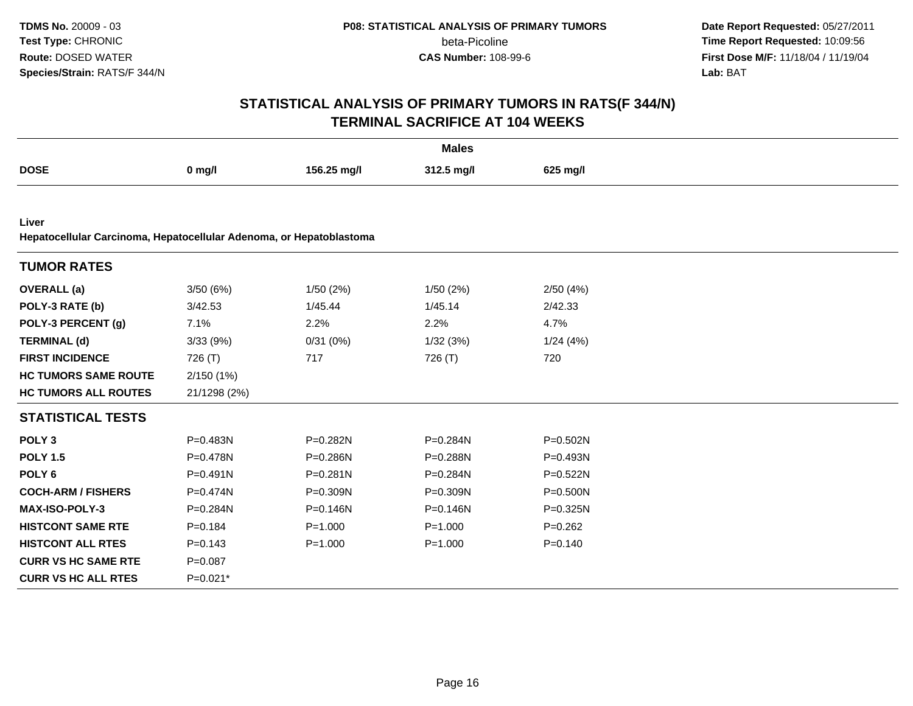**Date Report Requested:** 05/27/2011 **Time Report Requested:** 10:09:56 **First Dose M/F:** 11/18/04 / 11/19/04 Lab: BAT **Lab:** BAT

| <b>Males</b>                                                        |              |              |             |             |  |  |
|---------------------------------------------------------------------|--------------|--------------|-------------|-------------|--|--|
| <b>DOSE</b>                                                         | $0$ mg/l     | 156.25 mg/l  | 312.5 mg/l  | 625 mg/l    |  |  |
|                                                                     |              |              |             |             |  |  |
| Liver                                                               |              |              |             |             |  |  |
| Hepatocellular Carcinoma, Hepatocellular Adenoma, or Hepatoblastoma |              |              |             |             |  |  |
| <b>TUMOR RATES</b>                                                  |              |              |             |             |  |  |
| <b>OVERALL</b> (a)                                                  | 3/50(6%)     | 1/50(2%)     | 1/50 (2%)   | 2/50(4%)    |  |  |
| POLY-3 RATE (b)                                                     | 3/42.53      | 1/45.44      | 1/45.14     | 2/42.33     |  |  |
| POLY-3 PERCENT (g)                                                  | 7.1%         | 2.2%         | 2.2%        | 4.7%        |  |  |
| <b>TERMINAL (d)</b>                                                 | 3/33 (9%)    | 0/31(0%)     | 1/32(3%)    | 1/24(4%)    |  |  |
| <b>FIRST INCIDENCE</b>                                              | 726 (T)      | 717          | 726 (T)     | 720         |  |  |
| <b>HC TUMORS SAME ROUTE</b>                                         | 2/150(1%)    |              |             |             |  |  |
| <b>HC TUMORS ALL ROUTES</b>                                         | 21/1298 (2%) |              |             |             |  |  |
| <b>STATISTICAL TESTS</b>                                            |              |              |             |             |  |  |
| POLY <sub>3</sub>                                                   | $P = 0.483N$ | P=0.282N     | P=0.284N    | P=0.502N    |  |  |
| <b>POLY 1.5</b>                                                     | $P = 0.478N$ | P=0.286N     | P=0.288N    | P=0.493N    |  |  |
| POLY <sub>6</sub>                                                   | $P = 0.491N$ | $P = 0.281N$ | P=0.284N    | P=0.522N    |  |  |
| <b>COCH-ARM / FISHERS</b>                                           | P=0.474N     | P=0.309N     | P=0.309N    | P=0.500N    |  |  |
| <b>MAX-ISO-POLY-3</b>                                               | P=0.284N     | $P = 0.146N$ | P=0.146N    | P=0.325N    |  |  |
| <b>HISTCONT SAME RTE</b>                                            | $P = 0.184$  | $P = 1.000$  | $P = 1.000$ | $P=0.262$   |  |  |
| <b>HISTCONT ALL RTES</b>                                            | $P = 0.143$  | $P = 1.000$  | $P = 1.000$ | $P = 0.140$ |  |  |
| <b>CURR VS HC SAME RTE</b>                                          | $P=0.087$    |              |             |             |  |  |
| <b>CURR VS HC ALL RTES</b>                                          | P=0.021*     |              |             |             |  |  |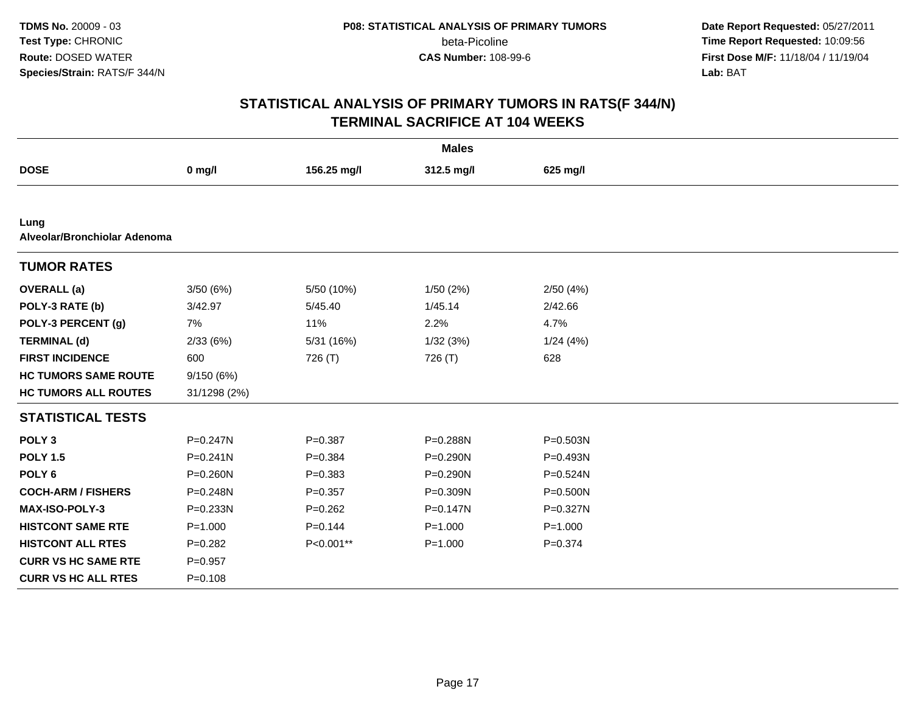**Date Report Requested:** 05/27/2011 **Time Report Requested:** 10:09:56 **First Dose M/F:** 11/18/04 / 11/19/04 Lab: BAT **Lab:** BAT

| <b>Males</b>                         |              |             |              |              |  |  |  |
|--------------------------------------|--------------|-------------|--------------|--------------|--|--|--|
| <b>DOSE</b>                          | $0$ mg/l     | 156.25 mg/l | 312.5 mg/l   | 625 mg/l     |  |  |  |
|                                      |              |             |              |              |  |  |  |
| Lung<br>Alveolar/Bronchiolar Adenoma |              |             |              |              |  |  |  |
| <b>TUMOR RATES</b>                   |              |             |              |              |  |  |  |
| <b>OVERALL</b> (a)                   | 3/50(6%)     | 5/50 (10%)  | 1/50(2%)     | 2/50(4%)     |  |  |  |
| POLY-3 RATE (b)                      | 3/42.97      | 5/45.40     | 1/45.14      | 2/42.66      |  |  |  |
| POLY-3 PERCENT (g)                   | 7%           | 11%         | 2.2%         | 4.7%         |  |  |  |
| <b>TERMINAL (d)</b>                  | 2/33(6%)     | 5/31 (16%)  | 1/32(3%)     | 1/24(4%)     |  |  |  |
| <b>FIRST INCIDENCE</b>               | 600          | 726 (T)     | 726 (T)      | 628          |  |  |  |
| <b>HC TUMORS SAME ROUTE</b>          | 9/150 (6%)   |             |              |              |  |  |  |
| <b>HC TUMORS ALL ROUTES</b>          | 31/1298 (2%) |             |              |              |  |  |  |
| <b>STATISTICAL TESTS</b>             |              |             |              |              |  |  |  |
| POLY <sub>3</sub>                    | P=0.247N     | $P = 0.387$ | P=0.288N     | $P = 0.503N$ |  |  |  |
| <b>POLY 1.5</b>                      | $P = 0.241N$ | $P = 0.384$ | P=0.290N     | $P = 0.493N$ |  |  |  |
| POLY <sub>6</sub>                    | P=0.260N     | $P = 0.383$ | P=0.290N     | $P = 0.524N$ |  |  |  |
| <b>COCH-ARM / FISHERS</b>            | P=0.248N     | $P = 0.357$ | P=0.309N     | $P = 0.500N$ |  |  |  |
| MAX-ISO-POLY-3                       | P=0.233N     | $P=0.262$   | $P = 0.147N$ | P=0.327N     |  |  |  |
| <b>HISTCONT SAME RTE</b>             | $P = 1.000$  | $P = 0.144$ | $P = 1.000$  | $P = 1.000$  |  |  |  |
| <b>HISTCONT ALL RTES</b>             | $P=0.282$    | P<0.001**   | $P = 1.000$  | $P = 0.374$  |  |  |  |
| <b>CURR VS HC SAME RTE</b>           | $P = 0.957$  |             |              |              |  |  |  |
| <b>CURR VS HC ALL RTES</b>           | $P = 0.108$  |             |              |              |  |  |  |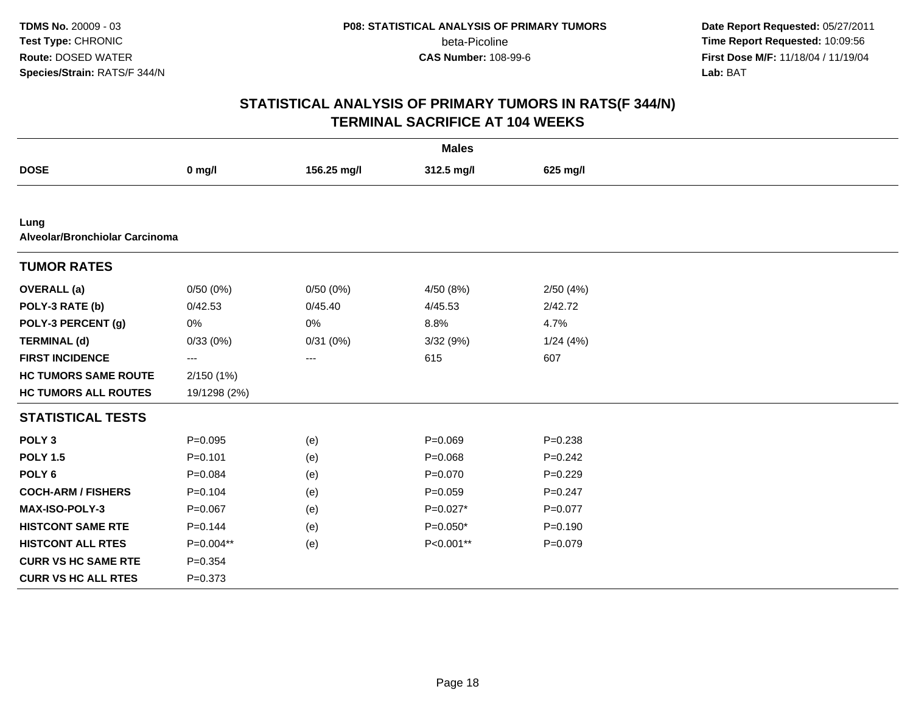**Date Report Requested:** 05/27/2011 **Time Report Requested:** 10:09:56 **First Dose M/F:** 11/18/04 / 11/19/04 Lab: BAT **Lab:** BAT

| <b>Males</b>                           |              |             |             |             |  |  |  |
|----------------------------------------|--------------|-------------|-------------|-------------|--|--|--|
| <b>DOSE</b>                            | $0$ mg/l     | 156.25 mg/l | 312.5 mg/l  | 625 mg/l    |  |  |  |
|                                        |              |             |             |             |  |  |  |
| Lung<br>Alveolar/Bronchiolar Carcinoma |              |             |             |             |  |  |  |
| <b>TUMOR RATES</b>                     |              |             |             |             |  |  |  |
| <b>OVERALL</b> (a)                     | 0/50(0%)     | 0/50(0%)    | 4/50 (8%)   | 2/50(4%)    |  |  |  |
| POLY-3 RATE (b)                        | 0/42.53      | 0/45.40     | 4/45.53     | 2/42.72     |  |  |  |
| POLY-3 PERCENT (g)                     | 0%           | 0%          | 8.8%        | 4.7%        |  |  |  |
| <b>TERMINAL (d)</b>                    | 0/33(0%)     | 0/31(0%)    | 3/32(9%)    | 1/24(4%)    |  |  |  |
| <b>FIRST INCIDENCE</b>                 | ---          | $---$       | 615         | 607         |  |  |  |
| <b>HC TUMORS SAME ROUTE</b>            | 2/150(1%)    |             |             |             |  |  |  |
| <b>HC TUMORS ALL ROUTES</b>            | 19/1298 (2%) |             |             |             |  |  |  |
| <b>STATISTICAL TESTS</b>               |              |             |             |             |  |  |  |
| POLY <sub>3</sub>                      | $P = 0.095$  | (e)         | $P = 0.069$ | $P = 0.238$ |  |  |  |
| <b>POLY 1.5</b>                        | $P = 0.101$  | (e)         | $P = 0.068$ | $P = 0.242$ |  |  |  |
| POLY <sub>6</sub>                      | $P = 0.084$  | (e)         | $P = 0.070$ | $P=0.229$   |  |  |  |
| <b>COCH-ARM / FISHERS</b>              | $P=0.104$    | (e)         | $P = 0.059$ | $P=0.247$   |  |  |  |
| MAX-ISO-POLY-3                         | $P = 0.067$  | (e)         | $P=0.027*$  | $P=0.077$   |  |  |  |
| <b>HISTCONT SAME RTE</b>               | $P = 0.144$  | (e)         | $P=0.050*$  | $P = 0.190$ |  |  |  |
| <b>HISTCONT ALL RTES</b>               | P=0.004**    | (e)         | P<0.001**   | $P=0.079$   |  |  |  |
| <b>CURR VS HC SAME RTE</b>             | $P = 0.354$  |             |             |             |  |  |  |
| <b>CURR VS HC ALL RTES</b>             | $P = 0.373$  |             |             |             |  |  |  |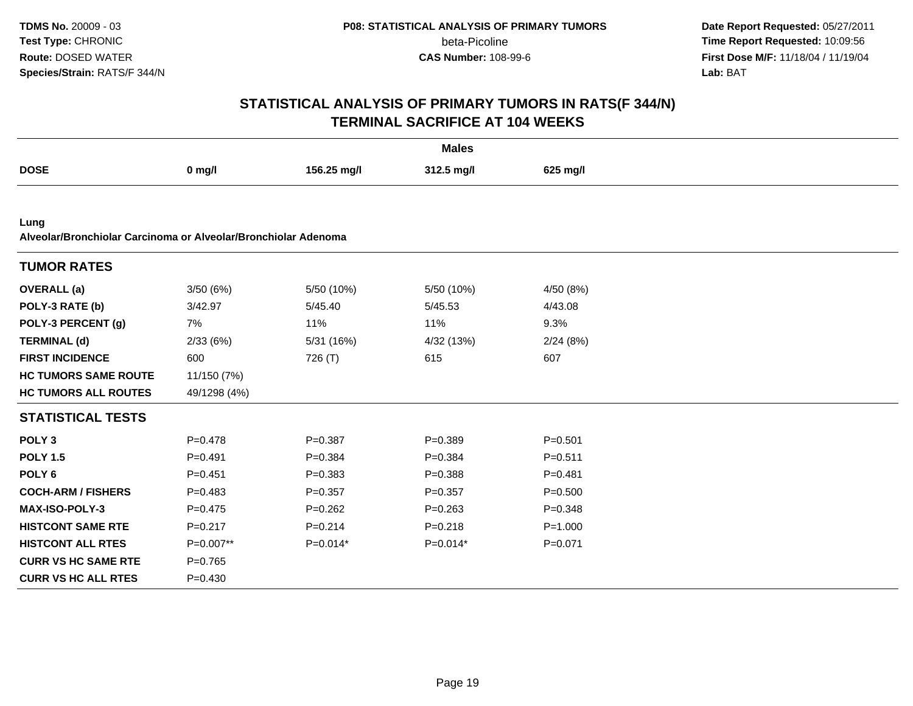**Date Report Requested:** 05/27/2011 **Time Report Requested:** 10:09:56 **First Dose M/F:** 11/18/04 / 11/19/04 Lab: BAT **Lab:** BAT

| <b>Males</b>                                                           |              |             |             |             |  |  |
|------------------------------------------------------------------------|--------------|-------------|-------------|-------------|--|--|
| <b>DOSE</b>                                                            | $0$ mg/l     | 156.25 mg/l | 312.5 mg/l  | 625 mg/l    |  |  |
|                                                                        |              |             |             |             |  |  |
| Lung<br>Alveolar/Bronchiolar Carcinoma or Alveolar/Bronchiolar Adenoma |              |             |             |             |  |  |
| <b>TUMOR RATES</b>                                                     |              |             |             |             |  |  |
| <b>OVERALL</b> (a)                                                     | 3/50(6%)     | 5/50 (10%)  | 5/50 (10%)  | 4/50 (8%)   |  |  |
| POLY-3 RATE (b)                                                        | 3/42.97      | 5/45.40     | 5/45.53     | 4/43.08     |  |  |
| POLY-3 PERCENT (g)                                                     | 7%           | 11%         | 11%         | 9.3%        |  |  |
| <b>TERMINAL (d)</b>                                                    | 2/33(6%)     | 5/31 (16%)  | 4/32 (13%)  | 2/24(8%)    |  |  |
| <b>FIRST INCIDENCE</b>                                                 | 600          | 726 (T)     | 615         | 607         |  |  |
| <b>HC TUMORS SAME ROUTE</b>                                            | 11/150 (7%)  |             |             |             |  |  |
| <b>HC TUMORS ALL ROUTES</b>                                            | 49/1298 (4%) |             |             |             |  |  |
| <b>STATISTICAL TESTS</b>                                               |              |             |             |             |  |  |
| POLY <sub>3</sub>                                                      | $P = 0.478$  | $P = 0.387$ | $P = 0.389$ | $P = 0.501$ |  |  |
| <b>POLY 1.5</b>                                                        | $P=0.491$    | $P=0.384$   | $P = 0.384$ | $P = 0.511$ |  |  |
| POLY <sub>6</sub>                                                      | $P=0.451$    | $P = 0.383$ | $P = 0.388$ | $P = 0.481$ |  |  |
| <b>COCH-ARM / FISHERS</b>                                              | $P=0.483$    | $P = 0.357$ | $P = 0.357$ | $P = 0.500$ |  |  |
| MAX-ISO-POLY-3                                                         | $P=0.475$    | $P = 0.262$ | $P = 0.263$ | $P = 0.348$ |  |  |
| <b>HISTCONT SAME RTE</b>                                               | $P = 0.217$  | $P = 0.214$ | $P = 0.218$ | $P = 1.000$ |  |  |
| <b>HISTCONT ALL RTES</b>                                               | P=0.007**    | $P=0.014*$  | $P=0.014*$  | $P = 0.071$ |  |  |
| <b>CURR VS HC SAME RTE</b>                                             | $P=0.765$    |             |             |             |  |  |
| <b>CURR VS HC ALL RTES</b>                                             | $P = 0.430$  |             |             |             |  |  |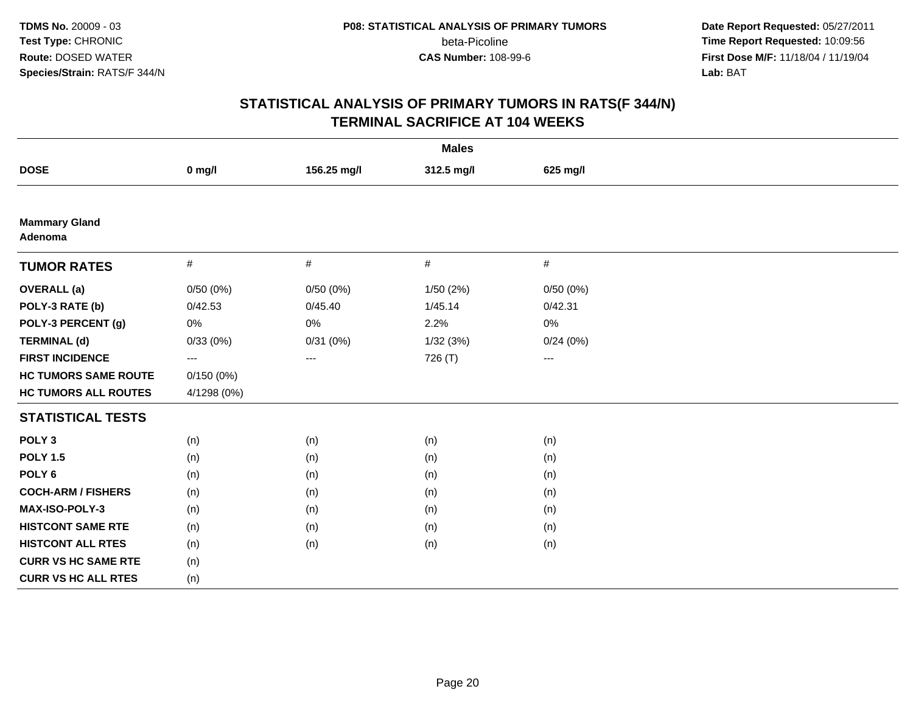**Date Report Requested:** 05/27/2011 **Time Report Requested:** 10:09:56 **First Dose M/F:** 11/18/04 / 11/19/04 Lab: BAT **Lab:** BAT

| <b>Males</b>                    |             |                        |            |          |  |  |  |
|---------------------------------|-------------|------------------------|------------|----------|--|--|--|
| <b>DOSE</b>                     | $0$ mg/l    | 156.25 mg/l            | 312.5 mg/l | 625 mg/l |  |  |  |
|                                 |             |                        |            |          |  |  |  |
| <b>Mammary Gland</b><br>Adenoma |             |                        |            |          |  |  |  |
| <b>TUMOR RATES</b>              | $\#$        | $\#$                   | $\#$       | $\#$     |  |  |  |
| <b>OVERALL</b> (a)              | 0/50(0%)    | 0/50(0%)               | 1/50(2%)   | 0/50(0%) |  |  |  |
| POLY-3 RATE (b)                 | 0/42.53     | 0/45.40                | 1/45.14    | 0/42.31  |  |  |  |
| POLY-3 PERCENT (g)              | 0%          | $0\%$                  | 2.2%       | 0%       |  |  |  |
| <b>TERMINAL (d)</b>             | 0/33(0%)    | 0/31(0%)               | 1/32(3%)   | 0/24(0%) |  |  |  |
| <b>FIRST INCIDENCE</b>          | $---$       | $\qquad \qquad \cdots$ | 726 (T)    | $--$     |  |  |  |
| <b>HC TUMORS SAME ROUTE</b>     | 0/150(0%)   |                        |            |          |  |  |  |
| <b>HC TUMORS ALL ROUTES</b>     | 4/1298 (0%) |                        |            |          |  |  |  |
| <b>STATISTICAL TESTS</b>        |             |                        |            |          |  |  |  |
| POLY <sub>3</sub>               | (n)         | (n)                    | (n)        | (n)      |  |  |  |
| <b>POLY 1.5</b>                 | (n)         | (n)                    | (n)        | (n)      |  |  |  |
| POLY <sub>6</sub>               | (n)         | (n)                    | (n)        | (n)      |  |  |  |
| <b>COCH-ARM / FISHERS</b>       | (n)         | (n)                    | (n)        | (n)      |  |  |  |
| <b>MAX-ISO-POLY-3</b>           | (n)         | (n)                    | (n)        | (n)      |  |  |  |
| <b>HISTCONT SAME RTE</b>        | (n)         | (n)                    | (n)        | (n)      |  |  |  |
| <b>HISTCONT ALL RTES</b>        | (n)         | (n)                    | (n)        | (n)      |  |  |  |
| <b>CURR VS HC SAME RTE</b>      | (n)         |                        |            |          |  |  |  |
| <b>CURR VS HC ALL RTES</b>      | (n)         |                        |            |          |  |  |  |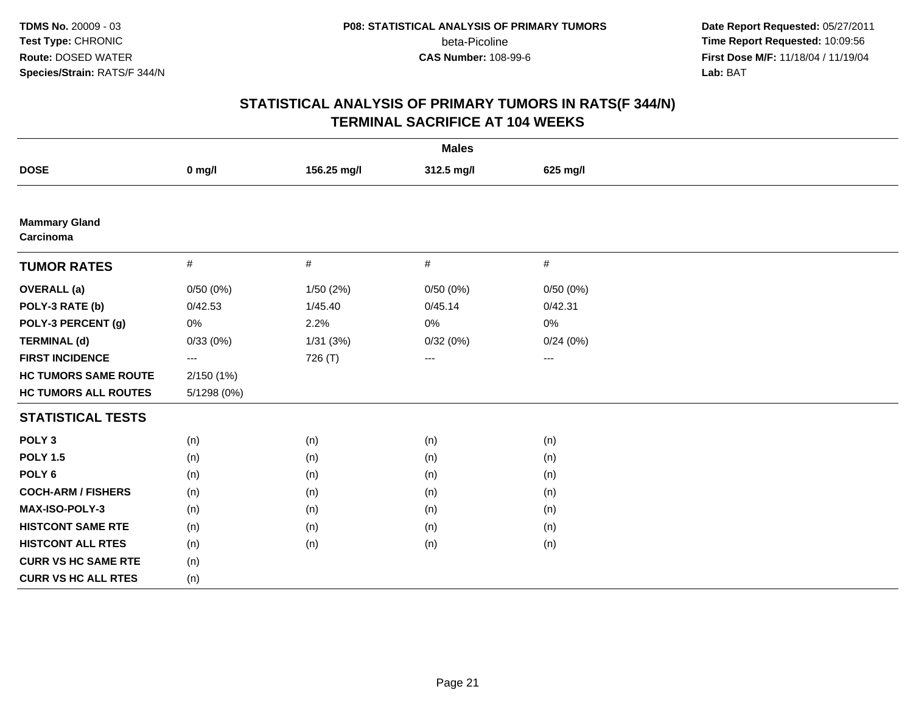**Date Report Requested:** 05/27/2011 **Time Report Requested:** 10:09:56 **First Dose M/F:** 11/18/04 / 11/19/04 Lab: BAT **Lab:** BAT

| <b>Males</b>                      |             |             |            |          |  |  |  |
|-----------------------------------|-------------|-------------|------------|----------|--|--|--|
| <b>DOSE</b>                       | $0$ mg/l    | 156.25 mg/l | 312.5 mg/l | 625 mg/l |  |  |  |
|                                   |             |             |            |          |  |  |  |
| <b>Mammary Gland</b><br>Carcinoma |             |             |            |          |  |  |  |
| <b>TUMOR RATES</b>                | $\#$        | $\#$        | $\#$       | $\#$     |  |  |  |
| <b>OVERALL</b> (a)                | 0/50(0%)    | 1/50(2%)    | 0/50(0%)   | 0/50(0%) |  |  |  |
| POLY-3 RATE (b)                   | 0/42.53     | 1/45.40     | 0/45.14    | 0/42.31  |  |  |  |
| POLY-3 PERCENT (g)                | $0\%$       | 2.2%        | 0%         | 0%       |  |  |  |
| <b>TERMINAL (d)</b>               | 0/33(0%)    | 1/31(3%)    | 0/32(0%)   | 0/24(0%) |  |  |  |
| <b>FIRST INCIDENCE</b>            | ---         | 726 (T)     | ---        | $--$     |  |  |  |
| <b>HC TUMORS SAME ROUTE</b>       | 2/150(1%)   |             |            |          |  |  |  |
| <b>HC TUMORS ALL ROUTES</b>       | 5/1298 (0%) |             |            |          |  |  |  |
| <b>STATISTICAL TESTS</b>          |             |             |            |          |  |  |  |
| POLY <sub>3</sub>                 | (n)         | (n)         | (n)        | (n)      |  |  |  |
| <b>POLY 1.5</b>                   | (n)         | (n)         | (n)        | (n)      |  |  |  |
| POLY <sub>6</sub>                 | (n)         | (n)         | (n)        | (n)      |  |  |  |
| <b>COCH-ARM / FISHERS</b>         | (n)         | (n)         | (n)        | (n)      |  |  |  |
| <b>MAX-ISO-POLY-3</b>             | (n)         | (n)         | (n)        | (n)      |  |  |  |
| <b>HISTCONT SAME RTE</b>          | (n)         | (n)         | (n)        | (n)      |  |  |  |
| <b>HISTCONT ALL RTES</b>          | (n)         | (n)         | (n)        | (n)      |  |  |  |
| <b>CURR VS HC SAME RTE</b>        | (n)         |             |            |          |  |  |  |
| <b>CURR VS HC ALL RTES</b>        | (n)         |             |            |          |  |  |  |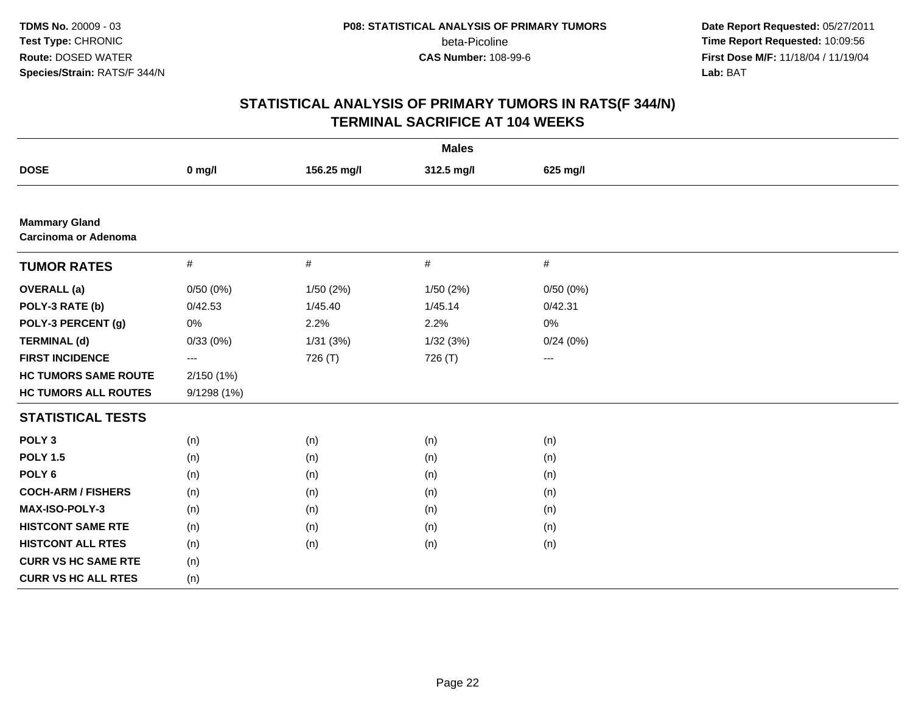**Date Report Requested:** 05/27/2011 **Time Report Requested:** 10:09:56 **First Dose M/F:** 11/18/04 / 11/19/04<br>**Lab:** BAT **Lab:** BAT

| <b>Males</b>                                        |             |             |            |          |  |  |  |
|-----------------------------------------------------|-------------|-------------|------------|----------|--|--|--|
| <b>DOSE</b>                                         | $0$ mg/l    | 156.25 mg/l | 312.5 mg/l | 625 mg/l |  |  |  |
|                                                     |             |             |            |          |  |  |  |
| <b>Mammary Gland</b><br><b>Carcinoma or Adenoma</b> |             |             |            |          |  |  |  |
| <b>TUMOR RATES</b>                                  | $\#$        | $\#$        | #          | $\#$     |  |  |  |
| <b>OVERALL</b> (a)                                  | 0/50(0%)    | 1/50(2%)    | 1/50 (2%)  | 0/50(0%) |  |  |  |
| POLY-3 RATE (b)                                     | 0/42.53     | 1/45.40     | 1/45.14    | 0/42.31  |  |  |  |
| POLY-3 PERCENT (g)                                  | $0\%$       | 2.2%        | 2.2%       | 0%       |  |  |  |
| <b>TERMINAL (d)</b>                                 | 0/33(0%)    | 1/31(3%)    | 1/32(3%)   | 0/24(0%) |  |  |  |
| <b>FIRST INCIDENCE</b>                              | ---         | 726 (T)     | 726 (T)    | ---      |  |  |  |
| <b>HC TUMORS SAME ROUTE</b>                         | 2/150 (1%)  |             |            |          |  |  |  |
| <b>HC TUMORS ALL ROUTES</b>                         | 9/1298 (1%) |             |            |          |  |  |  |
| <b>STATISTICAL TESTS</b>                            |             |             |            |          |  |  |  |
| POLY <sub>3</sub>                                   | (n)         | (n)         | (n)        | (n)      |  |  |  |
| <b>POLY 1.5</b>                                     | (n)         | (n)         | (n)        | (n)      |  |  |  |
| POLY <sub>6</sub>                                   | (n)         | (n)         | (n)        | (n)      |  |  |  |
| <b>COCH-ARM / FISHERS</b>                           | (n)         | (n)         | (n)        | (n)      |  |  |  |
| MAX-ISO-POLY-3                                      | (n)         | (n)         | (n)        | (n)      |  |  |  |
| <b>HISTCONT SAME RTE</b>                            | (n)         | (n)         | (n)        | (n)      |  |  |  |
| <b>HISTCONT ALL RTES</b>                            | (n)         | (n)         | (n)        | (n)      |  |  |  |
| <b>CURR VS HC SAME RTE</b>                          | (n)         |             |            |          |  |  |  |
| <b>CURR VS HC ALL RTES</b>                          | (n)         |             |            |          |  |  |  |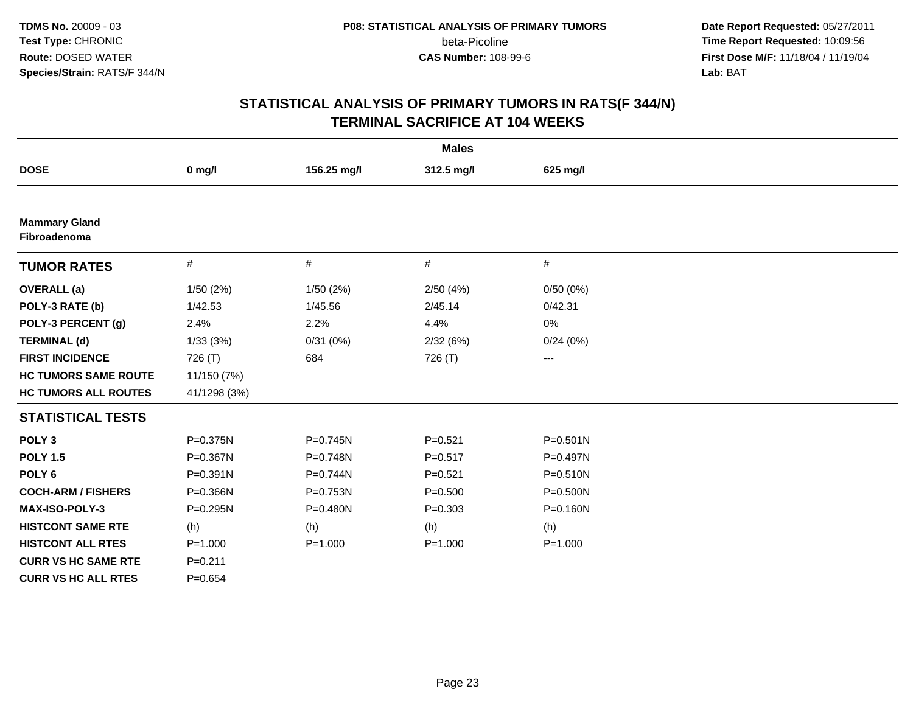**Date Report Requested:** 05/27/2011 **Time Report Requested:** 10:09:56 **First Dose M/F:** 11/18/04 / 11/19/04<br>**Lab:** BAT **Lab:** BAT

| <b>Males</b>                         |              |             |             |                   |  |  |  |
|--------------------------------------|--------------|-------------|-------------|-------------------|--|--|--|
| <b>DOSE</b>                          | $0$ mg/l     | 156.25 mg/l | 312.5 mg/l  | 625 mg/l          |  |  |  |
|                                      |              |             |             |                   |  |  |  |
| <b>Mammary Gland</b><br>Fibroadenoma |              |             |             |                   |  |  |  |
| <b>TUMOR RATES</b>                   | #            | $\#$        | #           | $\#$              |  |  |  |
| <b>OVERALL</b> (a)                   | 1/50 (2%)    | 1/50(2%)    | 2/50(4%)    | 0/50(0%)          |  |  |  |
| POLY-3 RATE (b)                      | 1/42.53      | 1/45.56     | 2/45.14     | 0/42.31           |  |  |  |
| POLY-3 PERCENT (g)                   | 2.4%         | 2.2%        | 4.4%        | 0%                |  |  |  |
| <b>TERMINAL (d)</b>                  | 1/33(3%)     | 0/31(0%)    | 2/32(6%)    | 0/24(0%)          |  |  |  |
| <b>FIRST INCIDENCE</b>               | 726 (T)      | 684         | 726 (T)     | $\qquad \qquad -$ |  |  |  |
| <b>HC TUMORS SAME ROUTE</b>          | 11/150 (7%)  |             |             |                   |  |  |  |
| <b>HC TUMORS ALL ROUTES</b>          | 41/1298 (3%) |             |             |                   |  |  |  |
| <b>STATISTICAL TESTS</b>             |              |             |             |                   |  |  |  |
| POLY <sub>3</sub>                    | P=0.375N     | P=0.745N    | $P = 0.521$ | $P = 0.501N$      |  |  |  |
| <b>POLY 1.5</b>                      | P=0.367N     | P=0.748N    | $P = 0.517$ | P=0.497N          |  |  |  |
| POLY <sub>6</sub>                    | P=0.391N     | P=0.744N    | $P = 0.521$ | $P = 0.510N$      |  |  |  |
| <b>COCH-ARM / FISHERS</b>            | P=0.366N     | P=0.753N    | $P = 0.500$ | P=0.500N          |  |  |  |
| MAX-ISO-POLY-3                       | P=0.295N     | P=0.480N    | $P = 0.303$ | $P = 0.160N$      |  |  |  |
| <b>HISTCONT SAME RTE</b>             | (h)          | (h)         | (h)         | (h)               |  |  |  |
| <b>HISTCONT ALL RTES</b>             | $P = 1.000$  | $P = 1.000$ | $P = 1.000$ | $P = 1.000$       |  |  |  |
| <b>CURR VS HC SAME RTE</b>           | $P = 0.211$  |             |             |                   |  |  |  |
| <b>CURR VS HC ALL RTES</b>           | $P = 0.654$  |             |             |                   |  |  |  |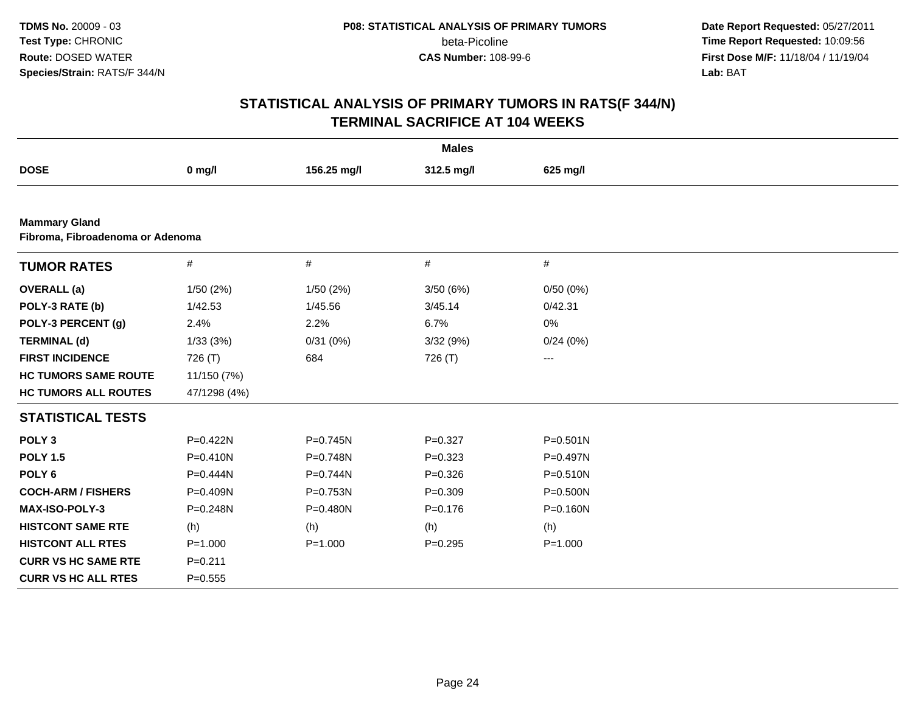**Date Report Requested:** 05/27/2011 **Time Report Requested:** 10:09:56 **First Dose M/F:** 11/18/04 / 11/19/04<br>**Lab:** BAT **Lab:** BAT

| <b>Males</b>                     |              |              |             |                        |  |  |
|----------------------------------|--------------|--------------|-------------|------------------------|--|--|
| <b>DOSE</b>                      | $0$ mg/l     | 156.25 mg/l  | 312.5 mg/l  | 625 mg/l               |  |  |
|                                  |              |              |             |                        |  |  |
| <b>Mammary Gland</b>             |              |              |             |                        |  |  |
| Fibroma, Fibroadenoma or Adenoma |              |              |             |                        |  |  |
| <b>TUMOR RATES</b>               | $\#$         | #            | $\#$        | $\#$                   |  |  |
| <b>OVERALL</b> (a)               | 1/50(2%)     | 1/50(2%)     | 3/50(6%)    | 0/50(0%)               |  |  |
| POLY-3 RATE (b)                  | 1/42.53      | 1/45.56      | 3/45.14     | 0/42.31                |  |  |
| POLY-3 PERCENT (g)               | 2.4%         | 2.2%         | 6.7%        | 0%                     |  |  |
| <b>TERMINAL (d)</b>              | 1/33(3%)     | 0/31(0%)     | 3/32(9%)    | 0/24(0%)               |  |  |
| <b>FIRST INCIDENCE</b>           | 726 (T)      | 684          | 726 (T)     | $\qquad \qquad \cdots$ |  |  |
| <b>HC TUMORS SAME ROUTE</b>      | 11/150 (7%)  |              |             |                        |  |  |
| <b>HC TUMORS ALL ROUTES</b>      | 47/1298 (4%) |              |             |                        |  |  |
| <b>STATISTICAL TESTS</b>         |              |              |             |                        |  |  |
| POLY <sub>3</sub>                | P=0.422N     | P=0.745N     | $P=0.327$   | $P = 0.501N$           |  |  |
| <b>POLY 1.5</b>                  | $P = 0.410N$ | P=0.748N     | $P = 0.323$ | P=0.497N               |  |  |
| POLY <sub>6</sub>                | $P = 0.444N$ | $P = 0.744N$ | $P = 0.326$ | $P = 0.510N$           |  |  |
| <b>COCH-ARM / FISHERS</b>        | P=0.409N     | P=0.753N     | $P = 0.309$ | P=0.500N               |  |  |
| <b>MAX-ISO-POLY-3</b>            | P=0.248N     | P=0.480N     | $P = 0.176$ | $P = 0.160N$           |  |  |
| <b>HISTCONT SAME RTE</b>         | (h)          | (h)          | (h)         | (h)                    |  |  |
| <b>HISTCONT ALL RTES</b>         | $P = 1.000$  | $P = 1.000$  | $P = 0.295$ | $P = 1.000$            |  |  |
| <b>CURR VS HC SAME RTE</b>       | $P = 0.211$  |              |             |                        |  |  |
| <b>CURR VS HC ALL RTES</b>       | $P = 0.555$  |              |             |                        |  |  |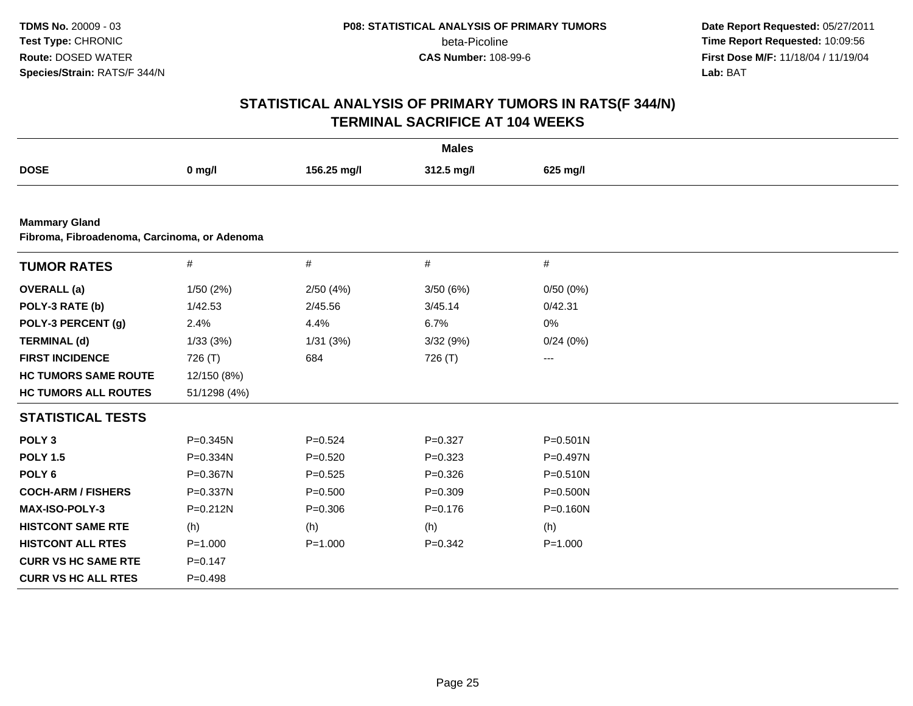**Date Report Requested:** 05/27/2011 **Time Report Requested:** 10:09:56 **First Dose M/F:** 11/18/04 / 11/19/04<br>**Lab:** BAT **Lab:** BAT

| <b>Males</b>                                                         |              |             |             |              |  |  |  |
|----------------------------------------------------------------------|--------------|-------------|-------------|--------------|--|--|--|
| <b>DOSE</b>                                                          | $0$ mg/l     | 156.25 mg/l | 312.5 mg/l  | 625 mg/l     |  |  |  |
|                                                                      |              |             |             |              |  |  |  |
| <b>Mammary Gland</b><br>Fibroma, Fibroadenoma, Carcinoma, or Adenoma |              |             |             |              |  |  |  |
| <b>TUMOR RATES</b>                                                   | $\#$         | $\#$        | $\#$        | $\#$         |  |  |  |
| <b>OVERALL</b> (a)                                                   | 1/50(2%)     | 2/50(4%)    | 3/50(6%)    | 0/50(0%)     |  |  |  |
| POLY-3 RATE (b)                                                      | 1/42.53      | 2/45.56     | 3/45.14     | 0/42.31      |  |  |  |
| POLY-3 PERCENT (g)                                                   | 2.4%         | 4.4%        | 6.7%        | 0%           |  |  |  |
| <b>TERMINAL (d)</b>                                                  | 1/33(3%)     | 1/31(3%)    | 3/32(9%)    | 0/24(0%)     |  |  |  |
| <b>FIRST INCIDENCE</b>                                               | 726 (T)      | 684         | 726 (T)     | ---          |  |  |  |
| <b>HC TUMORS SAME ROUTE</b>                                          | 12/150 (8%)  |             |             |              |  |  |  |
| <b>HC TUMORS ALL ROUTES</b>                                          | 51/1298 (4%) |             |             |              |  |  |  |
| <b>STATISTICAL TESTS</b>                                             |              |             |             |              |  |  |  |
| POLY <sub>3</sub>                                                    | $P = 0.345N$ | $P = 0.524$ | $P = 0.327$ | $P = 0.501N$ |  |  |  |
| <b>POLY 1.5</b>                                                      | P=0.334N     | $P = 0.520$ | $P = 0.323$ | $P=0.497N$   |  |  |  |
| POLY <sub>6</sub>                                                    | P=0.367N     | $P = 0.525$ | $P = 0.326$ | P=0.510N     |  |  |  |
| <b>COCH-ARM / FISHERS</b>                                            | P=0.337N     | $P = 0.500$ | $P = 0.309$ | P=0.500N     |  |  |  |
| <b>MAX-ISO-POLY-3</b>                                                | $P = 0.212N$ | $P = 0.306$ | $P = 0.176$ | P=0.160N     |  |  |  |
| <b>HISTCONT SAME RTE</b>                                             | (h)          | (h)         | (h)         | (h)          |  |  |  |
| <b>HISTCONT ALL RTES</b>                                             | $P = 1.000$  | $P = 1.000$ | $P = 0.342$ | $P = 1.000$  |  |  |  |
| <b>CURR VS HC SAME RTE</b>                                           | $P = 0.147$  |             |             |              |  |  |  |
| <b>CURR VS HC ALL RTES</b>                                           | $P=0.498$    |             |             |              |  |  |  |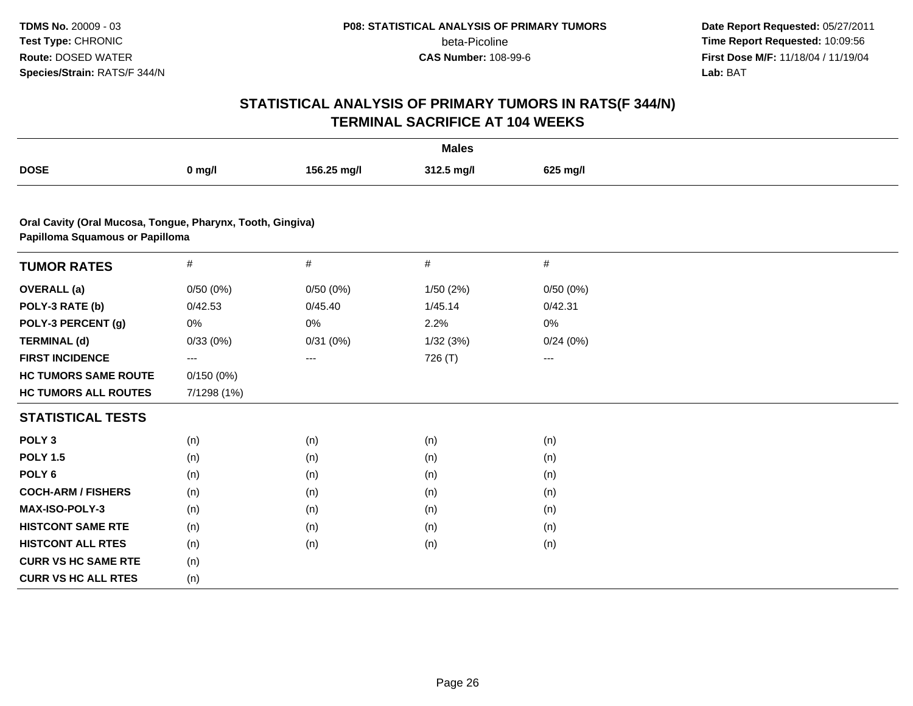**Date Report Requested:** 05/27/2011 **Time Report Requested:** 10:09:56 **First Dose M/F:** 11/18/04 / 11/19/04<br>**Lab:** BAT **Lab:** BAT

| <b>Males</b>                                                                                  |             |             |            |          |  |  |
|-----------------------------------------------------------------------------------------------|-------------|-------------|------------|----------|--|--|
| <b>DOSE</b>                                                                                   | $0$ mg/l    | 156.25 mg/l | 312.5 mg/l | 625 mg/l |  |  |
|                                                                                               |             |             |            |          |  |  |
| Oral Cavity (Oral Mucosa, Tongue, Pharynx, Tooth, Gingiva)<br>Papilloma Squamous or Papilloma |             |             |            |          |  |  |
| <b>TUMOR RATES</b>                                                                            | $\#$        | #           | $\#$       | #        |  |  |
| <b>OVERALL</b> (a)                                                                            | 0/50(0%)    | 0/50(0%)    | 1/50 (2%)  | 0/50(0%) |  |  |
| POLY-3 RATE (b)                                                                               | 0/42.53     | 0/45.40     | 1/45.14    | 0/42.31  |  |  |
| POLY-3 PERCENT (g)                                                                            | 0%          | 0%          | 2.2%       | 0%       |  |  |
| <b>TERMINAL (d)</b>                                                                           | 0/33(0%)    | 0/31(0%)    | 1/32(3%)   | 0/24(0%) |  |  |
| <b>FIRST INCIDENCE</b>                                                                        | ---         | $---$       | 726 (T)    | ---      |  |  |
| <b>HC TUMORS SAME ROUTE</b>                                                                   | 0/150(0%)   |             |            |          |  |  |
| <b>HC TUMORS ALL ROUTES</b>                                                                   | 7/1298 (1%) |             |            |          |  |  |
| <b>STATISTICAL TESTS</b>                                                                      |             |             |            |          |  |  |
| POLY <sub>3</sub>                                                                             | (n)         | (n)         | (n)        | (n)      |  |  |
| <b>POLY 1.5</b>                                                                               | (n)         | (n)         | (n)        | (n)      |  |  |
| POLY <sub>6</sub>                                                                             | (n)         | (n)         | (n)        | (n)      |  |  |
| <b>COCH-ARM / FISHERS</b>                                                                     | (n)         | (n)         | (n)        | (n)      |  |  |
| <b>MAX-ISO-POLY-3</b>                                                                         | (n)         | (n)         | (n)        | (n)      |  |  |
| <b>HISTCONT SAME RTE</b>                                                                      | (n)         | (n)         | (n)        | (n)      |  |  |
| <b>HISTCONT ALL RTES</b>                                                                      | (n)         | (n)         | (n)        | (n)      |  |  |
| <b>CURR VS HC SAME RTE</b>                                                                    | (n)         |             |            |          |  |  |
| <b>CURR VS HC ALL RTES</b>                                                                    | (n)         |             |            |          |  |  |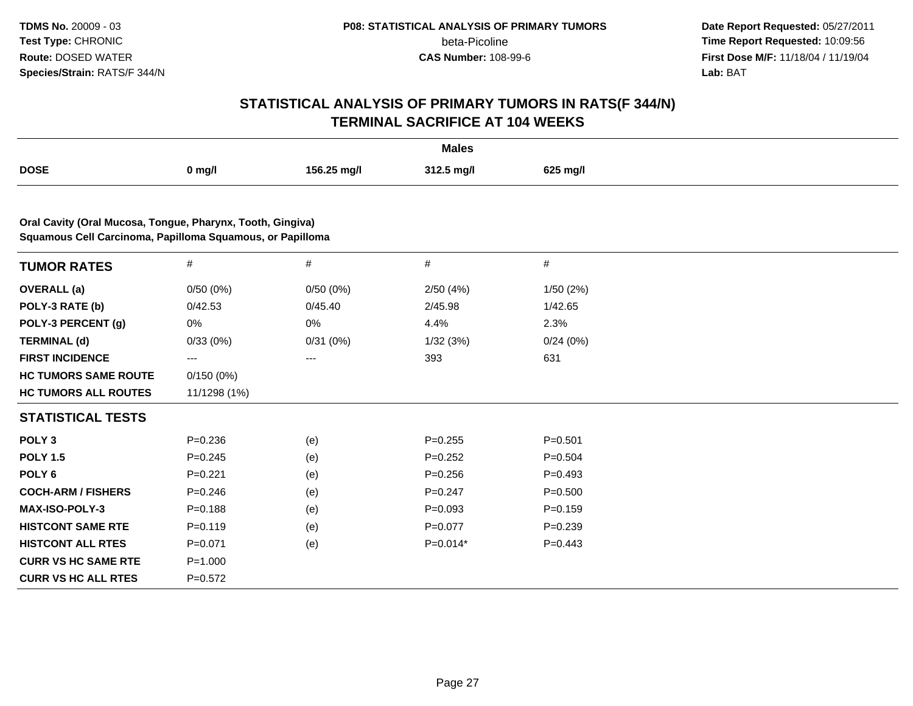**Date Report Requested:** 05/27/2011 **Time Report Requested:** 10:09:56 **First Dose M/F:** 11/18/04 / 11/19/04<br>**Lab:** BAT **Lab:** BAT

| <b>Males</b>                                                                                                            |              |             |             |             |  |  |
|-------------------------------------------------------------------------------------------------------------------------|--------------|-------------|-------------|-------------|--|--|
| <b>DOSE</b>                                                                                                             | $0$ mg/l     | 156.25 mg/l | 312.5 mg/l  | 625 mg/l    |  |  |
|                                                                                                                         |              |             |             |             |  |  |
| Oral Cavity (Oral Mucosa, Tongue, Pharynx, Tooth, Gingiva)<br>Squamous Cell Carcinoma, Papilloma Squamous, or Papilloma |              |             |             |             |  |  |
| <b>TUMOR RATES</b>                                                                                                      | $\#$         | $\#$        | #           | #           |  |  |
| <b>OVERALL</b> (a)                                                                                                      | 0/50(0%)     | 0/50(0%)    | 2/50(4%)    | 1/50(2%)    |  |  |
| POLY-3 RATE (b)                                                                                                         | 0/42.53      | 0/45.40     | 2/45.98     | 1/42.65     |  |  |
| POLY-3 PERCENT (g)                                                                                                      | 0%           | 0%          | 4.4%        | 2.3%        |  |  |
| <b>TERMINAL (d)</b>                                                                                                     | 0/33(0%)     | 0/31(0%)    | 1/32(3%)    | 0/24(0%)    |  |  |
| <b>FIRST INCIDENCE</b>                                                                                                  | ---          | $\cdots$    | 393         | 631         |  |  |
| <b>HC TUMORS SAME ROUTE</b>                                                                                             | 0/150(0%)    |             |             |             |  |  |
| <b>HC TUMORS ALL ROUTES</b>                                                                                             | 11/1298 (1%) |             |             |             |  |  |
| <b>STATISTICAL TESTS</b>                                                                                                |              |             |             |             |  |  |
| POLY <sub>3</sub>                                                                                                       | $P = 0.236$  | (e)         | $P = 0.255$ | $P = 0.501$ |  |  |
| <b>POLY 1.5</b>                                                                                                         | $P = 0.245$  | (e)         | $P=0.252$   | $P=0.504$   |  |  |
| POLY <sub>6</sub>                                                                                                       | $P=0.221$    | (e)         | $P = 0.256$ | $P=0.493$   |  |  |
| <b>COCH-ARM / FISHERS</b>                                                                                               | $P = 0.246$  | (e)         | $P = 0.247$ | $P = 0.500$ |  |  |
| MAX-ISO-POLY-3                                                                                                          | $P = 0.188$  | (e)         | $P=0.093$   | $P = 0.159$ |  |  |
| <b>HISTCONT SAME RTE</b>                                                                                                | $P=0.119$    | (e)         | $P=0.077$   | $P = 0.239$ |  |  |
| <b>HISTCONT ALL RTES</b>                                                                                                | $P = 0.071$  | (e)         | $P=0.014*$  | $P=0.443$   |  |  |
| <b>CURR VS HC SAME RTE</b>                                                                                              | $P = 1.000$  |             |             |             |  |  |
| <b>CURR VS HC ALL RTES</b>                                                                                              | $P=0.572$    |             |             |             |  |  |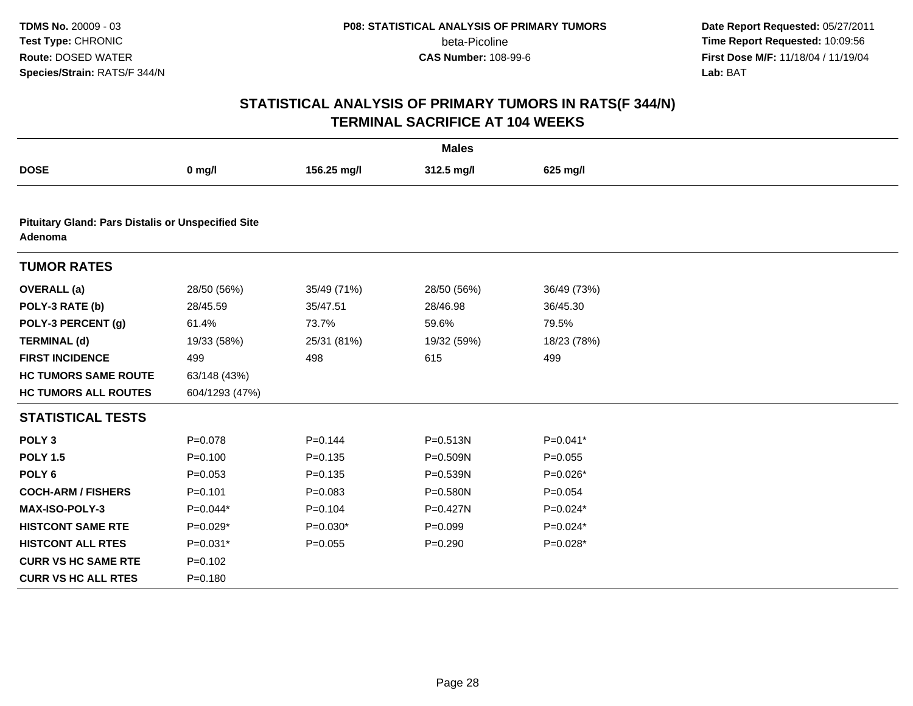**Date Report Requested:** 05/27/2011 **Time Report Requested:** 10:09:56 **First Dose M/F:** 11/18/04 / 11/19/04<br>**Lab:** BAT **Lab:** BAT

| <b>Males</b>                                                         |                |             |              |             |  |  |  |
|----------------------------------------------------------------------|----------------|-------------|--------------|-------------|--|--|--|
| <b>DOSE</b>                                                          | $0$ mg/l       | 156.25 mg/l | 312.5 mg/l   | 625 mg/l    |  |  |  |
|                                                                      |                |             |              |             |  |  |  |
| <b>Pituitary Gland: Pars Distalis or Unspecified Site</b><br>Adenoma |                |             |              |             |  |  |  |
| <b>TUMOR RATES</b>                                                   |                |             |              |             |  |  |  |
| <b>OVERALL</b> (a)                                                   | 28/50 (56%)    | 35/49 (71%) | 28/50 (56%)  | 36/49 (73%) |  |  |  |
| POLY-3 RATE (b)                                                      | 28/45.59       | 35/47.51    | 28/46.98     | 36/45.30    |  |  |  |
| POLY-3 PERCENT (g)                                                   | 61.4%          | 73.7%       | 59.6%        | 79.5%       |  |  |  |
| <b>TERMINAL (d)</b>                                                  | 19/33 (58%)    | 25/31 (81%) | 19/32 (59%)  | 18/23 (78%) |  |  |  |
| <b>FIRST INCIDENCE</b>                                               | 499            | 498         | 615          | 499         |  |  |  |
| <b>HC TUMORS SAME ROUTE</b>                                          | 63/148 (43%)   |             |              |             |  |  |  |
| <b>HC TUMORS ALL ROUTES</b>                                          | 604/1293 (47%) |             |              |             |  |  |  |
| <b>STATISTICAL TESTS</b>                                             |                |             |              |             |  |  |  |
| POLY <sub>3</sub>                                                    | $P = 0.078$    | $P = 0.144$ | P=0.513N     | $P=0.041*$  |  |  |  |
| <b>POLY 1.5</b>                                                      | $P=0.100$      | $P = 0.135$ | P=0.509N     | $P = 0.055$ |  |  |  |
| POLY <sub>6</sub>                                                    | $P = 0.053$    | $P = 0.135$ | P=0.539N     | $P=0.026*$  |  |  |  |
| <b>COCH-ARM / FISHERS</b>                                            | $P = 0.101$    | $P = 0.083$ | $P = 0.580N$ | $P = 0.054$ |  |  |  |
| MAX-ISO-POLY-3                                                       | $P=0.044*$     | $P=0.104$   | $P = 0.427N$ | $P=0.024*$  |  |  |  |
| <b>HISTCONT SAME RTE</b>                                             | $P=0.029*$     | $P=0.030*$  | $P = 0.099$  | $P=0.024*$  |  |  |  |
| <b>HISTCONT ALL RTES</b>                                             | P=0.031*       | $P=0.055$   | $P = 0.290$  | P=0.028*    |  |  |  |
| <b>CURR VS HC SAME RTE</b>                                           | $P=0.102$      |             |              |             |  |  |  |
| <b>CURR VS HC ALL RTES</b>                                           | $P = 0.180$    |             |              |             |  |  |  |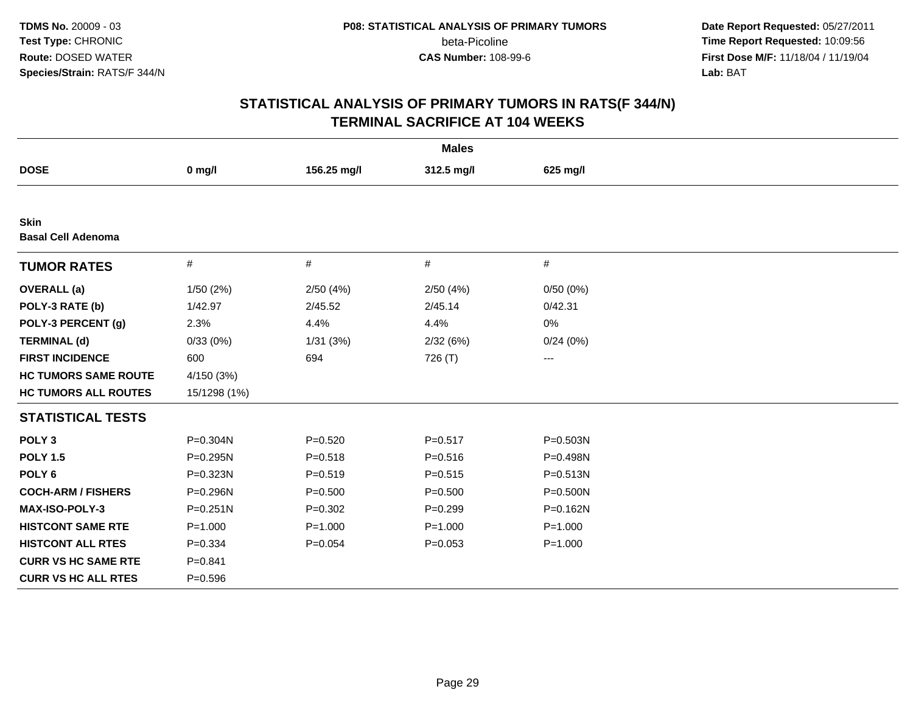**Date Report Requested:** 05/27/2011 **Time Report Requested:** 10:09:56 **First Dose M/F:** 11/18/04 / 11/19/04<br>**Lab:** BAT **Lab:** BAT

| <b>Males</b>                             |              |             |             |              |  |  |  |
|------------------------------------------|--------------|-------------|-------------|--------------|--|--|--|
| <b>DOSE</b>                              | $0$ mg/l     | 156.25 mg/l | 312.5 mg/l  | 625 mg/l     |  |  |  |
|                                          |              |             |             |              |  |  |  |
| <b>Skin</b><br><b>Basal Cell Adenoma</b> |              |             |             |              |  |  |  |
| <b>TUMOR RATES</b>                       | $\#$         | $\#$        | #           | #            |  |  |  |
| <b>OVERALL</b> (a)                       | 1/50(2%)     | 2/50(4%)    | 2/50(4%)    | 0/50(0%)     |  |  |  |
| POLY-3 RATE (b)                          | 1/42.97      | 2/45.52     | 2/45.14     | 0/42.31      |  |  |  |
| POLY-3 PERCENT (g)                       | 2.3%         | 4.4%        | 4.4%        | 0%           |  |  |  |
| <b>TERMINAL (d)</b>                      | 0/33(0%)     | 1/31(3%)    | 2/32(6%)    | 0/24(0%)     |  |  |  |
| <b>FIRST INCIDENCE</b>                   | 600          | 694         | 726 (T)     | ---          |  |  |  |
| <b>HC TUMORS SAME ROUTE</b>              | 4/150 (3%)   |             |             |              |  |  |  |
| <b>HC TUMORS ALL ROUTES</b>              | 15/1298 (1%) |             |             |              |  |  |  |
| <b>STATISTICAL TESTS</b>                 |              |             |             |              |  |  |  |
| POLY <sub>3</sub>                        | P=0.304N     | $P = 0.520$ | $P = 0.517$ | P=0.503N     |  |  |  |
| <b>POLY 1.5</b>                          | P=0.295N     | $P = 0.518$ | $P = 0.516$ | P=0.498N     |  |  |  |
| POLY <sub>6</sub>                        | P=0.323N     | $P = 0.519$ | $P = 0.515$ | P=0.513N     |  |  |  |
| <b>COCH-ARM / FISHERS</b>                | P=0.296N     | $P = 0.500$ | $P = 0.500$ | $P = 0.500N$ |  |  |  |
| MAX-ISO-POLY-3                           | $P = 0.251N$ | $P = 0.302$ | $P = 0.299$ | P=0.162N     |  |  |  |
| <b>HISTCONT SAME RTE</b>                 | $P = 1.000$  | $P = 1.000$ | $P = 1.000$ | $P = 1.000$  |  |  |  |
| <b>HISTCONT ALL RTES</b>                 | $P = 0.334$  | $P = 0.054$ | $P = 0.053$ | $P = 1.000$  |  |  |  |
| <b>CURR VS HC SAME RTE</b>               | $P = 0.841$  |             |             |              |  |  |  |
| <b>CURR VS HC ALL RTES</b>               | $P = 0.596$  |             |             |              |  |  |  |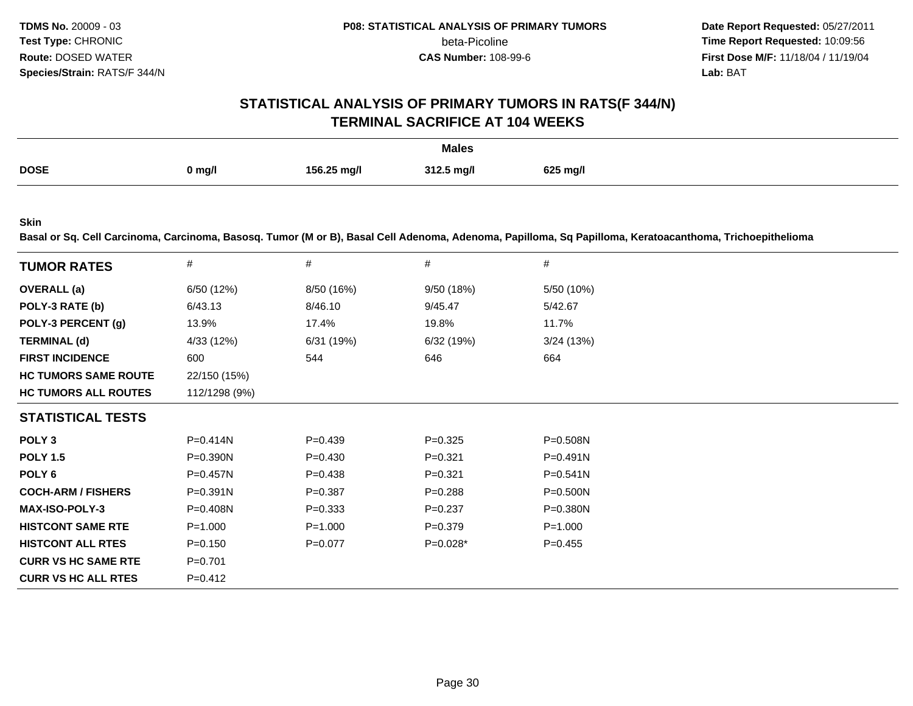**Date Report Requested:** 05/27/2011 **Time Report Requested:** 10:09:56 **First Dose M/F:** 11/18/04 / 11/19/04 Lab: BAT **Lab:** BAT

#### **STATISTICAL ANALYSIS OF PRIMARY TUMORS IN RATS(F 344/N)TERMINAL SACRIFICE AT 104 WEEKS**

|             |        |             | <b>Males</b><br>. |          |
|-------------|--------|-------------|-------------------|----------|
| <b>DOSE</b> | 0 mg/l | 156.25 mg/l | 312.5 mg/l        | 625 mg/l |

**Skin**

**Basal or Sq. Cell Carcinoma, Carcinoma, Basosq. Tumor (M or B), Basal Cell Adenoma, Adenoma, Papilloma, Sq Papilloma, Keratoacanthoma, Trichoepithelioma**

| <b>TUMOR RATES</b>          | #             | #           | #           | #            |
|-----------------------------|---------------|-------------|-------------|--------------|
| <b>OVERALL</b> (a)          | 6/50 (12%)    | 8/50 (16%)  | 9/50 (18%)  | 5/50 (10%)   |
| POLY-3 RATE (b)             | 6/43.13       | 8/46.10     | 9/45.47     | 5/42.67      |
| POLY-3 PERCENT (g)          | 13.9%         | 17.4%       | 19.8%       | 11.7%        |
| <b>TERMINAL (d)</b>         | 4/33 (12%)    | 6/31 (19%)  | 6/32 (19%)  | 3/24(13%)    |
| <b>FIRST INCIDENCE</b>      | 600           | 544         | 646         | 664          |
| <b>HC TUMORS SAME ROUTE</b> | 22/150 (15%)  |             |             |              |
| <b>HC TUMORS ALL ROUTES</b> | 112/1298 (9%) |             |             |              |
| <b>STATISTICAL TESTS</b>    |               |             |             |              |
| POLY <sub>3</sub>           | P=0.414N      | $P=0.439$   | $P = 0.325$ | $P = 0.508N$ |
| <b>POLY 1.5</b>             | P=0.390N      | $P = 0.430$ | $P = 0.321$ | $P = 0.491N$ |
| POLY 6                      | P=0.457N      | $P = 0.438$ | $P = 0.321$ | $P = 0.541N$ |
| <b>COCH-ARM / FISHERS</b>   | $P = 0.391N$  | $P = 0.387$ | $P = 0.288$ | $P = 0.500N$ |
| <b>MAX-ISO-POLY-3</b>       | P=0.408N      | $P = 0.333$ | $P = 0.237$ | P=0.380N     |
| <b>HISTCONT SAME RTE</b>    | $P = 1.000$   | $P = 1.000$ | $P = 0.379$ | $P = 1.000$  |
| <b>HISTCONT ALL RTES</b>    | $P = 0.150$   | $P=0.077$   | $P=0.028*$  | $P=0.455$    |
| <b>CURR VS HC SAME RTE</b>  | $P=0.701$     |             |             |              |
| <b>CURR VS HC ALL RTES</b>  | $P = 0.412$   |             |             |              |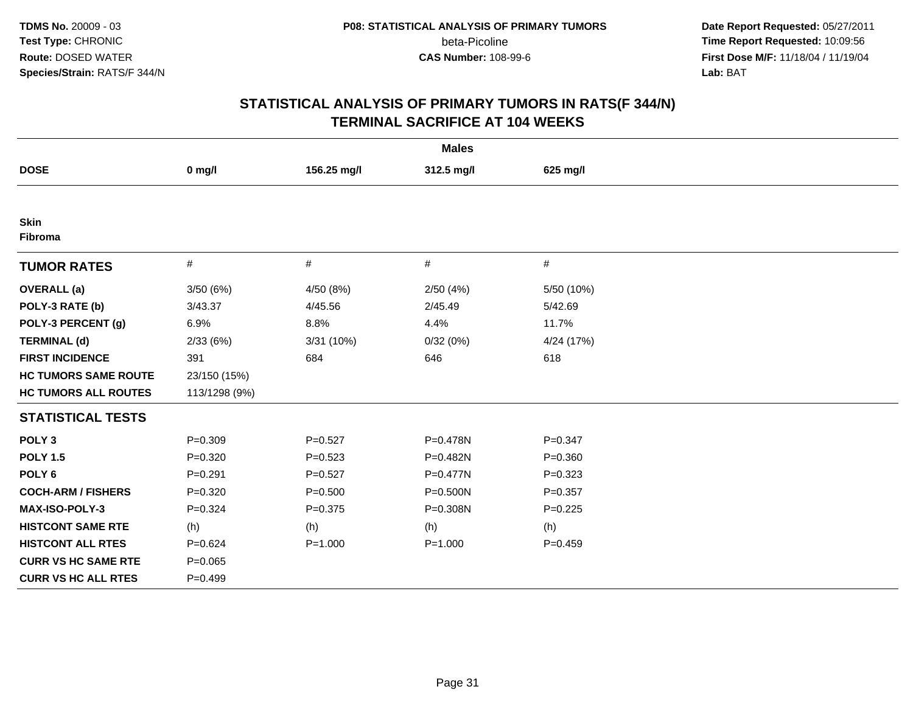**Date Report Requested:** 05/27/2011 **Time Report Requested:** 10:09:56 **First Dose M/F:** 11/18/04 / 11/19/04<br>**Lab:** BAT **Lab:** BAT

| <b>Males</b>                |               |             |              |             |  |  |  |
|-----------------------------|---------------|-------------|--------------|-------------|--|--|--|
| <b>DOSE</b>                 | $0$ mg/l      | 156.25 mg/l | 312.5 mg/l   | 625 mg/l    |  |  |  |
|                             |               |             |              |             |  |  |  |
| <b>Skin</b><br>Fibroma      |               |             |              |             |  |  |  |
| <b>TUMOR RATES</b>          | $\#$          | $\#$        | #            | #           |  |  |  |
| <b>OVERALL</b> (a)          | 3/50(6%)      | 4/50 (8%)   | 2/50(4%)     | 5/50 (10%)  |  |  |  |
| POLY-3 RATE (b)             | 3/43.37       | 4/45.56     | 2/45.49      | 5/42.69     |  |  |  |
| POLY-3 PERCENT (g)          | 6.9%          | 8.8%        | 4.4%         | 11.7%       |  |  |  |
| <b>TERMINAL (d)</b>         | 2/33(6%)      | 3/31 (10%)  | 0/32(0%)     | 4/24 (17%)  |  |  |  |
| <b>FIRST INCIDENCE</b>      | 391           | 684         | 646          | 618         |  |  |  |
| <b>HC TUMORS SAME ROUTE</b> | 23/150 (15%)  |             |              |             |  |  |  |
| <b>HC TUMORS ALL ROUTES</b> | 113/1298 (9%) |             |              |             |  |  |  |
| <b>STATISTICAL TESTS</b>    |               |             |              |             |  |  |  |
| POLY <sub>3</sub>           | $P = 0.309$   | $P = 0.527$ | P=0.478N     | $P = 0.347$ |  |  |  |
| <b>POLY 1.5</b>             | $P = 0.320$   | $P = 0.523$ | P=0.482N     | $P = 0.360$ |  |  |  |
| POLY <sub>6</sub>           | $P=0.291$     | $P = 0.527$ | $P = 0.477N$ | $P=0.323$   |  |  |  |
| <b>COCH-ARM / FISHERS</b>   | $P = 0.320$   | $P = 0.500$ | P=0.500N     | $P=0.357$   |  |  |  |
| <b>MAX-ISO-POLY-3</b>       | $P = 0.324$   | $P = 0.375$ | P=0.308N     | $P=0.225$   |  |  |  |
| <b>HISTCONT SAME RTE</b>    | (h)           | (h)         | (h)          | (h)         |  |  |  |
| <b>HISTCONT ALL RTES</b>    | $P = 0.624$   | $P = 1.000$ | $P = 1.000$  | $P = 0.459$ |  |  |  |
| <b>CURR VS HC SAME RTE</b>  | $P = 0.065$   |             |              |             |  |  |  |
| <b>CURR VS HC ALL RTES</b>  | $P=0.499$     |             |              |             |  |  |  |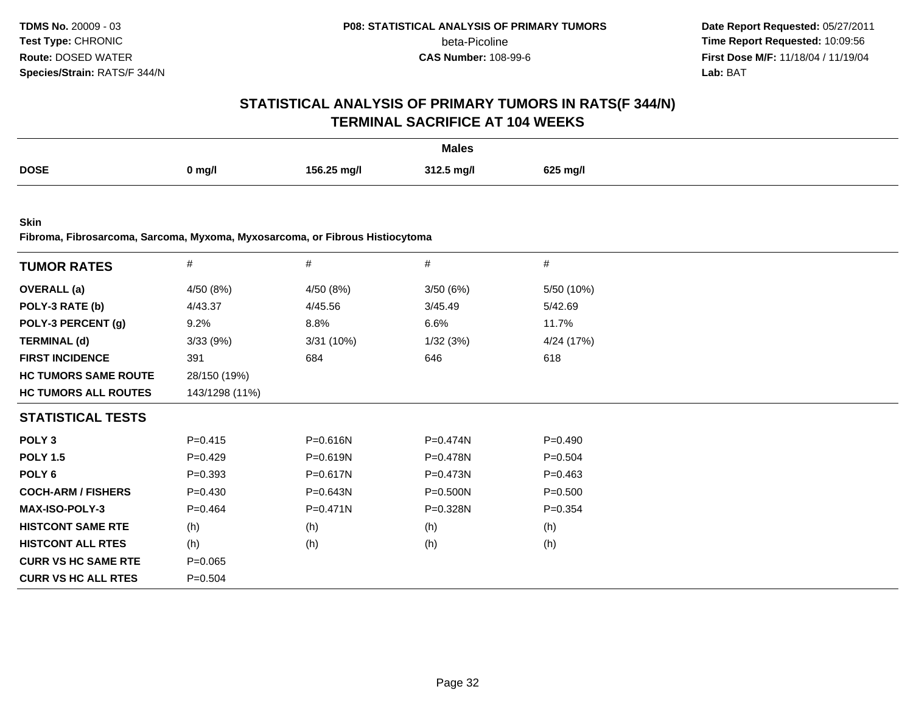**Date Report Requested:** 05/27/2011 **Time Report Requested:** 10:09:56 **First Dose M/F:** 11/18/04 / 11/19/04<br>**Lab:** BAT **Lab:** BAT

# **STATISTICAL ANALYSIS OF PRIMARY TUMORS IN RATS(F 344/N)TERMINAL SACRIFICE AT 104 WEEKS**

|             |          |             | <b>Males</b> |          |
|-------------|----------|-------------|--------------|----------|
| <b>DOSE</b> | $0$ mg/l | 156.25 mg/l | 312.5 mg/l   | 625 mg/l |

**Skin**

**Fibroma, Fibrosarcoma, Sarcoma, Myxoma, Myxosarcoma, or Fibrous Histiocytoma**

| <b>TUMOR RATES</b>          | $\#$           | $\#$         | $\#$         | #           |
|-----------------------------|----------------|--------------|--------------|-------------|
| <b>OVERALL</b> (a)          | 4/50 (8%)      | 4/50 (8%)    | 3/50(6%)     | 5/50 (10%)  |
| POLY-3 RATE (b)             | 4/43.37        | 4/45.56      | 3/45.49      | 5/42.69     |
| POLY-3 PERCENT (g)          | 9.2%           | 8.8%         | 6.6%         | 11.7%       |
| <b>TERMINAL (d)</b>         | 3/33(9%)       | 3/31(10%)    | 1/32(3%)     | 4/24 (17%)  |
| <b>FIRST INCIDENCE</b>      | 391            | 684          | 646          | 618         |
| <b>HC TUMORS SAME ROUTE</b> | 28/150 (19%)   |              |              |             |
| <b>HC TUMORS ALL ROUTES</b> | 143/1298 (11%) |              |              |             |
| <b>STATISTICAL TESTS</b>    |                |              |              |             |
| POLY <sub>3</sub>           | $P = 0.415$    | P=0.616N     | P=0.474N     | $P=0.490$   |
| <b>POLY 1.5</b>             | $P=0.429$      | P=0.619N     | P=0.478N     | $P = 0.504$ |
| POLY 6                      | $P = 0.393$    | $P = 0.617N$ | $P = 0.473N$ | $P=0.463$   |
| <b>COCH-ARM / FISHERS</b>   | $P = 0.430$    | P=0.643N     | P=0.500N     | $P = 0.500$ |
| <b>MAX-ISO-POLY-3</b>       | $P=0.464$      | $P = 0.471N$ | P=0.328N     | $P = 0.354$ |
| <b>HISTCONT SAME RTE</b>    | (h)            | (h)          | (h)          | (h)         |
| <b>HISTCONT ALL RTES</b>    | (h)            | (h)          | (h)          | (h)         |
| <b>CURR VS HC SAME RTE</b>  | $P = 0.065$    |              |              |             |
| <b>CURR VS HC ALL RTES</b>  | $P = 0.504$    |              |              |             |
|                             |                |              |              |             |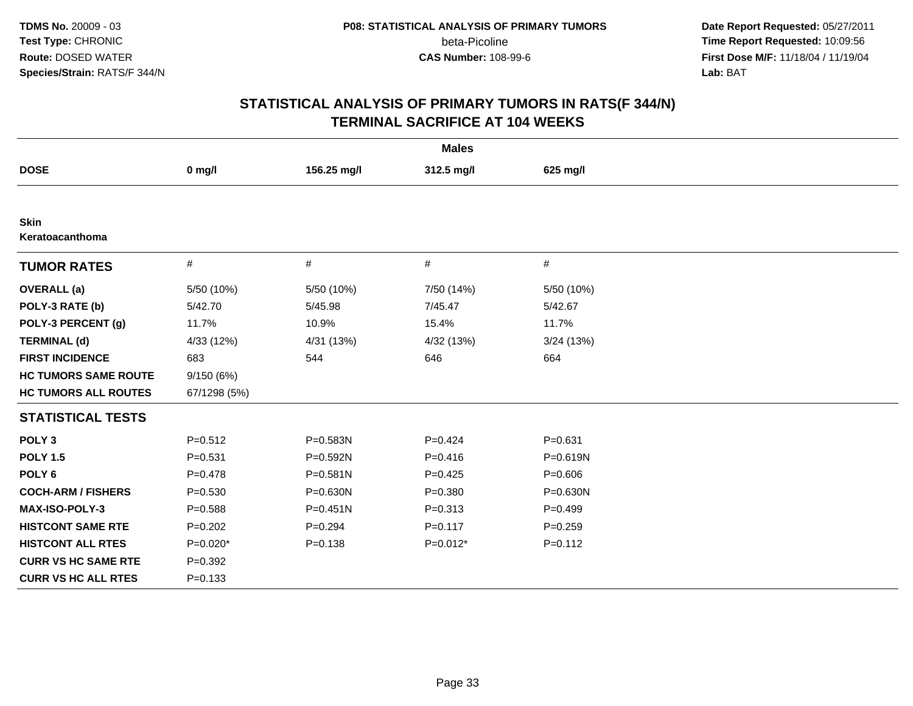**Date Report Requested:** 05/27/2011 **Time Report Requested:** 10:09:56 **First Dose M/F:** 11/18/04 / 11/19/04<br>**Lab:** BAT **Lab:** BAT

| <b>Males</b>                |              |              |             |              |  |  |  |
|-----------------------------|--------------|--------------|-------------|--------------|--|--|--|
| <b>DOSE</b>                 | $0$ mg/l     | 156.25 mg/l  | 312.5 mg/l  | 625 mg/l     |  |  |  |
|                             |              |              |             |              |  |  |  |
| Skin<br>Keratoacanthoma     |              |              |             |              |  |  |  |
| <b>TUMOR RATES</b>          | $\#$         | $\#$         | $\#$        | $\#$         |  |  |  |
| <b>OVERALL</b> (a)          | 5/50 (10%)   | 5/50 (10%)   | 7/50 (14%)  | 5/50 (10%)   |  |  |  |
| POLY-3 RATE (b)             | 5/42.70      | 5/45.98      | 7/45.47     | 5/42.67      |  |  |  |
| POLY-3 PERCENT (g)          | 11.7%        | 10.9%        | 15.4%       | 11.7%        |  |  |  |
| <b>TERMINAL (d)</b>         | 4/33 (12%)   | 4/31 (13%)   | 4/32 (13%)  | 3/24(13%)    |  |  |  |
| <b>FIRST INCIDENCE</b>      | 683          | 544          | 646         | 664          |  |  |  |
| <b>HC TUMORS SAME ROUTE</b> | 9/150 (6%)   |              |             |              |  |  |  |
| <b>HC TUMORS ALL ROUTES</b> | 67/1298 (5%) |              |             |              |  |  |  |
| <b>STATISTICAL TESTS</b>    |              |              |             |              |  |  |  |
| POLY <sub>3</sub>           | $P = 0.512$  | P=0.583N     | $P=0.424$   | $P = 0.631$  |  |  |  |
| <b>POLY 1.5</b>             | $P = 0.531$  | P=0.592N     | $P = 0.416$ | $P = 0.619N$ |  |  |  |
| POLY <sub>6</sub>           | $P = 0.478$  | $P = 0.581N$ | $P=0.425$   | $P = 0.606$  |  |  |  |
| <b>COCH-ARM / FISHERS</b>   | $P = 0.530$  | $P = 0.630N$ | $P = 0.380$ | $P = 0.630N$ |  |  |  |
| <b>MAX-ISO-POLY-3</b>       | $P = 0.588$  | $P = 0.451N$ | $P = 0.313$ | $P=0.499$    |  |  |  |
| <b>HISTCONT SAME RTE</b>    | $P=0.202$    | $P=0.294$    | $P = 0.117$ | $P = 0.259$  |  |  |  |
| <b>HISTCONT ALL RTES</b>    | $P=0.020*$   | $P = 0.138$  | $P=0.012*$  | $P = 0.112$  |  |  |  |
| <b>CURR VS HC SAME RTE</b>  | $P=0.392$    |              |             |              |  |  |  |
| <b>CURR VS HC ALL RTES</b>  | $P = 0.133$  |              |             |              |  |  |  |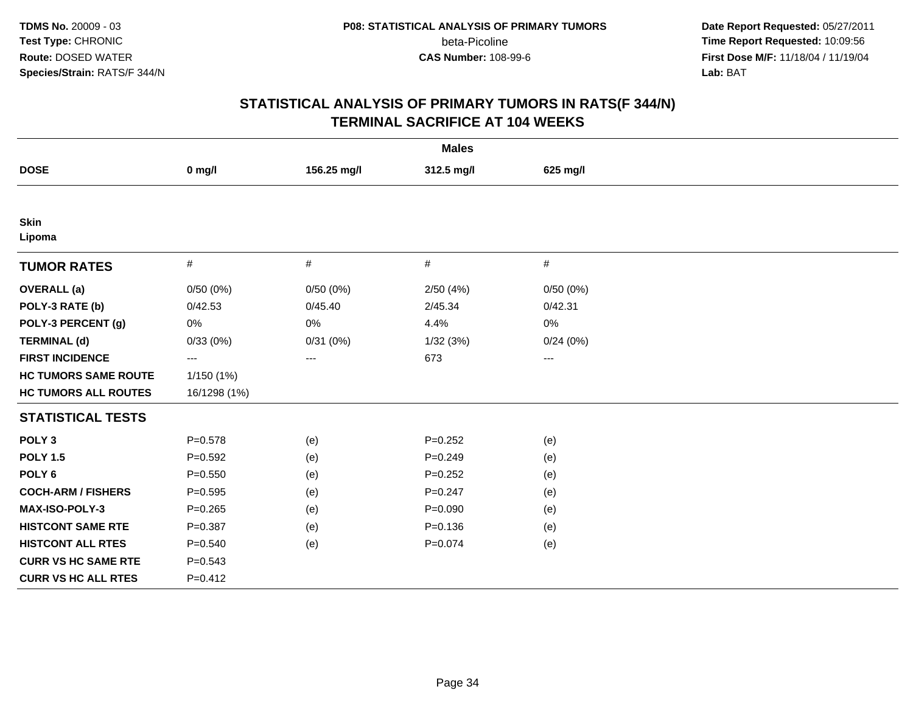**Date Report Requested:** 05/27/2011 **Time Report Requested:** 10:09:56 **First Dose M/F:** 11/18/04 / 11/19/04<br>**Lab:** BAT **Lab:** BAT

| <b>Males</b>                |              |             |             |          |  |  |  |
|-----------------------------|--------------|-------------|-------------|----------|--|--|--|
| <b>DOSE</b>                 | $0$ mg/l     | 156.25 mg/l | 312.5 mg/l  | 625 mg/l |  |  |  |
|                             |              |             |             |          |  |  |  |
| <b>Skin</b><br>Lipoma       |              |             |             |          |  |  |  |
| <b>TUMOR RATES</b>          | $\#$         | $\#$        | $\#$        | $\#$     |  |  |  |
| <b>OVERALL</b> (a)          | 0/50(0%)     | 0/50(0%)    | 2/50(4%)    | 0/50(0%) |  |  |  |
| POLY-3 RATE (b)             | 0/42.53      | 0/45.40     | 2/45.34     | 0/42.31  |  |  |  |
| POLY-3 PERCENT (g)          | 0%           | $0\%$       | 4.4%        | $0\%$    |  |  |  |
| <b>TERMINAL (d)</b>         | 0/33(0%)     | 0/31(0%)    | 1/32(3%)    | 0/24(0%) |  |  |  |
| <b>FIRST INCIDENCE</b>      | ---          | ---         | 673         | ---      |  |  |  |
| <b>HC TUMORS SAME ROUTE</b> | 1/150 (1%)   |             |             |          |  |  |  |
| <b>HC TUMORS ALL ROUTES</b> | 16/1298 (1%) |             |             |          |  |  |  |
| <b>STATISTICAL TESTS</b>    |              |             |             |          |  |  |  |
| POLY <sub>3</sub>           | $P = 0.578$  | (e)         | $P=0.252$   | (e)      |  |  |  |
| <b>POLY 1.5</b>             | $P=0.592$    | (e)         | $P = 0.249$ | (e)      |  |  |  |
| POLY <sub>6</sub>           | $P = 0.550$  | (e)         | $P = 0.252$ | (e)      |  |  |  |
| <b>COCH-ARM / FISHERS</b>   | $P = 0.595$  | (e)         | $P = 0.247$ | (e)      |  |  |  |
| MAX-ISO-POLY-3              | $P = 0.265$  | (e)         | $P = 0.090$ | (e)      |  |  |  |
| <b>HISTCONT SAME RTE</b>    | $P = 0.387$  | (e)         | $P = 0.136$ | (e)      |  |  |  |
| <b>HISTCONT ALL RTES</b>    | $P = 0.540$  | (e)         | $P = 0.074$ | (e)      |  |  |  |
| <b>CURR VS HC SAME RTE</b>  | $P = 0.543$  |             |             |          |  |  |  |
| <b>CURR VS HC ALL RTES</b>  | $P = 0.412$  |             |             |          |  |  |  |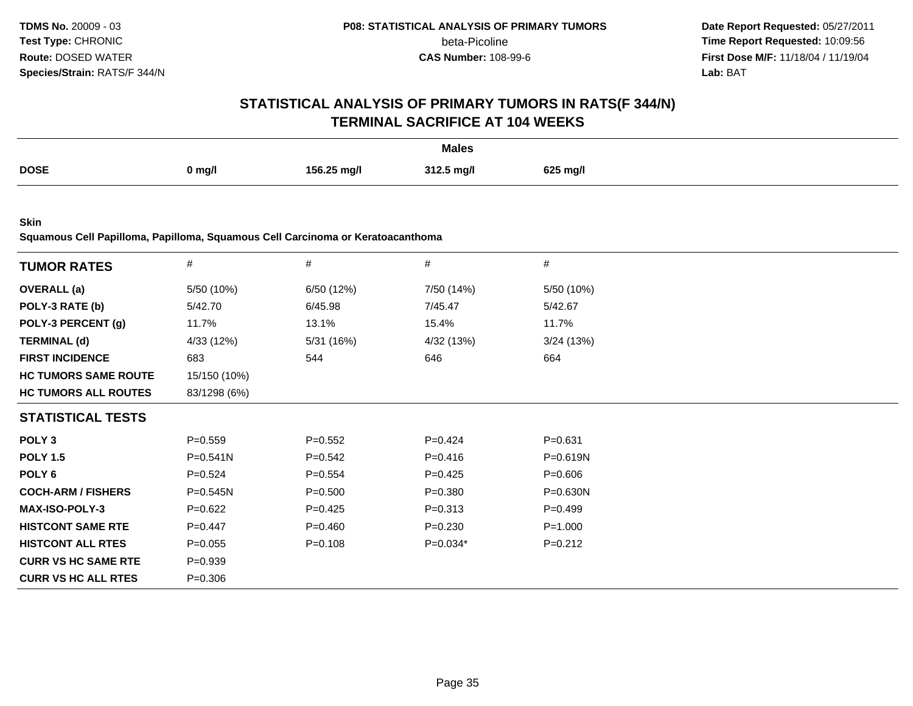**Date Report Requested:** 05/27/2011 **Time Report Requested:** 10:09:56 **First Dose M/F:** 11/18/04 / 11/19/04<br>**Lab:** BAT **Lab:** BAT

# **STATISTICAL ANALYSIS OF PRIMARY TUMORS IN RATS(F 344/N)TERMINAL SACRIFICE AT 104 WEEKS**

|             |        |             | <b>Males</b> |          |
|-------------|--------|-------------|--------------|----------|
| <b>DOSE</b> | 0 mg/l | 156.25 mg/l | 312.5 mg/l   | 625 mg/l |

**Skin**

**Squamous Cell Papilloma, Papilloma, Squamous Cell Carcinoma or Keratoacanthoma**

| <b>TUMOR RATES</b>          | #            | #           | #           | $\#$         |
|-----------------------------|--------------|-------------|-------------|--------------|
| <b>OVERALL</b> (a)          | 5/50 (10%)   | 6/50 (12%)  | 7/50 (14%)  | 5/50 (10%)   |
| POLY-3 RATE (b)             | 5/42.70      | 6/45.98     | 7/45.47     | 5/42.67      |
| POLY-3 PERCENT (g)          | 11.7%        | 13.1%       | 15.4%       | 11.7%        |
| <b>TERMINAL (d)</b>         | 4/33 (12%)   | 5/31 (16%)  | 4/32 (13%)  | 3/24(13%)    |
| <b>FIRST INCIDENCE</b>      | 683          | 544         | 646         | 664          |
| <b>HC TUMORS SAME ROUTE</b> | 15/150 (10%) |             |             |              |
| <b>HC TUMORS ALL ROUTES</b> | 83/1298 (6%) |             |             |              |
| <b>STATISTICAL TESTS</b>    |              |             |             |              |
| POLY <sub>3</sub>           | $P = 0.559$  | $P = 0.552$ | $P=0.424$   | $P = 0.631$  |
| <b>POLY 1.5</b>             | $P = 0.541N$ | $P = 0.542$ | $P = 0.416$ | P=0.619N     |
| POLY <sub>6</sub>           | $P=0.524$    | $P=0.554$   | $P=0.425$   | $P = 0.606$  |
| <b>COCH-ARM / FISHERS</b>   | $P = 0.545N$ | $P = 0.500$ | $P = 0.380$ | $P = 0.630N$ |
| <b>MAX-ISO-POLY-3</b>       | $P = 0.622$  | $P=0.425$   | $P = 0.313$ | $P=0.499$    |
| <b>HISTCONT SAME RTE</b>    | $P=0.447$    | $P = 0.460$ | $P = 0.230$ | $P = 1.000$  |
| <b>HISTCONT ALL RTES</b>    | $P = 0.055$  | $P = 0.108$ | $P=0.034*$  | $P = 0.212$  |
| <b>CURR VS HC SAME RTE</b>  | $P = 0.939$  |             |             |              |
| <b>CURR VS HC ALL RTES</b>  | $P = 0.306$  |             |             |              |
|                             |              |             |             |              |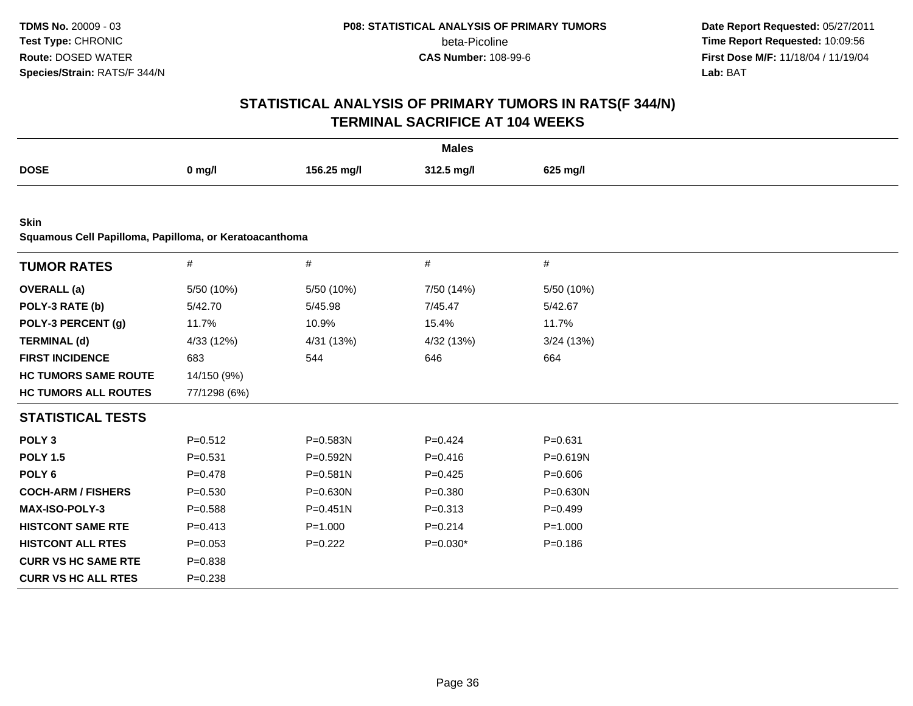**Date Report Requested:** 05/27/2011 **Time Report Requested:** 10:09:56 **First Dose M/F:** 11/18/04 / 11/19/04<br>**Lab:** BAT **Lab:** BAT

| <b>Males</b>                                           |              |              |             |              |  |  |  |
|--------------------------------------------------------|--------------|--------------|-------------|--------------|--|--|--|
| <b>DOSE</b>                                            | $0$ mg/l     | 156.25 mg/l  | 312.5 mg/l  | 625 mg/l     |  |  |  |
|                                                        |              |              |             |              |  |  |  |
| <b>Skin</b>                                            |              |              |             |              |  |  |  |
| Squamous Cell Papilloma, Papilloma, or Keratoacanthoma |              |              |             |              |  |  |  |
| <b>TUMOR RATES</b>                                     | $\#$         | $\#$         | #           | #            |  |  |  |
| <b>OVERALL</b> (a)                                     | 5/50 (10%)   | 5/50 (10%)   | 7/50 (14%)  | 5/50 (10%)   |  |  |  |
| POLY-3 RATE (b)                                        | 5/42.70      | 5/45.98      | 7/45.47     | 5/42.67      |  |  |  |
| POLY-3 PERCENT (g)                                     | 11.7%        | 10.9%        | 15.4%       | 11.7%        |  |  |  |
| <b>TERMINAL (d)</b>                                    | 4/33 (12%)   | 4/31 (13%)   | 4/32 (13%)  | 3/24(13%)    |  |  |  |
| <b>FIRST INCIDENCE</b>                                 | 683          | 544          | 646         | 664          |  |  |  |
| <b>HC TUMORS SAME ROUTE</b>                            | 14/150 (9%)  |              |             |              |  |  |  |
| <b>HC TUMORS ALL ROUTES</b>                            | 77/1298 (6%) |              |             |              |  |  |  |
| <b>STATISTICAL TESTS</b>                               |              |              |             |              |  |  |  |
| POLY <sub>3</sub>                                      | $P = 0.512$  | P=0.583N     | $P=0.424$   | $P = 0.631$  |  |  |  |
| <b>POLY 1.5</b>                                        | $P = 0.531$  | P=0.592N     | $P = 0.416$ | $P = 0.619N$ |  |  |  |
| POLY <sub>6</sub>                                      | $P = 0.478$  | $P = 0.581N$ | $P=0.425$   | $P = 0.606$  |  |  |  |
| <b>COCH-ARM / FISHERS</b>                              | $P = 0.530$  | $P = 0.630N$ | $P = 0.380$ | $P = 0.630N$ |  |  |  |
| MAX-ISO-POLY-3                                         | $P = 0.588$  | $P = 0.451N$ | $P = 0.313$ | $P=0.499$    |  |  |  |
| <b>HISTCONT SAME RTE</b>                               | $P = 0.413$  | $P = 1.000$  | $P = 0.214$ | $P = 1.000$  |  |  |  |
| <b>HISTCONT ALL RTES</b>                               | $P = 0.053$  | $P=0.222$    | $P=0.030*$  | $P = 0.186$  |  |  |  |
| <b>CURR VS HC SAME RTE</b>                             | $P = 0.838$  |              |             |              |  |  |  |
| <b>CURR VS HC ALL RTES</b>                             | $P = 0.238$  |              |             |              |  |  |  |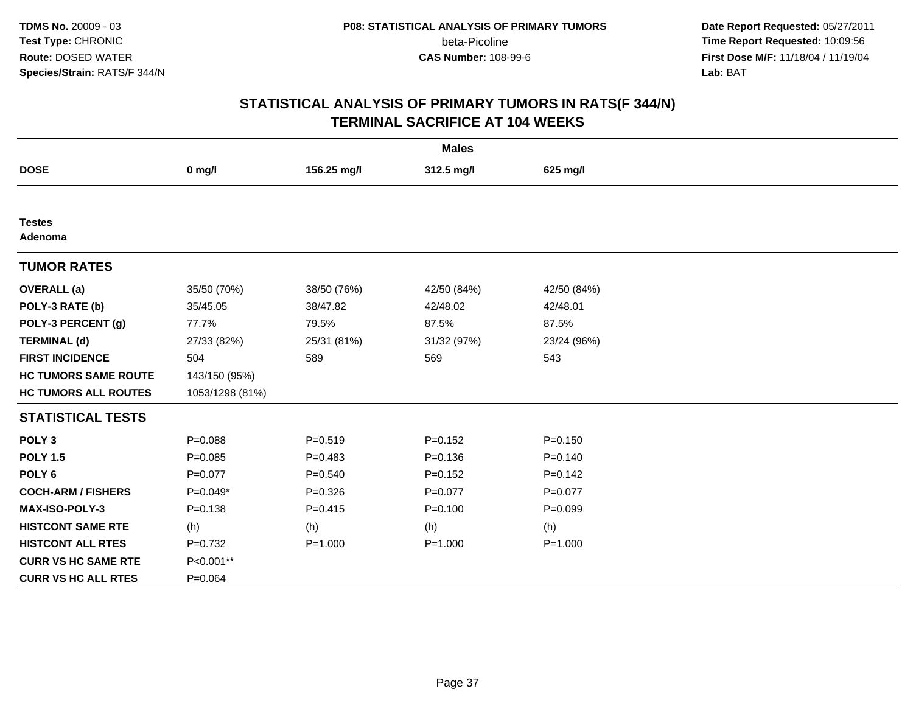**Date Report Requested:** 05/27/2011 **Time Report Requested:** 10:09:56 **First Dose M/F:** 11/18/04 / 11/19/04<br>**Lab:** BAT **Lab:** BAT

|                             |                 |             | <b>Males</b> |             |
|-----------------------------|-----------------|-------------|--------------|-------------|
| <b>DOSE</b>                 | $0$ mg/l        | 156.25 mg/l | 312.5 mg/l   | 625 mg/l    |
|                             |                 |             |              |             |
| <b>Testes</b><br>Adenoma    |                 |             |              |             |
| <b>TUMOR RATES</b>          |                 |             |              |             |
| <b>OVERALL</b> (a)          | 35/50 (70%)     | 38/50 (76%) | 42/50 (84%)  | 42/50 (84%) |
| POLY-3 RATE (b)             | 35/45.05        | 38/47.82    | 42/48.02     | 42/48.01    |
| POLY-3 PERCENT (g)          | 77.7%           | 79.5%       | 87.5%        | 87.5%       |
| <b>TERMINAL (d)</b>         | 27/33 (82%)     | 25/31 (81%) | 31/32 (97%)  | 23/24 (96%) |
| <b>FIRST INCIDENCE</b>      | 504             | 589         | 569          | 543         |
| <b>HC TUMORS SAME ROUTE</b> | 143/150 (95%)   |             |              |             |
| <b>HC TUMORS ALL ROUTES</b> | 1053/1298 (81%) |             |              |             |
| <b>STATISTICAL TESTS</b>    |                 |             |              |             |
| POLY <sub>3</sub>           | $P = 0.088$     | $P = 0.519$ | $P=0.152$    | $P = 0.150$ |
| <b>POLY 1.5</b>             | $P = 0.085$     | $P = 0.483$ | $P = 0.136$  | $P = 0.140$ |
| POLY <sub>6</sub>           | $P=0.077$       | $P = 0.540$ | $P = 0.152$  | $P=0.142$   |
| <b>COCH-ARM / FISHERS</b>   | $P=0.049*$      | $P = 0.326$ | $P=0.077$    | $P = 0.077$ |
| <b>MAX-ISO-POLY-3</b>       | $P = 0.138$     | $P=0.415$   | $P = 0.100$  | $P=0.099$   |
| <b>HISTCONT SAME RTE</b>    | (h)             | (h)         | (h)          | (h)         |
| <b>HISTCONT ALL RTES</b>    | $P=0.732$       | $P = 1.000$ | $P = 1.000$  | $P = 1.000$ |
| <b>CURR VS HC SAME RTE</b>  | P<0.001**       |             |              |             |
| <b>CURR VS HC ALL RTES</b>  | $P = 0.064$     |             |              |             |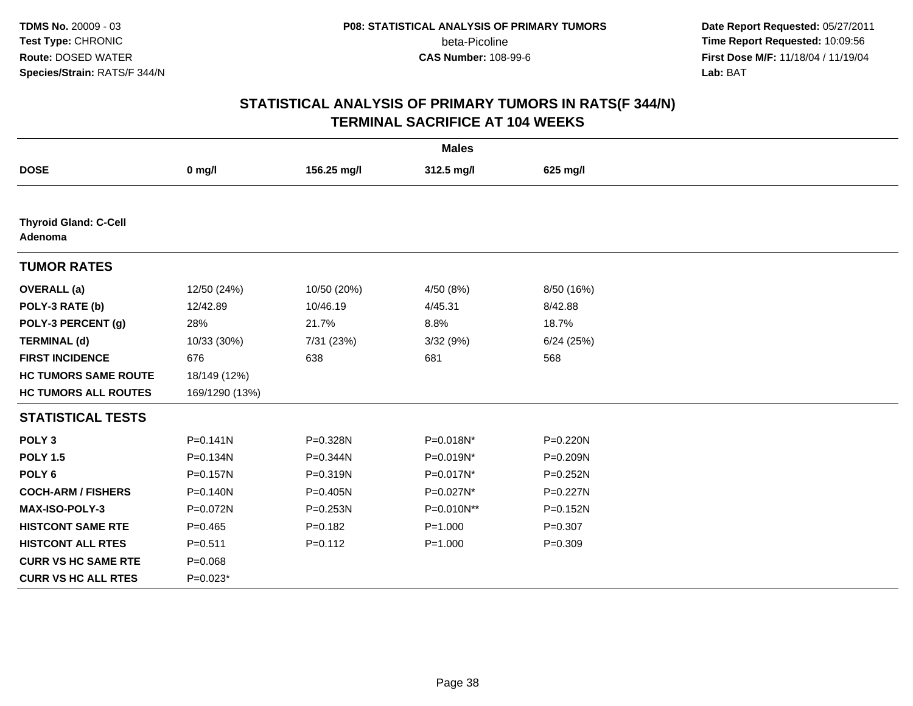**Date Report Requested:** 05/27/2011 **Time Report Requested:** 10:09:56 **First Dose M/F:** 11/18/04 / 11/19/04<br>**Lab:** BAT **Lab:** BAT

|                                         |                |              | <b>Males</b> |              |  |
|-----------------------------------------|----------------|--------------|--------------|--------------|--|
| <b>DOSE</b>                             | $0$ mg/l       | 156.25 mg/l  | 312.5 mg/l   | 625 mg/l     |  |
|                                         |                |              |              |              |  |
| <b>Thyroid Gland: C-Cell</b><br>Adenoma |                |              |              |              |  |
| <b>TUMOR RATES</b>                      |                |              |              |              |  |
| <b>OVERALL</b> (a)                      | 12/50 (24%)    | 10/50 (20%)  | 4/50 (8%)    | 8/50 (16%)   |  |
| POLY-3 RATE (b)                         | 12/42.89       | 10/46.19     | 4/45.31      | 8/42.88      |  |
| POLY-3 PERCENT (g)                      | 28%            | 21.7%        | 8.8%         | 18.7%        |  |
| <b>TERMINAL (d)</b>                     | 10/33 (30%)    | 7/31 (23%)   | 3/32 (9%)    | 6/24(25%)    |  |
| <b>FIRST INCIDENCE</b>                  | 676            | 638          | 681          | 568          |  |
| <b>HC TUMORS SAME ROUTE</b>             | 18/149 (12%)   |              |              |              |  |
| <b>HC TUMORS ALL ROUTES</b>             | 169/1290 (13%) |              |              |              |  |
| <b>STATISTICAL TESTS</b>                |                |              |              |              |  |
| POLY <sub>3</sub>                       | $P = 0.141N$   | P=0.328N     | P=0.018N*    | P=0.220N     |  |
| <b>POLY 1.5</b>                         | P=0.134N       | P=0.344N     | P=0.019N*    | P=0.209N     |  |
| POLY <sub>6</sub>                       | $P = 0.157N$   | P=0.319N     | P=0.017N*    | P=0.252N     |  |
| <b>COCH-ARM / FISHERS</b>               | $P = 0.140N$   | $P = 0.405N$ | P=0.027N*    | P=0.227N     |  |
| <b>MAX-ISO-POLY-3</b>                   | P=0.072N       | $P = 0.253N$ | P=0.010N**   | $P = 0.152N$ |  |
| <b>HISTCONT SAME RTE</b>                | $P=0.465$      | $P = 0.182$  | $P = 1.000$  | $P=0.307$    |  |
| <b>HISTCONT ALL RTES</b>                | $P = 0.511$    | $P = 0.112$  | $P = 1.000$  | $P = 0.309$  |  |
| <b>CURR VS HC SAME RTE</b>              | $P = 0.068$    |              |              |              |  |
| <b>CURR VS HC ALL RTES</b>              | $P=0.023*$     |              |              |              |  |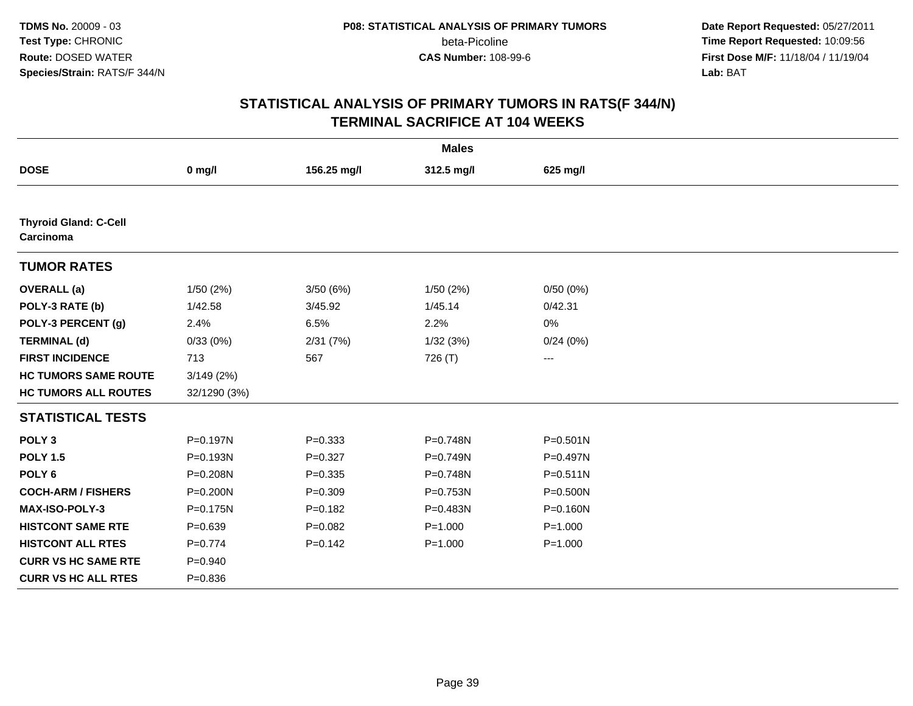**Date Report Requested:** 05/27/2011 **Time Report Requested:** 10:09:56 **First Dose M/F:** 11/18/04 / 11/19/04<br>**Lab:** BAT **Lab:** BAT

|                                           |              |             | <b>Males</b> |              |  |
|-------------------------------------------|--------------|-------------|--------------|--------------|--|
| <b>DOSE</b>                               | $0$ mg/l     | 156.25 mg/l | 312.5 mg/l   | 625 mg/l     |  |
|                                           |              |             |              |              |  |
| <b>Thyroid Gland: C-Cell</b><br>Carcinoma |              |             |              |              |  |
| <b>TUMOR RATES</b>                        |              |             |              |              |  |
| <b>OVERALL</b> (a)                        | 1/50(2%)     | 3/50(6%)    | 1/50(2%)     | 0/50(0%)     |  |
| POLY-3 RATE (b)                           | 1/42.58      | 3/45.92     | 1/45.14      | 0/42.31      |  |
| POLY-3 PERCENT (g)                        | 2.4%         | 6.5%        | 2.2%         | 0%           |  |
| <b>TERMINAL (d)</b>                       | 0/33(0%)     | 2/31(7%)    | 1/32(3%)     | 0/24(0%)     |  |
| <b>FIRST INCIDENCE</b>                    | 713          | 567         | 726 (T)      | ---          |  |
| <b>HC TUMORS SAME ROUTE</b>               | 3/149(2%)    |             |              |              |  |
| <b>HC TUMORS ALL ROUTES</b>               | 32/1290 (3%) |             |              |              |  |
| <b>STATISTICAL TESTS</b>                  |              |             |              |              |  |
| POLY <sub>3</sub>                         | $P = 0.197N$ | $P = 0.333$ | P=0.748N     | $P = 0.501N$ |  |
| <b>POLY 1.5</b>                           | $P = 0.193N$ | $P=0.327$   | P=0.749N     | P=0.497N     |  |
| POLY <sub>6</sub>                         | P=0.208N     | $P = 0.335$ | P=0.748N     | $P = 0.511N$ |  |
| <b>COCH-ARM / FISHERS</b>                 | $P = 0.200N$ | $P = 0.309$ | P=0.753N     | $P = 0.500N$ |  |
| <b>MAX-ISO-POLY-3</b>                     | $P = 0.175N$ | $P = 0.182$ | P=0.483N     | $P = 0.160N$ |  |
| <b>HISTCONT SAME RTE</b>                  | $P=0.639$    | $P=0.082$   | $P = 1.000$  | $P = 1.000$  |  |
| <b>HISTCONT ALL RTES</b>                  | $P=0.774$    | $P = 0.142$ | $P = 1.000$  | $P = 1.000$  |  |
| <b>CURR VS HC SAME RTE</b>                | $P = 0.940$  |             |              |              |  |
| <b>CURR VS HC ALL RTES</b>                | $P = 0.836$  |             |              |              |  |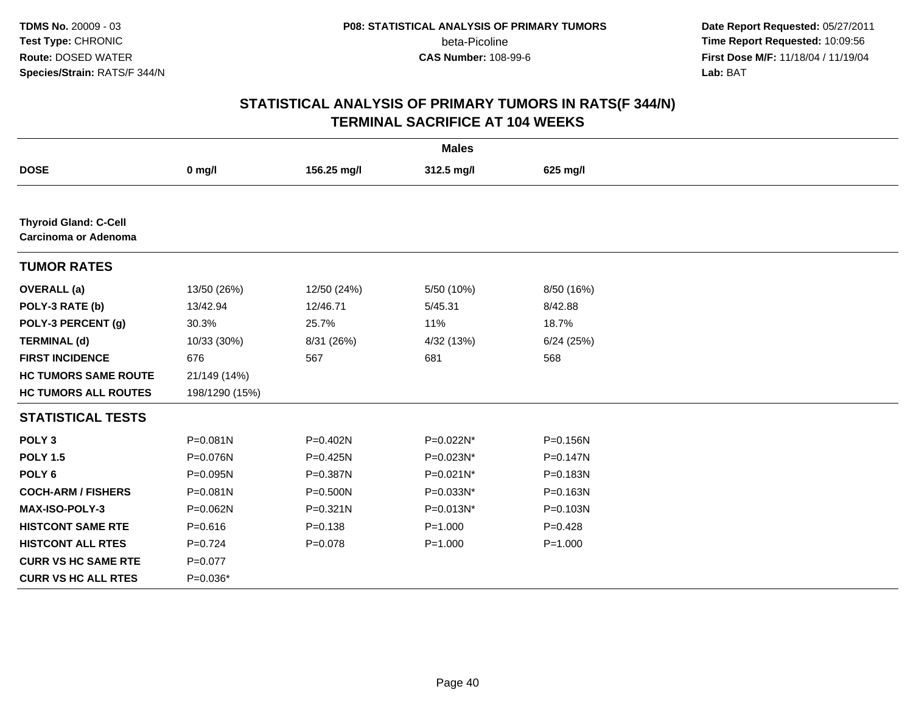**Date Report Requested:** 05/27/2011 **Time Report Requested:** 10:09:56 **First Dose M/F:** 11/18/04 / 11/19/04<br>**Lab:** BAT **Lab:** BAT

|                                                      |                |              | <b>Males</b> |              |  |
|------------------------------------------------------|----------------|--------------|--------------|--------------|--|
| <b>DOSE</b>                                          | $0$ mg/l       | 156.25 mg/l  | 312.5 mg/l   | 625 mg/l     |  |
|                                                      |                |              |              |              |  |
| <b>Thyroid Gland: C-Cell</b><br>Carcinoma or Adenoma |                |              |              |              |  |
| <b>TUMOR RATES</b>                                   |                |              |              |              |  |
| <b>OVERALL</b> (a)                                   | 13/50 (26%)    | 12/50 (24%)  | 5/50 (10%)   | 8/50 (16%)   |  |
| POLY-3 RATE (b)                                      | 13/42.94       | 12/46.71     | 5/45.31      | 8/42.88      |  |
| POLY-3 PERCENT (g)                                   | 30.3%          | 25.7%        | 11%          | 18.7%        |  |
| <b>TERMINAL (d)</b>                                  | 10/33 (30%)    | 8/31 (26%)   | 4/32 (13%)   | 6/24(25%)    |  |
| <b>FIRST INCIDENCE</b>                               | 676            | 567          | 681          | 568          |  |
| <b>HC TUMORS SAME ROUTE</b>                          | 21/149 (14%)   |              |              |              |  |
| <b>HC TUMORS ALL ROUTES</b>                          | 198/1290 (15%) |              |              |              |  |
| <b>STATISTICAL TESTS</b>                             |                |              |              |              |  |
| POLY <sub>3</sub>                                    | P=0.081N       | $P = 0.402N$ | P=0.022N*    | P=0.156N     |  |
| <b>POLY 1.5</b>                                      | P=0.076N       | $P = 0.425N$ | P=0.023N*    | $P = 0.147N$ |  |
| POLY <sub>6</sub>                                    | P=0.095N       | P=0.387N     | P=0.021N*    | P=0.183N     |  |
| <b>COCH-ARM / FISHERS</b>                            | P=0.081N       | $P = 0.500N$ | P=0.033N*    | P=0.163N     |  |
| <b>MAX-ISO-POLY-3</b>                                | $P = 0.062N$   | $P = 0.321N$ | P=0.013N*    | $P = 0.103N$ |  |
| <b>HISTCONT SAME RTE</b>                             | $P = 0.616$    | $P = 0.138$  | $P = 1.000$  | $P = 0.428$  |  |
| <b>HISTCONT ALL RTES</b>                             | $P=0.724$      | $P=0.078$    | $P = 1.000$  | $P = 1.000$  |  |
| <b>CURR VS HC SAME RTE</b>                           | $P=0.077$      |              |              |              |  |
| <b>CURR VS HC ALL RTES</b>                           | $P=0.036*$     |              |              |              |  |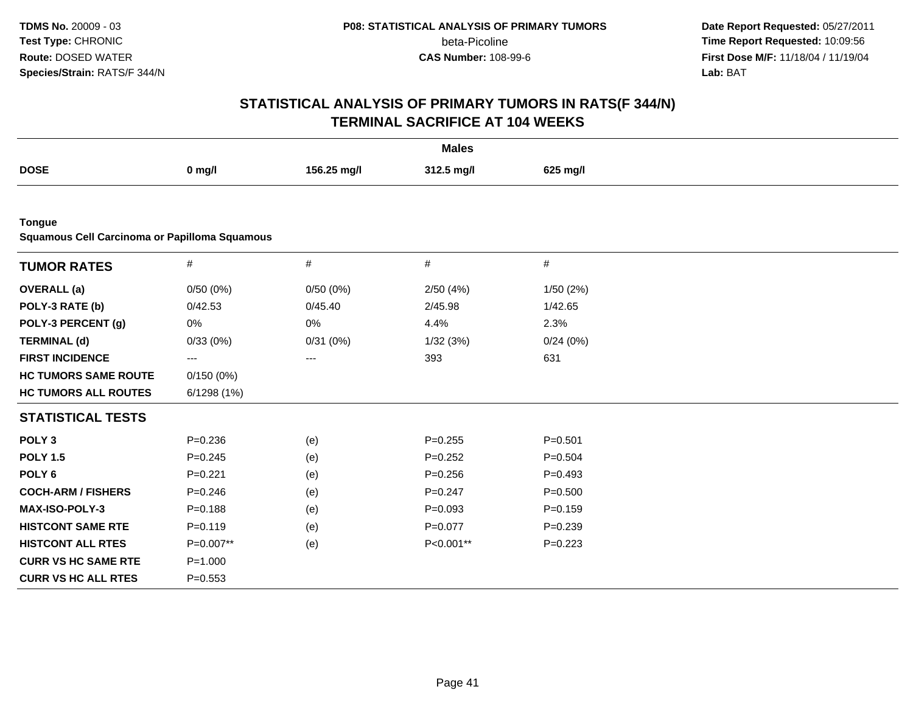**Date Report Requested:** 05/27/2011 **Time Report Requested:** 10:09:56 **First Dose M/F:** 11/18/04 / 11/19/04<br>**Lab:** BAT **Lab:** BAT

|                                                                |             |             | <b>Males</b> |             |  |  |  |  |  |
|----------------------------------------------------------------|-------------|-------------|--------------|-------------|--|--|--|--|--|
| <b>DOSE</b>                                                    | $0$ mg/l    | 156.25 mg/l | 312.5 mg/l   | 625 mg/l    |  |  |  |  |  |
|                                                                |             |             |              |             |  |  |  |  |  |
| <b>Tongue</b><br>Squamous Cell Carcinoma or Papilloma Squamous |             |             |              |             |  |  |  |  |  |
| <b>TUMOR RATES</b>                                             | $\#$        | $\#$        | #            | #           |  |  |  |  |  |
| <b>OVERALL</b> (a)                                             | 0/50(0%)    | 0/50(0%)    | 2/50(4%)     | 1/50 (2%)   |  |  |  |  |  |
| POLY-3 RATE (b)                                                | 0/42.53     | 0/45.40     | 2/45.98      | 1/42.65     |  |  |  |  |  |
| POLY-3 PERCENT (g)                                             | 0%          | 0%          | 4.4%         | 2.3%        |  |  |  |  |  |
| <b>TERMINAL (d)</b>                                            | 0/33(0%)    | 0/31(0%)    | 1/32(3%)     | 0/24(0%)    |  |  |  |  |  |
| <b>FIRST INCIDENCE</b>                                         | ---         | ---         | 393          | 631         |  |  |  |  |  |
| <b>HC TUMORS SAME ROUTE</b>                                    | 0/150(0%)   |             |              |             |  |  |  |  |  |
| <b>HC TUMORS ALL ROUTES</b>                                    | 6/1298 (1%) |             |              |             |  |  |  |  |  |
| <b>STATISTICAL TESTS</b>                                       |             |             |              |             |  |  |  |  |  |
| POLY <sub>3</sub>                                              | $P = 0.236$ | (e)         | $P = 0.255$  | $P = 0.501$ |  |  |  |  |  |
| <b>POLY 1.5</b>                                                | $P=0.245$   | (e)         | $P=0.252$    | $P=0.504$   |  |  |  |  |  |
| POLY <sub>6</sub>                                              | $P=0.221$   | (e)         | $P = 0.256$  | $P=0.493$   |  |  |  |  |  |
| <b>COCH-ARM / FISHERS</b>                                      | $P = 0.246$ | (e)         | $P=0.247$    | $P = 0.500$ |  |  |  |  |  |
| <b>MAX-ISO-POLY-3</b>                                          | $P = 0.188$ | (e)         | $P=0.093$    | $P = 0.159$ |  |  |  |  |  |
| <b>HISTCONT SAME RTE</b>                                       | $P=0.119$   | (e)         | $P=0.077$    | $P=0.239$   |  |  |  |  |  |
| <b>HISTCONT ALL RTES</b>                                       | P=0.007**   | (e)         | P<0.001**    | $P=0.223$   |  |  |  |  |  |
| <b>CURR VS HC SAME RTE</b>                                     | $P = 1.000$ |             |              |             |  |  |  |  |  |
| <b>CURR VS HC ALL RTES</b>                                     | $P = 0.553$ |             |              |             |  |  |  |  |  |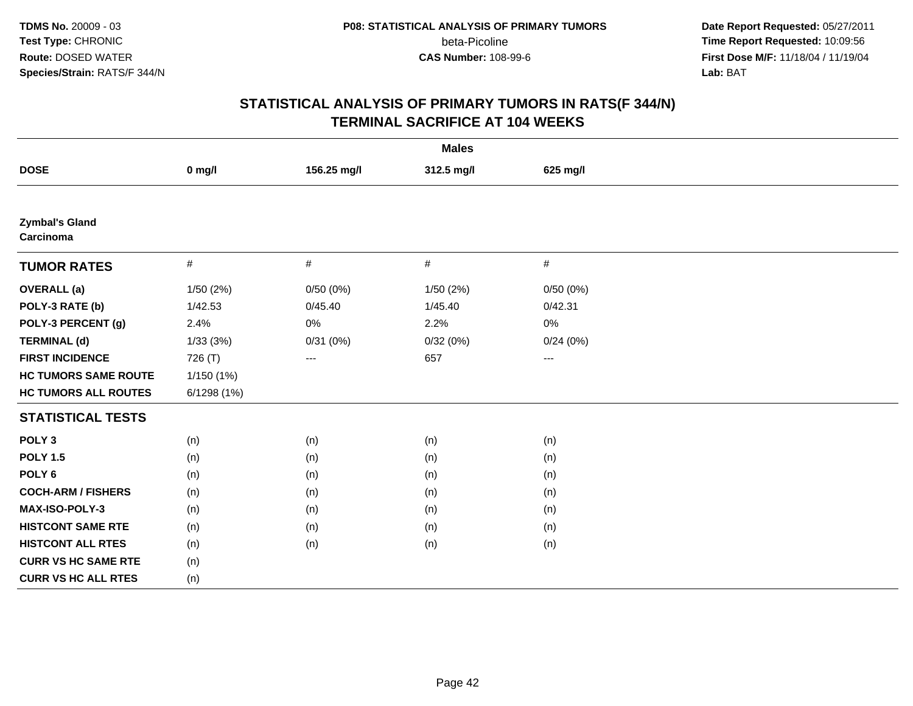**Date Report Requested:** 05/27/2011 **Time Report Requested:** 10:09:56 **First Dose M/F:** 11/18/04 / 11/19/04<br>**Lab:** BAT **Lab:** BAT

| <b>Males</b>                       |            |             |            |          |  |
|------------------------------------|------------|-------------|------------|----------|--|
| <b>DOSE</b>                        | $0$ mg/l   | 156.25 mg/l | 312.5 mg/l | 625 mg/l |  |
|                                    |            |             |            |          |  |
| <b>Zymbal's Gland</b><br>Carcinoma |            |             |            |          |  |
| <b>TUMOR RATES</b>                 | $\#$       | $\#$        | $\#$       | $\#$     |  |
| <b>OVERALL</b> (a)                 | 1/50 (2%)  | 0/50(0%)    | 1/50(2%)   | 0/50(0%) |  |
| POLY-3 RATE (b)                    | 1/42.53    | 0/45.40     | 1/45.40    | 0/42.31  |  |
| POLY-3 PERCENT (g)                 | 2.4%       | $0\%$       | 2.2%       | 0%       |  |
| <b>TERMINAL (d)</b>                | 1/33(3%)   | 0/31(0%)    | 0/32(0%)   | 0/24(0%) |  |
| <b>FIRST INCIDENCE</b>             | 726 (T)    | $--$        | 657        | $--$     |  |
| <b>HC TUMORS SAME ROUTE</b>        | 1/150 (1%) |             |            |          |  |
| <b>HC TUMORS ALL ROUTES</b>        | 6/1298(1%) |             |            |          |  |
| <b>STATISTICAL TESTS</b>           |            |             |            |          |  |
| POLY <sub>3</sub>                  | (n)        | (n)         | (n)        | (n)      |  |
| <b>POLY 1.5</b>                    | (n)        | (n)         | (n)        | (n)      |  |
| POLY <sub>6</sub>                  | (n)        | (n)         | (n)        | (n)      |  |
| <b>COCH-ARM / FISHERS</b>          | (n)        | (n)         | (n)        | (n)      |  |
| <b>MAX-ISO-POLY-3</b>              | (n)        | (n)         | (n)        | (n)      |  |
| <b>HISTCONT SAME RTE</b>           | (n)        | (n)         | (n)        | (n)      |  |
| <b>HISTCONT ALL RTES</b>           | (n)        | (n)         | (n)        | (n)      |  |
| <b>CURR VS HC SAME RTE</b>         | (n)        |             |            |          |  |
| <b>CURR VS HC ALL RTES</b>         | (n)        |             |            |          |  |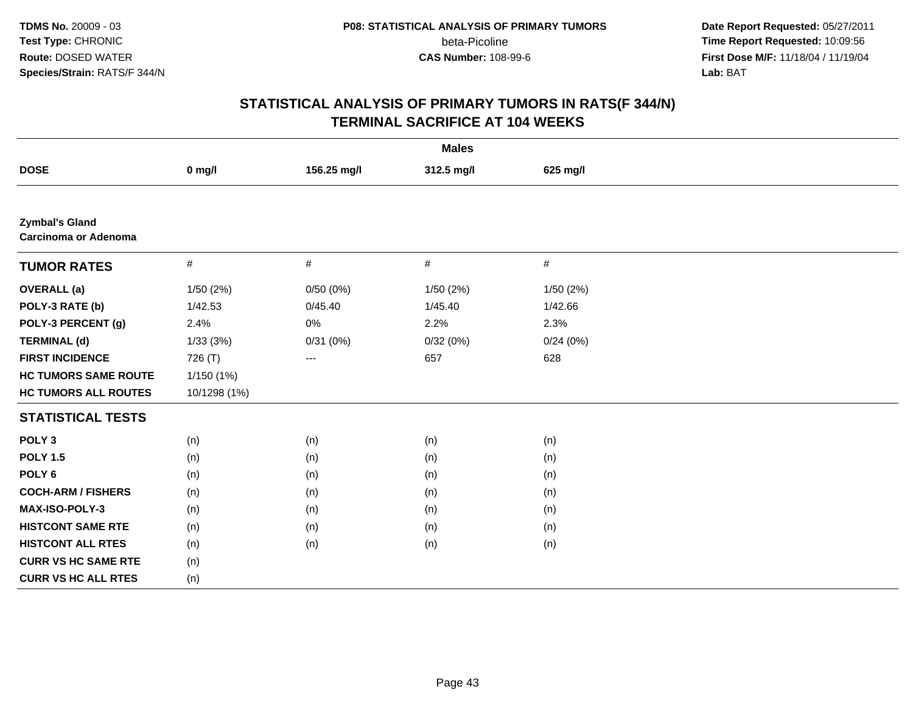**Date Report Requested:** 05/27/2011 **Time Report Requested:** 10:09:56 **First Dose M/F:** 11/18/04 / 11/19/04<br>**Lab:** BAT **Lab:** BAT

| <b>Males</b>                                         |              |             |            |           |  |
|------------------------------------------------------|--------------|-------------|------------|-----------|--|
| <b>DOSE</b>                                          | $0$ mg/l     | 156.25 mg/l | 312.5 mg/l | 625 mg/l  |  |
|                                                      |              |             |            |           |  |
| <b>Zymbal's Gland</b><br><b>Carcinoma or Adenoma</b> |              |             |            |           |  |
| <b>TUMOR RATES</b>                                   | $\#$         | $\#$        | $\#$       | $\#$      |  |
| <b>OVERALL</b> (a)                                   | 1/50(2%)     | 0/50(0%)    | 1/50 (2%)  | 1/50 (2%) |  |
| POLY-3 RATE (b)                                      | 1/42.53      | 0/45.40     | 1/45.40    | 1/42.66   |  |
| POLY-3 PERCENT (g)                                   | 2.4%         | $0\%$       | 2.2%       | 2.3%      |  |
| <b>TERMINAL (d)</b>                                  | 1/33(3%)     | 0/31(0%)    | 0/32(0%)   | 0/24(0%)  |  |
| <b>FIRST INCIDENCE</b>                               | 726 (T)      | ---         | 657        | 628       |  |
| <b>HC TUMORS SAME ROUTE</b>                          | 1/150(1%)    |             |            |           |  |
| <b>HC TUMORS ALL ROUTES</b>                          | 10/1298 (1%) |             |            |           |  |
| <b>STATISTICAL TESTS</b>                             |              |             |            |           |  |
| POLY <sub>3</sub>                                    | (n)          | (n)         | (n)        | (n)       |  |
| <b>POLY 1.5</b>                                      | (n)          | (n)         | (n)        | (n)       |  |
| POLY <sub>6</sub>                                    | (n)          | (n)         | (n)        | (n)       |  |
| <b>COCH-ARM / FISHERS</b>                            | (n)          | (n)         | (n)        | (n)       |  |
| MAX-ISO-POLY-3                                       | (n)          | (n)         | (n)        | (n)       |  |
| <b>HISTCONT SAME RTE</b>                             | (n)          | (n)         | (n)        | (n)       |  |
| <b>HISTCONT ALL RTES</b>                             | (n)          | (n)         | (n)        | (n)       |  |
| <b>CURR VS HC SAME RTE</b>                           | (n)          |             |            |           |  |
| <b>CURR VS HC ALL RTES</b>                           | (n)          |             |            |           |  |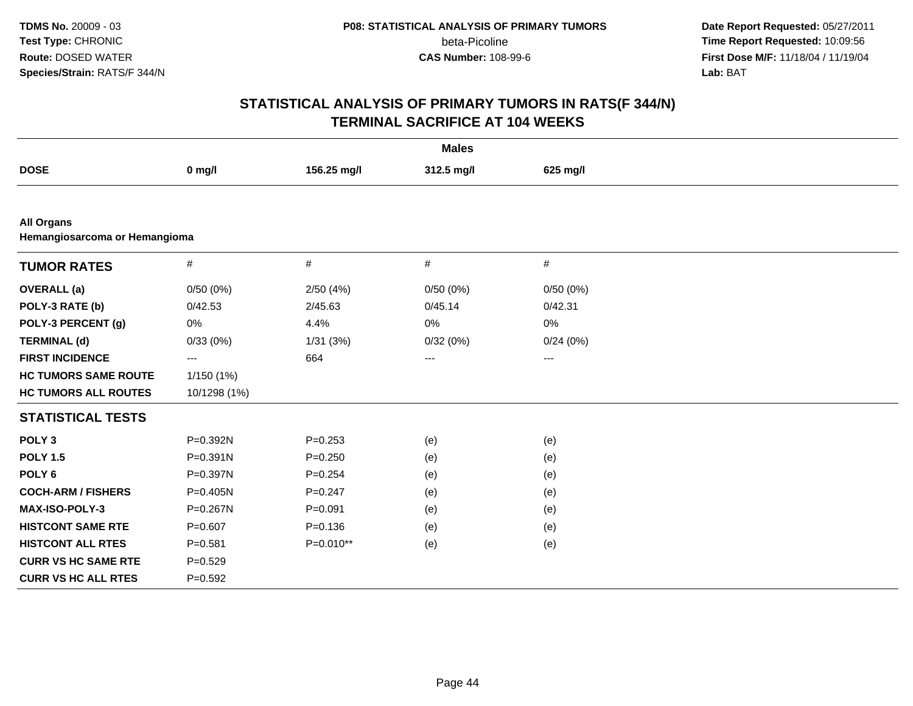**Date Report Requested:** 05/27/2011 **Time Report Requested:** 10:09:56 **First Dose M/F:** 11/18/04 / 11/19/04<br>**Lab:** BAT **Lab:** BAT

|                                                    |                   |             | <b>Males</b> |                   |  |  |  |  |
|----------------------------------------------------|-------------------|-------------|--------------|-------------------|--|--|--|--|
| <b>DOSE</b>                                        | $0$ mg/l          | 156.25 mg/l | 312.5 mg/l   | 625 mg/l          |  |  |  |  |
|                                                    |                   |             |              |                   |  |  |  |  |
| <b>All Organs</b><br>Hemangiosarcoma or Hemangioma |                   |             |              |                   |  |  |  |  |
| <b>TUMOR RATES</b>                                 | #                 | $\#$        | #            | $\#$              |  |  |  |  |
| <b>OVERALL</b> (a)                                 | 0/50(0%)          | 2/50(4%)    | 0/50(0%)     | 0/50(0%)          |  |  |  |  |
| POLY-3 RATE (b)                                    | 0/42.53           | 2/45.63     | 0/45.14      | 0/42.31           |  |  |  |  |
| POLY-3 PERCENT (g)                                 | 0%                | 4.4%        | 0%           | 0%                |  |  |  |  |
| <b>TERMINAL (d)</b>                                | 0/33(0%)          | 1/31(3%)    | 0/32(0%)     | 0/24(0%)          |  |  |  |  |
| <b>FIRST INCIDENCE</b>                             | $\qquad \qquad -$ | 664         | ---          | $\qquad \qquad -$ |  |  |  |  |
| <b>HC TUMORS SAME ROUTE</b>                        | 1/150(1%)         |             |              |                   |  |  |  |  |
| <b>HC TUMORS ALL ROUTES</b>                        | 10/1298 (1%)      |             |              |                   |  |  |  |  |
| <b>STATISTICAL TESTS</b>                           |                   |             |              |                   |  |  |  |  |
| POLY <sub>3</sub>                                  | P=0.392N          | $P = 0.253$ | (e)          | (e)               |  |  |  |  |
| <b>POLY 1.5</b>                                    | P=0.391N          | $P = 0.250$ | (e)          | (e)               |  |  |  |  |
| POLY <sub>6</sub>                                  | P=0.397N          | $P = 0.254$ | (e)          | (e)               |  |  |  |  |
| <b>COCH-ARM / FISHERS</b>                          | P=0.405N          | $P=0.247$   | (e)          | (e)               |  |  |  |  |
| <b>MAX-ISO-POLY-3</b>                              | P=0.267N          | $P = 0.091$ | (e)          | (e)               |  |  |  |  |
| <b>HISTCONT SAME RTE</b>                           | $P=0.607$         | $P = 0.136$ | (e)          | (e)               |  |  |  |  |
| <b>HISTCONT ALL RTES</b>                           | $P = 0.581$       | P=0.010**   | (e)          | (e)               |  |  |  |  |
| <b>CURR VS HC SAME RTE</b>                         | $P = 0.529$       |             |              |                   |  |  |  |  |
| <b>CURR VS HC ALL RTES</b>                         | $P = 0.592$       |             |              |                   |  |  |  |  |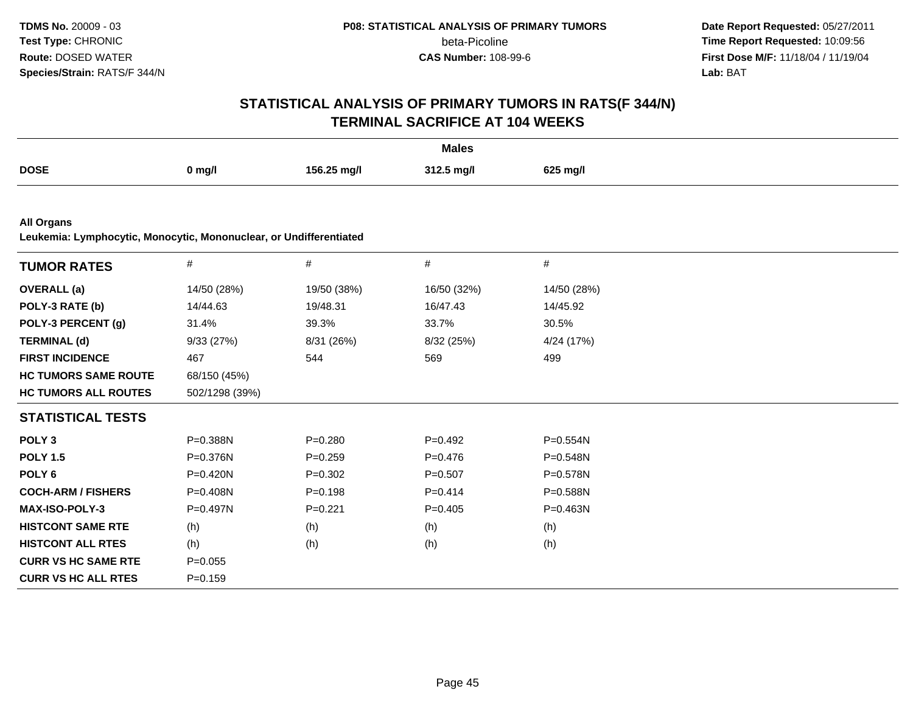**Date Report Requested:** 05/27/2011 **Time Report Requested:** 10:09:56 **First Dose M/F:** 11/18/04 / 11/19/04<br>**Lab:** BAT **Lab:** BAT

|                                                                                         |                |             | <b>Males</b> |              |  |  |  |  |
|-----------------------------------------------------------------------------------------|----------------|-------------|--------------|--------------|--|--|--|--|
| <b>DOSE</b>                                                                             | $0$ mg/l       | 156.25 mg/l | 312.5 mg/l   | 625 mg/l     |  |  |  |  |
|                                                                                         |                |             |              |              |  |  |  |  |
| <b>All Organs</b><br>Leukemia: Lymphocytic, Monocytic, Mononuclear, or Undifferentiated |                |             |              |              |  |  |  |  |
| <b>TUMOR RATES</b>                                                                      | $\#$           | $\#$        | $\#$         | $\#$         |  |  |  |  |
| <b>OVERALL</b> (a)                                                                      | 14/50 (28%)    | 19/50 (38%) | 16/50 (32%)  | 14/50 (28%)  |  |  |  |  |
| POLY-3 RATE (b)                                                                         | 14/44.63       | 19/48.31    | 16/47.43     | 14/45.92     |  |  |  |  |
| POLY-3 PERCENT (g)                                                                      | 31.4%          | 39.3%       | 33.7%        | 30.5%        |  |  |  |  |
| <b>TERMINAL (d)</b>                                                                     | 9/33(27%)      | 8/31 (26%)  | 8/32 (25%)   | 4/24 (17%)   |  |  |  |  |
| <b>FIRST INCIDENCE</b>                                                                  | 467            | 544         | 569          | 499          |  |  |  |  |
| <b>HC TUMORS SAME ROUTE</b>                                                             | 68/150 (45%)   |             |              |              |  |  |  |  |
| <b>HC TUMORS ALL ROUTES</b>                                                             | 502/1298 (39%) |             |              |              |  |  |  |  |
| <b>STATISTICAL TESTS</b>                                                                |                |             |              |              |  |  |  |  |
| POLY <sub>3</sub>                                                                       | P=0.388N       | $P = 0.280$ | $P=0.492$    | $P = 0.554N$ |  |  |  |  |
| <b>POLY 1.5</b>                                                                         | P=0.376N       | $P=0.259$   | $P = 0.476$  | $P = 0.548N$ |  |  |  |  |
| POLY <sub>6</sub>                                                                       | $P = 0.420N$   | $P=0.302$   | $P = 0.507$  | P=0.578N     |  |  |  |  |
| <b>COCH-ARM / FISHERS</b>                                                               | P=0.408N       | $P = 0.198$ | $P = 0.414$  | P=0.588N     |  |  |  |  |
| MAX-ISO-POLY-3                                                                          | P=0.497N       | $P=0.221$   | $P = 0.405$  | P=0.463N     |  |  |  |  |
| <b>HISTCONT SAME RTE</b>                                                                | (h)            | (h)         | (h)          | (h)          |  |  |  |  |
| <b>HISTCONT ALL RTES</b>                                                                | (h)            | (h)         | (h)          | (h)          |  |  |  |  |
| <b>CURR VS HC SAME RTE</b>                                                              | $P=0.055$      |             |              |              |  |  |  |  |
| <b>CURR VS HC ALL RTES</b>                                                              | $P = 0.159$    |             |              |              |  |  |  |  |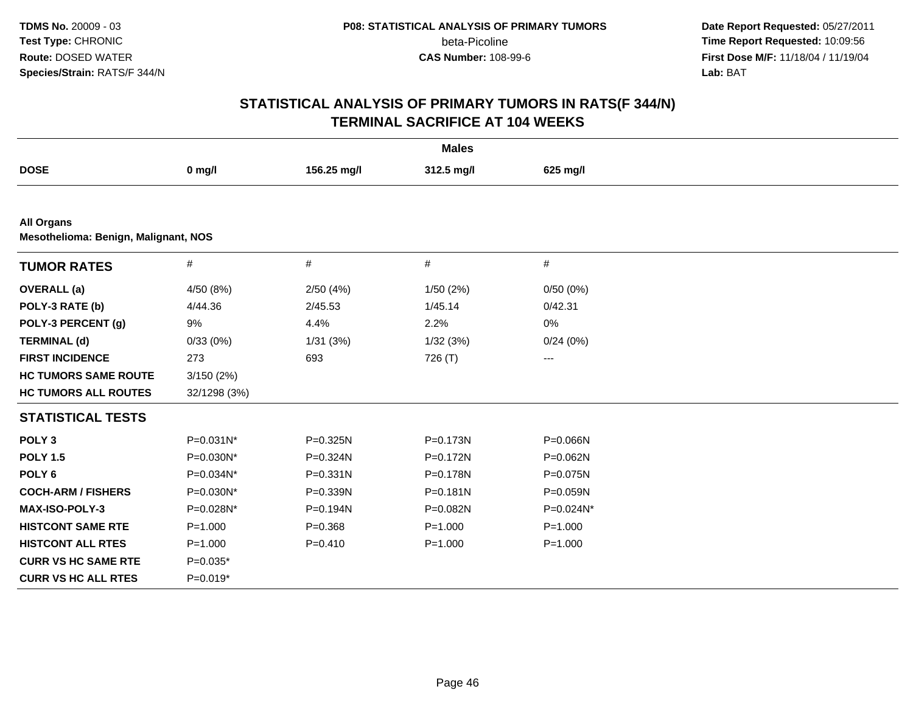**Date Report Requested:** 05/27/2011 **Time Report Requested:** 10:09:56 **First Dose M/F:** 11/18/04 / 11/19/04<br>**Lab:** BAT **Lab:** BAT

|                                                           |              |             | <b>Males</b> |              |  |  |  |  |
|-----------------------------------------------------------|--------------|-------------|--------------|--------------|--|--|--|--|
| <b>DOSE</b>                                               | $0$ mg/l     | 156.25 mg/l | 312.5 mg/l   | 625 mg/l     |  |  |  |  |
|                                                           |              |             |              |              |  |  |  |  |
| <b>All Organs</b><br>Mesothelioma: Benign, Malignant, NOS |              |             |              |              |  |  |  |  |
| <b>TUMOR RATES</b>                                        | $\#$         | #           | $\#$         | $\#$         |  |  |  |  |
| <b>OVERALL</b> (a)                                        | 4/50 (8%)    | 2/50(4%)    | 1/50(2%)     | 0/50(0%)     |  |  |  |  |
| POLY-3 RATE (b)                                           | 4/44.36      | 2/45.53     | 1/45.14      | 0/42.31      |  |  |  |  |
| POLY-3 PERCENT (g)                                        | 9%           | 4.4%        | 2.2%         | 0%           |  |  |  |  |
| <b>TERMINAL (d)</b>                                       | 0/33(0%)     | 1/31(3%)    | 1/32(3%)     | 0/24(0%)     |  |  |  |  |
| <b>FIRST INCIDENCE</b>                                    | 273          | 693         | 726 (T)      | $--$         |  |  |  |  |
| <b>HC TUMORS SAME ROUTE</b>                               | 3/150(2%)    |             |              |              |  |  |  |  |
| <b>HC TUMORS ALL ROUTES</b>                               | 32/1298 (3%) |             |              |              |  |  |  |  |
| <b>STATISTICAL TESTS</b>                                  |              |             |              |              |  |  |  |  |
| POLY <sub>3</sub>                                         | P=0.031N*    | P=0.325N    | P=0.173N     | P=0.066N     |  |  |  |  |
| <b>POLY 1.5</b>                                           | $P=0.030N^*$ | P=0.324N    | $P = 0.172N$ | $P = 0.062N$ |  |  |  |  |
| POLY <sub>6</sub>                                         | P=0.034N*    | P=0.331N    | P=0.178N     | P=0.075N     |  |  |  |  |
| <b>COCH-ARM / FISHERS</b>                                 | P=0.030N*    | P=0.339N    | $P = 0.181N$ | $P = 0.059N$ |  |  |  |  |
| <b>MAX-ISO-POLY-3</b>                                     | P=0.028N*    | P=0.194N    | P=0.082N     | P=0.024N*    |  |  |  |  |
| <b>HISTCONT SAME RTE</b>                                  | $P = 1.000$  | $P = 0.368$ | $P = 1.000$  | $P = 1.000$  |  |  |  |  |
| <b>HISTCONT ALL RTES</b>                                  | $P = 1.000$  | $P=0.410$   | $P = 1.000$  | $P = 1.000$  |  |  |  |  |
| <b>CURR VS HC SAME RTE</b>                                | $P=0.035*$   |             |              |              |  |  |  |  |
| <b>CURR VS HC ALL RTES</b>                                | $P=0.019*$   |             |              |              |  |  |  |  |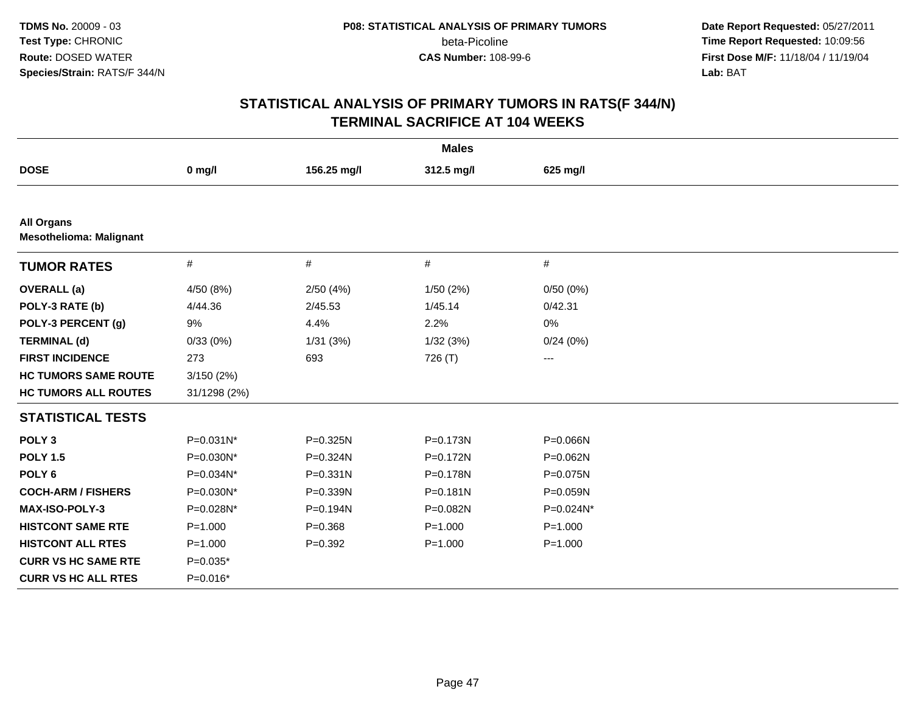**Date Report Requested:** 05/27/2011 **Time Report Requested:** 10:09:56 **First Dose M/F:** 11/18/04 / 11/19/04<br>**Lab:** BAT **Lab:** BAT

|                                                     |                |             | <b>Males</b> |              |  |
|-----------------------------------------------------|----------------|-------------|--------------|--------------|--|
| <b>DOSE</b>                                         | $0$ mg/l       | 156.25 mg/l | 312.5 mg/l   | 625 mg/l     |  |
|                                                     |                |             |              |              |  |
| <b>All Organs</b><br><b>Mesothelioma: Malignant</b> |                |             |              |              |  |
| <b>TUMOR RATES</b>                                  | $\#$           | #           | #            | #            |  |
| <b>OVERALL</b> (a)                                  | 4/50 (8%)      | 2/50(4%)    | 1/50(2%)     | 0/50(0%)     |  |
| POLY-3 RATE (b)                                     | 4/44.36        | 2/45.53     | 1/45.14      | 0/42.31      |  |
| POLY-3 PERCENT (g)                                  | 9%             | 4.4%        | 2.2%         | 0%           |  |
| <b>TERMINAL (d)</b>                                 | 0/33(0%)       | 1/31(3%)    | 1/32(3%)     | 0/24(0%)     |  |
| <b>FIRST INCIDENCE</b>                              | 273            | 693         | 726 (T)      | $--$         |  |
| <b>HC TUMORS SAME ROUTE</b>                         | 3/150(2%)      |             |              |              |  |
| <b>HC TUMORS ALL ROUTES</b>                         | 31/1298 (2%)   |             |              |              |  |
| <b>STATISTICAL TESTS</b>                            |                |             |              |              |  |
| POLY <sub>3</sub>                                   | $P = 0.031N^*$ | P=0.325N    | P=0.173N     | P=0.066N     |  |
| <b>POLY 1.5</b>                                     | P=0.030N*      | P=0.324N    | P=0.172N     | P=0.062N     |  |
| POLY <sub>6</sub>                                   | P=0.034N*      | P=0.331N    | P=0.178N     | P=0.075N     |  |
| <b>COCH-ARM / FISHERS</b>                           | P=0.030N*      | P=0.339N    | $P = 0.181N$ | $P = 0.059N$ |  |
| MAX-ISO-POLY-3                                      | P=0.028N*      | P=0.194N    | P=0.082N     | P=0.024N*    |  |
| <b>HISTCONT SAME RTE</b>                            | $P = 1.000$    | $P = 0.368$ | $P = 1.000$  | $P = 1.000$  |  |
| <b>HISTCONT ALL RTES</b>                            | $P = 1.000$    | $P=0.392$   | $P = 1.000$  | $P = 1.000$  |  |
| <b>CURR VS HC SAME RTE</b>                          | $P=0.035*$     |             |              |              |  |
| <b>CURR VS HC ALL RTES</b>                          | $P=0.016*$     |             |              |              |  |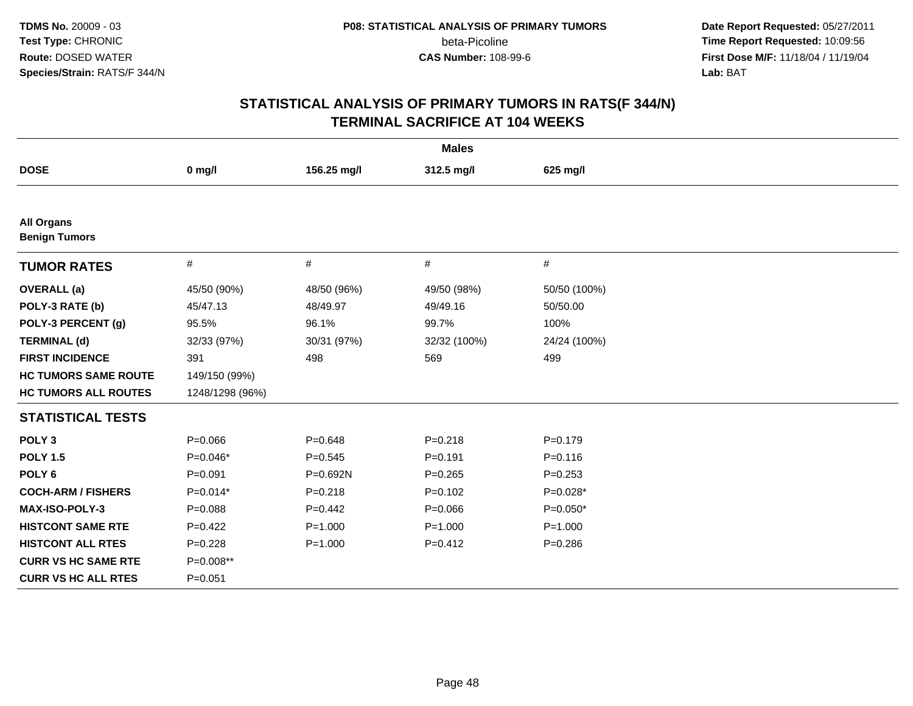**Date Report Requested:** 05/27/2011 **Time Report Requested:** 10:09:56 **First Dose M/F:** 11/18/04 / 11/19/04<br>**Lab:** BAT **Lab:** BAT

| <b>Males</b>                              |                 |             |              |              |  |
|-------------------------------------------|-----------------|-------------|--------------|--------------|--|
| <b>DOSE</b>                               | $0$ mg/l        | 156.25 mg/l | 312.5 mg/l   | 625 mg/l     |  |
|                                           |                 |             |              |              |  |
| <b>All Organs</b><br><b>Benign Tumors</b> |                 |             |              |              |  |
| <b>TUMOR RATES</b>                        | $\#$            | $\#$        | #            | #            |  |
| <b>OVERALL</b> (a)                        | 45/50 (90%)     | 48/50 (96%) | 49/50 (98%)  | 50/50 (100%) |  |
| POLY-3 RATE (b)                           | 45/47.13        | 48/49.97    | 49/49.16     | 50/50.00     |  |
| POLY-3 PERCENT (g)                        | 95.5%           | 96.1%       | 99.7%        | 100%         |  |
| <b>TERMINAL (d)</b>                       | 32/33 (97%)     | 30/31 (97%) | 32/32 (100%) | 24/24 (100%) |  |
| <b>FIRST INCIDENCE</b>                    | 391             | 498         | 569          | 499          |  |
| <b>HC TUMORS SAME ROUTE</b>               | 149/150 (99%)   |             |              |              |  |
| <b>HC TUMORS ALL ROUTES</b>               | 1248/1298 (96%) |             |              |              |  |
| <b>STATISTICAL TESTS</b>                  |                 |             |              |              |  |
| POLY <sub>3</sub>                         | $P = 0.066$     | $P = 0.648$ | $P = 0.218$  | $P=0.179$    |  |
| <b>POLY 1.5</b>                           | $P=0.046*$      | $P = 0.545$ | $P = 0.191$  | $P = 0.116$  |  |
| POLY <sub>6</sub>                         | $P = 0.091$     | P=0.692N    | $P = 0.265$  | $P = 0.253$  |  |
| <b>COCH-ARM / FISHERS</b>                 | $P=0.014*$      | $P = 0.218$ | $P=0.102$    | $P=0.028*$   |  |
| MAX-ISO-POLY-3                            | $P = 0.088$     | $P=0.442$   | $P = 0.066$  | $P=0.050*$   |  |
| <b>HISTCONT SAME RTE</b>                  | $P=0.422$       | $P = 1.000$ | $P = 1.000$  | $P = 1.000$  |  |
| <b>HISTCONT ALL RTES</b>                  | $P = 0.228$     | $P = 1.000$ | $P=0.412$    | $P = 0.286$  |  |
| <b>CURR VS HC SAME RTE</b>                | P=0.008**       |             |              |              |  |
| <b>CURR VS HC ALL RTES</b>                | $P = 0.051$     |             |              |              |  |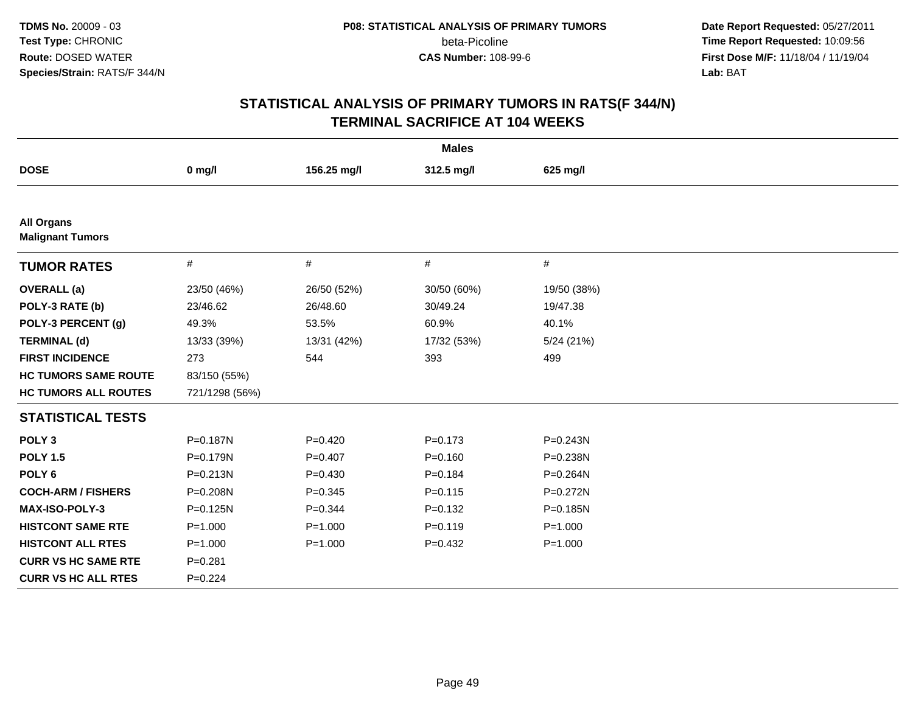**Date Report Requested:** 05/27/2011 **Time Report Requested:** 10:09:56 **First Dose M/F:** 11/18/04 / 11/19/04<br>**Lab:** BAT **Lab:** BAT

| <b>Males</b>                                 |                |             |             |              |  |  |
|----------------------------------------------|----------------|-------------|-------------|--------------|--|--|
| <b>DOSE</b>                                  | $0$ mg/l       | 156.25 mg/l | 312.5 mg/l  | 625 mg/l     |  |  |
|                                              |                |             |             |              |  |  |
| <b>All Organs</b><br><b>Malignant Tumors</b> |                |             |             |              |  |  |
| <b>TUMOR RATES</b>                           | $\#$           | $\#$        | #           | #            |  |  |
| <b>OVERALL</b> (a)                           | 23/50 (46%)    | 26/50 (52%) | 30/50 (60%) | 19/50 (38%)  |  |  |
| POLY-3 RATE (b)                              | 23/46.62       | 26/48.60    | 30/49.24    | 19/47.38     |  |  |
| POLY-3 PERCENT (g)                           | 49.3%          | 53.5%       | 60.9%       | 40.1%        |  |  |
| <b>TERMINAL (d)</b>                          | 13/33 (39%)    | 13/31 (42%) | 17/32 (53%) | 5/24(21%)    |  |  |
| <b>FIRST INCIDENCE</b>                       | 273            | 544         | 393         | 499          |  |  |
| <b>HC TUMORS SAME ROUTE</b>                  | 83/150 (55%)   |             |             |              |  |  |
| <b>HC TUMORS ALL ROUTES</b>                  | 721/1298 (56%) |             |             |              |  |  |
| <b>STATISTICAL TESTS</b>                     |                |             |             |              |  |  |
| POLY <sub>3</sub>                            | P=0.187N       | $P = 0.420$ | $P = 0.173$ | $P = 0.243N$ |  |  |
| <b>POLY 1.5</b>                              | P=0.179N       | $P = 0.407$ | $P = 0.160$ | P=0.238N     |  |  |
| POLY <sub>6</sub>                            | $P = 0.213N$   | $P = 0.430$ | $P = 0.184$ | P=0.264N     |  |  |
| <b>COCH-ARM / FISHERS</b>                    | P=0.208N       | $P = 0.345$ | $P = 0.115$ | $P = 0.272N$ |  |  |
| MAX-ISO-POLY-3                               | P=0.125N       | $P = 0.344$ | $P = 0.132$ | P=0.185N     |  |  |
| <b>HISTCONT SAME RTE</b>                     | $P = 1.000$    | $P = 1.000$ | $P = 0.119$ | $P = 1.000$  |  |  |
| <b>HISTCONT ALL RTES</b>                     | $P = 1.000$    | $P = 1.000$ | $P=0.432$   | $P = 1.000$  |  |  |
| <b>CURR VS HC SAME RTE</b>                   | $P = 0.281$    |             |             |              |  |  |
| <b>CURR VS HC ALL RTES</b>                   | $P=0.224$      |             |             |              |  |  |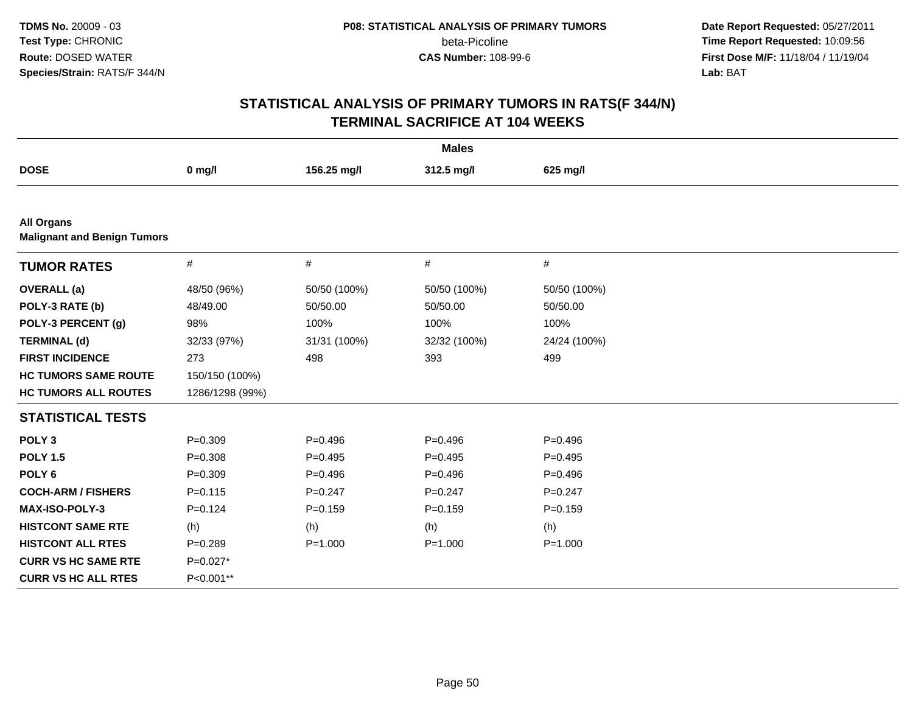**Date Report Requested:** 05/27/2011 **Time Report Requested:** 10:09:56 **First Dose M/F:** 11/18/04 / 11/19/04<br>**Lab:** BAT **Lab:** BAT

| <b>Males</b>                                            |                 |              |              |              |  |
|---------------------------------------------------------|-----------------|--------------|--------------|--------------|--|
| <b>DOSE</b>                                             | $0$ mg/l        | 156.25 mg/l  | 312.5 mg/l   | 625 mg/l     |  |
|                                                         |                 |              |              |              |  |
| <b>All Organs</b><br><b>Malignant and Benign Tumors</b> |                 |              |              |              |  |
| <b>TUMOR RATES</b>                                      | $\#$            | $\#$         | #            | $\#$         |  |
| <b>OVERALL</b> (a)                                      | 48/50 (96%)     | 50/50 (100%) | 50/50 (100%) | 50/50 (100%) |  |
| POLY-3 RATE (b)                                         | 48/49.00        | 50/50.00     | 50/50.00     | 50/50.00     |  |
| POLY-3 PERCENT (g)                                      | 98%             | 100%         | 100%         | 100%         |  |
| <b>TERMINAL (d)</b>                                     | 32/33 (97%)     | 31/31 (100%) | 32/32 (100%) | 24/24 (100%) |  |
| <b>FIRST INCIDENCE</b>                                  | 273             | 498          | 393          | 499          |  |
| <b>HC TUMORS SAME ROUTE</b>                             | 150/150 (100%)  |              |              |              |  |
| <b>HC TUMORS ALL ROUTES</b>                             | 1286/1298 (99%) |              |              |              |  |
| <b>STATISTICAL TESTS</b>                                |                 |              |              |              |  |
| POLY <sub>3</sub>                                       | $P = 0.309$     | $P=0.496$    | $P=0.496$    | $P=0.496$    |  |
| <b>POLY 1.5</b>                                         | $P = 0.308$     | $P=0.495$    | $P=0.495$    | $P=0.495$    |  |
| POLY <sub>6</sub>                                       | $P = 0.309$     | $P = 0.496$  | $P=0.496$    | $P=0.496$    |  |
| <b>COCH-ARM / FISHERS</b>                               | $P = 0.115$     | $P = 0.247$  | $P = 0.247$  | $P = 0.247$  |  |
| <b>MAX-ISO-POLY-3</b>                                   | $P = 0.124$     | $P = 0.159$  | $P=0.159$    | $P = 0.159$  |  |
| <b>HISTCONT SAME RTE</b>                                | (h)             | (h)          | (h)          | (h)          |  |
| <b>HISTCONT ALL RTES</b>                                | $P=0.289$       | $P = 1.000$  | $P = 1.000$  | $P = 1.000$  |  |
| <b>CURR VS HC SAME RTE</b>                              | $P=0.027*$      |              |              |              |  |
| <b>CURR VS HC ALL RTES</b>                              | P<0.001**       |              |              |              |  |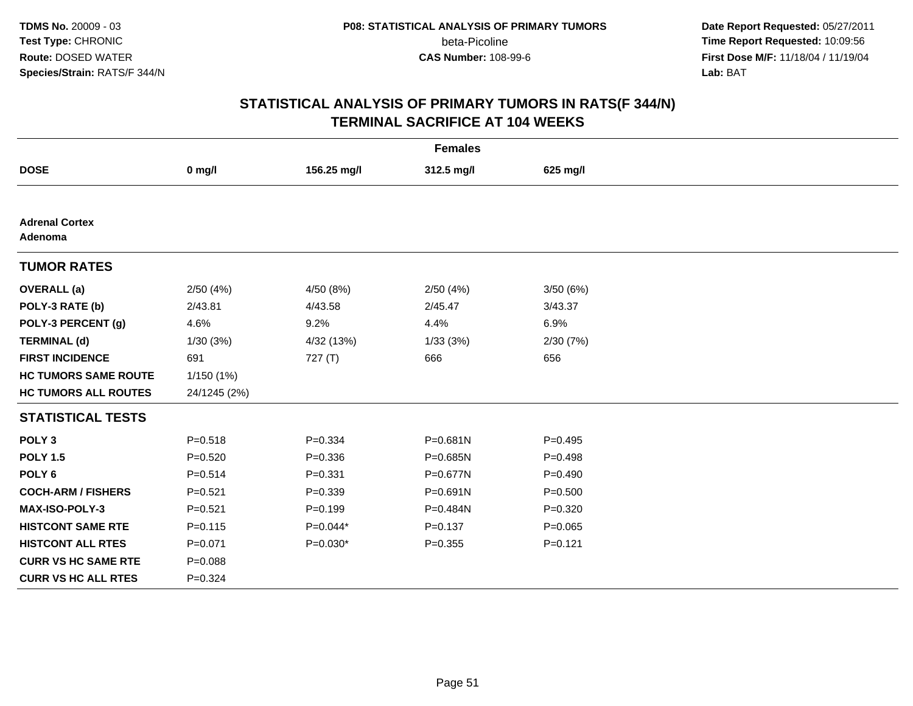**Date Report Requested:** 05/27/2011 **Time Report Requested:** 10:09:56 **First Dose M/F:** 11/18/04 / 11/19/04<br>**Lab:** BAT **Lab:** BAT

| <b>Females</b>                   |              |             |              |             |  |  |
|----------------------------------|--------------|-------------|--------------|-------------|--|--|
| <b>DOSE</b>                      | $0$ mg/l     | 156.25 mg/l | 312.5 mg/l   | 625 mg/l    |  |  |
|                                  |              |             |              |             |  |  |
| <b>Adrenal Cortex</b><br>Adenoma |              |             |              |             |  |  |
| <b>TUMOR RATES</b>               |              |             |              |             |  |  |
| <b>OVERALL</b> (a)               | 2/50(4%)     | 4/50 (8%)   | 2/50(4%)     | 3/50(6%)    |  |  |
| POLY-3 RATE (b)                  | 2/43.81      | 4/43.58     | 2/45.47      | 3/43.37     |  |  |
| POLY-3 PERCENT (g)               | 4.6%         | 9.2%        | 4.4%         | 6.9%        |  |  |
| <b>TERMINAL (d)</b>              | 1/30(3%)     | 4/32 (13%)  | 1/33(3%)     | 2/30(7%)    |  |  |
| <b>FIRST INCIDENCE</b>           | 691          | 727(T)      | 666          | 656         |  |  |
| <b>HC TUMORS SAME ROUTE</b>      | 1/150(1%)    |             |              |             |  |  |
| <b>HC TUMORS ALL ROUTES</b>      | 24/1245 (2%) |             |              |             |  |  |
| <b>STATISTICAL TESTS</b>         |              |             |              |             |  |  |
| POLY <sub>3</sub>                | $P = 0.518$  | $P = 0.334$ | $P = 0.681N$ | $P=0.495$   |  |  |
| <b>POLY 1.5</b>                  | $P = 0.520$  | $P = 0.336$ | P=0.685N     | $P = 0.498$ |  |  |
| POLY <sub>6</sub>                | $P = 0.514$  | $P = 0.331$ | P=0.677N     | $P=0.490$   |  |  |
| <b>COCH-ARM / FISHERS</b>        | $P = 0.521$  | $P = 0.339$ | $P = 0.691N$ | $P = 0.500$ |  |  |
| <b>MAX-ISO-POLY-3</b>            | $P = 0.521$  | $P=0.199$   | P=0.484N     | $P = 0.320$ |  |  |
| <b>HISTCONT SAME RTE</b>         | $P = 0.115$  | $P=0.044*$  | $P = 0.137$  | $P=0.065$   |  |  |
| <b>HISTCONT ALL RTES</b>         | $P = 0.071$  | $P=0.030*$  | $P = 0.355$  | $P = 0.121$ |  |  |
| <b>CURR VS HC SAME RTE</b>       | $P = 0.088$  |             |              |             |  |  |
| <b>CURR VS HC ALL RTES</b>       | $P = 0.324$  |             |              |             |  |  |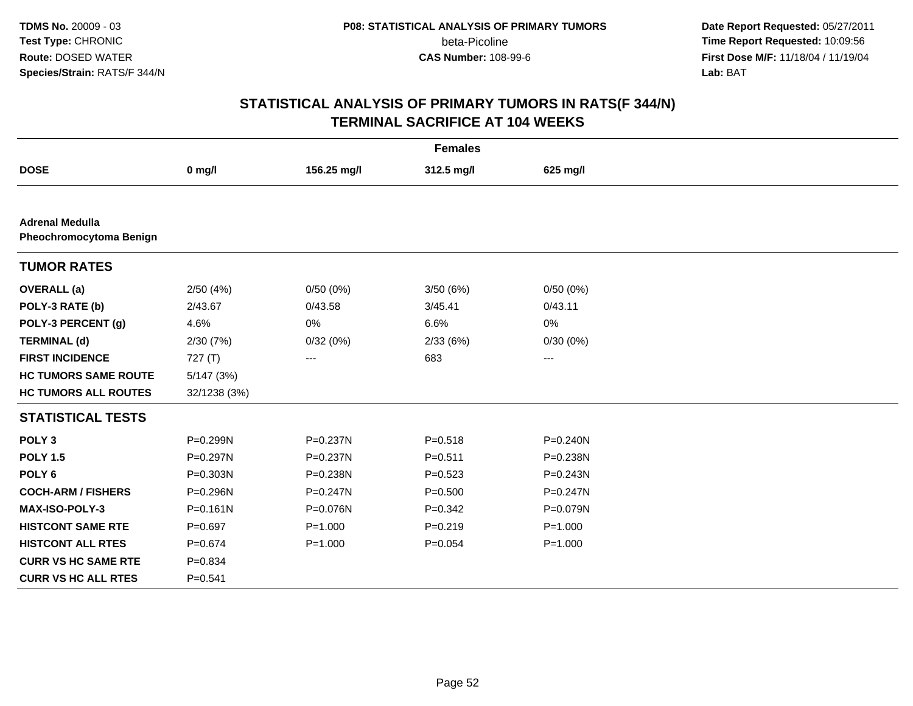**Date Report Requested:** 05/27/2011 **Time Report Requested:** 10:09:56 **First Dose M/F:** 11/18/04 / 11/19/04<br>**Lab:** BAT **Lab:** BAT

| <b>Females</b>                                    |              |                   |             |                   |  |  |
|---------------------------------------------------|--------------|-------------------|-------------|-------------------|--|--|
| <b>DOSE</b>                                       | $0$ mg/l     | 156.25 mg/l       | 312.5 mg/l  | 625 mg/l          |  |  |
|                                                   |              |                   |             |                   |  |  |
| <b>Adrenal Medulla</b><br>Pheochromocytoma Benign |              |                   |             |                   |  |  |
| <b>TUMOR RATES</b>                                |              |                   |             |                   |  |  |
| <b>OVERALL</b> (a)                                | 2/50(4%)     | 0/50(0%)          | 3/50(6%)    | 0/50(0%)          |  |  |
| POLY-3 RATE (b)                                   | 2/43.67      | 0/43.58           | 3/45.41     | 0/43.11           |  |  |
| POLY-3 PERCENT (g)                                | 4.6%         | 0%                | 6.6%        | 0%                |  |  |
| <b>TERMINAL (d)</b>                               | 2/30 (7%)    | 0/32(0%)          | 2/33(6%)    | 0/30(0%)          |  |  |
| <b>FIRST INCIDENCE</b>                            | 727(T)       | $\qquad \qquad -$ | 683         | $\qquad \qquad -$ |  |  |
| <b>HC TUMORS SAME ROUTE</b>                       | 5/147(3%)    |                   |             |                   |  |  |
| <b>HC TUMORS ALL ROUTES</b>                       | 32/1238 (3%) |                   |             |                   |  |  |
| <b>STATISTICAL TESTS</b>                          |              |                   |             |                   |  |  |
| POLY <sub>3</sub>                                 | P=0.299N     | P=0.237N          | $P = 0.518$ | P=0.240N          |  |  |
| <b>POLY 1.5</b>                                   | $P=0.297N$   | P=0.237N          | $P = 0.511$ | P=0.238N          |  |  |
| POLY <sub>6</sub>                                 | $P = 0.303N$ | P=0.238N          | $P=0.523$   | P=0.243N          |  |  |
| <b>COCH-ARM / FISHERS</b>                         | P=0.296N     | $P = 0.247N$      | $P = 0.500$ | $P = 0.247N$      |  |  |
| MAX-ISO-POLY-3                                    | $P = 0.161N$ | P=0.076N          | $P=0.342$   | P=0.079N          |  |  |
| <b>HISTCONT SAME RTE</b>                          | $P = 0.697$  | $P = 1.000$       | $P = 0.219$ | $P = 1.000$       |  |  |
| <b>HISTCONT ALL RTES</b>                          | $P = 0.674$  | $P = 1.000$       | $P = 0.054$ | $P = 1.000$       |  |  |
| <b>CURR VS HC SAME RTE</b>                        | $P = 0.834$  |                   |             |                   |  |  |
| <b>CURR VS HC ALL RTES</b>                        | $P = 0.541$  |                   |             |                   |  |  |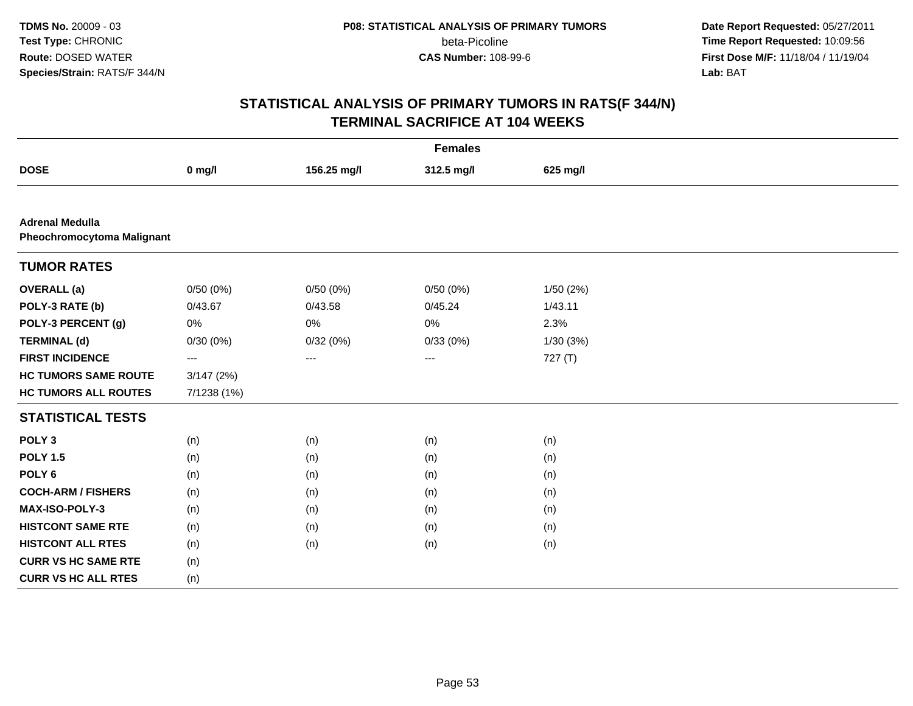**Date Report Requested:** 05/27/2011 **Time Report Requested:** 10:09:56 **First Dose M/F:** 11/18/04 / 11/19/04<br>**Lab:** BAT **Lab:** BAT

| <b>Females</b>                                              |             |             |            |           |  |  |
|-------------------------------------------------------------|-------------|-------------|------------|-----------|--|--|
| <b>DOSE</b>                                                 | $0$ mg/l    | 156.25 mg/l | 312.5 mg/l | 625 mg/l  |  |  |
|                                                             |             |             |            |           |  |  |
| <b>Adrenal Medulla</b><br><b>Pheochromocytoma Malignant</b> |             |             |            |           |  |  |
| <b>TUMOR RATES</b>                                          |             |             |            |           |  |  |
| <b>OVERALL</b> (a)                                          | 0/50(0%)    | 0/50(0%)    | 0/50(0%)   | 1/50 (2%) |  |  |
| POLY-3 RATE (b)                                             | 0/43.67     | 0/43.58     | 0/45.24    | 1/43.11   |  |  |
| POLY-3 PERCENT (g)                                          | 0%          | 0%          | 0%         | 2.3%      |  |  |
| <b>TERMINAL (d)</b>                                         | 0/30(0%)    | 0/32(0%)    | 0/33(0%)   | 1/30(3%)  |  |  |
| <b>FIRST INCIDENCE</b>                                      | ---         | ---         | ---        | 727 (T)   |  |  |
| <b>HC TUMORS SAME ROUTE</b>                                 | 3/147(2%)   |             |            |           |  |  |
| <b>HC TUMORS ALL ROUTES</b>                                 | 7/1238 (1%) |             |            |           |  |  |
| <b>STATISTICAL TESTS</b>                                    |             |             |            |           |  |  |
| POLY <sub>3</sub>                                           | (n)         | (n)         | (n)        | (n)       |  |  |
| <b>POLY 1.5</b>                                             | (n)         | (n)         | (n)        | (n)       |  |  |
| POLY <sub>6</sub>                                           | (n)         | (n)         | (n)        | (n)       |  |  |
| <b>COCH-ARM / FISHERS</b>                                   | (n)         | (n)         | (n)        | (n)       |  |  |
| MAX-ISO-POLY-3                                              | (n)         | (n)         | (n)        | (n)       |  |  |
| <b>HISTCONT SAME RTE</b>                                    | (n)         | (n)         | (n)        | (n)       |  |  |
| <b>HISTCONT ALL RTES</b>                                    | (n)         | (n)         | (n)        | (n)       |  |  |
| <b>CURR VS HC SAME RTE</b>                                  | (n)         |             |            |           |  |  |
| <b>CURR VS HC ALL RTES</b>                                  | (n)         |             |            |           |  |  |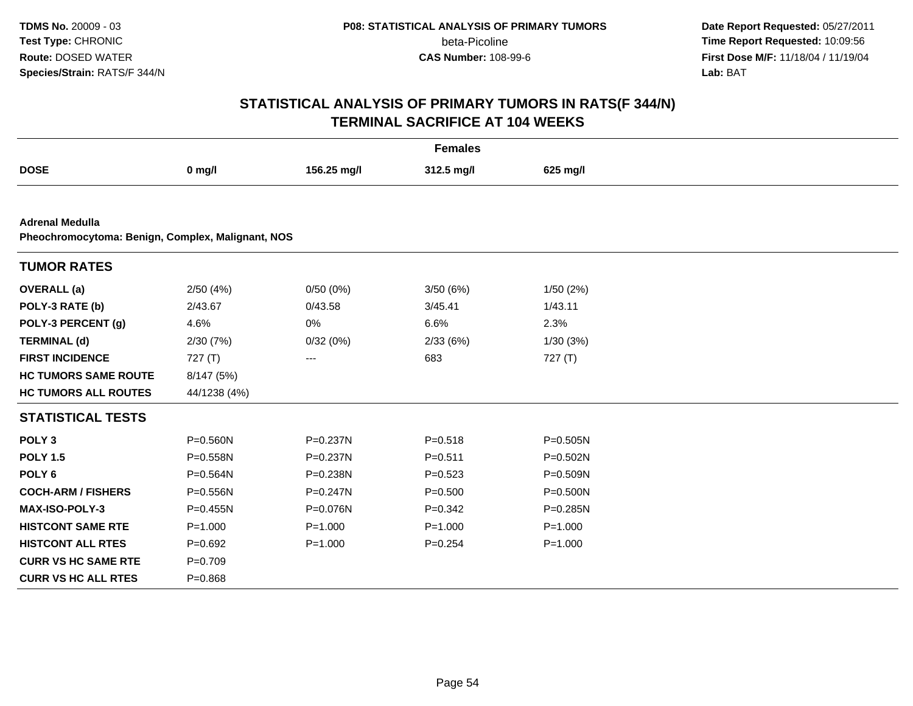**Date Report Requested:** 05/27/2011 **Time Report Requested:** 10:09:56 **First Dose M/F:** 11/18/04 / 11/19/04<br>**Lab:** BAT **Lab:** BAT

| <b>Females</b>                                    |              |              |             |              |  |  |
|---------------------------------------------------|--------------|--------------|-------------|--------------|--|--|
| <b>DOSE</b>                                       | $0$ mg/l     | 156.25 mg/l  | 312.5 mg/l  | 625 mg/l     |  |  |
|                                                   |              |              |             |              |  |  |
| <b>Adrenal Medulla</b>                            |              |              |             |              |  |  |
| Pheochromocytoma: Benign, Complex, Malignant, NOS |              |              |             |              |  |  |
| <b>TUMOR RATES</b>                                |              |              |             |              |  |  |
| <b>OVERALL</b> (a)                                | 2/50(4%)     | 0/50(0%)     | 3/50(6%)    | 1/50(2%)     |  |  |
| POLY-3 RATE (b)                                   | 2/43.67      | 0/43.58      | 3/45.41     | 1/43.11      |  |  |
| POLY-3 PERCENT (g)                                | 4.6%         | 0%           | 6.6%        | 2.3%         |  |  |
| <b>TERMINAL (d)</b>                               | 2/30(7%)     | 0/32(0%)     | 2/33(6%)    | 1/30(3%)     |  |  |
| <b>FIRST INCIDENCE</b>                            | 727(T)       | ---          | 683         | 727(T)       |  |  |
| <b>HC TUMORS SAME ROUTE</b>                       | 8/147 (5%)   |              |             |              |  |  |
| <b>HC TUMORS ALL ROUTES</b>                       | 44/1238 (4%) |              |             |              |  |  |
| <b>STATISTICAL TESTS</b>                          |              |              |             |              |  |  |
| POLY <sub>3</sub>                                 | P=0.560N     | P=0.237N     | $P = 0.518$ | $P = 0.505N$ |  |  |
| <b>POLY 1.5</b>                                   | P=0.558N     | P=0.237N     | $P = 0.511$ | $P = 0.502N$ |  |  |
| POLY <sub>6</sub>                                 | P=0.564N     | P=0.238N     | $P = 0.523$ | P=0.509N     |  |  |
| <b>COCH-ARM / FISHERS</b>                         | P=0.556N     | $P = 0.247N$ | $P = 0.500$ | $P = 0.500N$ |  |  |
| MAX-ISO-POLY-3                                    | $P = 0.455N$ | P=0.076N     | $P = 0.342$ | $P = 0.285N$ |  |  |
| <b>HISTCONT SAME RTE</b>                          | $P = 1.000$  | $P = 1.000$  | $P = 1.000$ | $P = 1.000$  |  |  |
| <b>HISTCONT ALL RTES</b>                          | $P=0.692$    | $P = 1.000$  | $P = 0.254$ | $P = 1.000$  |  |  |
| <b>CURR VS HC SAME RTE</b>                        | $P = 0.709$  |              |             |              |  |  |
| <b>CURR VS HC ALL RTES</b>                        | $P = 0.868$  |              |             |              |  |  |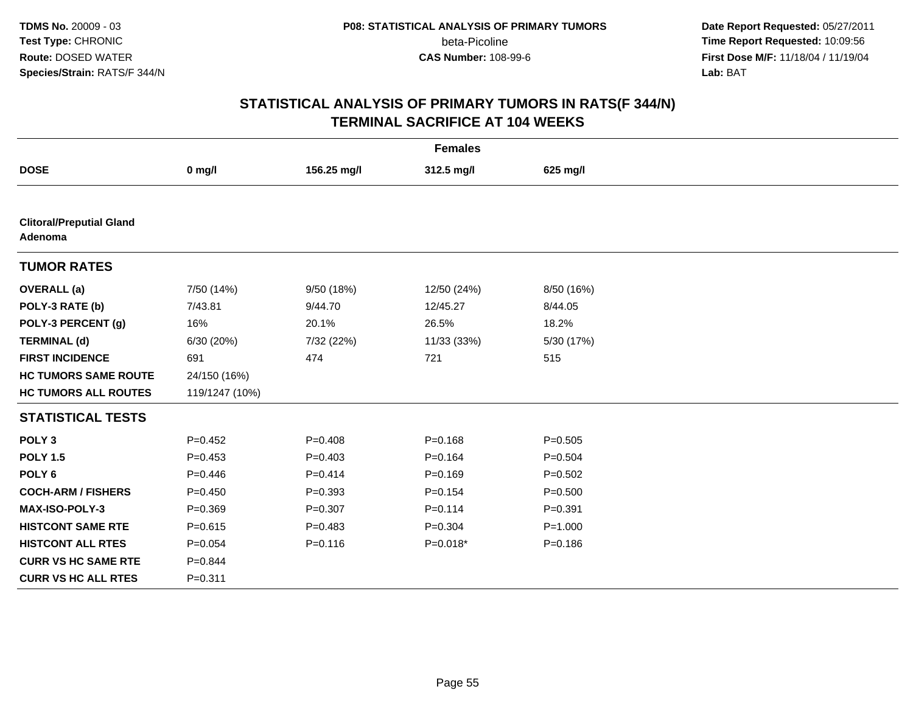**Date Report Requested:** 05/27/2011 **Time Report Requested:** 10:09:56 **First Dose M/F:** 11/18/04 / 11/19/04<br>**Lab:** BAT **Lab:** BAT

| <b>Females</b>                             |                |             |             |             |  |  |
|--------------------------------------------|----------------|-------------|-------------|-------------|--|--|
| <b>DOSE</b>                                | $0$ mg/l       | 156.25 mg/l | 312.5 mg/l  | 625 mg/l    |  |  |
|                                            |                |             |             |             |  |  |
| <b>Clitoral/Preputial Gland</b><br>Adenoma |                |             |             |             |  |  |
| <b>TUMOR RATES</b>                         |                |             |             |             |  |  |
| <b>OVERALL</b> (a)                         | 7/50 (14%)     | 9/50 (18%)  | 12/50 (24%) | 8/50 (16%)  |  |  |
| POLY-3 RATE (b)                            | 7/43.81        | 9/44.70     | 12/45.27    | 8/44.05     |  |  |
| POLY-3 PERCENT (g)                         | 16%            | 20.1%       | 26.5%       | 18.2%       |  |  |
| <b>TERMINAL (d)</b>                        | 6/30 (20%)     | 7/32 (22%)  | 11/33 (33%) | 5/30 (17%)  |  |  |
| <b>FIRST INCIDENCE</b>                     | 691            | 474         | 721         | 515         |  |  |
| <b>HC TUMORS SAME ROUTE</b>                | 24/150 (16%)   |             |             |             |  |  |
| <b>HC TUMORS ALL ROUTES</b>                | 119/1247 (10%) |             |             |             |  |  |
| <b>STATISTICAL TESTS</b>                   |                |             |             |             |  |  |
| POLY <sub>3</sub>                          | $P=0.452$      | $P=0.408$   | $P = 0.168$ | $P = 0.505$ |  |  |
| <b>POLY 1.5</b>                            | $P = 0.453$    | $P=0.403$   | $P = 0.164$ | $P = 0.504$ |  |  |
| POLY <sub>6</sub>                          | $P=0.446$      | $P=0.414$   | $P = 0.169$ | $P = 0.502$ |  |  |
| <b>COCH-ARM / FISHERS</b>                  | $P=0.450$      | $P=0.393$   | $P=0.154$   | $P = 0.500$ |  |  |
| <b>MAX-ISO-POLY-3</b>                      | $P = 0.369$    | $P = 0.307$ | $P = 0.114$ | $P = 0.391$ |  |  |
| <b>HISTCONT SAME RTE</b>                   | $P = 0.615$    | $P=0.483$   | $P=0.304$   | $P = 1.000$ |  |  |
| <b>HISTCONT ALL RTES</b>                   | $P = 0.054$    | $P = 0.116$ | $P=0.018*$  | $P = 0.186$ |  |  |
| <b>CURR VS HC SAME RTE</b>                 | $P = 0.844$    |             |             |             |  |  |
| <b>CURR VS HC ALL RTES</b>                 | $P = 0.311$    |             |             |             |  |  |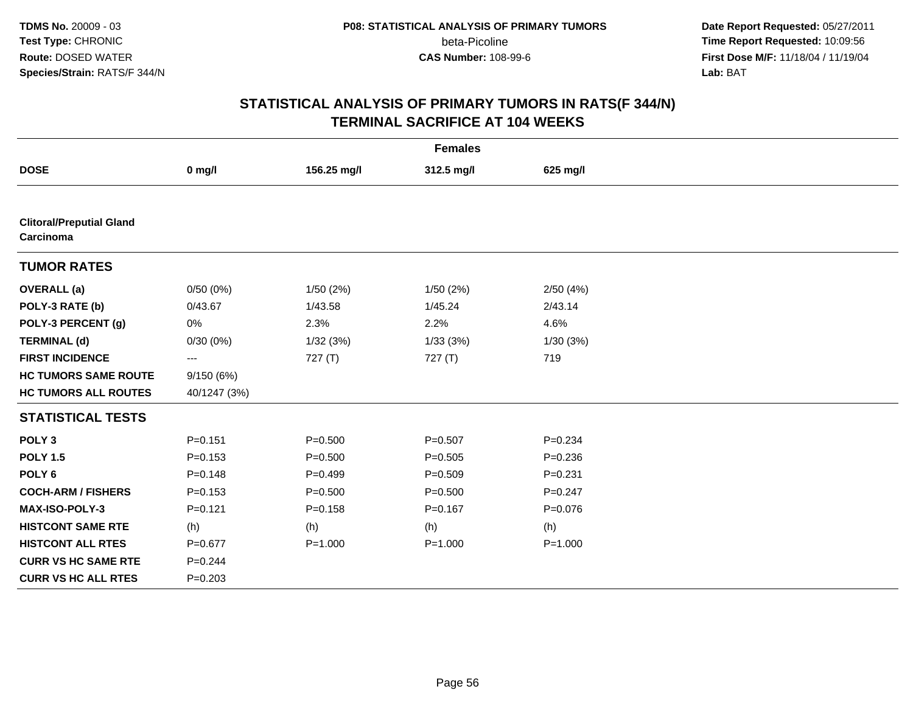**Date Report Requested:** 05/27/2011 **Time Report Requested:** 10:09:56 **First Dose M/F:** 11/18/04 / 11/19/04<br>**Lab:** BAT **Lab:** BAT

| <b>Females</b>                               |              |             |             |             |  |  |
|----------------------------------------------|--------------|-------------|-------------|-------------|--|--|
| <b>DOSE</b>                                  | $0$ mg/l     | 156.25 mg/l | 312.5 mg/l  | 625 mg/l    |  |  |
|                                              |              |             |             |             |  |  |
| <b>Clitoral/Preputial Gland</b><br>Carcinoma |              |             |             |             |  |  |
| <b>TUMOR RATES</b>                           |              |             |             |             |  |  |
| <b>OVERALL</b> (a)                           | 0/50(0%)     | 1/50(2%)    | 1/50(2%)    | 2/50(4%)    |  |  |
| POLY-3 RATE (b)                              | 0/43.67      | 1/43.58     | 1/45.24     | 2/43.14     |  |  |
| POLY-3 PERCENT (g)                           | 0%           | 2.3%        | 2.2%        | 4.6%        |  |  |
| <b>TERMINAL (d)</b>                          | 0/30(0%)     | 1/32(3%)    | 1/33(3%)    | 1/30(3%)    |  |  |
| <b>FIRST INCIDENCE</b>                       | ---          | 727(T)      | 727(T)      | 719         |  |  |
| <b>HC TUMORS SAME ROUTE</b>                  | 9/150(6%)    |             |             |             |  |  |
| <b>HC TUMORS ALL ROUTES</b>                  | 40/1247 (3%) |             |             |             |  |  |
| <b>STATISTICAL TESTS</b>                     |              |             |             |             |  |  |
| POLY <sub>3</sub>                            | $P = 0.151$  | $P = 0.500$ | $P = 0.507$ | $P = 0.234$ |  |  |
| <b>POLY 1.5</b>                              | $P = 0.153$  | $P = 0.500$ | $P = 0.505$ | $P = 0.236$ |  |  |
| POLY <sub>6</sub>                            | $P = 0.148$  | $P = 0.499$ | $P = 0.509$ | $P = 0.231$ |  |  |
| <b>COCH-ARM / FISHERS</b>                    | $P = 0.153$  | $P = 0.500$ | $P = 0.500$ | $P = 0.247$ |  |  |
| <b>MAX-ISO-POLY-3</b>                        | $P = 0.121$  | $P = 0.158$ | $P = 0.167$ | $P = 0.076$ |  |  |
| <b>HISTCONT SAME RTE</b>                     | (h)          | (h)         | (h)         | (h)         |  |  |
| <b>HISTCONT ALL RTES</b>                     | $P = 0.677$  | $P = 1.000$ | $P = 1.000$ | $P = 1.000$ |  |  |
| <b>CURR VS HC SAME RTE</b>                   | $P = 0.244$  |             |             |             |  |  |
| <b>CURR VS HC ALL RTES</b>                   | $P = 0.203$  |             |             |             |  |  |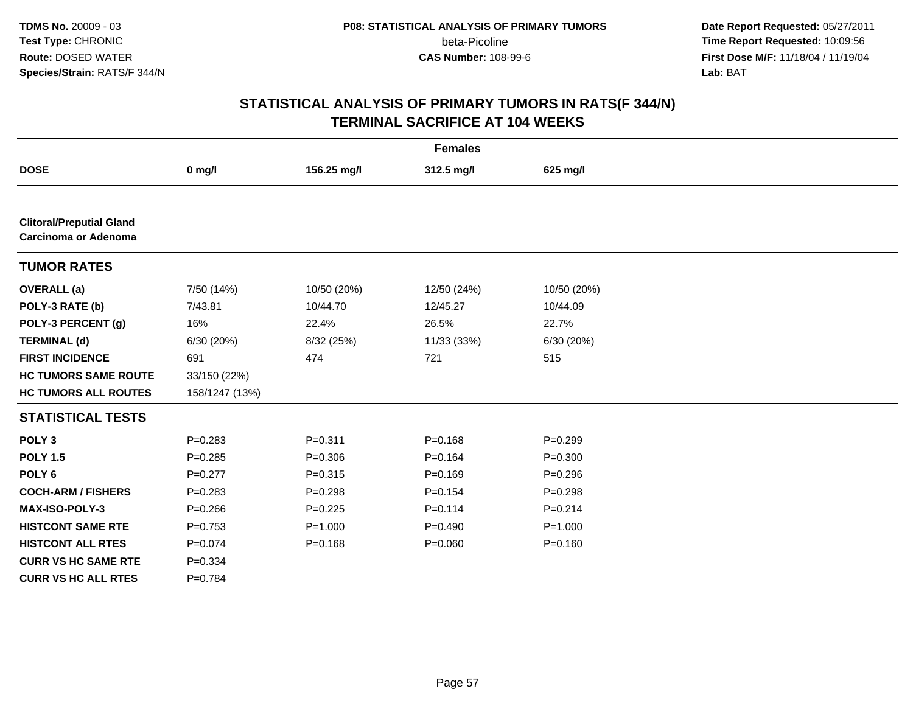**Date Report Requested:** 05/27/2011 **Time Report Requested:** 10:09:56 **First Dose M/F:** 11/18/04 / 11/19/04<br>**Lab:** BAT **Lab:** BAT

| <b>Females</b>                                                 |                |             |             |             |  |  |
|----------------------------------------------------------------|----------------|-------------|-------------|-------------|--|--|
| <b>DOSE</b>                                                    | $0$ mg/l       | 156.25 mg/l | 312.5 mg/l  | 625 mg/l    |  |  |
|                                                                |                |             |             |             |  |  |
| <b>Clitoral/Preputial Gland</b><br><b>Carcinoma or Adenoma</b> |                |             |             |             |  |  |
| <b>TUMOR RATES</b>                                             |                |             |             |             |  |  |
| <b>OVERALL</b> (a)                                             | 7/50 (14%)     | 10/50 (20%) | 12/50 (24%) | 10/50 (20%) |  |  |
| POLY-3 RATE (b)                                                | 7/43.81        | 10/44.70    | 12/45.27    | 10/44.09    |  |  |
| POLY-3 PERCENT (g)                                             | 16%            | 22.4%       | 26.5%       | 22.7%       |  |  |
| <b>TERMINAL (d)</b>                                            | 6/30 (20%)     | 8/32 (25%)  | 11/33 (33%) | 6/30 (20%)  |  |  |
| <b>FIRST INCIDENCE</b>                                         | 691            | 474         | 721         | 515         |  |  |
| <b>HC TUMORS SAME ROUTE</b>                                    | 33/150 (22%)   |             |             |             |  |  |
| <b>HC TUMORS ALL ROUTES</b>                                    | 158/1247 (13%) |             |             |             |  |  |
| <b>STATISTICAL TESTS</b>                                       |                |             |             |             |  |  |
| POLY <sub>3</sub>                                              | $P = 0.283$    | $P = 0.311$ | $P = 0.168$ | $P=0.299$   |  |  |
| <b>POLY 1.5</b>                                                | $P=0.285$      | $P = 0.306$ | $P = 0.164$ | $P = 0.300$ |  |  |
| POLY <sub>6</sub>                                              | $P=0.277$      | $P = 0.315$ | $P = 0.169$ | $P = 0.296$ |  |  |
| <b>COCH-ARM / FISHERS</b>                                      | $P=0.283$      | $P=0.298$   | $P = 0.154$ | $P = 0.298$ |  |  |
| <b>MAX-ISO-POLY-3</b>                                          | $P = 0.266$    | $P=0.225$   | $P = 0.114$ | $P = 0.214$ |  |  |
| <b>HISTCONT SAME RTE</b>                                       | $P=0.753$      | $P = 1.000$ | $P=0.490$   | $P = 1.000$ |  |  |
| <b>HISTCONT ALL RTES</b>                                       | $P = 0.074$    | $P = 0.168$ | $P = 0.060$ | $P = 0.160$ |  |  |
| <b>CURR VS HC SAME RTE</b>                                     | $P = 0.334$    |             |             |             |  |  |
| <b>CURR VS HC ALL RTES</b>                                     | $P = 0.784$    |             |             |             |  |  |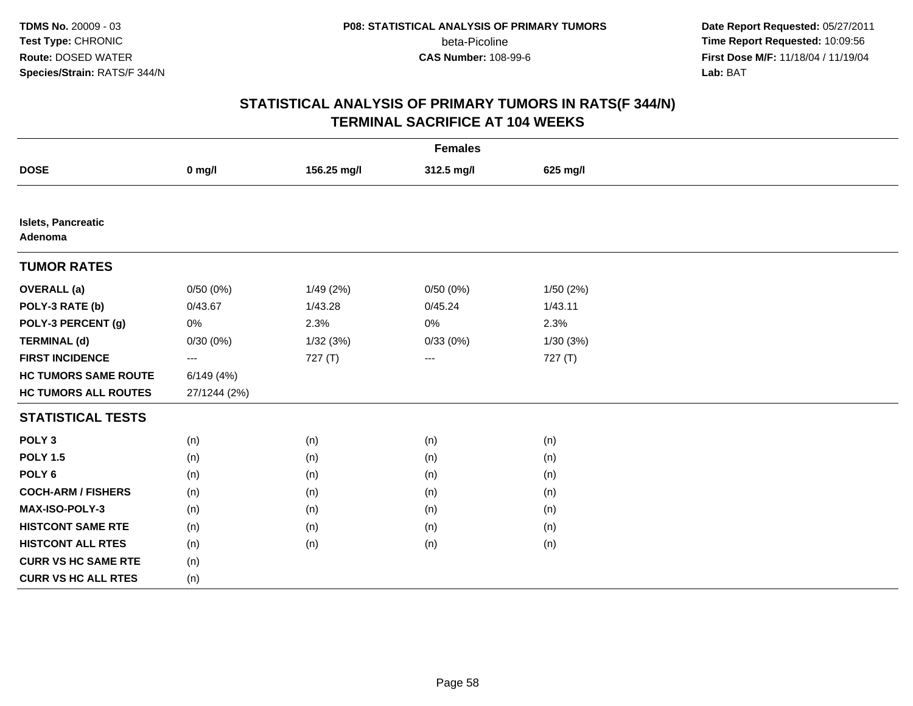**Date Report Requested:** 05/27/2011 **Time Report Requested:** 10:09:56 **First Dose M/F:** 11/18/04 / 11/19/04<br>**Lab:** BAT **Lab:** BAT

| <b>Females</b>                |              |             |                     |           |  |  |
|-------------------------------|--------------|-------------|---------------------|-----------|--|--|
| <b>DOSE</b>                   | $0$ mg/l     | 156.25 mg/l | 312.5 mg/l          | 625 mg/l  |  |  |
|                               |              |             |                     |           |  |  |
| Islets, Pancreatic<br>Adenoma |              |             |                     |           |  |  |
| <b>TUMOR RATES</b>            |              |             |                     |           |  |  |
| <b>OVERALL</b> (a)            | 0/50(0%)     | 1/49(2%)    | 0/50(0%)            | 1/50 (2%) |  |  |
| POLY-3 RATE (b)               | 0/43.67      | 1/43.28     | 0/45.24             | 1/43.11   |  |  |
| POLY-3 PERCENT (g)            | $0\%$        | 2.3%        | 0%                  | 2.3%      |  |  |
| <b>TERMINAL (d)</b>           | 0/30(0%)     | 1/32 (3%)   | 0/33(0%)            | 1/30(3%)  |  |  |
| <b>FIRST INCIDENCE</b>        | ---          | 727 (T)     | $\qquad \qquad - -$ | 727 (T)   |  |  |
| <b>HC TUMORS SAME ROUTE</b>   | 6/149(4%)    |             |                     |           |  |  |
| <b>HC TUMORS ALL ROUTES</b>   | 27/1244 (2%) |             |                     |           |  |  |
| <b>STATISTICAL TESTS</b>      |              |             |                     |           |  |  |
| POLY <sub>3</sub>             | (n)          | (n)         | (n)                 | (n)       |  |  |
| <b>POLY 1.5</b>               | (n)          | (n)         | (n)                 | (n)       |  |  |
| POLY <sub>6</sub>             | (n)          | (n)         | (n)                 | (n)       |  |  |
| <b>COCH-ARM / FISHERS</b>     | (n)          | (n)         | (n)                 | (n)       |  |  |
| MAX-ISO-POLY-3                | (n)          | (n)         | (n)                 | (n)       |  |  |
| <b>HISTCONT SAME RTE</b>      | (n)          | (n)         | (n)                 | (n)       |  |  |
| <b>HISTCONT ALL RTES</b>      | (n)          | (n)         | (n)                 | (n)       |  |  |
| <b>CURR VS HC SAME RTE</b>    | (n)          |             |                     |           |  |  |
| <b>CURR VS HC ALL RTES</b>    | (n)          |             |                     |           |  |  |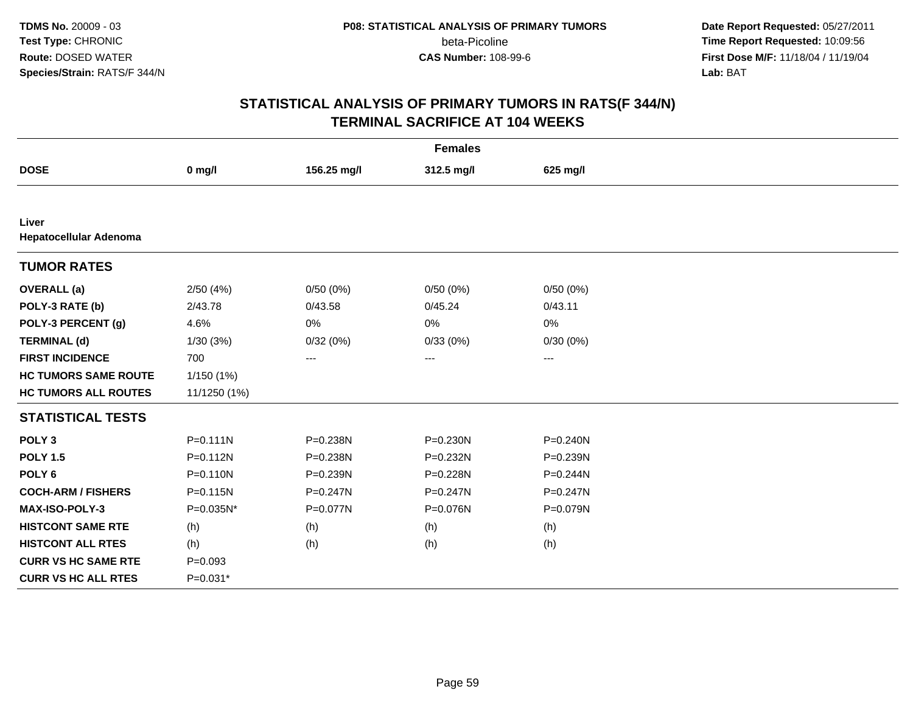**Date Report Requested:** 05/27/2011 **Time Report Requested:** 10:09:56 **First Dose M/F:** 11/18/04 / 11/19/04<br>**Lab:** BAT **Lab:** BAT

| <b>Females</b>                  |              |                   |                   |                   |  |  |
|---------------------------------|--------------|-------------------|-------------------|-------------------|--|--|
| <b>DOSE</b>                     | $0$ mg/l     | 156.25 mg/l       | 312.5 mg/l        | 625 mg/l          |  |  |
|                                 |              |                   |                   |                   |  |  |
| Liver<br>Hepatocellular Adenoma |              |                   |                   |                   |  |  |
| <b>TUMOR RATES</b>              |              |                   |                   |                   |  |  |
| <b>OVERALL</b> (a)              | 2/50(4%)     | 0/50(0%)          | 0/50(0%)          | 0/50(0%)          |  |  |
| POLY-3 RATE (b)                 | 2/43.78      | 0/43.58           | 0/45.24           | 0/43.11           |  |  |
| POLY-3 PERCENT (g)              | 4.6%         | 0%                | 0%                | 0%                |  |  |
| <b>TERMINAL (d)</b>             | 1/30(3%)     | 0/32(0%)          | 0/33(0%)          | 0/30(0%)          |  |  |
| <b>FIRST INCIDENCE</b>          | 700          | $\qquad \qquad -$ | $\qquad \qquad -$ | $\qquad \qquad -$ |  |  |
| <b>HC TUMORS SAME ROUTE</b>     | 1/150 (1%)   |                   |                   |                   |  |  |
| <b>HC TUMORS ALL ROUTES</b>     | 11/1250 (1%) |                   |                   |                   |  |  |
| <b>STATISTICAL TESTS</b>        |              |                   |                   |                   |  |  |
| POLY <sub>3</sub>               | $P = 0.111N$ | P=0.238N          | P=0.230N          | $P = 0.240N$      |  |  |
| <b>POLY 1.5</b>                 | $P = 0.112N$ | P=0.238N          | P=0.232N          | P=0.239N          |  |  |
| POLY <sub>6</sub>               | $P = 0.110N$ | P=0.239N          | P=0.228N          | P=0.244N          |  |  |
| <b>COCH-ARM / FISHERS</b>       | $P = 0.115N$ | $P = 0.247N$      | $P = 0.247N$      | $P = 0.247N$      |  |  |
| <b>MAX-ISO-POLY-3</b>           | P=0.035N*    | P=0.077N          | P=0.076N          | P=0.079N          |  |  |
| <b>HISTCONT SAME RTE</b>        | (h)          | (h)               | (h)               | (h)               |  |  |
| <b>HISTCONT ALL RTES</b>        | (h)          | (h)               | (h)               | (h)               |  |  |
| <b>CURR VS HC SAME RTE</b>      | $P=0.093$    |                   |                   |                   |  |  |
| <b>CURR VS HC ALL RTES</b>      | P=0.031*     |                   |                   |                   |  |  |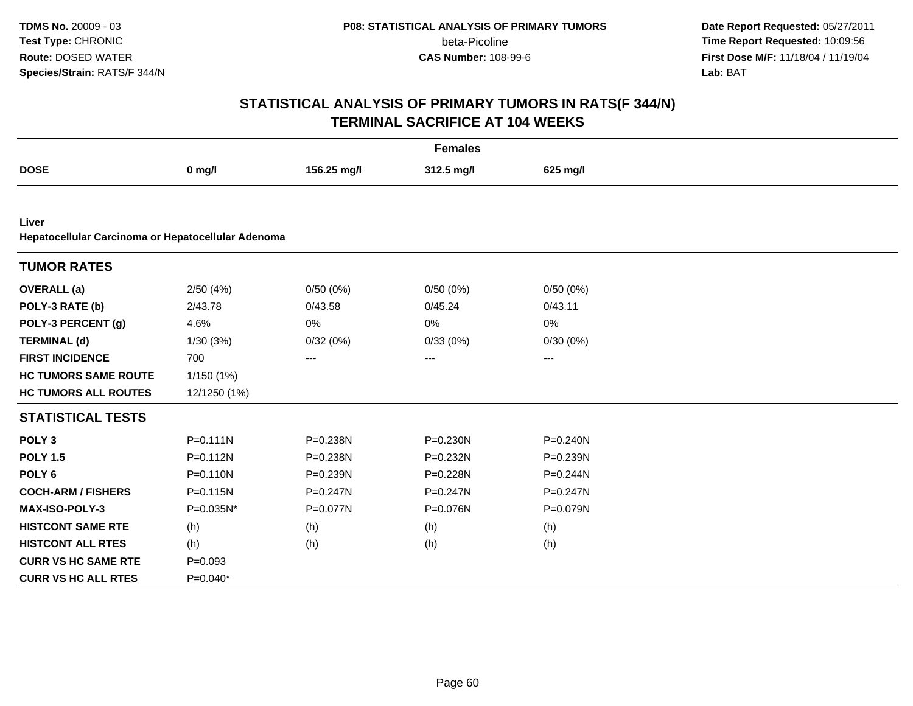**Date Report Requested:** 05/27/2011 **Time Report Requested:** 10:09:56 **First Dose M/F:** 11/18/04 / 11/19/04<br>**Lab:** BAT **Lab:** BAT

|                                                             | <b>Females</b> |             |            |              |  |  |  |
|-------------------------------------------------------------|----------------|-------------|------------|--------------|--|--|--|
| <b>DOSE</b>                                                 | $0$ mg/l       | 156.25 mg/l | 312.5 mg/l | 625 mg/l     |  |  |  |
|                                                             |                |             |            |              |  |  |  |
| Liver<br>Hepatocellular Carcinoma or Hepatocellular Adenoma |                |             |            |              |  |  |  |
| <b>TUMOR RATES</b>                                          |                |             |            |              |  |  |  |
| <b>OVERALL</b> (a)                                          | 2/50(4%)       | 0/50(0%)    | 0/50(0%)   | 0/50(0%)     |  |  |  |
| POLY-3 RATE (b)                                             | 2/43.78        | 0/43.58     | 0/45.24    | 0/43.11      |  |  |  |
| POLY-3 PERCENT (g)                                          | 4.6%           | $0\%$       | 0%         | 0%           |  |  |  |
| <b>TERMINAL (d)</b>                                         | 1/30(3%)       | 0/32(0%)    | 0/33(0%)   | 0/30(0%)     |  |  |  |
| <b>FIRST INCIDENCE</b>                                      | 700            | $\cdots$    | $\cdots$   | $---$        |  |  |  |
| <b>HC TUMORS SAME ROUTE</b>                                 | 1/150(1%)      |             |            |              |  |  |  |
| <b>HC TUMORS ALL ROUTES</b>                                 | 12/1250 (1%)   |             |            |              |  |  |  |
| <b>STATISTICAL TESTS</b>                                    |                |             |            |              |  |  |  |
| POLY <sub>3</sub>                                           | $P = 0.111N$   | P=0.238N    | P=0.230N   | P=0.240N     |  |  |  |
| <b>POLY 1.5</b>                                             | $P = 0.112N$   | P=0.238N    | P=0.232N   | P=0.239N     |  |  |  |
| POLY <sub>6</sub>                                           | $P = 0.110N$   | P=0.239N    | P=0.228N   | P=0.244N     |  |  |  |
| <b>COCH-ARM / FISHERS</b>                                   | P=0.115N       | P=0.247N    | P=0.247N   | P=0.247N     |  |  |  |
| <b>MAX-ISO-POLY-3</b>                                       | P=0.035N*      | P=0.077N    | P=0.076N   | $P = 0.079N$ |  |  |  |
| <b>HISTCONT SAME RTE</b>                                    | (h)            | (h)         | (h)        | (h)          |  |  |  |
| <b>HISTCONT ALL RTES</b>                                    | (h)            | (h)         | (h)        | (h)          |  |  |  |
| <b>CURR VS HC SAME RTE</b>                                  | $P = 0.093$    |             |            |              |  |  |  |
| <b>CURR VS HC ALL RTES</b>                                  | $P=0.040*$     |             |            |              |  |  |  |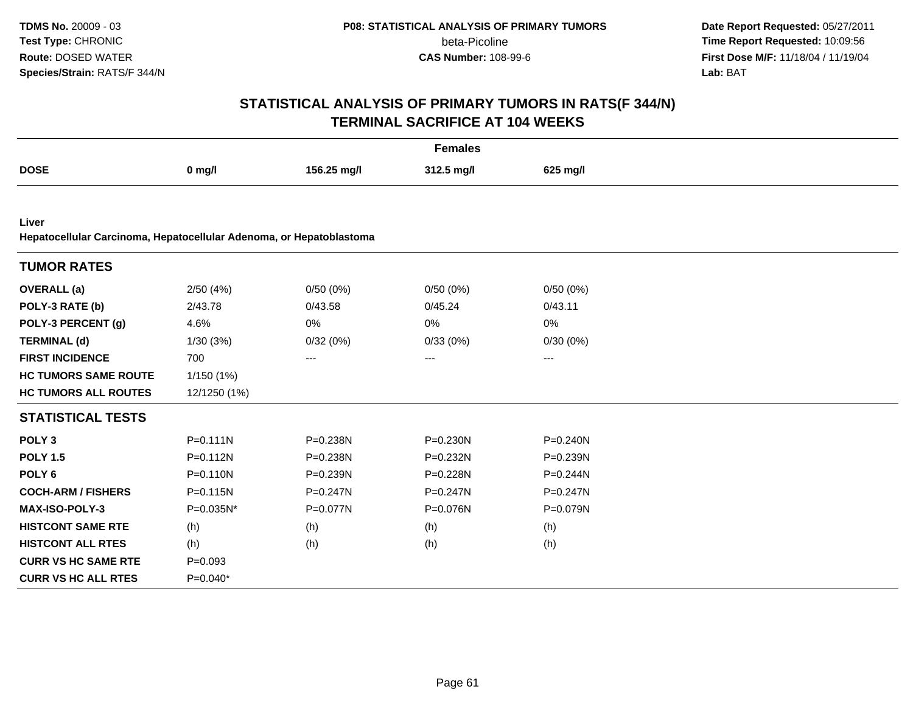**Date Report Requested:** 05/27/2011 **Time Report Requested:** 10:09:56 **First Dose M/F:** 11/18/04 / 11/19/04<br>**Lab:** BAT **Lab:** BAT

|                                                                     |              |              | <b>Females</b> |              |  |
|---------------------------------------------------------------------|--------------|--------------|----------------|--------------|--|
| <b>DOSE</b>                                                         | $0$ mg/l     | 156.25 mg/l  | 312.5 mg/l     | 625 mg/l     |  |
|                                                                     |              |              |                |              |  |
| Liver                                                               |              |              |                |              |  |
| Hepatocellular Carcinoma, Hepatocellular Adenoma, or Hepatoblastoma |              |              |                |              |  |
| <b>TUMOR RATES</b>                                                  |              |              |                |              |  |
| <b>OVERALL</b> (a)                                                  | 2/50(4%)     | 0/50(0%)     | 0/50(0%)       | 0/50(0%)     |  |
| POLY-3 RATE (b)                                                     | 2/43.78      | 0/43.58      | 0/45.24        | 0/43.11      |  |
| POLY-3 PERCENT (g)                                                  | 4.6%         | 0%           | 0%             | 0%           |  |
| <b>TERMINAL (d)</b>                                                 | 1/30(3%)     | 0/32(0%)     | 0/33(0%)       | 0/30(0%)     |  |
| <b>FIRST INCIDENCE</b>                                              | 700          | ---          | ---            | ---          |  |
| <b>HC TUMORS SAME ROUTE</b>                                         | 1/150 (1%)   |              |                |              |  |
| <b>HC TUMORS ALL ROUTES</b>                                         | 12/1250 (1%) |              |                |              |  |
| <b>STATISTICAL TESTS</b>                                            |              |              |                |              |  |
| POLY <sub>3</sub>                                                   | $P = 0.111N$ | P=0.238N     | P=0.230N       | $P = 0.240N$ |  |
| <b>POLY 1.5</b>                                                     | $P = 0.112N$ | P=0.238N     | P=0.232N       | P=0.239N     |  |
| POLY <sub>6</sub>                                                   | $P = 0.110N$ | P=0.239N     | P=0.228N       | P=0.244N     |  |
| <b>COCH-ARM / FISHERS</b>                                           | $P = 0.115N$ | $P = 0.247N$ | $P = 0.247N$   | $P = 0.247N$ |  |
| <b>MAX-ISO-POLY-3</b>                                               | P=0.035N*    | P=0.077N     | P=0.076N       | P=0.079N     |  |
| <b>HISTCONT SAME RTE</b>                                            | (h)          | (h)          | (h)            | (h)          |  |
| <b>HISTCONT ALL RTES</b>                                            | (h)          | (h)          | (h)            | (h)          |  |
| <b>CURR VS HC SAME RTE</b>                                          | $P = 0.093$  |              |                |              |  |
| <b>CURR VS HC ALL RTES</b>                                          | $P=0.040*$   |              |                |              |  |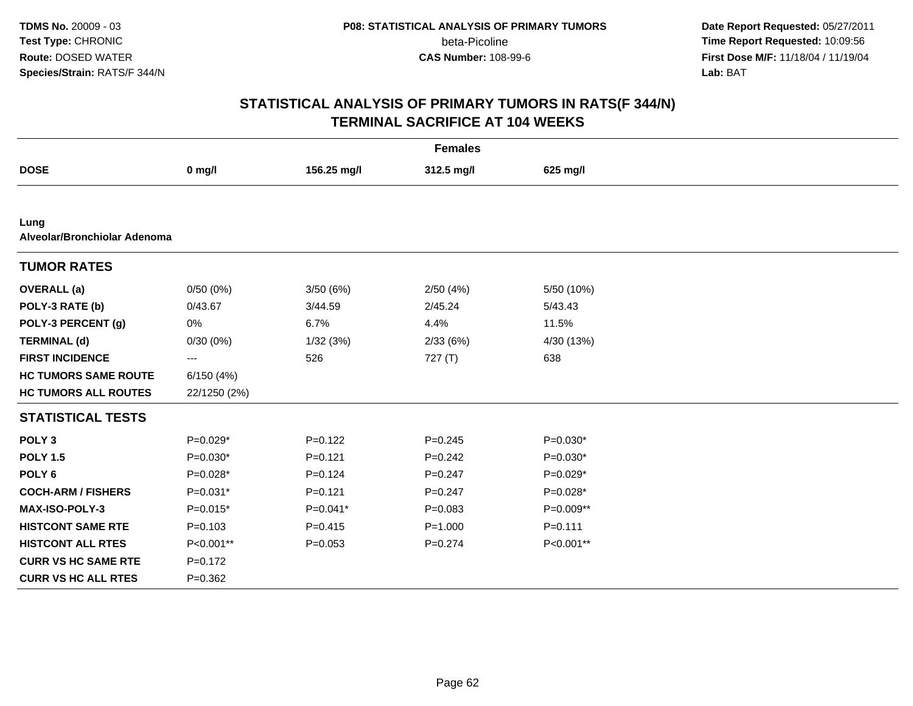**Date Report Requested:** 05/27/2011 **Time Report Requested:** 10:09:56 **First Dose M/F:** 11/18/04 / 11/19/04<br>**Lab:** BAT **Lab:** BAT

|                                      |                   |             | <b>Females</b> |             |
|--------------------------------------|-------------------|-------------|----------------|-------------|
| <b>DOSE</b>                          | $0$ mg/l          | 156.25 mg/l | 312.5 mg/l     | 625 mg/l    |
|                                      |                   |             |                |             |
| Lung<br>Alveolar/Bronchiolar Adenoma |                   |             |                |             |
| <b>TUMOR RATES</b>                   |                   |             |                |             |
| <b>OVERALL</b> (a)                   | 0/50(0%)          | 3/50(6%)    | 2/50(4%)       | 5/50 (10%)  |
| POLY-3 RATE (b)                      | 0/43.67           | 3/44.59     | 2/45.24        | 5/43.43     |
| POLY-3 PERCENT (g)                   | 0%                | 6.7%        | 4.4%           | 11.5%       |
| <b>TERMINAL (d)</b>                  | 0/30(0%)          | 1/32(3%)    | 2/33(6%)       | 4/30 (13%)  |
| <b>FIRST INCIDENCE</b>               | $\qquad \qquad -$ | 526         | 727 (T)        | 638         |
| <b>HC TUMORS SAME ROUTE</b>          | 6/150(4%)         |             |                |             |
| <b>HC TUMORS ALL ROUTES</b>          | 22/1250 (2%)      |             |                |             |
| <b>STATISTICAL TESTS</b>             |                   |             |                |             |
| POLY <sub>3</sub>                    | $P=0.029*$        | $P=0.122$   | $P = 0.245$    | $P=0.030*$  |
| <b>POLY 1.5</b>                      | $P=0.030*$        | $P = 0.121$ | $P = 0.242$    | $P=0.030*$  |
| POLY <sub>6</sub>                    | P=0.028*          | $P=0.124$   | $P=0.247$      | $P=0.029*$  |
| <b>COCH-ARM / FISHERS</b>            | $P=0.031*$        | $P = 0.121$ | $P = 0.247$    | $P=0.028*$  |
| <b>MAX-ISO-POLY-3</b>                | $P=0.015*$        | $P=0.041*$  | $P = 0.083$    | P=0.009**   |
| <b>HISTCONT SAME RTE</b>             | $P = 0.103$       | $P=0.415$   | $P = 1.000$    | $P = 0.111$ |
| <b>HISTCONT ALL RTES</b>             | P<0.001**         | $P = 0.053$ | $P=0.274$      | P<0.001**   |
| <b>CURR VS HC SAME RTE</b>           | $P = 0.172$       |             |                |             |
| <b>CURR VS HC ALL RTES</b>           | $P = 0.362$       |             |                |             |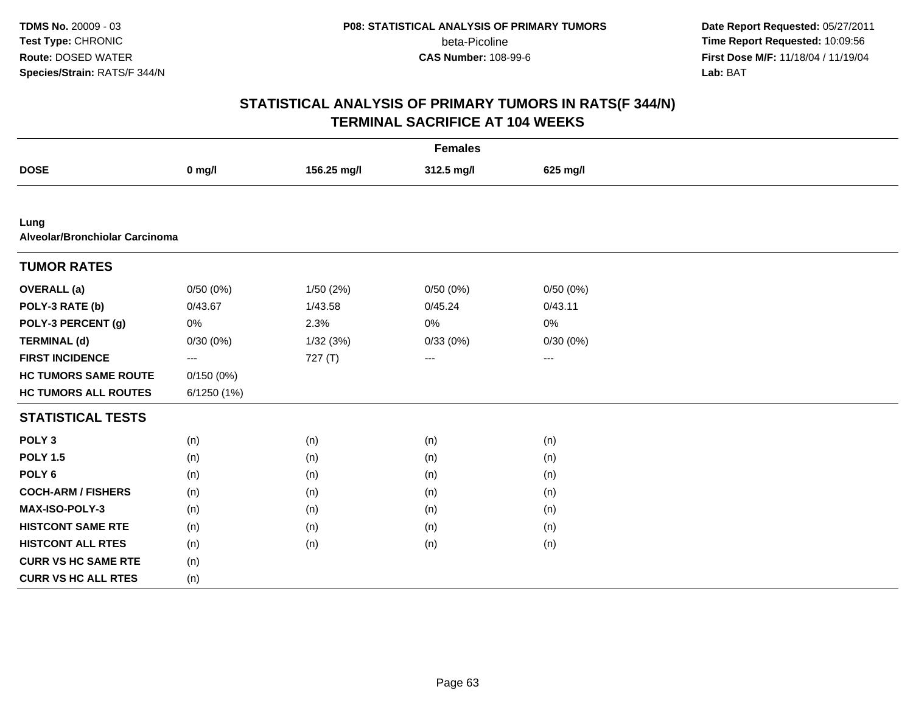**Date Report Requested:** 05/27/2011 **Time Report Requested:** 10:09:56 **First Dose M/F:** 11/18/04 / 11/19/04<br>**Lab:** BAT **Lab:** BAT

| <b>Females</b>                         |             |             |            |                   |  |
|----------------------------------------|-------------|-------------|------------|-------------------|--|
| <b>DOSE</b>                            | $0$ mg/l    | 156.25 mg/l | 312.5 mg/l | 625 mg/l          |  |
|                                        |             |             |            |                   |  |
| Lung<br>Alveolar/Bronchiolar Carcinoma |             |             |            |                   |  |
| <b>TUMOR RATES</b>                     |             |             |            |                   |  |
| <b>OVERALL</b> (a)                     | 0/50(0%)    | 1/50(2%)    | 0/50(0%)   | 0/50(0%)          |  |
| POLY-3 RATE (b)                        | 0/43.67     | 1/43.58     | 0/45.24    | 0/43.11           |  |
| POLY-3 PERCENT (g)                     | 0%          | 2.3%        | 0%         | 0%                |  |
| <b>TERMINAL (d)</b>                    | 0/30(0%)    | 1/32(3%)    | 0/33(0%)   | 0/30(0%)          |  |
| <b>FIRST INCIDENCE</b>                 | ---         | 727 (T)     | ---        | $\qquad \qquad -$ |  |
| <b>HC TUMORS SAME ROUTE</b>            | 0/150(0%)   |             |            |                   |  |
| <b>HC TUMORS ALL ROUTES</b>            | 6/1250 (1%) |             |            |                   |  |
| <b>STATISTICAL TESTS</b>               |             |             |            |                   |  |
| POLY <sub>3</sub>                      | (n)         | (n)         | (n)        | (n)               |  |
| <b>POLY 1.5</b>                        | (n)         | (n)         | (n)        | (n)               |  |
| POLY <sub>6</sub>                      | (n)         | (n)         | (n)        | (n)               |  |
| <b>COCH-ARM / FISHERS</b>              | (n)         | (n)         | (n)        | (n)               |  |
| <b>MAX-ISO-POLY-3</b>                  | (n)         | (n)         | (n)        | (n)               |  |
| <b>HISTCONT SAME RTE</b>               | (n)         | (n)         | (n)        | (n)               |  |
| <b>HISTCONT ALL RTES</b>               | (n)         | (n)         | (n)        | (n)               |  |
| <b>CURR VS HC SAME RTE</b>             | (n)         |             |            |                   |  |
| <b>CURR VS HC ALL RTES</b>             | (n)         |             |            |                   |  |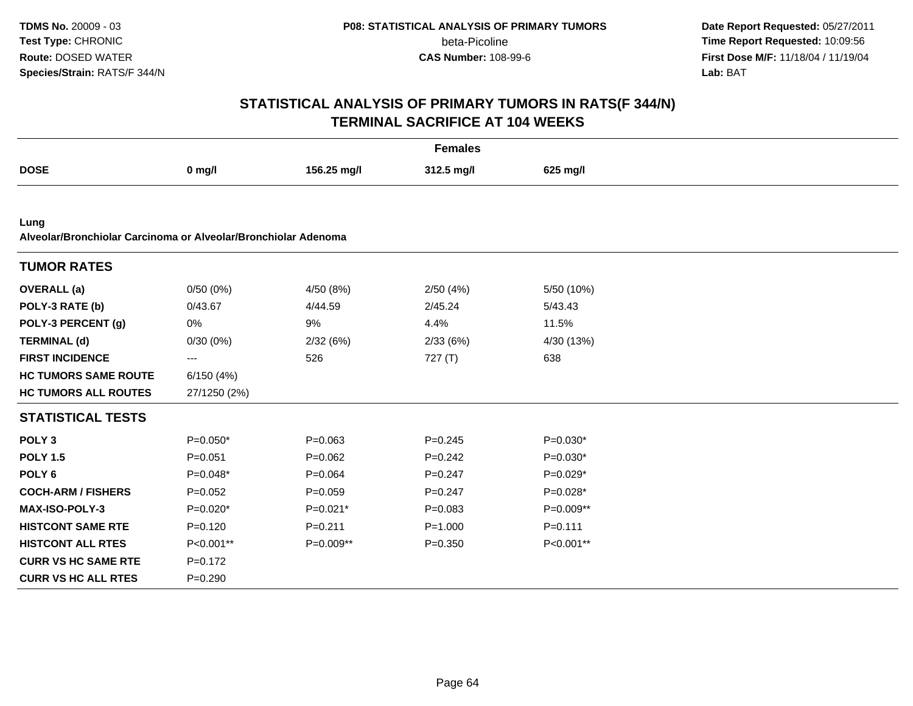**Date Report Requested:** 05/27/2011 **Time Report Requested:** 10:09:56 **First Dose M/F:** 11/18/04 / 11/19/04<br>**Lab:** BAT **Lab:** BAT

|                                                                |              |             | <b>Females</b> |             |  |
|----------------------------------------------------------------|--------------|-------------|----------------|-------------|--|
| <b>DOSE</b>                                                    | $0$ mg/l     | 156.25 mg/l | 312.5 mg/l     | 625 mg/l    |  |
|                                                                |              |             |                |             |  |
| Lung                                                           |              |             |                |             |  |
| Alveolar/Bronchiolar Carcinoma or Alveolar/Bronchiolar Adenoma |              |             |                |             |  |
| <b>TUMOR RATES</b>                                             |              |             |                |             |  |
| <b>OVERALL</b> (a)                                             | 0/50(0%)     | 4/50 (8%)   | 2/50(4%)       | 5/50 (10%)  |  |
| POLY-3 RATE (b)                                                | 0/43.67      | 4/44.59     | 2/45.24        | 5/43.43     |  |
| POLY-3 PERCENT (g)                                             | 0%           | 9%          | 4.4%           | 11.5%       |  |
| <b>TERMINAL (d)</b>                                            | 0/30(0%)     | 2/32(6%)    | 2/33(6%)       | 4/30 (13%)  |  |
| <b>FIRST INCIDENCE</b>                                         | ---          | 526         | 727(T)         | 638         |  |
| <b>HC TUMORS SAME ROUTE</b>                                    | 6/150(4%)    |             |                |             |  |
| <b>HC TUMORS ALL ROUTES</b>                                    | 27/1250 (2%) |             |                |             |  |
| <b>STATISTICAL TESTS</b>                                       |              |             |                |             |  |
| POLY <sub>3</sub>                                              | $P=0.050*$   | $P = 0.063$ | $P = 0.245$    | $P=0.030*$  |  |
| <b>POLY 1.5</b>                                                | $P = 0.051$  | $P = 0.062$ | $P=0.242$      | $P=0.030*$  |  |
| POLY <sub>6</sub>                                              | $P=0.048*$   | $P = 0.064$ | $P = 0.247$    | $P=0.029*$  |  |
| <b>COCH-ARM / FISHERS</b>                                      | $P=0.052$    | $P = 0.059$ | $P=0.247$      | $P=0.028*$  |  |
| <b>MAX-ISO-POLY-3</b>                                          | $P=0.020*$   | $P=0.021*$  | $P=0.083$      | P=0.009**   |  |
| <b>HISTCONT SAME RTE</b>                                       | $P = 0.120$  | $P = 0.211$ | $P = 1.000$    | $P = 0.111$ |  |
| <b>HISTCONT ALL RTES</b>                                       | P<0.001**    | P=0.009**   | $P = 0.350$    | P<0.001**   |  |
| <b>CURR VS HC SAME RTE</b>                                     | $P=0.172$    |             |                |             |  |
| <b>CURR VS HC ALL RTES</b>                                     | $P = 0.290$  |             |                |             |  |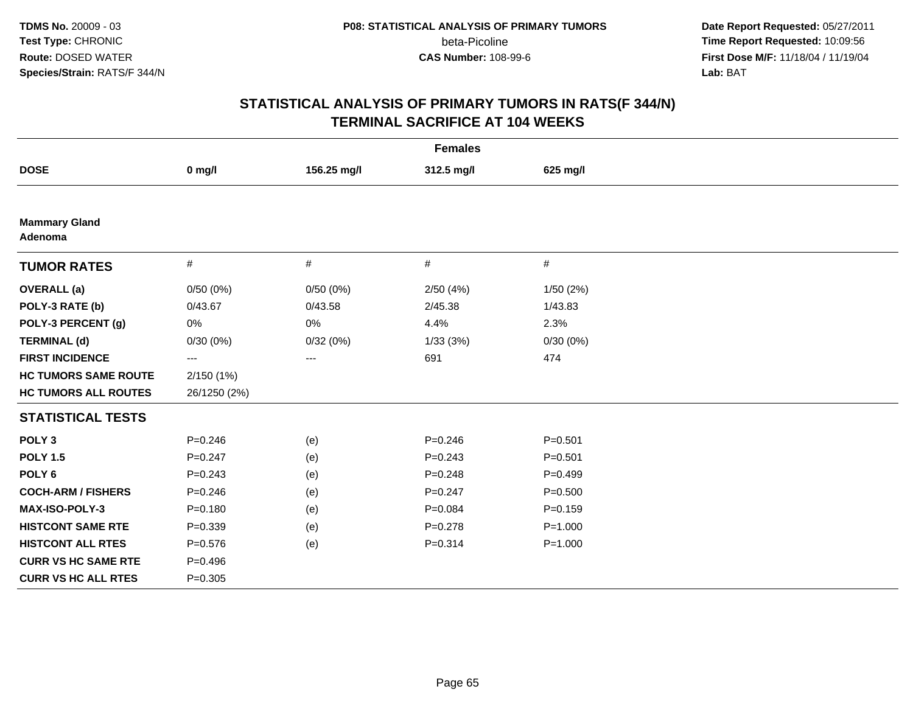**Date Report Requested:** 05/27/2011 **Time Report Requested:** 10:09:56 **First Dose M/F:** 11/18/04 / 11/19/04<br>**Lab:** BAT **Lab:** BAT

| <b>Females</b>                  |              |             |             |             |  |  |
|---------------------------------|--------------|-------------|-------------|-------------|--|--|
| <b>DOSE</b>                     | $0$ mg/l     | 156.25 mg/l | 312.5 mg/l  | 625 mg/l    |  |  |
|                                 |              |             |             |             |  |  |
| <b>Mammary Gland</b><br>Adenoma |              |             |             |             |  |  |
| <b>TUMOR RATES</b>              | $\#$         | $\#$        | $\#$        | $\#$        |  |  |
| <b>OVERALL</b> (a)              | 0/50(0%)     | 0/50(0%)    | 2/50(4%)    | 1/50(2%)    |  |  |
| POLY-3 RATE (b)                 | 0/43.67      | 0/43.58     | 2/45.38     | 1/43.83     |  |  |
| POLY-3 PERCENT (g)              | 0%           | 0%          | 4.4%        | 2.3%        |  |  |
| <b>TERMINAL (d)</b>             | 0/30(0%)     | 0/32(0%)    | 1/33(3%)    | 0/30(0%)    |  |  |
| <b>FIRST INCIDENCE</b>          | ---          | ---         | 691         | 474         |  |  |
| <b>HC TUMORS SAME ROUTE</b>     | 2/150(1%)    |             |             |             |  |  |
| <b>HC TUMORS ALL ROUTES</b>     | 26/1250 (2%) |             |             |             |  |  |
| <b>STATISTICAL TESTS</b>        |              |             |             |             |  |  |
| POLY <sub>3</sub>               | $P = 0.246$  | (e)         | $P = 0.246$ | $P = 0.501$ |  |  |
| <b>POLY 1.5</b>                 | $P = 0.247$  | (e)         | $P = 0.243$ | $P = 0.501$ |  |  |
| POLY <sub>6</sub>               | $P = 0.243$  | (e)         | $P = 0.248$ | $P=0.499$   |  |  |
| <b>COCH-ARM / FISHERS</b>       | $P = 0.246$  | (e)         | $P = 0.247$ | $P = 0.500$ |  |  |
| MAX-ISO-POLY-3                  | $P = 0.180$  | (e)         | $P = 0.084$ | $P = 0.159$ |  |  |
| <b>HISTCONT SAME RTE</b>        | $P = 0.339$  | (e)         | $P=0.278$   | $P = 1.000$ |  |  |
| <b>HISTCONT ALL RTES</b>        | $P = 0.576$  | (e)         | $P = 0.314$ | $P = 1.000$ |  |  |
| <b>CURR VS HC SAME RTE</b>      | $P=0.496$    |             |             |             |  |  |
| <b>CURR VS HC ALL RTES</b>      | $P = 0.305$  |             |             |             |  |  |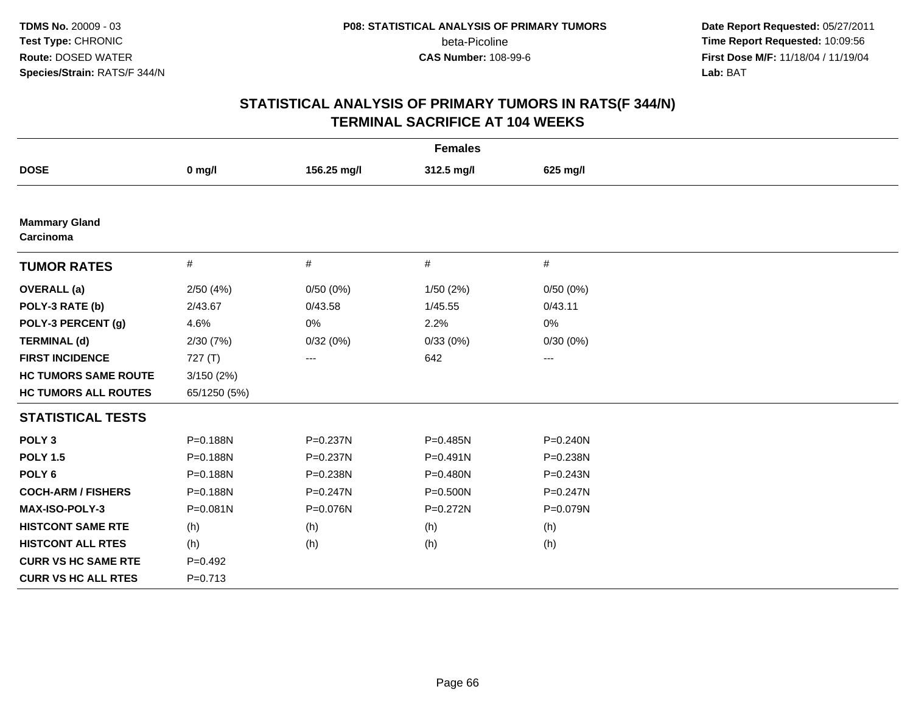**Date Report Requested:** 05/27/2011 **Time Report Requested:** 10:09:56 **First Dose M/F:** 11/18/04 / 11/19/04<br>**Lab:** BAT **Lab:** BAT

| <b>Females</b>                    |              |              |            |              |  |  |
|-----------------------------------|--------------|--------------|------------|--------------|--|--|
| <b>DOSE</b>                       | $0$ mg/l     | 156.25 mg/l  | 312.5 mg/l | 625 mg/l     |  |  |
|                                   |              |              |            |              |  |  |
| <b>Mammary Gland</b><br>Carcinoma |              |              |            |              |  |  |
| <b>TUMOR RATES</b>                | $\#$         | $\#$         | $\#$       | #            |  |  |
| <b>OVERALL</b> (a)                | 2/50(4%)     | 0/50(0%)     | 1/50 (2%)  | 0/50(0%)     |  |  |
| POLY-3 RATE (b)                   | 2/43.67      | 0/43.58      | 1/45.55    | 0/43.11      |  |  |
| POLY-3 PERCENT (g)                | 4.6%         | 0%           | 2.2%       | 0%           |  |  |
| <b>TERMINAL (d)</b>               | 2/30(7%)     | 0/32(0%)     | 0/33(0%)   | 0/30(0%)     |  |  |
| <b>FIRST INCIDENCE</b>            | 727(T)       | ---          | 642        | ---          |  |  |
| <b>HC TUMORS SAME ROUTE</b>       | 3/150(2%)    |              |            |              |  |  |
| <b>HC TUMORS ALL ROUTES</b>       | 65/1250 (5%) |              |            |              |  |  |
| <b>STATISTICAL TESTS</b>          |              |              |            |              |  |  |
| POLY <sub>3</sub>                 | P=0.188N     | P=0.237N     | P=0.485N   | $P = 0.240N$ |  |  |
| <b>POLY 1.5</b>                   | P=0.188N     | P=0.237N     | P=0.491N   | P=0.238N     |  |  |
| POLY <sub>6</sub>                 | P=0.188N     | P=0.238N     | P=0.480N   | $P = 0.243N$ |  |  |
| <b>COCH-ARM / FISHERS</b>         | P=0.188N     | $P = 0.247N$ | P=0.500N   | $P = 0.247N$ |  |  |
| <b>MAX-ISO-POLY-3</b>             | $P = 0.081N$ | P=0.076N     | P=0.272N   | P=0.079N     |  |  |
| <b>HISTCONT SAME RTE</b>          | (h)          | (h)          | (h)        | (h)          |  |  |
| <b>HISTCONT ALL RTES</b>          | (h)          | (h)          | (h)        | (h)          |  |  |
| <b>CURR VS HC SAME RTE</b>        | $P=0.492$    |              |            |              |  |  |
| <b>CURR VS HC ALL RTES</b>        | $P = 0.713$  |              |            |              |  |  |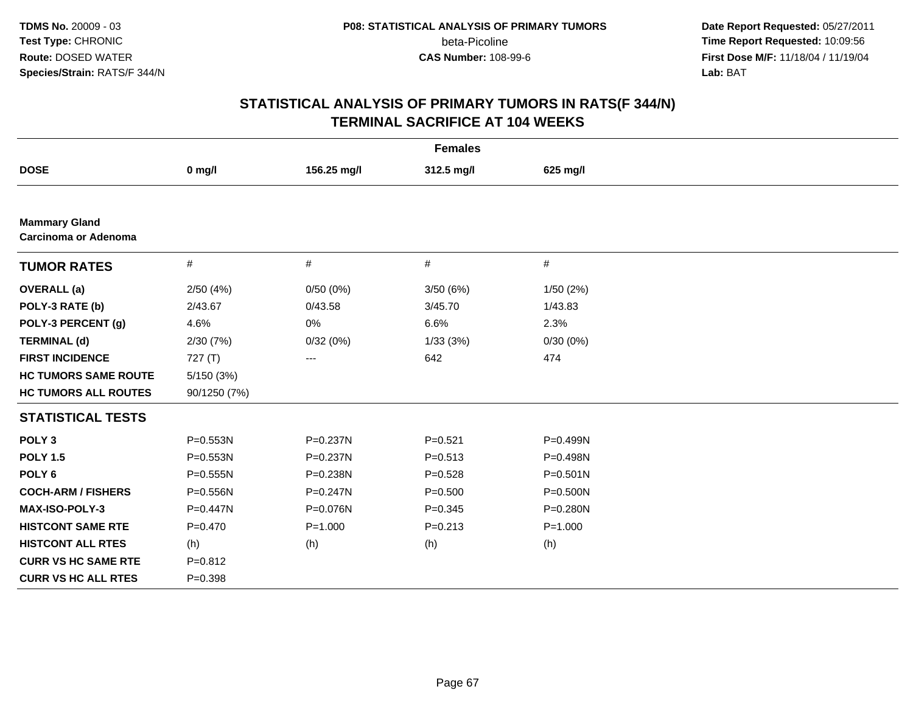**Date Report Requested:** 05/27/2011 **Time Report Requested:** 10:09:56 **First Dose M/F:** 11/18/04 / 11/19/04<br>**Lab:** BAT **Lab:** BAT

| <b>Females</b>                                      |              |              |             |              |  |  |
|-----------------------------------------------------|--------------|--------------|-------------|--------------|--|--|
| <b>DOSE</b>                                         | $0$ mg/l     | 156.25 mg/l  | 312.5 mg/l  | 625 mg/l     |  |  |
|                                                     |              |              |             |              |  |  |
| <b>Mammary Gland</b><br><b>Carcinoma or Adenoma</b> |              |              |             |              |  |  |
| <b>TUMOR RATES</b>                                  | $\#$         | #            | #           | $\#$         |  |  |
| <b>OVERALL</b> (a)                                  | 2/50(4%)     | 0/50(0%)     | 3/50(6%)    | 1/50(2%)     |  |  |
| POLY-3 RATE (b)                                     | 2/43.67      | 0/43.58      | 3/45.70     | 1/43.83      |  |  |
| POLY-3 PERCENT (g)                                  | 4.6%         | 0%           | 6.6%        | 2.3%         |  |  |
| <b>TERMINAL (d)</b>                                 | 2/30 (7%)    | 0/32(0%)     | 1/33(3%)    | 0/30(0%)     |  |  |
| <b>FIRST INCIDENCE</b>                              | 727(T)       | ---          | 642         | 474          |  |  |
| <b>HC TUMORS SAME ROUTE</b>                         | 5/150 (3%)   |              |             |              |  |  |
| <b>HC TUMORS ALL ROUTES</b>                         | 90/1250 (7%) |              |             |              |  |  |
| <b>STATISTICAL TESTS</b>                            |              |              |             |              |  |  |
| POLY <sub>3</sub>                                   | P=0.553N     | P=0.237N     | $P = 0.521$ | P=0.499N     |  |  |
| <b>POLY 1.5</b>                                     | P=0.553N     | P=0.237N     | $P = 0.513$ | P=0.498N     |  |  |
| POLY <sub>6</sub>                                   | P=0.555N     | P=0.238N     | $P = 0.528$ | $P = 0.501N$ |  |  |
| <b>COCH-ARM / FISHERS</b>                           | P=0.556N     | $P = 0.247N$ | $P = 0.500$ | $P = 0.500N$ |  |  |
| MAX-ISO-POLY-3                                      | P=0.447N     | P=0.076N     | $P = 0.345$ | P=0.280N     |  |  |
| <b>HISTCONT SAME RTE</b>                            | $P=0.470$    | $P = 1.000$  | $P = 0.213$ | $P = 1.000$  |  |  |
| <b>HISTCONT ALL RTES</b>                            | (h)          | (h)          | (h)         | (h)          |  |  |
| <b>CURR VS HC SAME RTE</b>                          | $P = 0.812$  |              |             |              |  |  |
| <b>CURR VS HC ALL RTES</b>                          | $P = 0.398$  |              |             |              |  |  |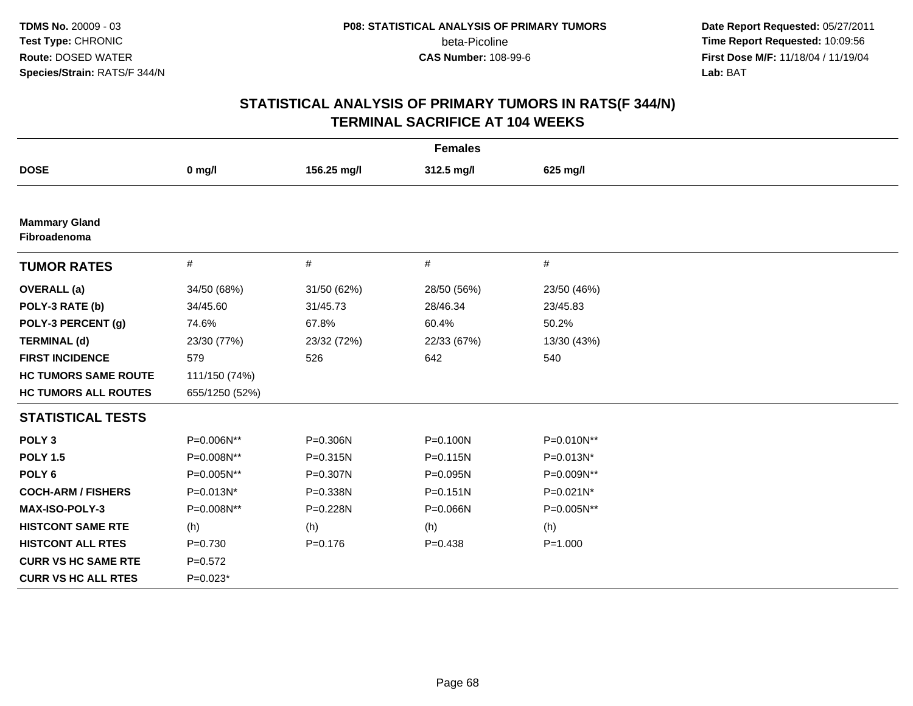**Date Report Requested:** 05/27/2011 **Time Report Requested:** 10:09:56 **First Dose M/F:** 11/18/04 / 11/19/04<br>**Lab:** BAT **Lab:** BAT

| <b>Females</b>                       |                |             |              |              |  |
|--------------------------------------|----------------|-------------|--------------|--------------|--|
| <b>DOSE</b>                          | $0$ mg/l       | 156.25 mg/l | 312.5 mg/l   | 625 mg/l     |  |
|                                      |                |             |              |              |  |
| <b>Mammary Gland</b><br>Fibroadenoma |                |             |              |              |  |
| <b>TUMOR RATES</b>                   | $\#$           | $\#$        | $\#$         | $\#$         |  |
| <b>OVERALL</b> (a)                   | 34/50 (68%)    | 31/50 (62%) | 28/50 (56%)  | 23/50 (46%)  |  |
| POLY-3 RATE (b)                      | 34/45.60       | 31/45.73    | 28/46.34     | 23/45.83     |  |
| POLY-3 PERCENT (g)                   | 74.6%          | 67.8%       | 60.4%        | 50.2%        |  |
| <b>TERMINAL (d)</b>                  | 23/30 (77%)    | 23/32 (72%) | 22/33 (67%)  | 13/30 (43%)  |  |
| <b>FIRST INCIDENCE</b>               | 579            | 526         | 642          | 540          |  |
| <b>HC TUMORS SAME ROUTE</b>          | 111/150 (74%)  |             |              |              |  |
| <b>HC TUMORS ALL ROUTES</b>          | 655/1250 (52%) |             |              |              |  |
| <b>STATISTICAL TESTS</b>             |                |             |              |              |  |
| POLY <sub>3</sub>                    | P=0.006N**     | P=0.306N    | P=0.100N     | P=0.010N**   |  |
| <b>POLY 1.5</b>                      | P=0.008N**     | P=0.315N    | P=0.115N     | P=0.013N*    |  |
| POLY <sub>6</sub>                    | P=0.005N**     | P=0.307N    | P=0.095N     | P=0.009N**   |  |
| <b>COCH-ARM / FISHERS</b>            | P=0.013N*      | P=0.338N    | $P = 0.151N$ | P=0.021N*    |  |
| <b>MAX-ISO-POLY-3</b>                | P=0.008N**     | P=0.228N    | P=0.066N     | $P=0.005N**$ |  |
| <b>HISTCONT SAME RTE</b>             | (h)            | (h)         | (h)          | (h)          |  |
| <b>HISTCONT ALL RTES</b>             | $P = 0.730$    | $P = 0.176$ | $P = 0.438$  | $P = 1.000$  |  |
| <b>CURR VS HC SAME RTE</b>           | $P=0.572$      |             |              |              |  |
| <b>CURR VS HC ALL RTES</b>           | $P=0.023*$     |             |              |              |  |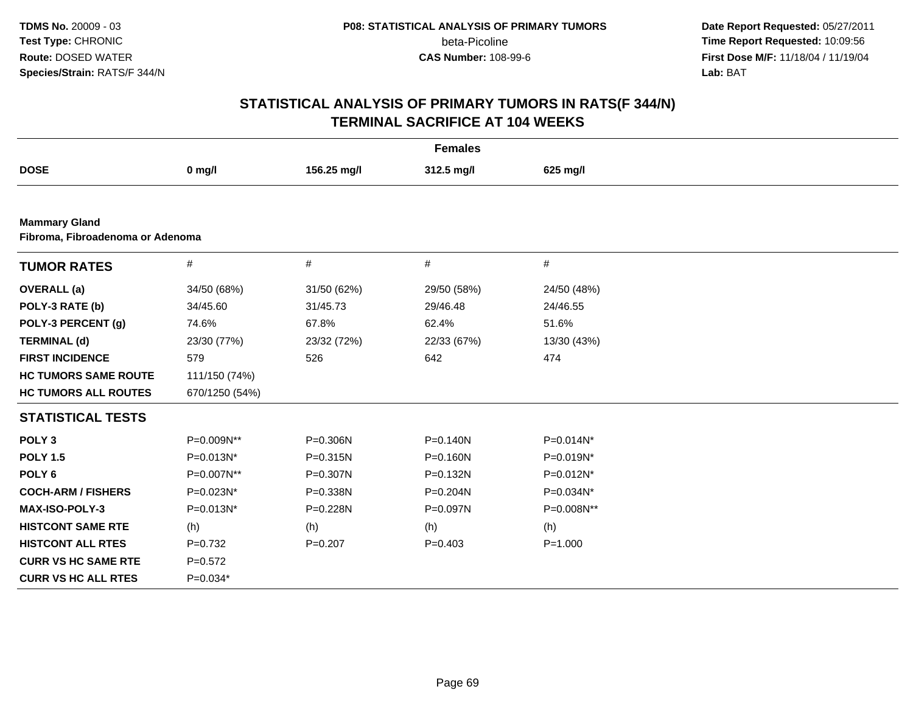**Date Report Requested:** 05/27/2011 **Time Report Requested:** 10:09:56 **First Dose M/F:** 11/18/04 / 11/19/04<br>**Lab:** BAT **Lab:** BAT

|                                  | <b>Females</b> |             |              |             |  |  |  |
|----------------------------------|----------------|-------------|--------------|-------------|--|--|--|
| <b>DOSE</b>                      | $0$ mg/l       | 156.25 mg/l | 312.5 mg/l   | 625 mg/l    |  |  |  |
|                                  |                |             |              |             |  |  |  |
| <b>Mammary Gland</b>             |                |             |              |             |  |  |  |
| Fibroma, Fibroadenoma or Adenoma |                |             |              |             |  |  |  |
| <b>TUMOR RATES</b>               | $\#$           | $\#$        | #            | $\#$        |  |  |  |
| <b>OVERALL</b> (a)               | 34/50 (68%)    | 31/50 (62%) | 29/50 (58%)  | 24/50 (48%) |  |  |  |
| POLY-3 RATE (b)                  | 34/45.60       | 31/45.73    | 29/46.48     | 24/46.55    |  |  |  |
| POLY-3 PERCENT (g)               | 74.6%          | 67.8%       | 62.4%        | 51.6%       |  |  |  |
| <b>TERMINAL (d)</b>              | 23/30 (77%)    | 23/32 (72%) | 22/33 (67%)  | 13/30 (43%) |  |  |  |
| <b>FIRST INCIDENCE</b>           | 579            | 526         | 642          | 474         |  |  |  |
| <b>HC TUMORS SAME ROUTE</b>      | 111/150 (74%)  |             |              |             |  |  |  |
| <b>HC TUMORS ALL ROUTES</b>      | 670/1250 (54%) |             |              |             |  |  |  |
| <b>STATISTICAL TESTS</b>         |                |             |              |             |  |  |  |
| POLY <sub>3</sub>                | P=0.009N**     | P=0.306N    | $P = 0.140N$ | P=0.014N*   |  |  |  |
| <b>POLY 1.5</b>                  | P=0.013N*      | P=0.315N    | P=0.160N     | P=0.019N*   |  |  |  |
| POLY <sub>6</sub>                | P=0.007N**     | P=0.307N    | P=0.132N     | P=0.012N*   |  |  |  |
| <b>COCH-ARM / FISHERS</b>        | P=0.023N*      | P=0.338N    | P=0.204N     | P=0.034N*   |  |  |  |
| <b>MAX-ISO-POLY-3</b>            | P=0.013N*      | P=0.228N    | P=0.097N     | P=0.008N**  |  |  |  |
| <b>HISTCONT SAME RTE</b>         | (h)            | (h)         | (h)          | (h)         |  |  |  |
| <b>HISTCONT ALL RTES</b>         | $P=0.732$      | $P = 0.207$ | $P = 0.403$  | $P = 1.000$ |  |  |  |
| <b>CURR VS HC SAME RTE</b>       | $P=0.572$      |             |              |             |  |  |  |
| <b>CURR VS HC ALL RTES</b>       | $P=0.034*$     |             |              |             |  |  |  |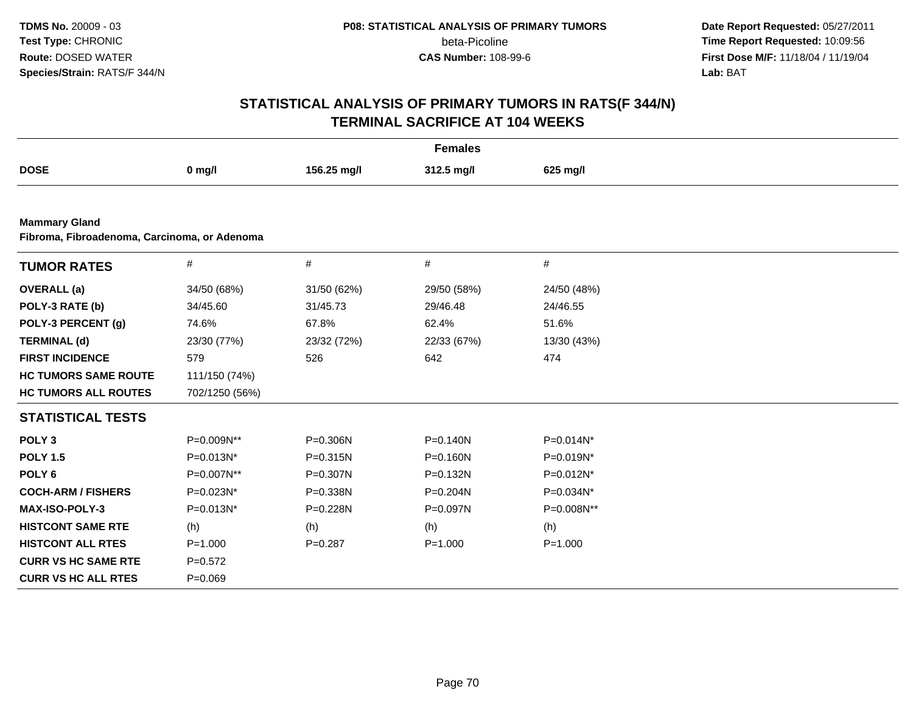**Date Report Requested:** 05/27/2011 **Time Report Requested:** 10:09:56 **First Dose M/F:** 11/18/04 / 11/19/04<br>**Lab:** BAT **Lab:** BAT

|                                                                      |                |              | <b>Females</b> |             |  |
|----------------------------------------------------------------------|----------------|--------------|----------------|-------------|--|
| <b>DOSE</b>                                                          | $0$ mg/l       | 156.25 mg/l  | 312.5 mg/l     | 625 mg/l    |  |
|                                                                      |                |              |                |             |  |
| <b>Mammary Gland</b><br>Fibroma, Fibroadenoma, Carcinoma, or Adenoma |                |              |                |             |  |
| <b>TUMOR RATES</b>                                                   | #              | $\#$         | $\#$           | $\#$        |  |
| <b>OVERALL</b> (a)                                                   | 34/50 (68%)    | 31/50 (62%)  | 29/50 (58%)    | 24/50 (48%) |  |
| POLY-3 RATE (b)                                                      | 34/45.60       | 31/45.73     | 29/46.48       | 24/46.55    |  |
| POLY-3 PERCENT (g)                                                   | 74.6%          | 67.8%        | 62.4%          | 51.6%       |  |
| <b>TERMINAL (d)</b>                                                  | 23/30 (77%)    | 23/32 (72%)  | 22/33 (67%)    | 13/30 (43%) |  |
| <b>FIRST INCIDENCE</b>                                               | 579            | 526          | 642            | 474         |  |
| <b>HC TUMORS SAME ROUTE</b>                                          | 111/150 (74%)  |              |                |             |  |
| <b>HC TUMORS ALL ROUTES</b>                                          | 702/1250 (56%) |              |                |             |  |
| <b>STATISTICAL TESTS</b>                                             |                |              |                |             |  |
| POLY <sub>3</sub>                                                    | P=0.009N**     | $P = 0.306N$ | $P = 0.140N$   | P=0.014N*   |  |
| <b>POLY 1.5</b>                                                      | P=0.013N*      | $P = 0.315N$ | $P = 0.160N$   | P=0.019N*   |  |
| POLY <sub>6</sub>                                                    | P=0.007N**     | P=0.307N     | P=0.132N       | P=0.012N*   |  |
| <b>COCH-ARM / FISHERS</b>                                            | P=0.023N*      | P=0.338N     | $P = 0.204N$   | P=0.034N*   |  |
| MAX-ISO-POLY-3                                                       | P=0.013N*      | P=0.228N     | P=0.097N       | P=0.008N**  |  |
| <b>HISTCONT SAME RTE</b>                                             | (h)            | (h)          | (h)            | (h)         |  |
| <b>HISTCONT ALL RTES</b>                                             | $P = 1.000$    | $P = 0.287$  | $P = 1.000$    | $P = 1.000$ |  |
| <b>CURR VS HC SAME RTE</b>                                           | $P=0.572$      |              |                |             |  |
| <b>CURR VS HC ALL RTES</b>                                           | $P = 0.069$    |              |                |             |  |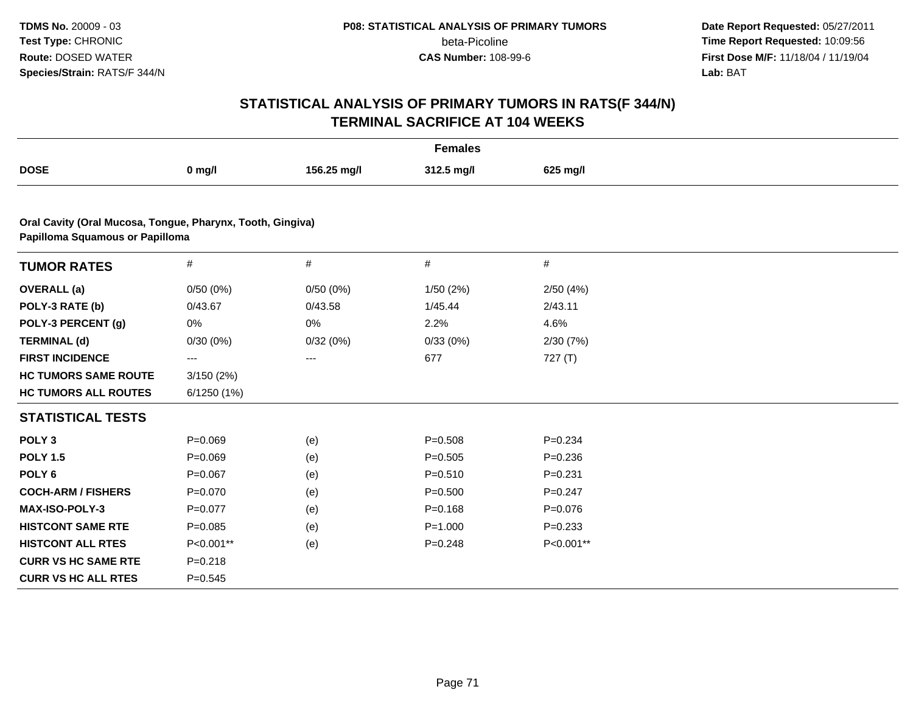**Date Report Requested:** 05/27/2011 **Time Report Requested:** 10:09:56 **First Dose M/F:** 11/18/04 / 11/19/04<br>**Lab:** BAT **Lab:** BAT

| <b>Females</b>                                                                                |             |             |             |             |  |  |  |
|-----------------------------------------------------------------------------------------------|-------------|-------------|-------------|-------------|--|--|--|
| <b>DOSE</b>                                                                                   | $0$ mg/l    | 156.25 mg/l | 312.5 mg/l  | 625 mg/l    |  |  |  |
|                                                                                               |             |             |             |             |  |  |  |
| Oral Cavity (Oral Mucosa, Tongue, Pharynx, Tooth, Gingiva)<br>Papilloma Squamous or Papilloma |             |             |             |             |  |  |  |
| <b>TUMOR RATES</b>                                                                            | $\#$        | #           | #           | #           |  |  |  |
| <b>OVERALL</b> (a)                                                                            | 0/50(0%)    | 0/50(0%)    | 1/50(2%)    | 2/50(4%)    |  |  |  |
| POLY-3 RATE (b)                                                                               | 0/43.67     | 0/43.58     | 1/45.44     | 2/43.11     |  |  |  |
| POLY-3 PERCENT (g)                                                                            | 0%          | 0%          | 2.2%        | 4.6%        |  |  |  |
| <b>TERMINAL (d)</b>                                                                           | 0/30(0%)    | 0/32(0%)    | 0/33(0%)    | 2/30(7%)    |  |  |  |
| <b>FIRST INCIDENCE</b>                                                                        | ---         | $---$       | 677         | 727(T)      |  |  |  |
| <b>HC TUMORS SAME ROUTE</b>                                                                   | 3/150(2%)   |             |             |             |  |  |  |
| <b>HC TUMORS ALL ROUTES</b>                                                                   | 6/1250 (1%) |             |             |             |  |  |  |
| <b>STATISTICAL TESTS</b>                                                                      |             |             |             |             |  |  |  |
| POLY <sub>3</sub>                                                                             | $P = 0.069$ | (e)         | $P = 0.508$ | $P = 0.234$ |  |  |  |
| <b>POLY 1.5</b>                                                                               | $P=0.069$   | (e)         | $P = 0.505$ | $P = 0.236$ |  |  |  |
| POLY <sub>6</sub>                                                                             | $P=0.067$   | (e)         | $P = 0.510$ | $P = 0.231$ |  |  |  |
| <b>COCH-ARM / FISHERS</b>                                                                     | $P = 0.070$ | (e)         | $P = 0.500$ | $P = 0.247$ |  |  |  |
| <b>MAX-ISO-POLY-3</b>                                                                         | $P=0.077$   | (e)         | $P = 0.168$ | $P = 0.076$ |  |  |  |
| <b>HISTCONT SAME RTE</b>                                                                      | $P = 0.085$ | (e)         | $P = 1.000$ | $P = 0.233$ |  |  |  |
| <b>HISTCONT ALL RTES</b>                                                                      | P<0.001**   | (e)         | $P = 0.248$ | P<0.001**   |  |  |  |
| <b>CURR VS HC SAME RTE</b>                                                                    | $P = 0.218$ |             |             |             |  |  |  |
| <b>CURR VS HC ALL RTES</b>                                                                    | $P=0.545$   |             |             |             |  |  |  |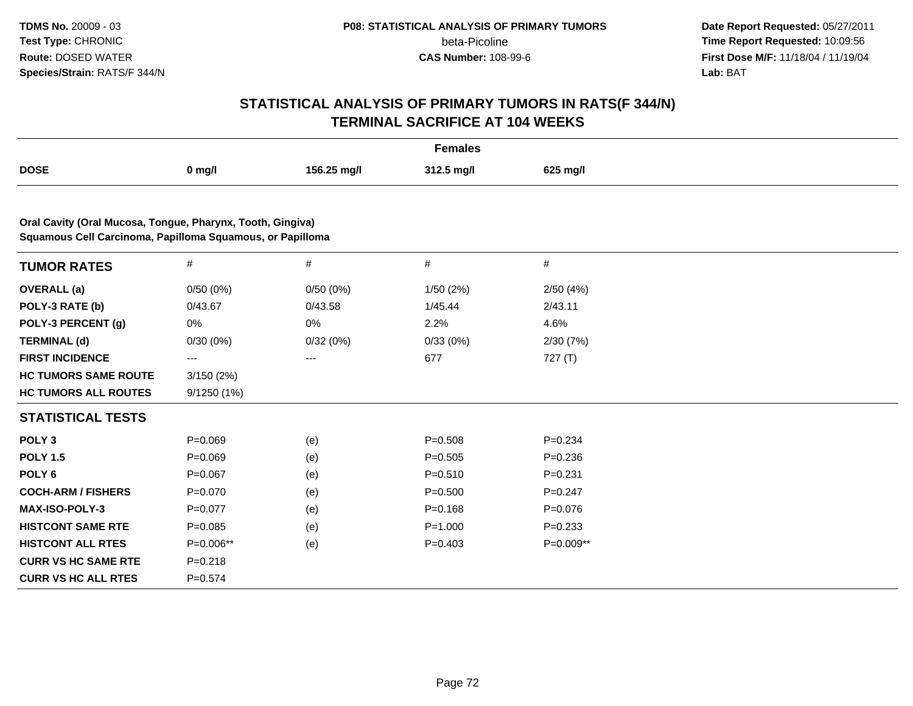**Date Report Requested:** 05/27/2011 **Time Report Requested:** 10:09:56 **First Dose M/F:** 11/18/04 / 11/19/04<br>**Lab:** BAT **Lab:** BAT

| <b>Females</b>                                                                                                          |             |             |             |             |  |  |
|-------------------------------------------------------------------------------------------------------------------------|-------------|-------------|-------------|-------------|--|--|
| <b>DOSE</b>                                                                                                             | $0$ mg/l    | 156.25 mg/l | 312.5 mg/l  | 625 mg/l    |  |  |
|                                                                                                                         |             |             |             |             |  |  |
| Oral Cavity (Oral Mucosa, Tongue, Pharynx, Tooth, Gingiva)<br>Squamous Cell Carcinoma, Papilloma Squamous, or Papilloma |             |             |             |             |  |  |
| <b>TUMOR RATES</b>                                                                                                      | $\#$        | #           | #           | #           |  |  |
| <b>OVERALL</b> (a)                                                                                                      | 0/50(0%)    | 0/50(0%)    | 1/50(2%)    | 2/50(4%)    |  |  |
| POLY-3 RATE (b)                                                                                                         | 0/43.67     | 0/43.58     | 1/45.44     | 2/43.11     |  |  |
| POLY-3 PERCENT (g)                                                                                                      | 0%          | 0%          | 2.2%        | 4.6%        |  |  |
| <b>TERMINAL (d)</b>                                                                                                     | 0/30(0%)    | 0/32(0%)    | 0/33(0%)    | 2/30(7%)    |  |  |
| <b>FIRST INCIDENCE</b>                                                                                                  | $---$       | ---         | 677         | 727(T)      |  |  |
| <b>HC TUMORS SAME ROUTE</b>                                                                                             | 3/150(2%)   |             |             |             |  |  |
| <b>HC TUMORS ALL ROUTES</b>                                                                                             | 9/1250 (1%) |             |             |             |  |  |
| <b>STATISTICAL TESTS</b>                                                                                                |             |             |             |             |  |  |
| POLY <sub>3</sub>                                                                                                       | $P = 0.069$ | (e)         | $P = 0.508$ | $P = 0.234$ |  |  |
| <b>POLY 1.5</b>                                                                                                         | $P = 0.069$ | (e)         | $P = 0.505$ | $P = 0.236$ |  |  |
| POLY <sub>6</sub>                                                                                                       | $P = 0.067$ | (e)         | $P = 0.510$ | $P = 0.231$ |  |  |
| <b>COCH-ARM / FISHERS</b>                                                                                               | $P = 0.070$ | (e)         | $P = 0.500$ | $P=0.247$   |  |  |
| MAX-ISO-POLY-3                                                                                                          | $P=0.077$   | (e)         | $P = 0.168$ | $P = 0.076$ |  |  |
| <b>HISTCONT SAME RTE</b>                                                                                                | $P = 0.085$ | (e)         | $P = 1.000$ | $P = 0.233$ |  |  |
| <b>HISTCONT ALL RTES</b>                                                                                                | P=0.006**   | (e)         | $P = 0.403$ | P=0.009**   |  |  |
| <b>CURR VS HC SAME RTE</b>                                                                                              | $P = 0.218$ |             |             |             |  |  |
| <b>CURR VS HC ALL RTES</b>                                                                                              | $P=0.574$   |             |             |             |  |  |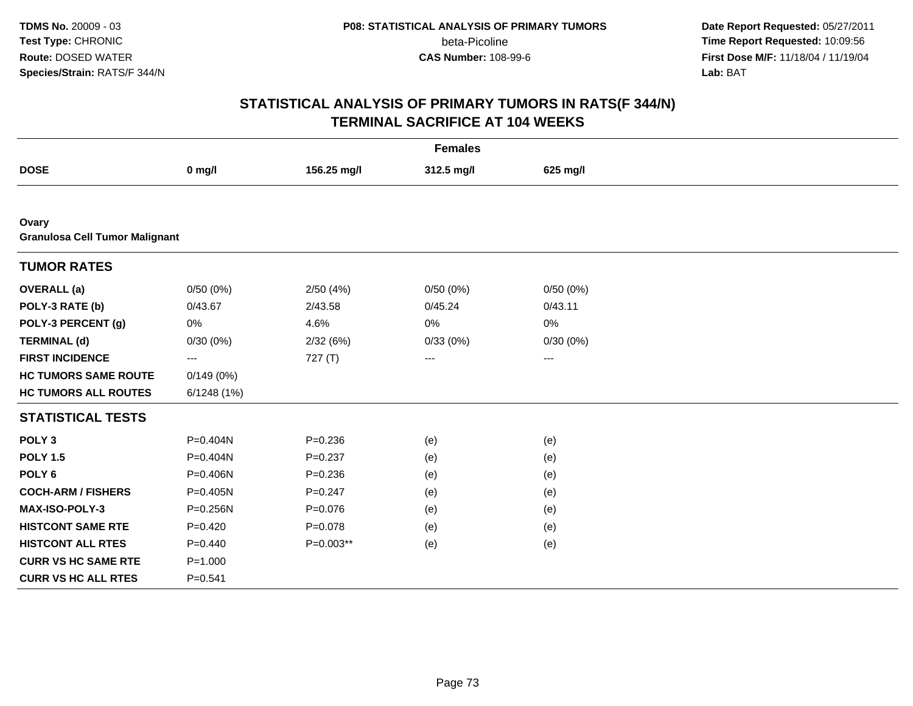**Date Report Requested:** 05/27/2011 **Time Report Requested:** 10:09:56 **First Dose M/F:** 11/18/04 / 11/19/04 Lab: BAT **Lab:** BAT

|                                                |             |             | <b>Females</b> |          |  |
|------------------------------------------------|-------------|-------------|----------------|----------|--|
| <b>DOSE</b>                                    | $0$ mg/l    | 156.25 mg/l | 312.5 mg/l     | 625 mg/l |  |
|                                                |             |             |                |          |  |
| Ovary<br><b>Granulosa Cell Tumor Malignant</b> |             |             |                |          |  |
| <b>TUMOR RATES</b>                             |             |             |                |          |  |
| <b>OVERALL</b> (a)                             | 0/50(0%)    | 2/50(4%)    | 0/50(0%)       | 0/50(0%) |  |
| POLY-3 RATE (b)                                | 0/43.67     | 2/43.58     | 0/45.24        | 0/43.11  |  |
| POLY-3 PERCENT (g)                             | 0%          | 4.6%        | 0%             | 0%       |  |
| <b>TERMINAL (d)</b>                            | 0/30(0%)    | 2/32(6%)    | 0/33(0%)       | 0/30(0%) |  |
| <b>FIRST INCIDENCE</b>                         | $---$       | 727 (T)     | $---$          | $---$    |  |
| <b>HC TUMORS SAME ROUTE</b>                    | 0/149(0%)   |             |                |          |  |
| <b>HC TUMORS ALL ROUTES</b>                    | 6/1248(1%)  |             |                |          |  |
| <b>STATISTICAL TESTS</b>                       |             |             |                |          |  |
| POLY <sub>3</sub>                              | P=0.404N    | $P = 0.236$ | (e)            | (e)      |  |
| <b>POLY 1.5</b>                                | P=0.404N    | $P = 0.237$ | (e)            | (e)      |  |
| POLY <sub>6</sub>                              | P=0.406N    | $P = 0.236$ | (e)            | (e)      |  |
| <b>COCH-ARM / FISHERS</b>                      | P=0.405N    | $P = 0.247$ | (e)            | (e)      |  |
| <b>MAX-ISO-POLY-3</b>                          | P=0.256N    | $P = 0.076$ | (e)            | (e)      |  |
| <b>HISTCONT SAME RTE</b>                       | $P=0.420$   | $P = 0.078$ | (e)            | (e)      |  |
| <b>HISTCONT ALL RTES</b>                       | $P=0.440$   | P=0.003**   | (e)            | (e)      |  |
| <b>CURR VS HC SAME RTE</b>                     | $P = 1.000$ |             |                |          |  |
| <b>CURR VS HC ALL RTES</b>                     | $P = 0.541$ |             |                |          |  |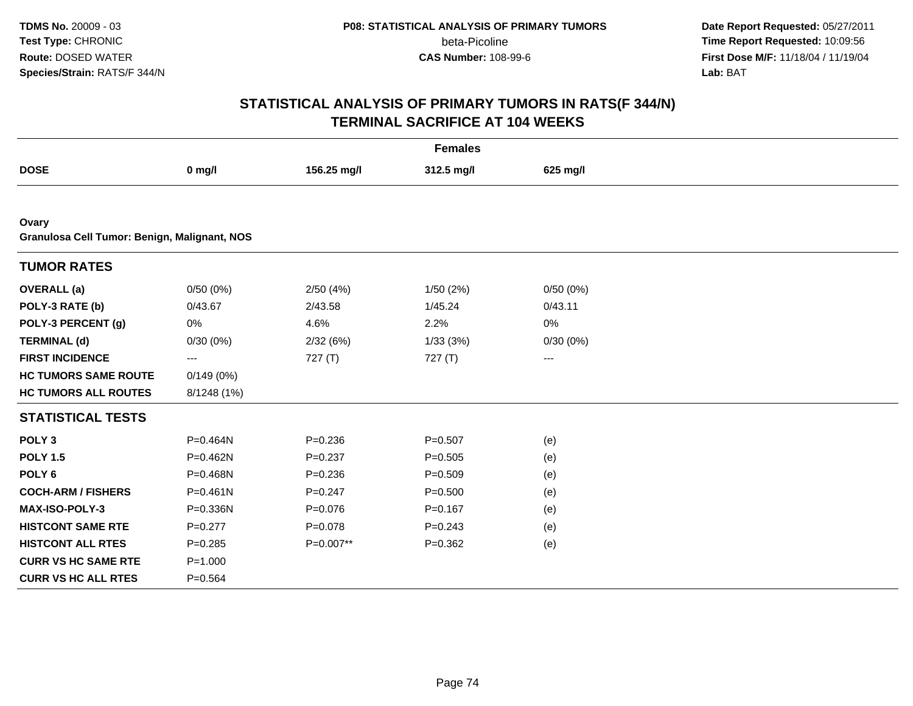**Date Report Requested:** 05/27/2011 **Time Report Requested:** 10:09:56 **First Dose M/F:** 11/18/04 / 11/19/04 Lab: BAT **Lab:** BAT

|                                                       |              |             | <b>Females</b> |          |  |
|-------------------------------------------------------|--------------|-------------|----------------|----------|--|
| <b>DOSE</b>                                           | $0$ mg/l     | 156.25 mg/l | 312.5 mg/l     | 625 mg/l |  |
|                                                       |              |             |                |          |  |
| Ovary<br>Granulosa Cell Tumor: Benign, Malignant, NOS |              |             |                |          |  |
|                                                       |              |             |                |          |  |
| <b>TUMOR RATES</b>                                    |              |             |                |          |  |
| <b>OVERALL</b> (a)                                    | 0/50(0%)     | 2/50(4%)    | 1/50(2%)       | 0/50(0%) |  |
| POLY-3 RATE (b)                                       | 0/43.67      | 2/43.58     | 1/45.24        | 0/43.11  |  |
| POLY-3 PERCENT (g)                                    | 0%           | 4.6%        | 2.2%           | 0%       |  |
| <b>TERMINAL (d)</b>                                   | 0/30(0%)     | 2/32(6%)    | 1/33(3%)       | 0/30(0%) |  |
| <b>FIRST INCIDENCE</b>                                | ---          | 727(T)      | 727(T)         | ---      |  |
| <b>HC TUMORS SAME ROUTE</b>                           | 0/149(0%)    |             |                |          |  |
| <b>HC TUMORS ALL ROUTES</b>                           | 8/1248 (1%)  |             |                |          |  |
| <b>STATISTICAL TESTS</b>                              |              |             |                |          |  |
| POLY <sub>3</sub>                                     | P=0.464N     | $P = 0.236$ | $P = 0.507$    | (e)      |  |
| <b>POLY 1.5</b>                                       | P=0.462N     | $P = 0.237$ | $P=0.505$      | (e)      |  |
| POLY <sub>6</sub>                                     | P=0.468N     | $P = 0.236$ | $P = 0.509$    | (e)      |  |
| <b>COCH-ARM / FISHERS</b>                             | $P = 0.461N$ | $P = 0.247$ | $P = 0.500$    | (e)      |  |
| MAX-ISO-POLY-3                                        | P=0.336N     | $P = 0.076$ | $P = 0.167$    | (e)      |  |
| <b>HISTCONT SAME RTE</b>                              | $P=0.277$    | $P = 0.078$ | $P = 0.243$    | (e)      |  |
| <b>HISTCONT ALL RTES</b>                              | $P = 0.285$  | P=0.007**   | $P=0.362$      | (e)      |  |
| <b>CURR VS HC SAME RTE</b>                            | $P = 1.000$  |             |                |          |  |
| <b>CURR VS HC ALL RTES</b>                            | $P = 0.564$  |             |                |          |  |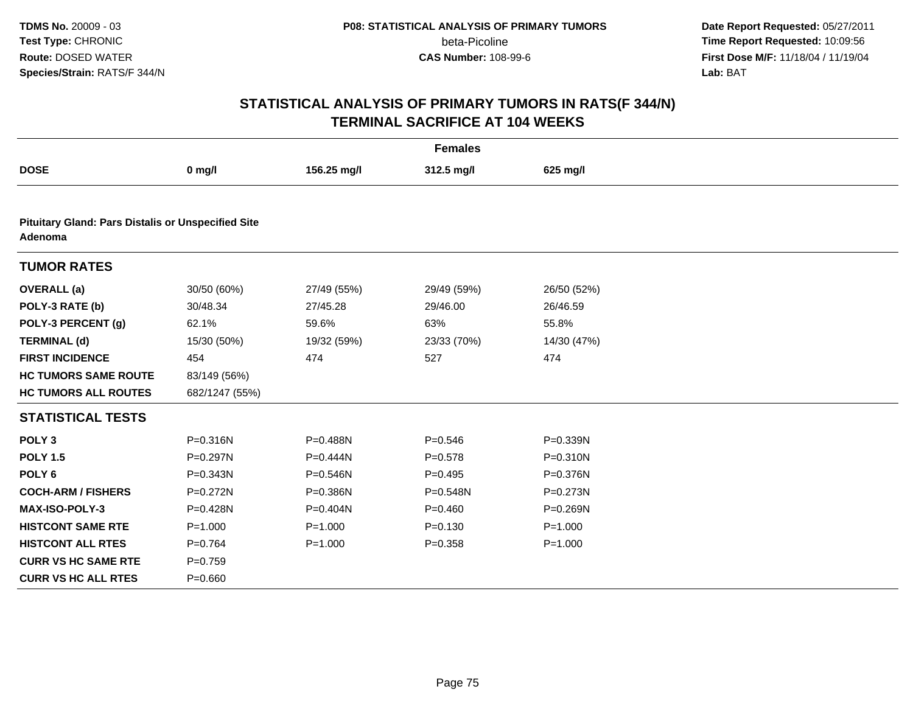**Date Report Requested:** 05/27/2011 **Time Report Requested:** 10:09:56 **First Dose M/F:** 11/18/04 / 11/19/04 Lab: BAT **Lab:** BAT

|                                                                      |                |              | <b>Females</b> |             |
|----------------------------------------------------------------------|----------------|--------------|----------------|-------------|
| <b>DOSE</b>                                                          | $0$ mg/l       | 156.25 mg/l  | 312.5 mg/l     | 625 mg/l    |
|                                                                      |                |              |                |             |
| <b>Pituitary Gland: Pars Distalis or Unspecified Site</b><br>Adenoma |                |              |                |             |
| <b>TUMOR RATES</b>                                                   |                |              |                |             |
| <b>OVERALL</b> (a)                                                   | 30/50 (60%)    | 27/49 (55%)  | 29/49 (59%)    | 26/50 (52%) |
| POLY-3 RATE (b)                                                      | 30/48.34       | 27/45.28     | 29/46.00       | 26/46.59    |
| POLY-3 PERCENT (g)                                                   | 62.1%          | 59.6%        | 63%            | 55.8%       |
| <b>TERMINAL (d)</b>                                                  | 15/30 (50%)    | 19/32 (59%)  | 23/33 (70%)    | 14/30 (47%) |
| <b>FIRST INCIDENCE</b>                                               | 454            | 474          | 527            | 474         |
| <b>HC TUMORS SAME ROUTE</b>                                          | 83/149 (56%)   |              |                |             |
| <b>HC TUMORS ALL ROUTES</b>                                          | 682/1247 (55%) |              |                |             |
| <b>STATISTICAL TESTS</b>                                             |                |              |                |             |
| POLY <sub>3</sub>                                                    | P=0.316N       | P=0.488N     | $P = 0.546$    | P=0.339N    |
| <b>POLY 1.5</b>                                                      | $P = 0.297N$   | $P=0.444N$   | $P = 0.578$    | P=0.310N    |
| POLY <sub>6</sub>                                                    | P=0.343N       | P=0.546N     | $P=0.495$      | P=0.376N    |
| <b>COCH-ARM / FISHERS</b>                                            | P=0.272N       | P=0.386N     | $P = 0.548N$   | P=0.273N    |
| <b>MAX-ISO-POLY-3</b>                                                | P=0.428N       | $P = 0.404N$ | $P=0.460$      | P=0.269N    |
| <b>HISTCONT SAME RTE</b>                                             | $P = 1.000$    | $P = 1.000$  | $P = 0.130$    | $P = 1.000$ |
| <b>HISTCONT ALL RTES</b>                                             | $P=0.764$      | $P = 1.000$  | $P = 0.358$    | $P = 1.000$ |
| <b>CURR VS HC SAME RTE</b>                                           | $P = 0.759$    |              |                |             |
| <b>CURR VS HC ALL RTES</b>                                           | $P = 0.660$    |              |                |             |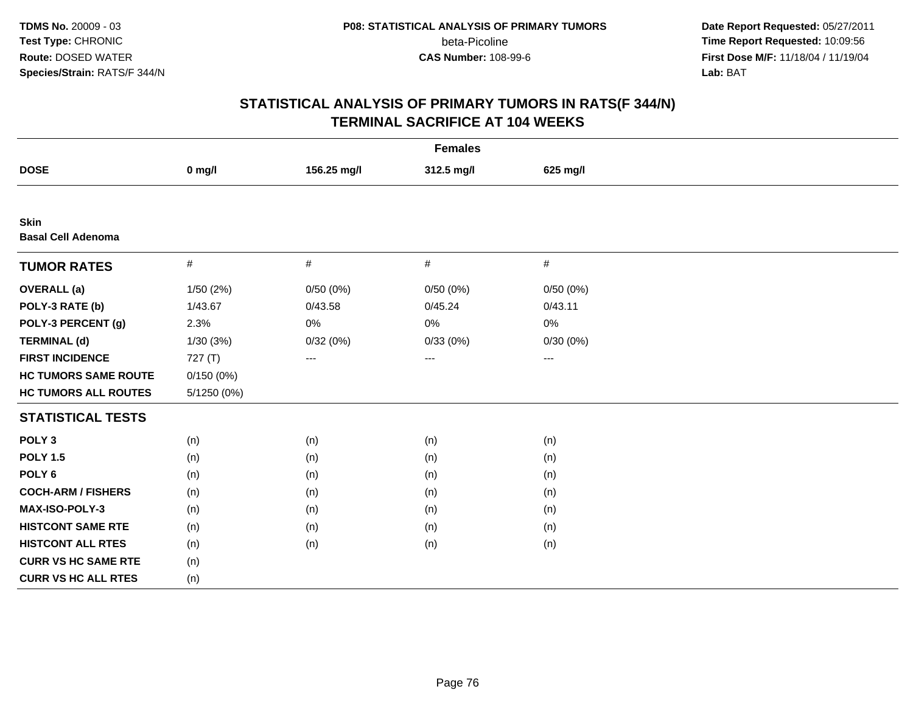**Date Report Requested:** 05/27/2011 **Time Report Requested:** 10:09:56 **First Dose M/F:** 11/18/04 / 11/19/04 Lab: BAT **Lab:** BAT

|                                          |             |             | <b>Females</b> |          |  |
|------------------------------------------|-------------|-------------|----------------|----------|--|
| <b>DOSE</b>                              | $0$ mg/l    | 156.25 mg/l | 312.5 mg/l     | 625 mg/l |  |
|                                          |             |             |                |          |  |
| <b>Skin</b><br><b>Basal Cell Adenoma</b> |             |             |                |          |  |
| <b>TUMOR RATES</b>                       | $\#$        | $\#$        | $\#$           | $\#$     |  |
| <b>OVERALL</b> (a)                       | 1/50 (2%)   | 0/50(0%)    | 0/50(0%)       | 0/50(0%) |  |
| POLY-3 RATE (b)                          | 1/43.67     | 0/43.58     | 0/45.24        | 0/43.11  |  |
| POLY-3 PERCENT (g)                       | 2.3%        | $0\%$       | 0%             | 0%       |  |
| <b>TERMINAL (d)</b>                      | 1/30(3%)    | 0/32(0%)    | 0/33(0%)       | 0/30(0%) |  |
| <b>FIRST INCIDENCE</b>                   | 727(T)      | ---         | ---            | ---      |  |
| <b>HC TUMORS SAME ROUTE</b>              | 0/150(0%)   |             |                |          |  |
| <b>HC TUMORS ALL ROUTES</b>              | 5/1250 (0%) |             |                |          |  |
| <b>STATISTICAL TESTS</b>                 |             |             |                |          |  |
| POLY <sub>3</sub>                        | (n)         | (n)         | (n)            | (n)      |  |
| <b>POLY 1.5</b>                          | (n)         | (n)         | (n)            | (n)      |  |
| POLY <sub>6</sub>                        | (n)         | (n)         | (n)            | (n)      |  |
| <b>COCH-ARM / FISHERS</b>                | (n)         | (n)         | (n)            | (n)      |  |
| MAX-ISO-POLY-3                           | (n)         | (n)         | (n)            | (n)      |  |
| <b>HISTCONT SAME RTE</b>                 | (n)         | (n)         | (n)            | (n)      |  |
| <b>HISTCONT ALL RTES</b>                 | (n)         | (n)         | (n)            | (n)      |  |
| <b>CURR VS HC SAME RTE</b>               | (n)         |             |                |          |  |
| <b>CURR VS HC ALL RTES</b>               | (n)         |             |                |          |  |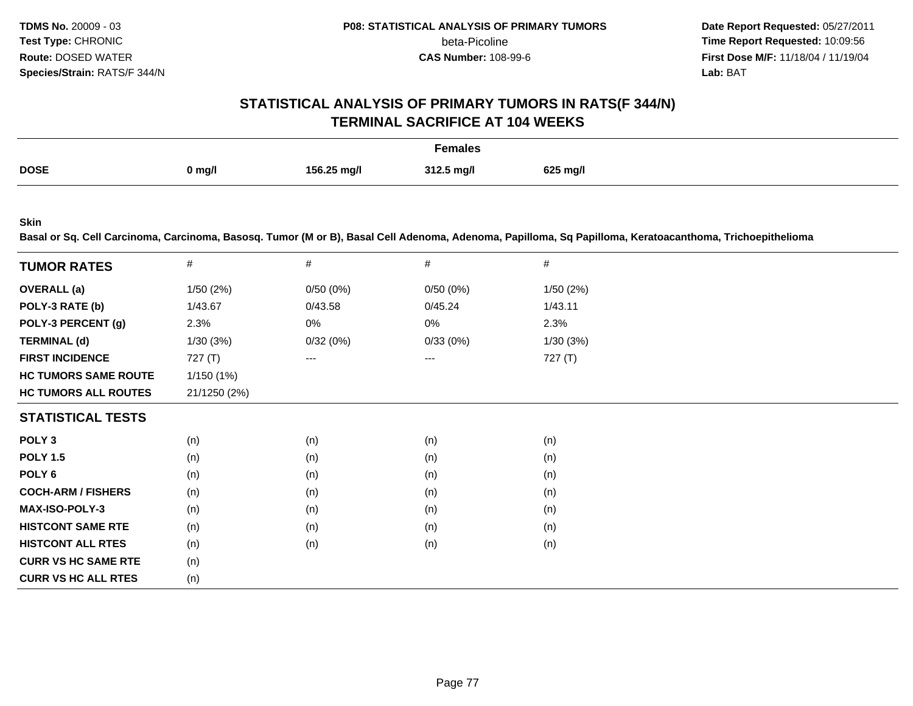**Date Report Requested:** 05/27/2011 **Time Report Requested:** 10:09:56 **First Dose M/F:** 11/18/04 / 11/19/04<br>**Lab:** BAT **Lab:** BAT

## **STATISTICAL ANALYSIS OF PRIMARY TUMORS IN RATS(F 344/N)TERMINAL SACRIFICE AT 104 WEEKS**

| Females     |        |             |            |          |
|-------------|--------|-------------|------------|----------|
| <b>DOSE</b> | 0 mg/l | 156.25 mg/l | 312.5 mg/l | 625 mg/l |

**Skin**

**Basal or Sq. Cell Carcinoma, Carcinoma, Basosq. Tumor (M or B), Basal Cell Adenoma, Adenoma, Papilloma, Sq Papilloma, Keratoacanthoma, Trichoepithelioma**

| <b>TUMOR RATES</b>          | #            | #        | #        | #        |
|-----------------------------|--------------|----------|----------|----------|
| <b>OVERALL</b> (a)          | 1/50(2%)     | 0/50(0%) | 0/50(0%) | 1/50(2%) |
| POLY-3 RATE (b)             | 1/43.67      | 0/43.58  | 0/45.24  | 1/43.11  |
| POLY-3 PERCENT (g)          | 2.3%         | 0%       | 0%       | 2.3%     |
| <b>TERMINAL (d)</b>         | 1/30(3%)     | 0/32(0%) | 0/33(0%) | 1/30(3%) |
| <b>FIRST INCIDENCE</b>      | 727(T)       | ---      | $---$    | 727 (T)  |
| <b>HC TUMORS SAME ROUTE</b> | 1/150(1%)    |          |          |          |
| <b>HC TUMORS ALL ROUTES</b> | 21/1250 (2%) |          |          |          |
| <b>STATISTICAL TESTS</b>    |              |          |          |          |
| POLY <sub>3</sub>           | (n)          | (n)      | (n)      | (n)      |
| <b>POLY 1.5</b>             | (n)          | (n)      | (n)      | (n)      |
| POLY 6                      | (n)          | (n)      | (n)      | (n)      |
| <b>COCH-ARM / FISHERS</b>   | (n)          | (n)      | (n)      | (n)      |
| <b>MAX-ISO-POLY-3</b>       | (n)          | (n)      | (n)      | (n)      |
| <b>HISTCONT SAME RTE</b>    | (n)          | (n)      | (n)      | (n)      |
| <b>HISTCONT ALL RTES</b>    | (n)          | (n)      | (n)      | (n)      |
| <b>CURR VS HC SAME RTE</b>  | (n)          |          |          |          |
| <b>CURR VS HC ALL RTES</b>  | (n)          |          |          |          |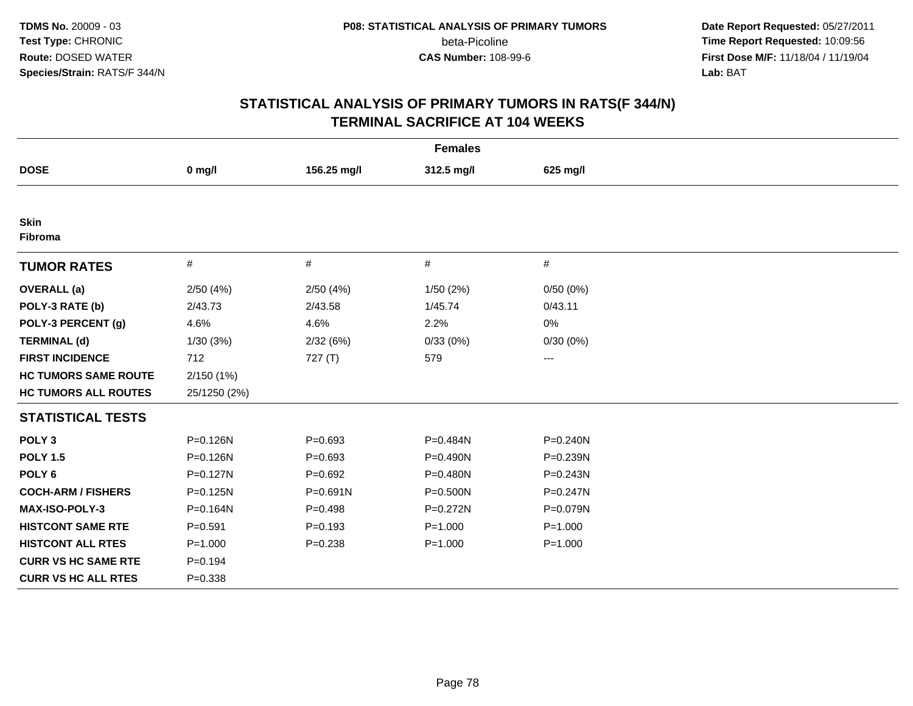**Date Report Requested:** 05/27/2011 **Time Report Requested:** 10:09:56 **First Dose M/F:** 11/18/04 / 11/19/04 Lab: BAT **Lab:** BAT

|                             |              |             | <b>Females</b> |              |  |
|-----------------------------|--------------|-------------|----------------|--------------|--|
| <b>DOSE</b>                 | $0$ mg/l     | 156.25 mg/l | 312.5 mg/l     | 625 mg/l     |  |
|                             |              |             |                |              |  |
| <b>Skin</b><br>Fibroma      |              |             |                |              |  |
| <b>TUMOR RATES</b>          | $\#$         | $\#$        | $\#$           | #            |  |
| <b>OVERALL</b> (a)          | 2/50(4%)     | 2/50(4%)    | 1/50(2%)       | 0/50(0%)     |  |
| POLY-3 RATE (b)             | 2/43.73      | 2/43.58     | 1/45.74        | 0/43.11      |  |
| POLY-3 PERCENT (g)          | 4.6%         | 4.6%        | 2.2%           | 0%           |  |
| <b>TERMINAL (d)</b>         | 1/30(3%)     | 2/32(6%)    | 0/33(0%)       | 0/30(0%)     |  |
| <b>FIRST INCIDENCE</b>      | 712          | 727(T)      | 579            | $---$        |  |
| <b>HC TUMORS SAME ROUTE</b> | 2/150 (1%)   |             |                |              |  |
| <b>HC TUMORS ALL ROUTES</b> | 25/1250 (2%) |             |                |              |  |
| <b>STATISTICAL TESTS</b>    |              |             |                |              |  |
| POLY <sub>3</sub>           | P=0.126N     | $P = 0.693$ | P=0.484N       | $P = 0.240N$ |  |
| <b>POLY 1.5</b>             | P=0.126N     | $P=0.693$   | P=0.490N       | P=0.239N     |  |
| POLY <sub>6</sub>           | $P = 0.127N$ | $P=0.692$   | P=0.480N       | $P = 0.243N$ |  |
| <b>COCH-ARM / FISHERS</b>   | P=0.125N     | P=0.691N    | P=0.500N       | $P = 0.247N$ |  |
| <b>MAX-ISO-POLY-3</b>       | P=0.164N     | $P=0.498$   | $P = 0.272N$   | P=0.079N     |  |
| <b>HISTCONT SAME RTE</b>    | $P = 0.591$  | $P=0.193$   | $P = 1.000$    | $P = 1.000$  |  |
| <b>HISTCONT ALL RTES</b>    | $P = 1.000$  | $P = 0.238$ | $P = 1.000$    | $P = 1.000$  |  |
| <b>CURR VS HC SAME RTE</b>  | $P = 0.194$  |             |                |              |  |
| <b>CURR VS HC ALL RTES</b>  | $P = 0.338$  |             |                |              |  |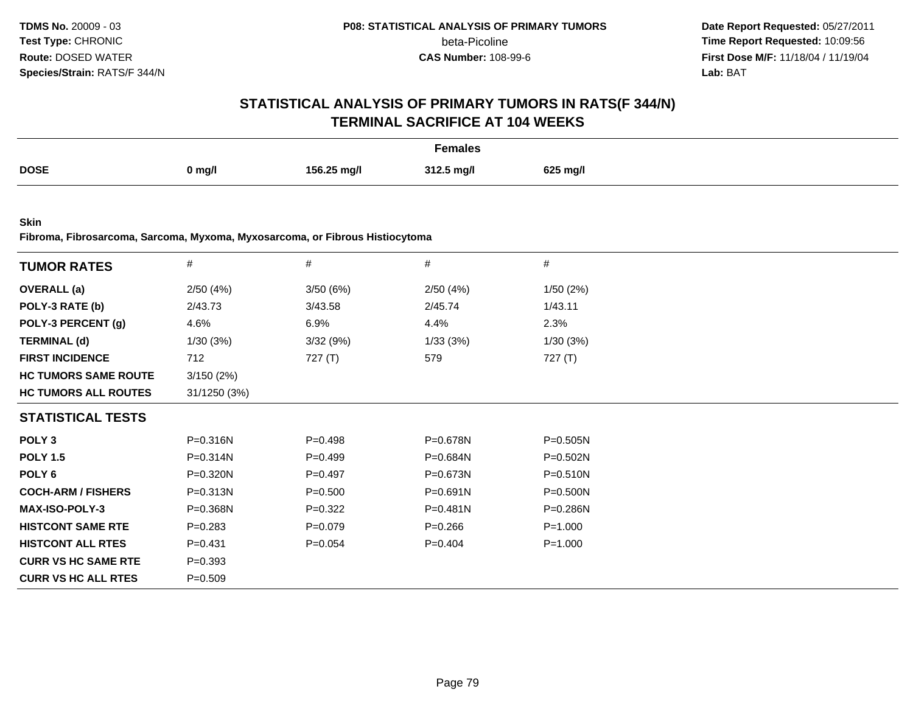**Date Report Requested:** 05/27/2011 **Time Report Requested:** 10:09:56 **First Dose M/F:** 11/18/04 / 11/19/04<br>**Lab:** BAT **Lab:** BAT

# **STATISTICAL ANALYSIS OF PRIMARY TUMORS IN RATS(F 344/N)TERMINAL SACRIFICE AT 104 WEEKS**

| Females     |          |             |            |          |
|-------------|----------|-------------|------------|----------|
| <b>DOSE</b> | $0$ mg/l | 156.25 mg/l | 312.5 mg/l | 625 mg/l |

**Skin**

**Fibroma, Fibrosarcoma, Sarcoma, Myxoma, Myxosarcoma, or Fibrous Histiocytoma**

| <b>TUMOR RATES</b>          | $\#$         | $\#$        | #            | $\#$         |  |
|-----------------------------|--------------|-------------|--------------|--------------|--|
| <b>OVERALL</b> (a)          | 2/50(4%)     | 3/50(6%)    | 2/50(4%)     | 1/50(2%)     |  |
| POLY-3 RATE (b)             | 2/43.73      | 3/43.58     | 2/45.74      | 1/43.11      |  |
| POLY-3 PERCENT (g)          | 4.6%         | 6.9%        | 4.4%         | 2.3%         |  |
| <b>TERMINAL (d)</b>         | 1/30(3%)     | 3/32(9%)    | 1/33(3%)     | 1/30(3%)     |  |
| <b>FIRST INCIDENCE</b>      | 712          | 727 $(T)$   | 579          | 727(T)       |  |
| <b>HC TUMORS SAME ROUTE</b> | 3/150(2%)    |             |              |              |  |
| <b>HC TUMORS ALL ROUTES</b> | 31/1250 (3%) |             |              |              |  |
| <b>STATISTICAL TESTS</b>    |              |             |              |              |  |
| POLY <sub>3</sub>           | P=0.316N     | $P = 0.498$ | P=0.678N     | $P = 0.505N$ |  |
| <b>POLY 1.5</b>             | P=0.314N     | $P = 0.499$ | P=0.684N     | P=0.502N     |  |
| POLY 6                      | $P = 0.320N$ | $P=0.497$   | P=0.673N     | $P = 0.510N$ |  |
| <b>COCH-ARM / FISHERS</b>   | $P = 0.313N$ | $P = 0.500$ | $P = 0.691N$ | $P = 0.500N$ |  |
| <b>MAX-ISO-POLY-3</b>       | P=0.368N     | $P=0.322$   | P=0.481N     | P=0.286N     |  |
| <b>HISTCONT SAME RTE</b>    | $P = 0.283$  | $P = 0.079$ | $P = 0.266$  | $P = 1.000$  |  |
| <b>HISTCONT ALL RTES</b>    | $P = 0.431$  | $P = 0.054$ | $P=0.404$    | $P = 1.000$  |  |
| <b>CURR VS HC SAME RTE</b>  | $P = 0.393$  |             |              |              |  |
| <b>CURR VS HC ALL RTES</b>  | $P = 0.509$  |             |              |              |  |
|                             |              |             |              |              |  |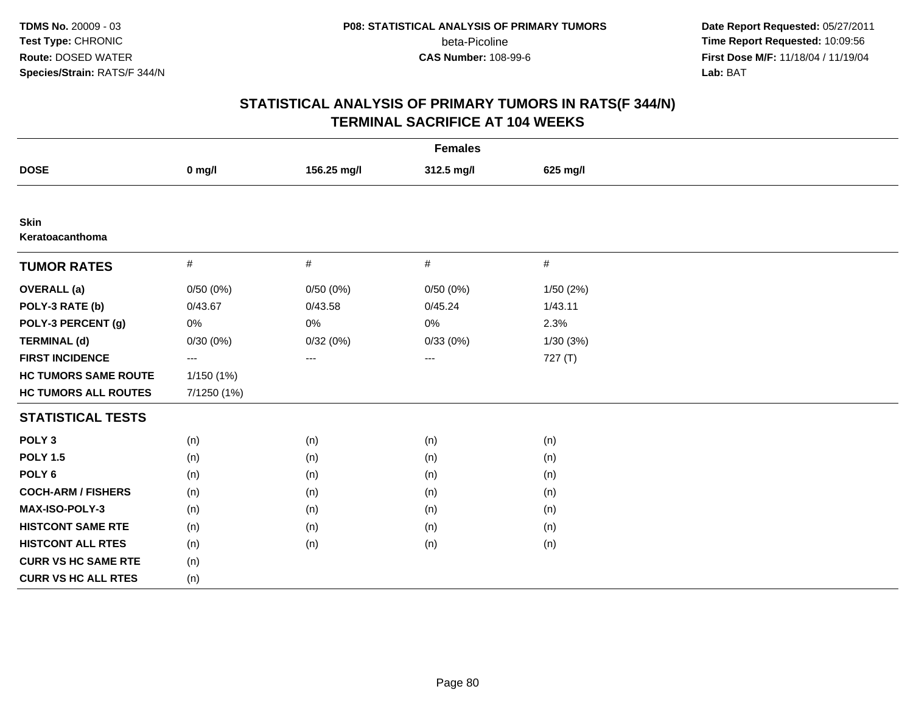**Date Report Requested:** 05/27/2011 **Time Report Requested:** 10:09:56 **First Dose M/F:** 11/18/04 / 11/19/04 Lab: BAT **Lab:** BAT

|                                |                          |             | <b>Females</b> |           |  |
|--------------------------------|--------------------------|-------------|----------------|-----------|--|
| <b>DOSE</b>                    | $0$ mg/l                 | 156.25 mg/l | 312.5 mg/l     | 625 mg/l  |  |
|                                |                          |             |                |           |  |
| <b>Skin</b><br>Keratoacanthoma |                          |             |                |           |  |
| <b>TUMOR RATES</b>             | $\#$                     | $\#$        | $\#$           | $\#$      |  |
| <b>OVERALL</b> (a)             | 0/50(0%)                 | 0/50(0%)    | 0/50(0%)       | 1/50 (2%) |  |
| POLY-3 RATE (b)                | 0/43.67                  | 0/43.58     | 0/45.24        | 1/43.11   |  |
| POLY-3 PERCENT (g)             | 0%                       | $0\%$       | 0%             | 2.3%      |  |
| <b>TERMINAL (d)</b>            | 0/30(0%)                 | 0/32(0%)    | 0/33(0%)       | 1/30(3%)  |  |
| <b>FIRST INCIDENCE</b>         | $\hspace{0.05cm} \ldots$ | ---         | ---            | 727 (T)   |  |
| <b>HC TUMORS SAME ROUTE</b>    | 1/150 (1%)               |             |                |           |  |
| <b>HC TUMORS ALL ROUTES</b>    | 7/1250 (1%)              |             |                |           |  |
| <b>STATISTICAL TESTS</b>       |                          |             |                |           |  |
| POLY <sub>3</sub>              | (n)                      | (n)         | (n)            | (n)       |  |
| <b>POLY 1.5</b>                | (n)                      | (n)         | (n)            | (n)       |  |
| POLY <sub>6</sub>              | (n)                      | (n)         | (n)            | (n)       |  |
| <b>COCH-ARM / FISHERS</b>      | (n)                      | (n)         | (n)            | (n)       |  |
| MAX-ISO-POLY-3                 | (n)                      | (n)         | (n)            | (n)       |  |
| <b>HISTCONT SAME RTE</b>       | (n)                      | (n)         | (n)            | (n)       |  |
| <b>HISTCONT ALL RTES</b>       | (n)                      | (n)         | (n)            | (n)       |  |
| <b>CURR VS HC SAME RTE</b>     | (n)                      |             |                |           |  |
| <b>CURR VS HC ALL RTES</b>     | (n)                      |             |                |           |  |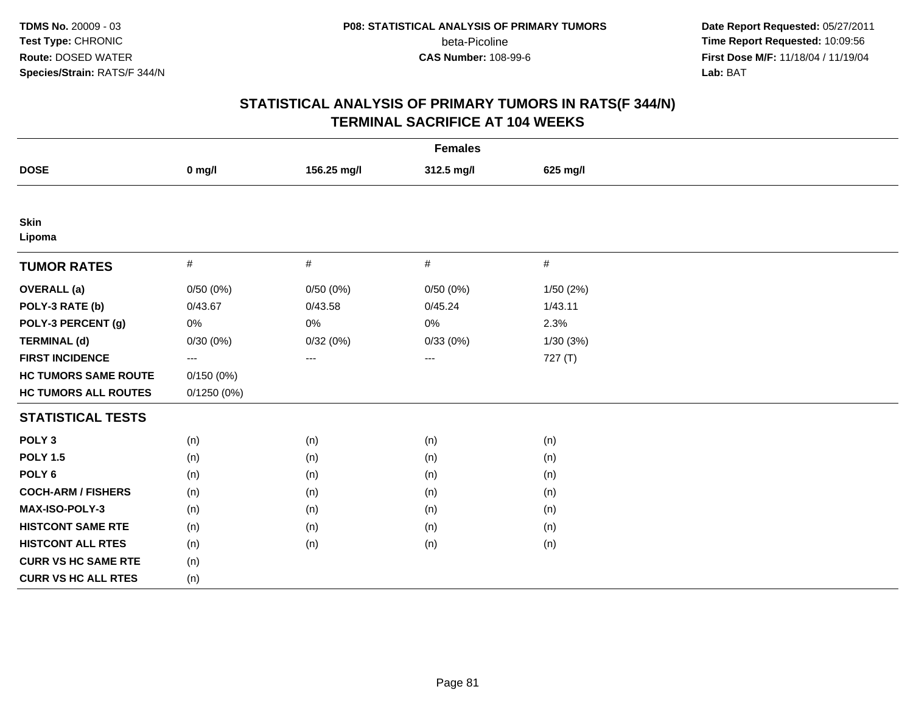**Date Report Requested:** 05/27/2011 **Time Report Requested:** 10:09:56 **First Dose M/F:** 11/18/04 / 11/19/04 Lab: BAT **Lab:** BAT

|                             |            |                        | <b>Females</b> |           |  |
|-----------------------------|------------|------------------------|----------------|-----------|--|
| <b>DOSE</b>                 | $0$ mg/l   | 156.25 mg/l            | 312.5 mg/l     | 625 mg/l  |  |
|                             |            |                        |                |           |  |
| <b>Skin</b><br>Lipoma       |            |                        |                |           |  |
| <b>TUMOR RATES</b>          | $\#$       | $\#$                   | $\#$           | $\#$      |  |
| <b>OVERALL</b> (a)          | 0/50(0%)   | 0/50(0%)               | 0/50(0%)       | 1/50 (2%) |  |
| POLY-3 RATE (b)             | 0/43.67    | 0/43.58                | 0/45.24        | 1/43.11   |  |
| POLY-3 PERCENT (g)          | 0%         | 0%                     | $0\%$          | 2.3%      |  |
| <b>TERMINAL (d)</b>         | 0/30(0%)   | 0/32(0%)               | 0/33(0%)       | 1/30(3%)  |  |
| <b>FIRST INCIDENCE</b>      | $---$      | $\qquad \qquad \cdots$ | ---            | 727 (T)   |  |
| <b>HC TUMORS SAME ROUTE</b> | 0/150(0%)  |                        |                |           |  |
| <b>HC TUMORS ALL ROUTES</b> | 0/1250(0%) |                        |                |           |  |
| <b>STATISTICAL TESTS</b>    |            |                        |                |           |  |
| POLY <sub>3</sub>           | (n)        | (n)                    | (n)            | (n)       |  |
| <b>POLY 1.5</b>             | (n)        | (n)                    | (n)            | (n)       |  |
| POLY <sub>6</sub>           | (n)        | (n)                    | (n)            | (n)       |  |
| <b>COCH-ARM / FISHERS</b>   | (n)        | (n)                    | (n)            | (n)       |  |
| <b>MAX-ISO-POLY-3</b>       | (n)        | (n)                    | (n)            | (n)       |  |
| <b>HISTCONT SAME RTE</b>    | (n)        | (n)                    | (n)            | (n)       |  |
| <b>HISTCONT ALL RTES</b>    | (n)        | (n)                    | (n)            | (n)       |  |
| <b>CURR VS HC SAME RTE</b>  | (n)        |                        |                |           |  |
| <b>CURR VS HC ALL RTES</b>  | (n)        |                        |                |           |  |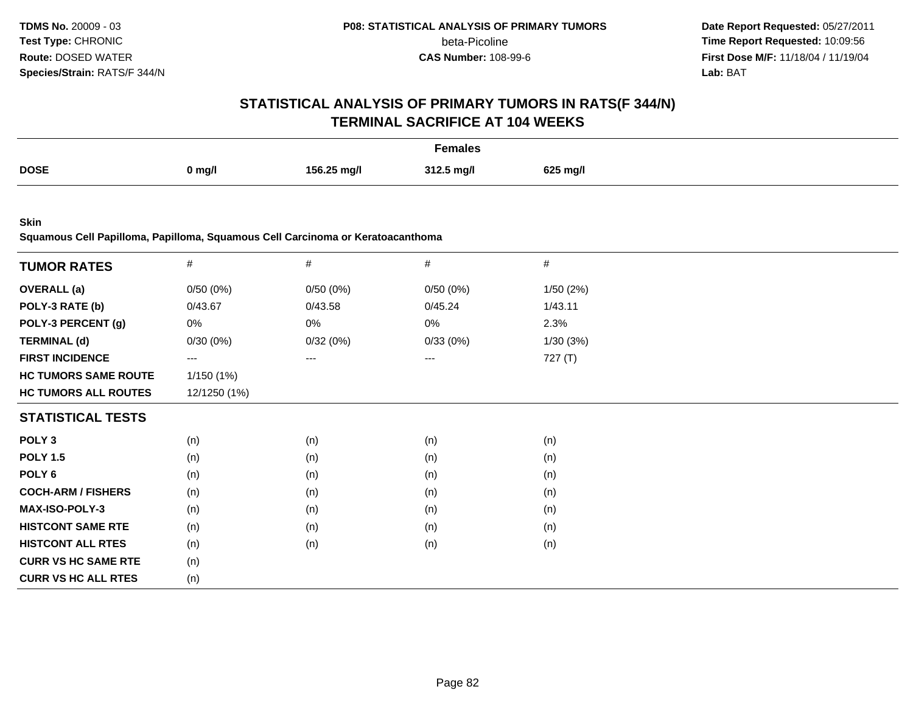**Date Report Requested:** 05/27/2011 **Time Report Requested:** 10:09:56 **First Dose M/F:** 11/18/04 / 11/19/04<br>**Lab:** BAT **Lab:** BAT

# **STATISTICAL ANALYSIS OF PRIMARY TUMORS IN RATS(F 344/N)TERMINAL SACRIFICE AT 104 WEEKS**

| Females     |          |             |            |          |
|-------------|----------|-------------|------------|----------|
| <b>DOSE</b> | $0$ mg/l | 156.25 mg/l | 312.5 mg/l | 625 mg/l |

**Skin**

**Squamous Cell Papilloma, Papilloma, Squamous Cell Carcinoma or Keratoacanthoma**

| <b>TUMOR RATES</b>          | $\#$         | $\#$     | $\#$     | #         |  |
|-----------------------------|--------------|----------|----------|-----------|--|
|                             |              |          |          |           |  |
| <b>OVERALL</b> (a)          | 0/50(0%)     | 0/50(0%) | 0/50(0%) | 1/50 (2%) |  |
| POLY-3 RATE (b)             | 0/43.67      | 0/43.58  | 0/45.24  | 1/43.11   |  |
| POLY-3 PERCENT (g)          | 0%           | 0%       | $0\%$    | 2.3%      |  |
| <b>TERMINAL (d)</b>         | 0/30(0%)     | 0/32(0%) | 0/33(0%) | 1/30(3%)  |  |
| <b>FIRST INCIDENCE</b>      | ---          | ---      | ---      | 727(T)    |  |
| <b>HC TUMORS SAME ROUTE</b> | 1/150(1%)    |          |          |           |  |
| <b>HC TUMORS ALL ROUTES</b> | 12/1250 (1%) |          |          |           |  |
| <b>STATISTICAL TESTS</b>    |              |          |          |           |  |
| POLY <sub>3</sub>           | (n)          | (n)      | (n)      | (n)       |  |
| <b>POLY 1.5</b>             | (n)          | (n)      | (n)      | (n)       |  |
| POLY 6                      | (n)          | (n)      | (n)      | (n)       |  |
| <b>COCH-ARM / FISHERS</b>   | (n)          | (n)      | (n)      | (n)       |  |
| MAX-ISO-POLY-3              | (n)          | (n)      | (n)      | (n)       |  |
| <b>HISTCONT SAME RTE</b>    | (n)          | (n)      | (n)      | (n)       |  |
| <b>HISTCONT ALL RTES</b>    | (n)          | (n)      | (n)      | (n)       |  |
| <b>CURR VS HC SAME RTE</b>  | (n)          |          |          |           |  |
| <b>CURR VS HC ALL RTES</b>  | (n)          |          |          |           |  |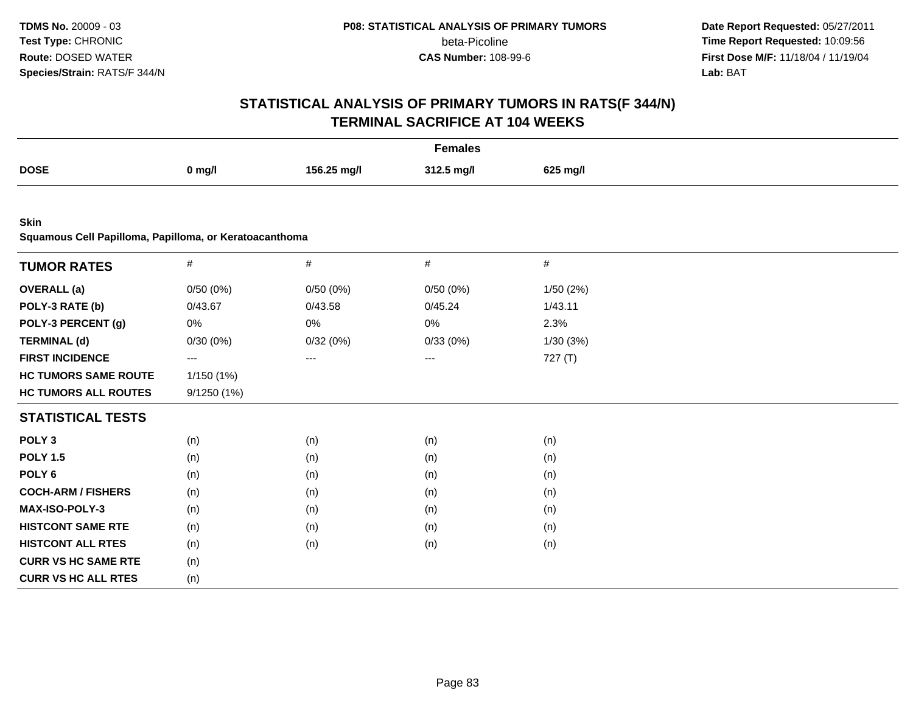**Date Report Requested:** 05/27/2011 **Time Report Requested:** 10:09:56 **First Dose M/F:** 11/18/04 / 11/19/04 Lab: BAT **Lab:** BAT

|                                                                       |             |             | <b>Females</b> |           |  |
|-----------------------------------------------------------------------|-------------|-------------|----------------|-----------|--|
| <b>DOSE</b>                                                           | $0$ mg/l    | 156.25 mg/l | 312.5 mg/l     | 625 mg/l  |  |
|                                                                       |             |             |                |           |  |
| <b>Skin</b><br>Squamous Cell Papilloma, Papilloma, or Keratoacanthoma |             |             |                |           |  |
|                                                                       |             |             |                |           |  |
| <b>TUMOR RATES</b>                                                    | #           | $\#$        | #              | $\#$      |  |
| <b>OVERALL</b> (a)                                                    | 0/50(0%)    | 0/50(0%)    | 0/50(0%)       | 1/50 (2%) |  |
| POLY-3 RATE (b)                                                       | 0/43.67     | 0/43.58     | 0/45.24        | 1/43.11   |  |
| POLY-3 PERCENT (g)                                                    | 0%          | 0%          | 0%             | 2.3%      |  |
| <b>TERMINAL (d)</b>                                                   | 0/30(0%)    | 0/32(0%)    | 0/33(0%)       | 1/30(3%)  |  |
| <b>FIRST INCIDENCE</b>                                                | ---         | ---         | $\cdots$       | 727(T)    |  |
| <b>HC TUMORS SAME ROUTE</b>                                           | 1/150 (1%)  |             |                |           |  |
| <b>HC TUMORS ALL ROUTES</b>                                           | 9/1250 (1%) |             |                |           |  |
| <b>STATISTICAL TESTS</b>                                              |             |             |                |           |  |
| POLY <sub>3</sub>                                                     | (n)         | (n)         | (n)            | (n)       |  |
| <b>POLY 1.5</b>                                                       | (n)         | (n)         | (n)            | (n)       |  |
| POLY <sub>6</sub>                                                     | (n)         | (n)         | (n)            | (n)       |  |
| <b>COCH-ARM / FISHERS</b>                                             | (n)         | (n)         | (n)            | (n)       |  |
| MAX-ISO-POLY-3                                                        | (n)         | (n)         | (n)            | (n)       |  |
| <b>HISTCONT SAME RTE</b>                                              | (n)         | (n)         | (n)            | (n)       |  |
| <b>HISTCONT ALL RTES</b>                                              | (n)         | (n)         | (n)            | (n)       |  |
| <b>CURR VS HC SAME RTE</b>                                            | (n)         |             |                |           |  |
| <b>CURR VS HC ALL RTES</b>                                            | (n)         |             |                |           |  |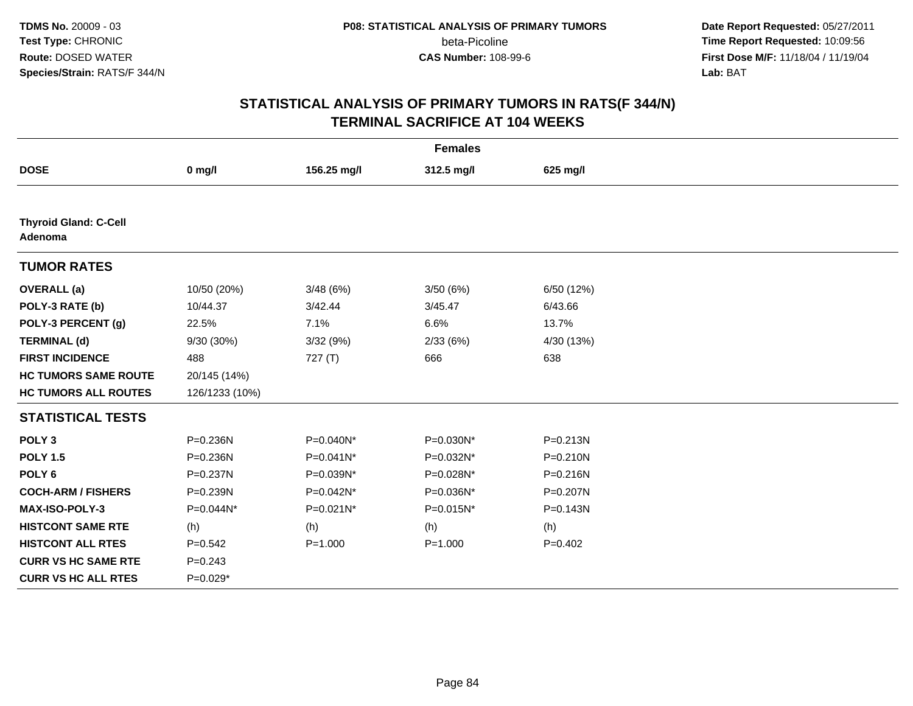**Date Report Requested:** 05/27/2011 **Time Report Requested:** 10:09:56 **First Dose M/F:** 11/18/04 / 11/19/04 Lab: BAT **Lab:** BAT

|                                         |                |              | <b>Females</b> |              |
|-----------------------------------------|----------------|--------------|----------------|--------------|
| <b>DOSE</b>                             | $0$ mg/l       | 156.25 mg/l  | 312.5 mg/l     | 625 mg/l     |
|                                         |                |              |                |              |
| <b>Thyroid Gland: C-Cell</b><br>Adenoma |                |              |                |              |
| <b>TUMOR RATES</b>                      |                |              |                |              |
| <b>OVERALL</b> (a)                      | 10/50 (20%)    | 3/48(6%)     | 3/50(6%)       | 6/50 (12%)   |
| POLY-3 RATE (b)                         | 10/44.37       | 3/42.44      | 3/45.47        | 6/43.66      |
| POLY-3 PERCENT (g)                      | 22.5%          | 7.1%         | 6.6%           | 13.7%        |
| <b>TERMINAL (d)</b>                     | 9/30 (30%)     | 3/32(9%)     | 2/33(6%)       | 4/30 (13%)   |
| <b>FIRST INCIDENCE</b>                  | 488            | 727(T)       | 666            | 638          |
| <b>HC TUMORS SAME ROUTE</b>             | 20/145 (14%)   |              |                |              |
| <b>HC TUMORS ALL ROUTES</b>             | 126/1233 (10%) |              |                |              |
| <b>STATISTICAL TESTS</b>                |                |              |                |              |
| POLY <sub>3</sub>                       | P=0.236N       | P=0.040N*    | P=0.030N*      | $P = 0.213N$ |
| <b>POLY 1.5</b>                         | P=0.236N       | $P=0.041N^*$ | P=0.032N*      | $P = 0.210N$ |
| POLY <sub>6</sub>                       | P=0.237N       | P=0.039N*    | P=0.028N*      | $P = 0.216N$ |
| <b>COCH-ARM / FISHERS</b>               | P=0.239N       | P=0.042N*    | P=0.036N*      | P=0.207N     |
| MAX-ISO-POLY-3                          | P=0.044N*      | P=0.021N*    | P=0.015N*      | $P = 0.143N$ |
| <b>HISTCONT SAME RTE</b>                | (h)            | (h)          | (h)            | (h)          |
| <b>HISTCONT ALL RTES</b>                | $P=0.542$      | $P = 1.000$  | $P = 1.000$    | $P=0.402$    |
| <b>CURR VS HC SAME RTE</b>              | $P = 0.243$    |              |                |              |
| <b>CURR VS HC ALL RTES</b>              | $P=0.029*$     |              |                |              |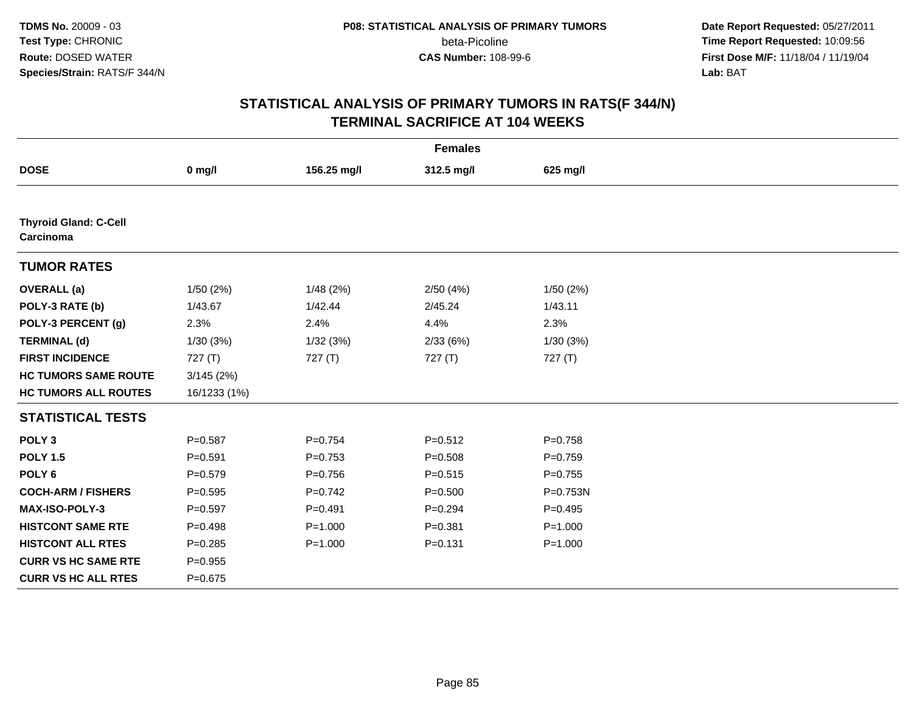**Date Report Requested:** 05/27/2011 **Time Report Requested:** 10:09:56 **First Dose M/F:** 11/18/04 / 11/19/04 Lab: BAT **Lab:** BAT

|                                           |              |             | <b>Females</b> |             |  |
|-------------------------------------------|--------------|-------------|----------------|-------------|--|
| <b>DOSE</b>                               | $0$ mg/l     | 156.25 mg/l | 312.5 mg/l     | 625 mg/l    |  |
|                                           |              |             |                |             |  |
| <b>Thyroid Gland: C-Cell</b><br>Carcinoma |              |             |                |             |  |
| <b>TUMOR RATES</b>                        |              |             |                |             |  |
| <b>OVERALL</b> (a)                        | 1/50(2%)     | 1/48(2%)    | 2/50(4%)       | 1/50(2%)    |  |
| POLY-3 RATE (b)                           | 1/43.67      | 1/42.44     | 2/45.24        | 1/43.11     |  |
| POLY-3 PERCENT (g)                        | 2.3%         | 2.4%        | 4.4%           | 2.3%        |  |
| <b>TERMINAL (d)</b>                       | 1/30(3%)     | 1/32(3%)    | 2/33(6%)       | 1/30(3%)    |  |
| <b>FIRST INCIDENCE</b>                    | 727(T)       | 727(T)      | 727(T)         | 727(T)      |  |
| <b>HC TUMORS SAME ROUTE</b>               | 3/145(2%)    |             |                |             |  |
| <b>HC TUMORS ALL ROUTES</b>               | 16/1233 (1%) |             |                |             |  |
| <b>STATISTICAL TESTS</b>                  |              |             |                |             |  |
| POLY <sub>3</sub>                         | $P = 0.587$  | $P = 0.754$ | $P = 0.512$    | $P = 0.758$ |  |
| <b>POLY 1.5</b>                           | $P = 0.591$  | $P=0.753$   | $P = 0.508$    | $P=0.759$   |  |
| POLY <sub>6</sub>                         | $P = 0.579$  | $P = 0.756$ | $P = 0.515$    | $P = 0.755$ |  |
| <b>COCH-ARM / FISHERS</b>                 | $P = 0.595$  | $P=0.742$   | $P = 0.500$    | P=0.753N    |  |
| <b>MAX-ISO-POLY-3</b>                     | $P=0.597$    | $P = 0.491$ | $P=0.294$      | $P=0.495$   |  |
| <b>HISTCONT SAME RTE</b>                  | $P = 0.498$  | $P = 1.000$ | $P = 0.381$    | $P = 1.000$ |  |
| <b>HISTCONT ALL RTES</b>                  | $P = 0.285$  | $P = 1.000$ | $P = 0.131$    | $P = 1.000$ |  |
| <b>CURR VS HC SAME RTE</b>                | $P=0.955$    |             |                |             |  |
| <b>CURR VS HC ALL RTES</b>                | $P = 0.675$  |             |                |             |  |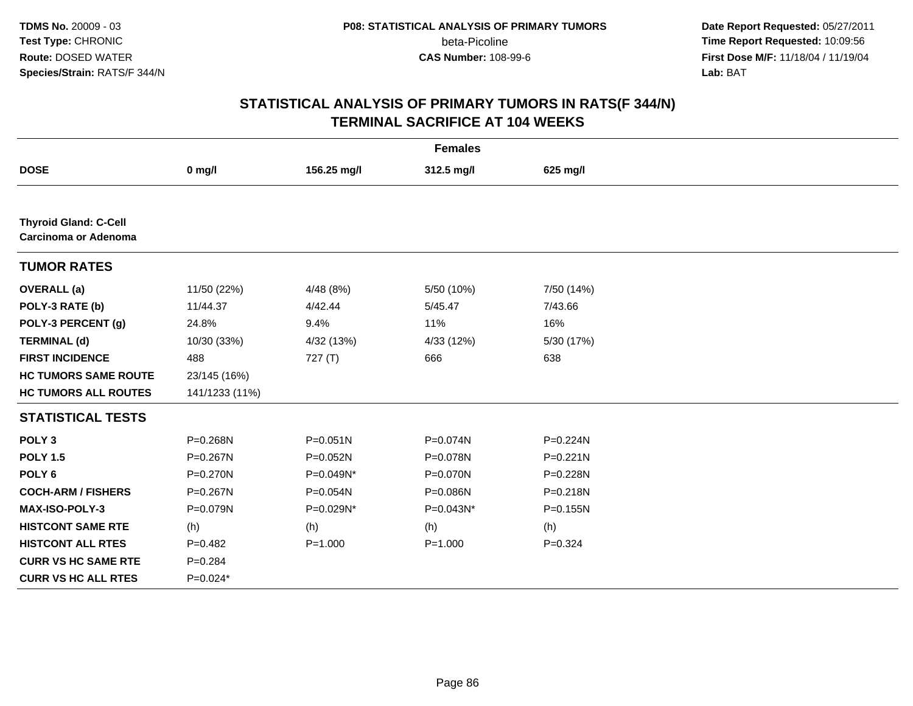**Date Report Requested:** 05/27/2011 **Time Report Requested:** 10:09:56 **First Dose M/F:** 11/18/04 / 11/19/04 Lab: BAT **Lab:** BAT

|                                                      |                |              | <b>Females</b> |              |
|------------------------------------------------------|----------------|--------------|----------------|--------------|
| <b>DOSE</b>                                          | $0$ mg/l       | 156.25 mg/l  | 312.5 mg/l     | 625 mg/l     |
|                                                      |                |              |                |              |
| <b>Thyroid Gland: C-Cell</b><br>Carcinoma or Adenoma |                |              |                |              |
| <b>TUMOR RATES</b>                                   |                |              |                |              |
| <b>OVERALL</b> (a)                                   | 11/50 (22%)    | 4/48(8%)     | 5/50 (10%)     | 7/50 (14%)   |
| POLY-3 RATE (b)                                      | 11/44.37       | 4/42.44      | 5/45.47        | 7/43.66      |
| POLY-3 PERCENT (g)                                   | 24.8%          | 9.4%         | 11%            | 16%          |
| <b>TERMINAL (d)</b>                                  | 10/30 (33%)    | 4/32 (13%)   | 4/33 (12%)     | 5/30 (17%)   |
| <b>FIRST INCIDENCE</b>                               | 488            | 727(T)       | 666            | 638          |
| <b>HC TUMORS SAME ROUTE</b>                          | 23/145 (16%)   |              |                |              |
| <b>HC TUMORS ALL ROUTES</b>                          | 141/1233 (11%) |              |                |              |
| <b>STATISTICAL TESTS</b>                             |                |              |                |              |
| POLY <sub>3</sub>                                    | P=0.268N       | $P = 0.051N$ | P=0.074N       | P=0.224N     |
| <b>POLY 1.5</b>                                      | P=0.267N       | P=0.052N     | P=0.078N       | $P = 0.221N$ |
| POLY <sub>6</sub>                                    | P=0.270N       | P=0.049N*    | P=0.070N       | P=0.228N     |
| <b>COCH-ARM / FISHERS</b>                            | P=0.267N       | P=0.054N     | P=0.086N       | P=0.218N     |
| <b>MAX-ISO-POLY-3</b>                                | P=0.079N       | P=0.029N*    | P=0.043N*      | P=0.155N     |
| <b>HISTCONT SAME RTE</b>                             | (h)            | (h)          | (h)            | (h)          |
| <b>HISTCONT ALL RTES</b>                             | $P=0.482$      | $P = 1.000$  | $P = 1.000$    | $P = 0.324$  |
| <b>CURR VS HC SAME RTE</b>                           | $P = 0.284$    |              |                |              |
| <b>CURR VS HC ALL RTES</b>                           | $P=0.024*$     |              |                |              |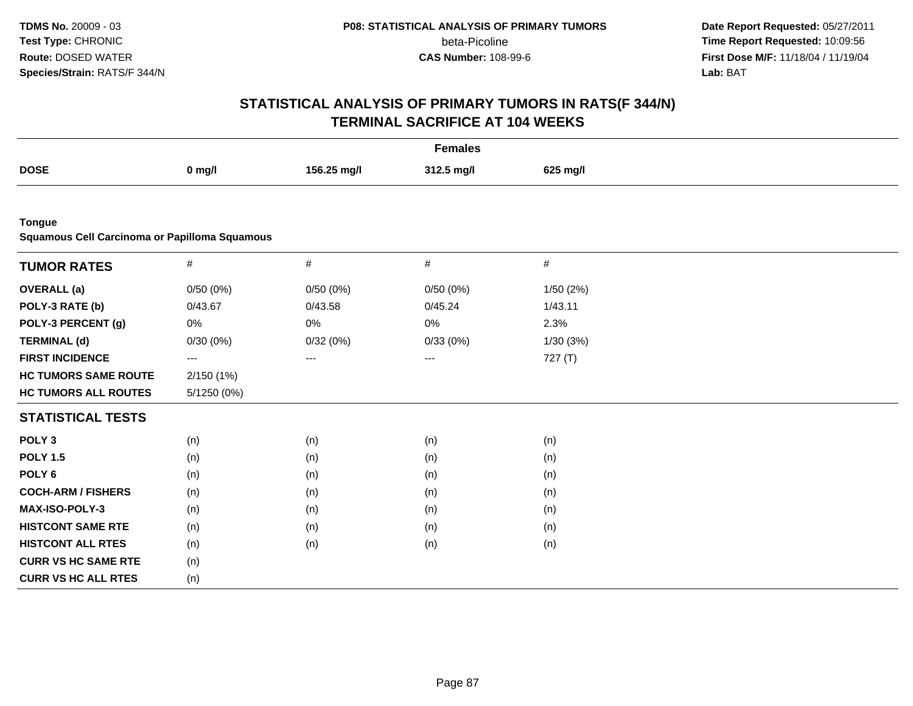**Date Report Requested:** 05/27/2011 **Time Report Requested:** 10:09:56 **First Dose M/F:** 11/18/04 / 11/19/04 Lab: BAT **Lab:** BAT

|                                                                |             |             | <b>Females</b> |           |  |
|----------------------------------------------------------------|-------------|-------------|----------------|-----------|--|
| <b>DOSE</b>                                                    | $0$ mg/l    | 156.25 mg/l | 312.5 mg/l     | 625 mg/l  |  |
|                                                                |             |             |                |           |  |
| <b>Tongue</b><br>Squamous Cell Carcinoma or Papilloma Squamous |             |             |                |           |  |
| <b>TUMOR RATES</b>                                             | $\#$        | $\#$        | $\#$           | $\#$      |  |
| <b>OVERALL</b> (a)                                             | 0/50(0%)    | 0/50(0%)    | 0/50(0%)       | 1/50 (2%) |  |
| POLY-3 RATE (b)                                                | 0/43.67     | 0/43.58     | 0/45.24        | 1/43.11   |  |
| POLY-3 PERCENT (g)                                             | 0%          | 0%          | 0%             | 2.3%      |  |
| <b>TERMINAL (d)</b>                                            | 0/30(0%)    | 0/32(0%)    | 0/33(0%)       | 1/30(3%)  |  |
| <b>FIRST INCIDENCE</b>                                         | ---         | ---         | $\cdots$       | 727(T)    |  |
| <b>HC TUMORS SAME ROUTE</b>                                    | 2/150 (1%)  |             |                |           |  |
| <b>HC TUMORS ALL ROUTES</b>                                    | 5/1250 (0%) |             |                |           |  |
| <b>STATISTICAL TESTS</b>                                       |             |             |                |           |  |
| POLY <sub>3</sub>                                              | (n)         | (n)         | (n)            | (n)       |  |
| <b>POLY 1.5</b>                                                | (n)         | (n)         | (n)            | (n)       |  |
| POLY <sub>6</sub>                                              | (n)         | (n)         | (n)            | (n)       |  |
| <b>COCH-ARM / FISHERS</b>                                      | (n)         | (n)         | (n)            | (n)       |  |
| <b>MAX-ISO-POLY-3</b>                                          | (n)         | (n)         | (n)            | (n)       |  |
| <b>HISTCONT SAME RTE</b>                                       | (n)         | (n)         | (n)            | (n)       |  |
| <b>HISTCONT ALL RTES</b>                                       | (n)         | (n)         | (n)            | (n)       |  |
| <b>CURR VS HC SAME RTE</b>                                     | (n)         |             |                |           |  |
| <b>CURR VS HC ALL RTES</b>                                     | (n)         |             |                |           |  |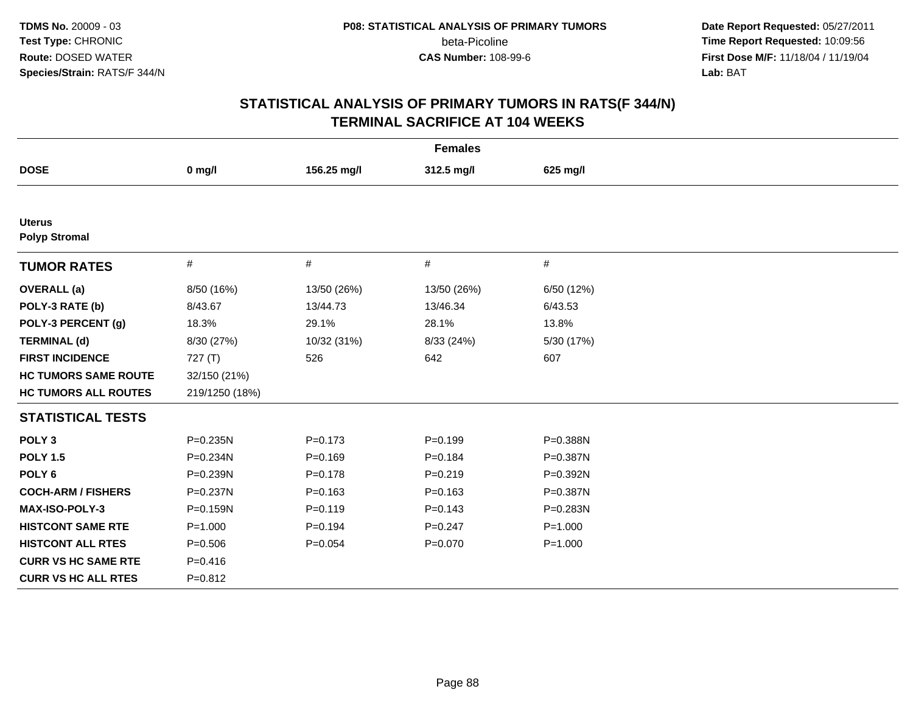**Date Report Requested:** 05/27/2011 **Time Report Requested:** 10:09:56 **First Dose M/F:** 11/18/04 / 11/19/04 Lab: BAT **Lab:** BAT

|                                       |                |             | <b>Females</b> |             |
|---------------------------------------|----------------|-------------|----------------|-------------|
| <b>DOSE</b>                           | $0$ mg/l       | 156.25 mg/l | 312.5 mg/l     | 625 mg/l    |
|                                       |                |             |                |             |
| <b>Uterus</b><br><b>Polyp Stromal</b> |                |             |                |             |
| <b>TUMOR RATES</b>                    | #              | #           | #              | $\#$        |
| <b>OVERALL</b> (a)                    | 8/50 (16%)     | 13/50 (26%) | 13/50 (26%)    | 6/50 (12%)  |
| POLY-3 RATE (b)                       | 8/43.67        | 13/44.73    | 13/46.34       | 6/43.53     |
| POLY-3 PERCENT (g)                    | 18.3%          | 29.1%       | 28.1%          | 13.8%       |
| <b>TERMINAL (d)</b>                   | 8/30 (27%)     | 10/32 (31%) | 8/33 (24%)     | 5/30 (17%)  |
| <b>FIRST INCIDENCE</b>                | 727(T)         | 526         | 642            | 607         |
| <b>HC TUMORS SAME ROUTE</b>           | 32/150 (21%)   |             |                |             |
| <b>HC TUMORS ALL ROUTES</b>           | 219/1250 (18%) |             |                |             |
| <b>STATISTICAL TESTS</b>              |                |             |                |             |
| POLY <sub>3</sub>                     | P=0.235N       | $P = 0.173$ | $P=0.199$      | P=0.388N    |
| <b>POLY 1.5</b>                       | P=0.234N       | $P=0.169$   | $P = 0.184$    | P=0.387N    |
| POLY <sub>6</sub>                     | P=0.239N       | $P = 0.178$ | $P = 0.219$    | P=0.392N    |
| <b>COCH-ARM / FISHERS</b>             | P=0.237N       | $P = 0.163$ | $P = 0.163$    | P=0.387N    |
| <b>MAX-ISO-POLY-3</b>                 | P=0.159N       | $P = 0.119$ | $P = 0.143$    | P=0.283N    |
| <b>HISTCONT SAME RTE</b>              | $P = 1.000$    | $P=0.194$   | $P = 0.247$    | $P = 1.000$ |
| <b>HISTCONT ALL RTES</b>              | $P = 0.506$    | $P = 0.054$ | $P = 0.070$    | $P = 1.000$ |
| <b>CURR VS HC SAME RTE</b>            | $P = 0.416$    |             |                |             |
| <b>CURR VS HC ALL RTES</b>            | $P = 0.812$    |             |                |             |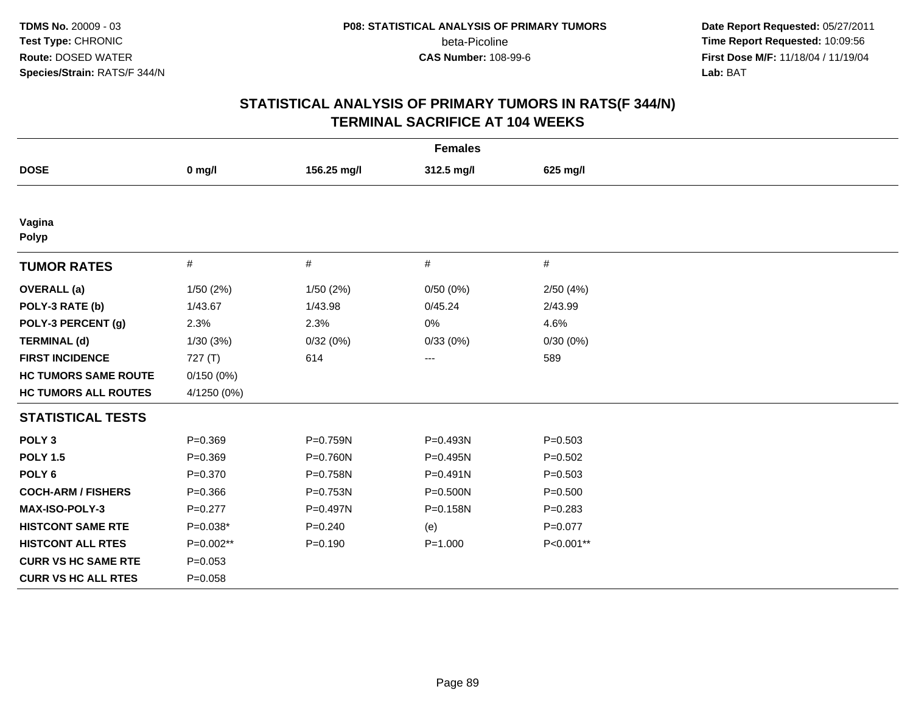**Date Report Requested:** 05/27/2011 **Time Report Requested:** 10:09:56 **First Dose M/F:** 11/18/04 / 11/19/04 Lab: BAT **Lab:** BAT

| <b>Females</b>              |             |             |              |             |  |  |
|-----------------------------|-------------|-------------|--------------|-------------|--|--|
| <b>DOSE</b>                 | $0$ mg/l    | 156.25 mg/l | 312.5 mg/l   | 625 mg/l    |  |  |
|                             |             |             |              |             |  |  |
| Vagina<br><b>Polyp</b>      |             |             |              |             |  |  |
| <b>TUMOR RATES</b>          | $\#$        | $\#$        | #            | #           |  |  |
| <b>OVERALL</b> (a)          | 1/50(2%)    | 1/50(2%)    | 0/50(0%)     | 2/50(4%)    |  |  |
| POLY-3 RATE (b)             | 1/43.67     | 1/43.98     | 0/45.24      | 2/43.99     |  |  |
| POLY-3 PERCENT (g)          | 2.3%        | 2.3%        | 0%           | 4.6%        |  |  |
| <b>TERMINAL (d)</b>         | 1/30(3%)    | 0/32(0%)    | 0/33(0%)     | 0/30(0%)    |  |  |
| <b>FIRST INCIDENCE</b>      | 727(T)      | 614         | $---$        | 589         |  |  |
| <b>HC TUMORS SAME ROUTE</b> | 0/150(0%)   |             |              |             |  |  |
| <b>HC TUMORS ALL ROUTES</b> | 4/1250 (0%) |             |              |             |  |  |
| <b>STATISTICAL TESTS</b>    |             |             |              |             |  |  |
| POLY <sub>3</sub>           | $P = 0.369$ | P=0.759N    | P=0.493N     | $P = 0.503$ |  |  |
| <b>POLY 1.5</b>             | $P = 0.369$ | P=0.760N    | P=0.495N     | $P = 0.502$ |  |  |
| POLY <sub>6</sub>           | $P = 0.370$ | P=0.758N    | $P = 0.491N$ | $P = 0.503$ |  |  |
| <b>COCH-ARM / FISHERS</b>   | $P = 0.366$ | P=0.753N    | P=0.500N     | $P = 0.500$ |  |  |
| MAX-ISO-POLY-3              | $P=0.277$   | P=0.497N    | P=0.158N     | $P = 0.283$ |  |  |
| <b>HISTCONT SAME RTE</b>    | $P=0.038*$  | $P = 0.240$ | (e)          | $P=0.077$   |  |  |
| <b>HISTCONT ALL RTES</b>    | P=0.002**   | $P = 0.190$ | $P = 1.000$  | P<0.001**   |  |  |
| <b>CURR VS HC SAME RTE</b>  | $P = 0.053$ |             |              |             |  |  |
| <b>CURR VS HC ALL RTES</b>  | $P = 0.058$ |             |              |             |  |  |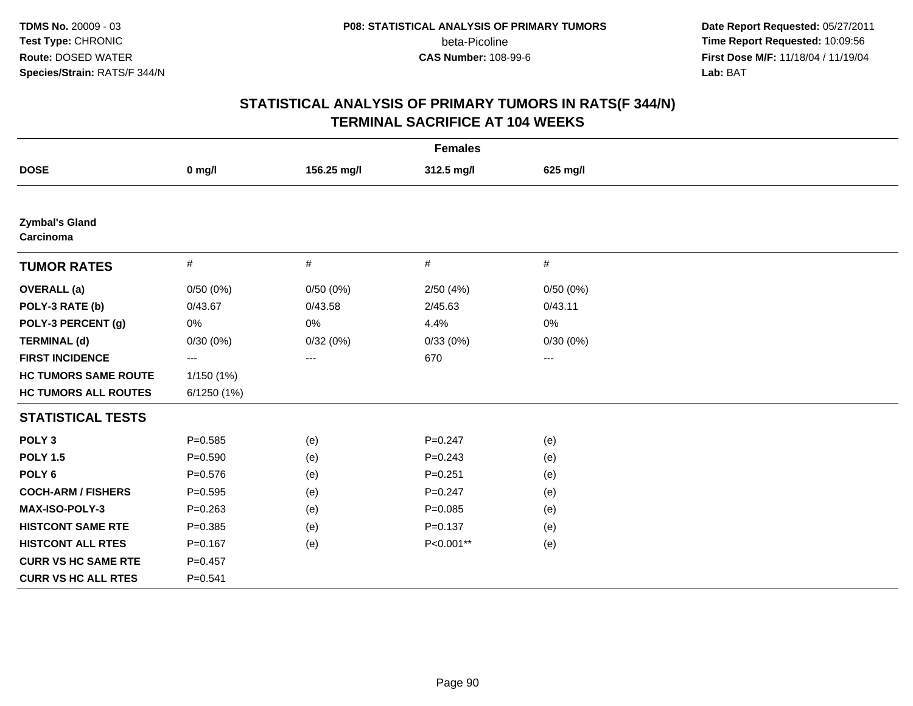**Date Report Requested:** 05/27/2011 **Time Report Requested:** 10:09:56 **First Dose M/F:** 11/18/04 / 11/19/04 Lab: BAT **Lab:** BAT

|                                    |             |             | <b>Females</b> |          |  |
|------------------------------------|-------------|-------------|----------------|----------|--|
| <b>DOSE</b>                        | $0$ mg/l    | 156.25 mg/l | 312.5 mg/l     | 625 mg/l |  |
|                                    |             |             |                |          |  |
| <b>Zymbal's Gland</b><br>Carcinoma |             |             |                |          |  |
| <b>TUMOR RATES</b>                 | $\#$        | $\#$        | $\#$           | #        |  |
| <b>OVERALL</b> (a)                 | 0/50(0%)    | 0/50(0%)    | 2/50(4%)       | 0/50(0%) |  |
| POLY-3 RATE (b)                    | 0/43.67     | 0/43.58     | 2/45.63        | 0/43.11  |  |
| POLY-3 PERCENT (g)                 | 0%          | 0%          | 4.4%           | 0%       |  |
| <b>TERMINAL (d)</b>                | 0/30(0%)    | 0/32(0%)    | 0/33(0%)       | 0/30(0%) |  |
| <b>FIRST INCIDENCE</b>             | ---         | ---         | 670            | ---      |  |
| <b>HC TUMORS SAME ROUTE</b>        | 1/150 (1%)  |             |                |          |  |
| <b>HC TUMORS ALL ROUTES</b>        | 6/1250(1%)  |             |                |          |  |
| <b>STATISTICAL TESTS</b>           |             |             |                |          |  |
| POLY <sub>3</sub>                  | $P = 0.585$ | (e)         | $P = 0.247$    | (e)      |  |
| <b>POLY 1.5</b>                    | $P = 0.590$ | (e)         | $P = 0.243$    | (e)      |  |
| POLY <sub>6</sub>                  | $P = 0.576$ | (e)         | $P = 0.251$    | (e)      |  |
| <b>COCH-ARM / FISHERS</b>          | $P = 0.595$ | (e)         | $P = 0.247$    | (e)      |  |
| MAX-ISO-POLY-3                     | $P = 0.263$ | (e)         | $P = 0.085$    | (e)      |  |
| <b>HISTCONT SAME RTE</b>           | $P = 0.385$ | (e)         | $P = 0.137$    | (e)      |  |
| <b>HISTCONT ALL RTES</b>           | $P = 0.167$ | (e)         | P<0.001**      | (e)      |  |
| <b>CURR VS HC SAME RTE</b>         | $P = 0.457$ |             |                |          |  |
| <b>CURR VS HC ALL RTES</b>         | $P = 0.541$ |             |                |          |  |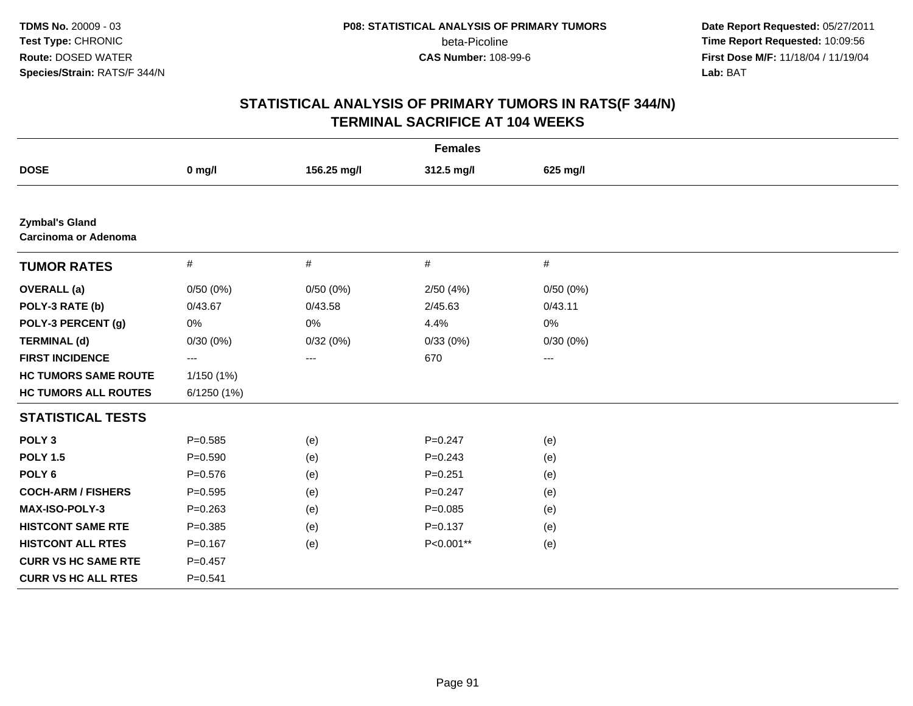**Date Report Requested:** 05/27/2011 **Time Report Requested:** 10:09:56 **First Dose M/F:** 11/18/04 / 11/19/04 Lab: BAT **Lab:** BAT

|                                                      |             |             | <b>Females</b> |          |  |
|------------------------------------------------------|-------------|-------------|----------------|----------|--|
| <b>DOSE</b>                                          | $0$ mg/l    | 156.25 mg/l | 312.5 mg/l     | 625 mg/l |  |
|                                                      |             |             |                |          |  |
| <b>Zymbal's Gland</b><br><b>Carcinoma or Adenoma</b> |             |             |                |          |  |
| <b>TUMOR RATES</b>                                   | $\#$        | #           | #              | #        |  |
| <b>OVERALL</b> (a)                                   | 0/50(0%)    | 0/50(0%)    | 2/50(4%)       | 0/50(0%) |  |
| POLY-3 RATE (b)                                      | 0/43.67     | 0/43.58     | 2/45.63        | 0/43.11  |  |
| POLY-3 PERCENT (g)                                   | 0%          | 0%          | 4.4%           | 0%       |  |
| <b>TERMINAL (d)</b>                                  | 0/30(0%)    | 0/32(0%)    | 0/33(0%)       | 0/30(0%) |  |
| <b>FIRST INCIDENCE</b>                               | ---         | $\cdots$    | 670            | $\cdots$ |  |
| <b>HC TUMORS SAME ROUTE</b>                          | 1/150(1%)   |             |                |          |  |
| <b>HC TUMORS ALL ROUTES</b>                          | 6/1250 (1%) |             |                |          |  |
| <b>STATISTICAL TESTS</b>                             |             |             |                |          |  |
| POLY <sub>3</sub>                                    | $P = 0.585$ | (e)         | $P = 0.247$    | (e)      |  |
| <b>POLY 1.5</b>                                      | $P = 0.590$ | (e)         | $P = 0.243$    | (e)      |  |
| POLY <sub>6</sub>                                    | $P = 0.576$ | (e)         | $P = 0.251$    | (e)      |  |
| <b>COCH-ARM / FISHERS</b>                            | $P=0.595$   | (e)         | $P = 0.247$    | (e)      |  |
| MAX-ISO-POLY-3                                       | $P = 0.263$ | (e)         | $P=0.085$      | (e)      |  |
| <b>HISTCONT SAME RTE</b>                             | $P=0.385$   | (e)         | $P = 0.137$    | (e)      |  |
| <b>HISTCONT ALL RTES</b>                             | $P = 0.167$ | (e)         | P<0.001**      | (e)      |  |
| <b>CURR VS HC SAME RTE</b>                           | $P = 0.457$ |             |                |          |  |
| <b>CURR VS HC ALL RTES</b>                           | $P = 0.541$ |             |                |          |  |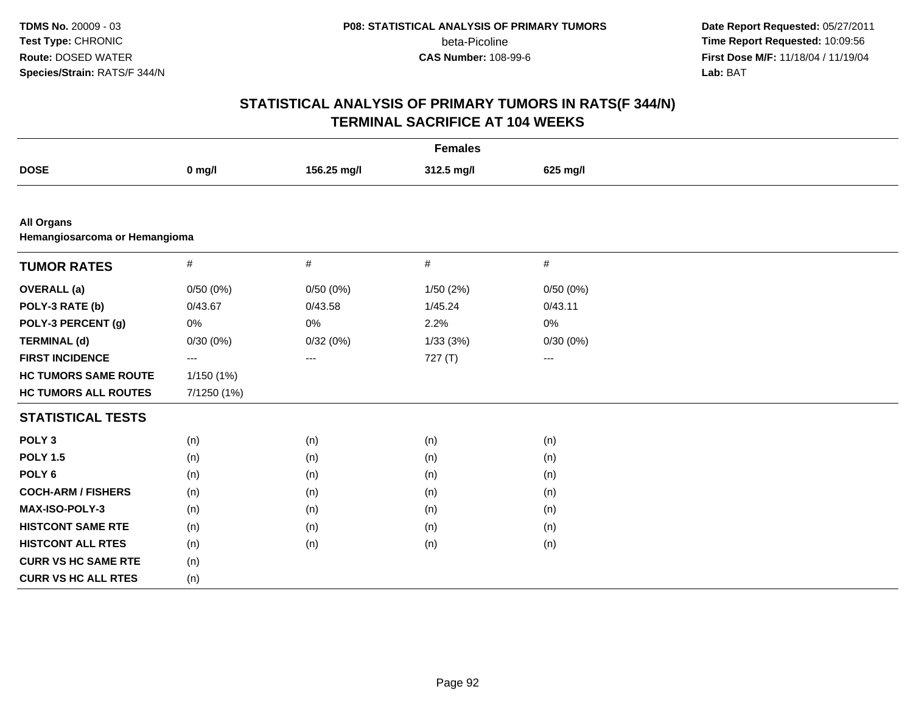**Date Report Requested:** 05/27/2011 **Time Report Requested:** 10:09:56 **First Dose M/F:** 11/18/04 / 11/19/04 Lab: BAT **Lab:** BAT

|                                                    |             |             | <b>Females</b> |                     |  |
|----------------------------------------------------|-------------|-------------|----------------|---------------------|--|
| <b>DOSE</b>                                        | $0$ mg/l    | 156.25 mg/l | 312.5 mg/l     | 625 mg/l            |  |
|                                                    |             |             |                |                     |  |
| <b>All Organs</b><br>Hemangiosarcoma or Hemangioma |             |             |                |                     |  |
| <b>TUMOR RATES</b>                                 | $\#$        | $\#$        | #              | $\#$                |  |
| <b>OVERALL</b> (a)                                 | 0/50(0%)    | 0/50(0%)    | 1/50 (2%)      | 0/50(0%)            |  |
| POLY-3 RATE (b)                                    | 0/43.67     | 0/43.58     | 1/45.24        | 0/43.11             |  |
| POLY-3 PERCENT (g)                                 | $0\%$       | 0%          | 2.2%           | 0%                  |  |
| <b>TERMINAL (d)</b>                                | 0/30(0%)    | 0/32(0%)    | 1/33(3%)       | 0/30(0%)            |  |
| <b>FIRST INCIDENCE</b>                             | ---         | ---         | 727(T)         | $\qquad \qquad - -$ |  |
| <b>HC TUMORS SAME ROUTE</b>                        | 1/150 (1%)  |             |                |                     |  |
| <b>HC TUMORS ALL ROUTES</b>                        | 7/1250 (1%) |             |                |                     |  |
| <b>STATISTICAL TESTS</b>                           |             |             |                |                     |  |
| POLY <sub>3</sub>                                  | (n)         | (n)         | (n)            | (n)                 |  |
| <b>POLY 1.5</b>                                    | (n)         | (n)         | (n)            | (n)                 |  |
| POLY <sub>6</sub>                                  | (n)         | (n)         | (n)            | (n)                 |  |
| <b>COCH-ARM / FISHERS</b>                          | (n)         | (n)         | (n)            | (n)                 |  |
| MAX-ISO-POLY-3                                     | (n)         | (n)         | (n)            | (n)                 |  |
| <b>HISTCONT SAME RTE</b>                           | (n)         | (n)         | (n)            | (n)                 |  |
| <b>HISTCONT ALL RTES</b>                           | (n)         | (n)         | (n)            | (n)                 |  |
| <b>CURR VS HC SAME RTE</b>                         | (n)         |             |                |                     |  |
| <b>CURR VS HC ALL RTES</b>                         | (n)         |             |                |                     |  |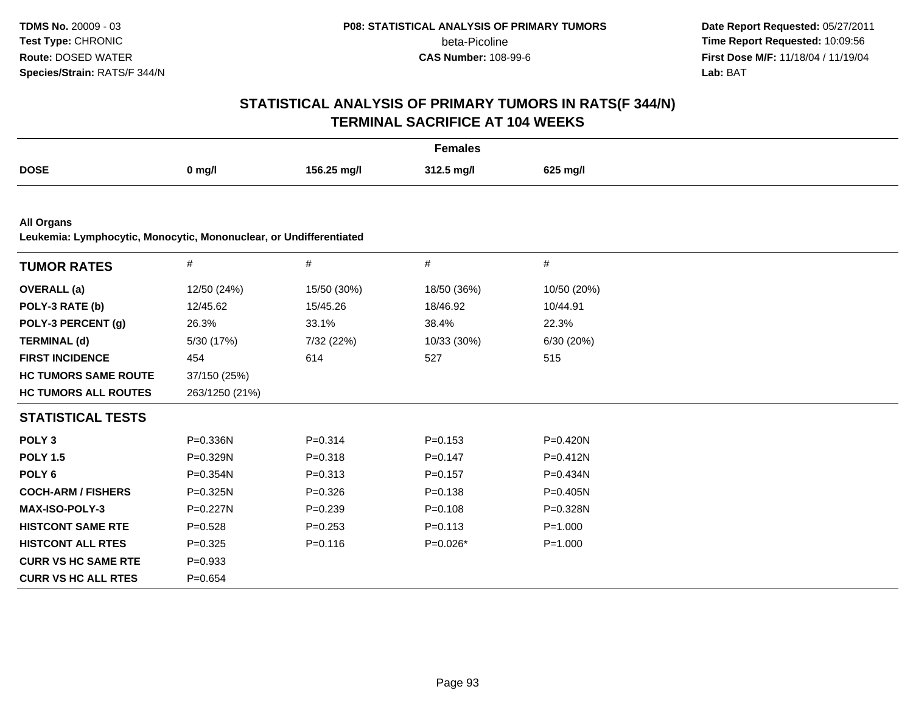**Date Report Requested:** 05/27/2011 **Time Report Requested:** 10:09:56 **First Dose M/F:** 11/18/04 / 11/19/04 Lab: BAT **Lab:** BAT

|                                                                                         |                |             | <b>Females</b> |              |  |
|-----------------------------------------------------------------------------------------|----------------|-------------|----------------|--------------|--|
| <b>DOSE</b>                                                                             | $0$ mg/l       | 156.25 mg/l | 312.5 mg/l     | 625 mg/l     |  |
|                                                                                         |                |             |                |              |  |
| <b>All Organs</b><br>Leukemia: Lymphocytic, Monocytic, Mononuclear, or Undifferentiated |                |             |                |              |  |
| <b>TUMOR RATES</b>                                                                      | $\#$           | $\#$        | #              | #            |  |
| <b>OVERALL</b> (a)                                                                      | 12/50 (24%)    | 15/50 (30%) | 18/50 (36%)    | 10/50 (20%)  |  |
| POLY-3 RATE (b)                                                                         | 12/45.62       | 15/45.26    | 18/46.92       | 10/44.91     |  |
| POLY-3 PERCENT (g)                                                                      | 26.3%          | 33.1%       | 38.4%          | 22.3%        |  |
| <b>TERMINAL (d)</b>                                                                     | 5/30 (17%)     | 7/32 (22%)  | 10/33 (30%)    | 6/30 (20%)   |  |
| <b>FIRST INCIDENCE</b>                                                                  | 454            | 614         | 527            | 515          |  |
| <b>HC TUMORS SAME ROUTE</b>                                                             | 37/150 (25%)   |             |                |              |  |
| <b>HC TUMORS ALL ROUTES</b>                                                             | 263/1250 (21%) |             |                |              |  |
| <b>STATISTICAL TESTS</b>                                                                |                |             |                |              |  |
| POLY <sub>3</sub>                                                                       | P=0.336N       | $P = 0.314$ | $P = 0.153$    | P=0.420N     |  |
| <b>POLY 1.5</b>                                                                         | $P=0.329N$     | $P = 0.318$ | $P = 0.147$    | $P = 0.412N$ |  |
| POLY <sub>6</sub>                                                                       | P=0.354N       | $P = 0.313$ | $P = 0.157$    | $P = 0.434N$ |  |
| <b>COCH-ARM / FISHERS</b>                                                               | P=0.325N       | $P = 0.326$ | $P = 0.138$    | $P = 0.405N$ |  |
| MAX-ISO-POLY-3                                                                          | P=0.227N       | $P = 0.239$ | $P = 0.108$    | P=0.328N     |  |
| <b>HISTCONT SAME RTE</b>                                                                | $P = 0.528$    | $P = 0.253$ | $P = 0.113$    | $P = 1.000$  |  |
| <b>HISTCONT ALL RTES</b>                                                                | $P=0.325$      | $P = 0.116$ | P=0.026*       | $P = 1.000$  |  |
| <b>CURR VS HC SAME RTE</b>                                                              | $P = 0.933$    |             |                |              |  |
| <b>CURR VS HC ALL RTES</b>                                                              | $P=0.654$      |             |                |              |  |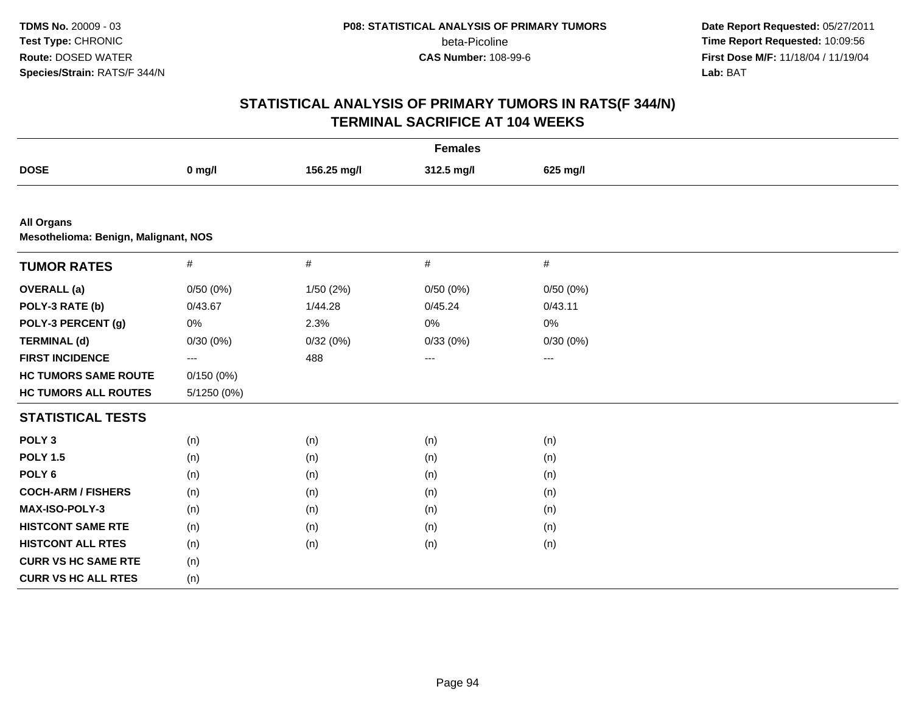**Date Report Requested:** 05/27/2011 **Time Report Requested:** 10:09:56 **First Dose M/F:** 11/18/04 / 11/19/04 Lab: BAT **Lab:** BAT

| <b>Females</b>                                            |             |             |            |          |  |
|-----------------------------------------------------------|-------------|-------------|------------|----------|--|
| <b>DOSE</b>                                               | $0$ mg/l    | 156.25 mg/l | 312.5 mg/l | 625 mg/l |  |
|                                                           |             |             |            |          |  |
| <b>All Organs</b><br>Mesothelioma: Benign, Malignant, NOS |             |             |            |          |  |
| <b>TUMOR RATES</b>                                        | $\#$        | $\#$        | $\#$       | $\#$     |  |
| <b>OVERALL</b> (a)                                        | 0/50(0%)    | 1/50(2%)    | 0/50(0%)   | 0/50(0%) |  |
| POLY-3 RATE (b)                                           | 0/43.67     | 1/44.28     | 0/45.24    | 0/43.11  |  |
| POLY-3 PERCENT (g)                                        | $0\%$       | 2.3%        | 0%         | 0%       |  |
| <b>TERMINAL (d)</b>                                       | 0/30(0%)    | 0/32(0%)    | 0/33(0%)   | 0/30(0%) |  |
| <b>FIRST INCIDENCE</b>                                    | $---$       | 488         | $\cdots$   | $\cdots$ |  |
| <b>HC TUMORS SAME ROUTE</b>                               | 0/150(0%)   |             |            |          |  |
| <b>HC TUMORS ALL ROUTES</b>                               | 5/1250 (0%) |             |            |          |  |
| <b>STATISTICAL TESTS</b>                                  |             |             |            |          |  |
| POLY <sub>3</sub>                                         | (n)         | (n)         | (n)        | (n)      |  |
| <b>POLY 1.5</b>                                           | (n)         | (n)         | (n)        | (n)      |  |
| POLY <sub>6</sub>                                         | (n)         | (n)         | (n)        | (n)      |  |
| <b>COCH-ARM / FISHERS</b>                                 | (n)         | (n)         | (n)        | (n)      |  |
| MAX-ISO-POLY-3                                            | (n)         | (n)         | (n)        | (n)      |  |
| <b>HISTCONT SAME RTE</b>                                  | (n)         | (n)         | (n)        | (n)      |  |
| <b>HISTCONT ALL RTES</b>                                  | (n)         | (n)         | (n)        | (n)      |  |
| <b>CURR VS HC SAME RTE</b>                                | (n)         |             |            |          |  |
| <b>CURR VS HC ALL RTES</b>                                | (n)         |             |            |          |  |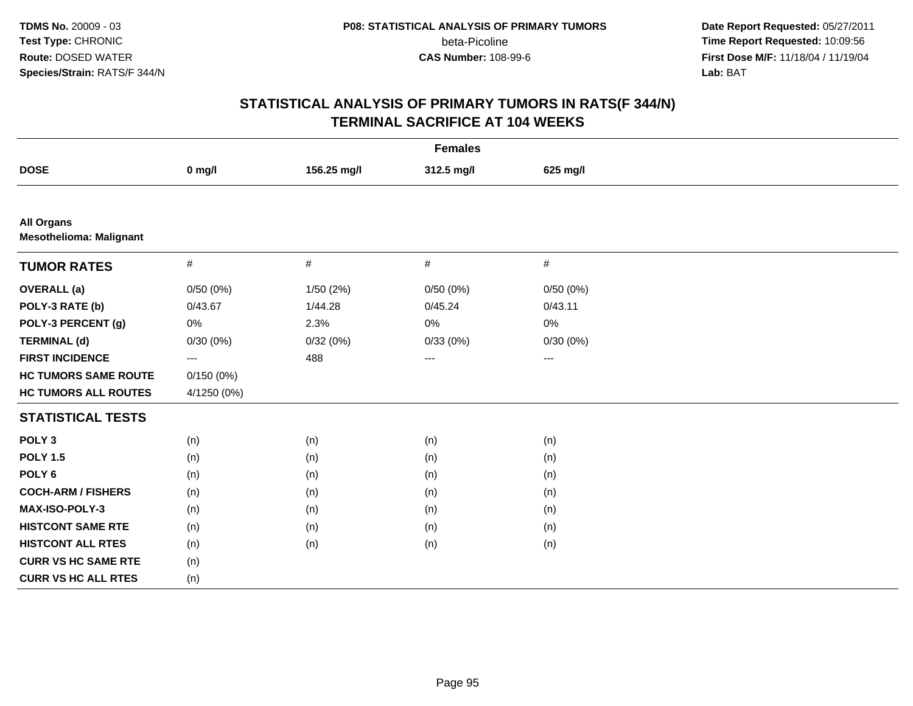**Date Report Requested:** 05/27/2011 **Time Report Requested:** 10:09:56 **First Dose M/F:** 11/18/04 / 11/19/04 Lab: BAT **Lab:** BAT

| <b>Females</b>                                      |                   |             |            |                   |  |
|-----------------------------------------------------|-------------------|-------------|------------|-------------------|--|
| <b>DOSE</b>                                         | $0$ mg/l          | 156.25 mg/l | 312.5 mg/l | 625 mg/l          |  |
|                                                     |                   |             |            |                   |  |
| <b>All Organs</b><br><b>Mesothelioma: Malignant</b> |                   |             |            |                   |  |
| <b>TUMOR RATES</b>                                  | $\#$              | $\#$        | $\#$       | $\#$              |  |
| <b>OVERALL</b> (a)                                  | 0/50(0%)          | 1/50(2%)    | 0/50(0%)   | 0/50(0%)          |  |
| POLY-3 RATE (b)                                     | 0/43.67           | 1/44.28     | 0/45.24    | 0/43.11           |  |
| POLY-3 PERCENT (g)                                  | 0%                | 2.3%        | $0\%$      | 0%                |  |
| <b>TERMINAL (d)</b>                                 | 0/30(0%)          | 0/32(0%)    | 0/33(0%)   | 0/30(0%)          |  |
| <b>FIRST INCIDENCE</b>                              | $\qquad \qquad -$ | 488         | $---$      | $\qquad \qquad -$ |  |
| <b>HC TUMORS SAME ROUTE</b>                         | 0/150(0%)         |             |            |                   |  |
| <b>HC TUMORS ALL ROUTES</b>                         | 4/1250 (0%)       |             |            |                   |  |
| <b>STATISTICAL TESTS</b>                            |                   |             |            |                   |  |
| POLY <sub>3</sub>                                   | (n)               | (n)         | (n)        | (n)               |  |
| <b>POLY 1.5</b>                                     | (n)               | (n)         | (n)        | (n)               |  |
| POLY <sub>6</sub>                                   | (n)               | (n)         | (n)        | (n)               |  |
| <b>COCH-ARM / FISHERS</b>                           | (n)               | (n)         | (n)        | (n)               |  |
| <b>MAX-ISO-POLY-3</b>                               | (n)               | (n)         | (n)        | (n)               |  |
| <b>HISTCONT SAME RTE</b>                            | (n)               | (n)         | (n)        | (n)               |  |
| <b>HISTCONT ALL RTES</b>                            | (n)               | (n)         | (n)        | (n)               |  |
| <b>CURR VS HC SAME RTE</b>                          | (n)               |             |            |                   |  |
| <b>CURR VS HC ALL RTES</b>                          | (n)               |             |            |                   |  |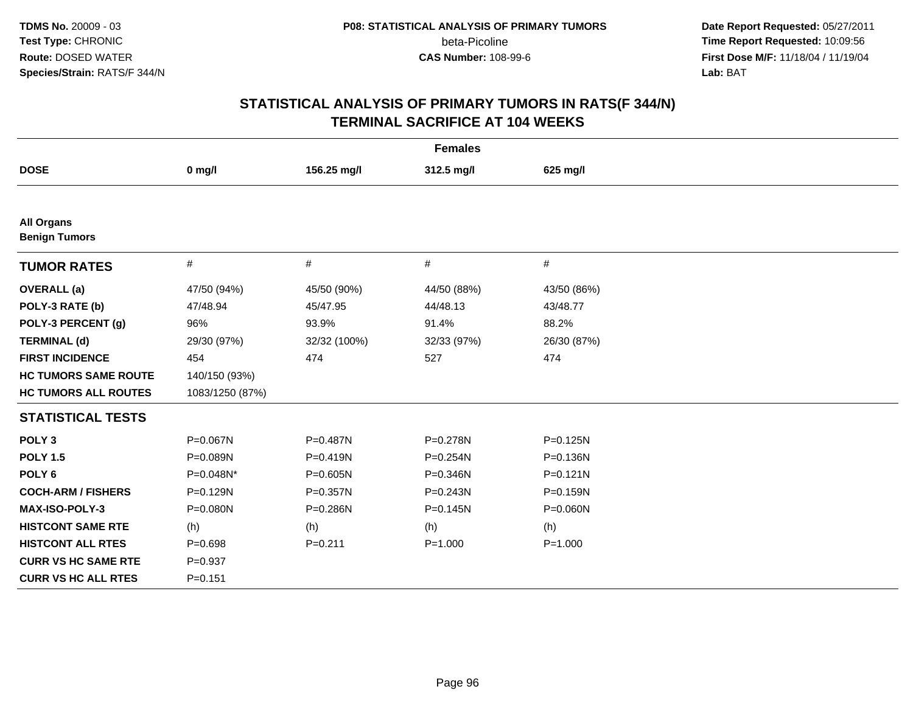**Date Report Requested:** 05/27/2011 **Time Report Requested:** 10:09:56 **First Dose M/F:** 11/18/04 / 11/19/04 Lab: BAT **Lab:** BAT

| <b>Females</b>                            |                 |              |              |              |
|-------------------------------------------|-----------------|--------------|--------------|--------------|
| <b>DOSE</b>                               | $0$ mg/l        | 156.25 mg/l  | 312.5 mg/l   | 625 mg/l     |
|                                           |                 |              |              |              |
| <b>All Organs</b><br><b>Benign Tumors</b> |                 |              |              |              |
| <b>TUMOR RATES</b>                        | $\#$            | $\#$         | #            | #            |
| <b>OVERALL</b> (a)                        | 47/50 (94%)     | 45/50 (90%)  | 44/50 (88%)  | 43/50 (86%)  |
| POLY-3 RATE (b)                           | 47/48.94        | 45/47.95     | 44/48.13     | 43/48.77     |
| POLY-3 PERCENT (g)                        | 96%             | 93.9%        | 91.4%        | 88.2%        |
| <b>TERMINAL (d)</b>                       | 29/30 (97%)     | 32/32 (100%) | 32/33 (97%)  | 26/30 (87%)  |
| <b>FIRST INCIDENCE</b>                    | 454             | 474          | 527          | 474          |
| <b>HC TUMORS SAME ROUTE</b>               | 140/150 (93%)   |              |              |              |
| <b>HC TUMORS ALL ROUTES</b>               | 1083/1250 (87%) |              |              |              |
| <b>STATISTICAL TESTS</b>                  |                 |              |              |              |
| POLY <sub>3</sub>                         | P=0.067N        | P=0.487N     | P=0.278N     | $P = 0.125N$ |
| <b>POLY 1.5</b>                           | P=0.089N        | $P = 0.419N$ | P=0.254N     | P=0.136N     |
| POLY <sub>6</sub>                         | P=0.048N*       | P=0.605N     | P=0.346N     | $P = 0.121N$ |
| <b>COCH-ARM / FISHERS</b>                 | P=0.129N        | P=0.357N     | $P = 0.243N$ | $P = 0.159N$ |
| MAX-ISO-POLY-3                            | P=0.080N        | P=0.286N     | $P = 0.145N$ | P=0.060N     |
| <b>HISTCONT SAME RTE</b>                  | (h)             | (h)          | (h)          | (h)          |
| <b>HISTCONT ALL RTES</b>                  | $P = 0.698$     | $P = 0.211$  | $P = 1.000$  | $P = 1.000$  |
| <b>CURR VS HC SAME RTE</b>                | $P = 0.937$     |              |              |              |
| <b>CURR VS HC ALL RTES</b>                | $P = 0.151$     |              |              |              |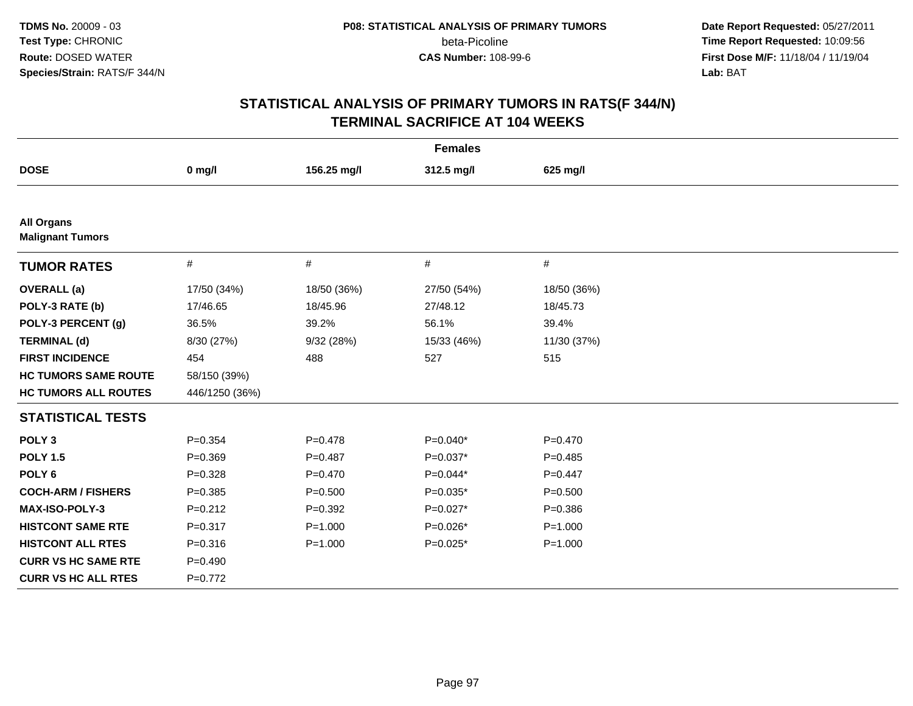**Date Report Requested:** 05/27/2011 **Time Report Requested:** 10:09:56 **First Dose M/F:** 11/18/04 / 11/19/04 Lab: BAT **Lab:** BAT

| <b>Females</b>                               |                |             |             |             |
|----------------------------------------------|----------------|-------------|-------------|-------------|
| <b>DOSE</b>                                  | $0$ mg/l       | 156.25 mg/l | 312.5 mg/l  | 625 mg/l    |
|                                              |                |             |             |             |
| <b>All Organs</b><br><b>Malignant Tumors</b> |                |             |             |             |
| <b>TUMOR RATES</b>                           | $\#$           | $\#$        | $\#$        | #           |
| <b>OVERALL</b> (a)                           | 17/50 (34%)    | 18/50 (36%) | 27/50 (54%) | 18/50 (36%) |
| POLY-3 RATE (b)                              | 17/46.65       | 18/45.96    | 27/48.12    | 18/45.73    |
| POLY-3 PERCENT (g)                           | 36.5%          | 39.2%       | 56.1%       | 39.4%       |
| <b>TERMINAL (d)</b>                          | 8/30 (27%)     | 9/32(28%)   | 15/33 (46%) | 11/30 (37%) |
| <b>FIRST INCIDENCE</b>                       | 454            | 488         | 527         | 515         |
| <b>HC TUMORS SAME ROUTE</b>                  | 58/150 (39%)   |             |             |             |
| <b>HC TUMORS ALL ROUTES</b>                  | 446/1250 (36%) |             |             |             |
| <b>STATISTICAL TESTS</b>                     |                |             |             |             |
| POLY <sub>3</sub>                            | $P = 0.354$    | $P = 0.478$ | P=0.040*    | $P=0.470$   |
| <b>POLY 1.5</b>                              | $P = 0.369$    | $P = 0.487$ | $P=0.037*$  | $P=0.485$   |
| POLY <sub>6</sub>                            | $P = 0.328$    | $P = 0.470$ | $P=0.044*$  | $P=0.447$   |
| <b>COCH-ARM / FISHERS</b>                    | $P = 0.385$    | $P = 0.500$ | $P=0.035*$  | $P = 0.500$ |
| MAX-ISO-POLY-3                               | $P=0.212$      | $P = 0.392$ | $P=0.027*$  | $P = 0.386$ |
| <b>HISTCONT SAME RTE</b>                     | $P = 0.317$    | $P = 1.000$ | $P=0.026*$  | $P = 1.000$ |
| <b>HISTCONT ALL RTES</b>                     | $P = 0.316$    | $P = 1.000$ | $P=0.025*$  | $P = 1.000$ |
| <b>CURR VS HC SAME RTE</b>                   | $P=0.490$      |             |             |             |
| <b>CURR VS HC ALL RTES</b>                   | $P=0.772$      |             |             |             |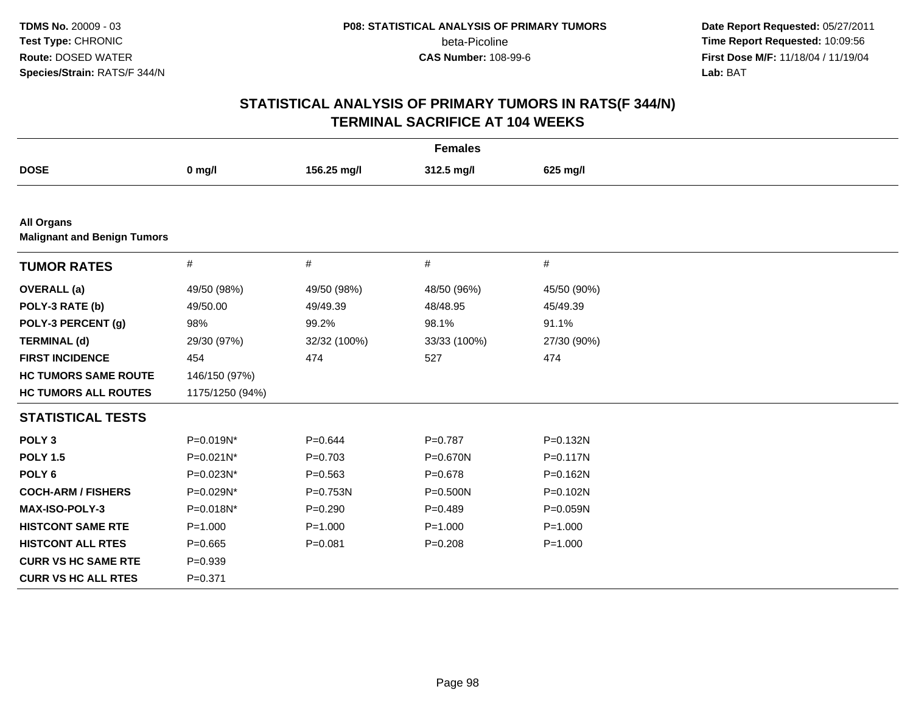**Date Report Requested:** 05/27/2011 **Time Report Requested:** 10:09:56 **First Dose M/F:** 11/18/04 / 11/19/04 Lab: BAT **Lab:** BAT

| <b>Females</b>                                          |                 |              |              |              |  |
|---------------------------------------------------------|-----------------|--------------|--------------|--------------|--|
| <b>DOSE</b>                                             | $0$ mg/l        | 156.25 mg/l  | 312.5 mg/l   | 625 mg/l     |  |
|                                                         |                 |              |              |              |  |
| <b>All Organs</b><br><b>Malignant and Benign Tumors</b> |                 |              |              |              |  |
| <b>TUMOR RATES</b>                                      | $\#$            | #            | $\#$         | #            |  |
| <b>OVERALL</b> (a)                                      | 49/50 (98%)     | 49/50 (98%)  | 48/50 (96%)  | 45/50 (90%)  |  |
| POLY-3 RATE (b)                                         | 49/50.00        | 49/49.39     | 48/48.95     | 45/49.39     |  |
| POLY-3 PERCENT (g)                                      | 98%             | 99.2%        | 98.1%        | 91.1%        |  |
| <b>TERMINAL (d)</b>                                     | 29/30 (97%)     | 32/32 (100%) | 33/33 (100%) | 27/30 (90%)  |  |
| <b>FIRST INCIDENCE</b>                                  | 454             | 474          | 527          | 474          |  |
| <b>HC TUMORS SAME ROUTE</b>                             | 146/150 (97%)   |              |              |              |  |
| <b>HC TUMORS ALL ROUTES</b>                             | 1175/1250 (94%) |              |              |              |  |
| <b>STATISTICAL TESTS</b>                                |                 |              |              |              |  |
| POLY <sub>3</sub>                                       | P=0.019N*       | $P = 0.644$  | $P = 0.787$  | $P = 0.132N$ |  |
| <b>POLY 1.5</b>                                         | P=0.021N*       | $P = 0.703$  | P=0.670N     | $P = 0.117N$ |  |
| POLY <sub>6</sub>                                       | P=0.023N*       | $P = 0.563$  | $P = 0.678$  | P=0.162N     |  |
| <b>COCH-ARM / FISHERS</b>                               | P=0.029N*       | P=0.753N     | P=0.500N     | P=0.102N     |  |
| <b>MAX-ISO-POLY-3</b>                                   | P=0.018N*       | $P=0.290$    | $P=0.489$    | P=0.059N     |  |
| <b>HISTCONT SAME RTE</b>                                | $P = 1.000$     | $P = 1.000$  | $P = 1.000$  | $P = 1.000$  |  |
| <b>HISTCONT ALL RTES</b>                                | $P=0.665$       | $P = 0.081$  | $P=0.208$    | $P = 1.000$  |  |
| <b>CURR VS HC SAME RTE</b>                              | $P=0.939$       |              |              |              |  |
| <b>CURR VS HC ALL RTES</b>                              | $P = 0.371$     |              |              |              |  |